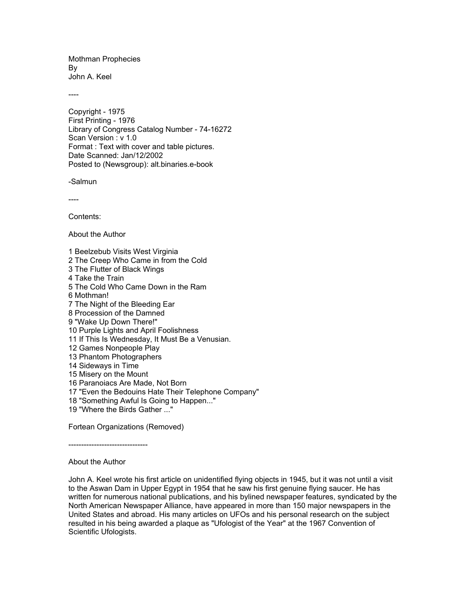Mothman Prophecies By John A. Keel

----

Copyright - 1975 First Printing - 1976 Library of Congress Catalog Number - 74-16272 Scan Version : v 1.0 Format : Text with cover and table pictures. Date Scanned: Jan/12/2002 Posted to (Newsgroup): alt.binaries.e-book

-Salmun

----

Contents:

About the Author

1 Beelzebub Visits West Virginia

- 2 The Creep Who Came in from the Cold
- 3 The Flutter of Black Wings

4 Take the Train

- 5 The Cold Who Came Down in the Ram
- 6 Mothman!

7 The Night of the Bleeding Ear

8 Procession of the Damned

9 "Wake Up Down There!"

10 Purple Lights and April Foolishness

11 If This Is Wednesday, It Must Be a Venusian.

12 Games Nonpeople Play

- 13 Phantom Photographers
- 14 Sideways in Time

15 Misery on the Mount

16 Paranoiacs Are Made, Not Born

17 "Even the Bedouins Hate Their Telephone Company"

18 "Something Awful Is Going to Happen..."

19 "Where the Birds Gather ..."

Fortean Organizations (Removed)

-------------------------------

About the Author

John A. Keel wrote his first article on unidentified flying objects in 1945, but it was not until a visit to the Aswan Dam in Upper Egypt in 1954 that he saw his first genuine flying saucer. He has written for numerous national publications, and his bylined newspaper features, syndicated by the North American Newspaper Alliance, have appeared in more than 150 major newspapers in the United States and abroad. His many articles on UFOs and his personal research on the subject resulted in his being awarded a plaque as "Ufologist of the Year" at the 1967 Convention of Scientific Ufologists.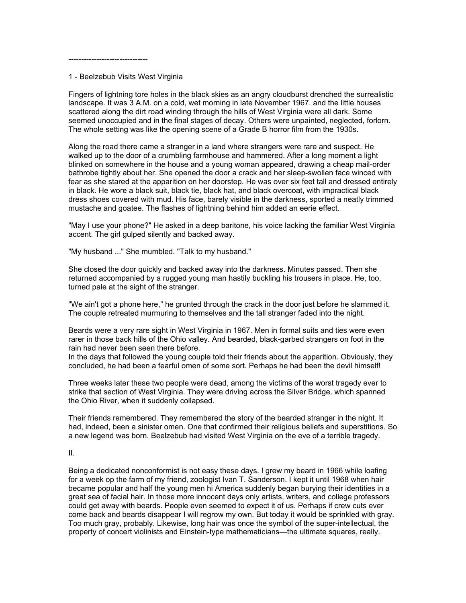-------------------------------

## 1 - Beelzebub Visits West Virginia

Fingers of lightning tore holes in the black skies as an angry cloudburst drenched the surrealistic landscape. It was 3 A.M. on a cold, wet morning in late November 1967. and the little houses scattered along the dirt road winding through the hills of West Virginia were all dark. Some seemed unoccupied and in the final stages of decay. Others were unpainted, neglected, forlorn. The whole setting was like the opening scene of a Grade B horror film from the 1930s.

Along the road there came a stranger in a land where strangers were rare and suspect. He walked up to the door of a crumbling farmhouse and hammered. After a long moment a light blinked on somewhere in the house and a young woman appeared, drawing a cheap mail-order bathrobe tightly about her. She opened the door a crack and her sleep-swollen face winced with fear as she stared at the apparition on her doorstep. He was over six feet tall and dressed entirely in black. He wore a black suit, black tie, black hat, and black overcoat, with impractical black dress shoes covered with mud. His face, barely visible in the darkness, sported a neatly trimmed mustache and goatee. The flashes of lightning behind him added an eerie effect.

"May I use your phone?" He asked in a deep baritone, his voice lacking the familiar West Virginia accent. The girl gulped silently and backed away.

"My husband ..." She mumbled. "Talk to my husband."

She closed the door quickly and backed away into the darkness. Minutes passed. Then she returned accompanied by a rugged young man hastily buckling his trousers in place. He, too, turned pale at the sight of the stranger.

"We ain't got a phone here," he grunted through the crack in the door just before he slammed it. The couple retreated murmuring to themselves and the tall stranger faded into the night.

Beards were a very rare sight in West Virginia in 1967. Men in formal suits and ties were even rarer in those back hills of the Ohio valley. And bearded, black-garbed strangers on foot in the rain had never been seen there before.

In the days that followed the young couple told their friends about the apparition. Obviously, they concluded, he had been a fearful omen of some sort. Perhaps he had been the devil himself!

Three weeks later these two people were dead, among the victims of the worst tragedy ever to strike that section of West Virginia. They were driving across the Silver Bridge. which spanned the Ohio River, when it suddenly collapsed.

Their friends remembered. They remembered the story of the bearded stranger in the night. It had, indeed, been a sinister omen. One that confirmed their religious beliefs and superstitions. So a new legend was born. Beelzebub had visited West Virginia on the eve of a terrible tragedy.

II.

Being a dedicated nonconformist is not easy these days. I grew my beard in 1966 while loafing for a week op the farm of my friend, zoologist Ivan T. Sanderson. I kept it until 1968 when hair became popular and half the young men hi America suddenly began burying their identities in a great sea of facial hair. In those more innocent days only artists, writers, and college professors could get away with beards. People even seemed to expect it of us. Perhaps if crew cuts ever come back and beards disappear I will regrow my own. But today it would be sprinkled with gray. Too much gray, probably. Likewise, long hair was once the symbol of the super-intellectual, the property of concert violinists and Einstein-type mathematicians—the ultimate squares, really.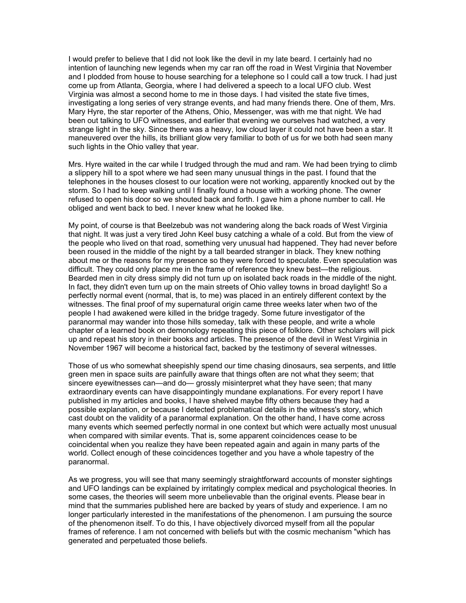I would prefer to believe that I did not look like the devil in my late beard. I certainly had no intention of launching new legends when my car ran off the road in West Virginia that November and I plodded from house to house searching for a telephone so I could call a tow truck. I had just come up from Atlanta, Georgia, where I had delivered a speech to a local UFO club. West Virginia was almost a second home to me in those days. I had visited the state five times, investigating a long series of very strange events, and had many friends there. One of them, Mrs. Mary Hyre, the star reporter of the Athens, Ohio, Messenger, was with me that night. We had been out talking to UFO witnesses, and earlier that evening we ourselves had watched, a very strange light in the sky. Since there was a heavy, low cloud layer it could not have been a star. It maneuvered over the hills, its brilliant glow very familiar to both of us for we both had seen many such lights in the Ohio valley that year.

Mrs. Hyre waited in the car while I trudged through the mud and ram. We had been trying to climb a slippery hill to a spot where we had seen many unusual things in the past. I found that the telephones in the houses closest to our location were not working, apparently knocked out by the storm. So I had to keep walking until I finally found a house with a working phone. The owner refused to open his door so we shouted back and forth. I gave him a phone number to call. He obliged and went back to bed. I never knew what he looked like.

My point, of course is that Beelzebub was not wandering along the back roads of West Virginia that night. It was just a very tired John Keel busy catching a whale of a cold. But from the view of the people who lived on that road, something very unusual had happened. They had never before been roused in the middle of the night by a tall bearded stranger in black. They knew nothing about me or the reasons for my presence so they were forced to speculate. Even speculation was difficult. They could only place me in the frame of reference they knew best—the religious. Bearded men in city dress simply did not turn up on isolated back roads in the middle of the night. In fact, they didn't even turn up on the main streets of Ohio valley towns in broad daylight! So a perfectly normal event (normal, that is, to me) was placed in an entirely different context by the witnesses. The final proof of my supernatural origin came three weeks later when two of the people I had awakened were killed in the bridge tragedy. Some future investigator of the paranormal may wander into those hills someday, talk with these people, and write a whole chapter of a learned book on demonology repeating this piece of folklore. Other scholars will pick up and repeat his story in their books and articles. The presence of the devil in West Virginia in November 1967 will become a historical fact, backed by the testimony of several witnesses.

Those of us who somewhat sheepishly spend our time chasing dinosaurs, sea serpents, and little green men in space suits are painfully aware that things often are not what they seem; that sincere eyewitnesses can—and do— grossly misinterpret what they have seen; that many extraordinary events can have disappointingly mundane explanations. For every report I have published in my articles and books, I have shelved maybe fifty others because they had a possible explanation, or because I detected problematical details in the witness's story, which cast doubt on the validity of a paranormal explanation. On the other hand, I have come across many events which seemed perfectly normal in one context but which were actually most unusual when compared with similar events. That is, some apparent coincidences cease to be coincidental when you realize they have been repeated again and again in many parts of the world. Collect enough of these coincidences together and you have a whole tapestry of the paranormal.

As we progress, you will see that many seemingly straightforward accounts of monster sightings and UFO landings can be explained by irritatingly complex medical and psychological theories. In some cases, the theories will seem more unbelievable than the original events. Please bear in mind that the summaries published here are backed by years of study and experience. I am no longer particularly interested in the manifestations of the phenomenon. I am pursuing the source of the phenomenon itself. To do this, I have objectively divorced myself from all the popular frames of reference. I am not concerned with beliefs but with the cosmic mechanism "which has generated and perpetuated those beliefs.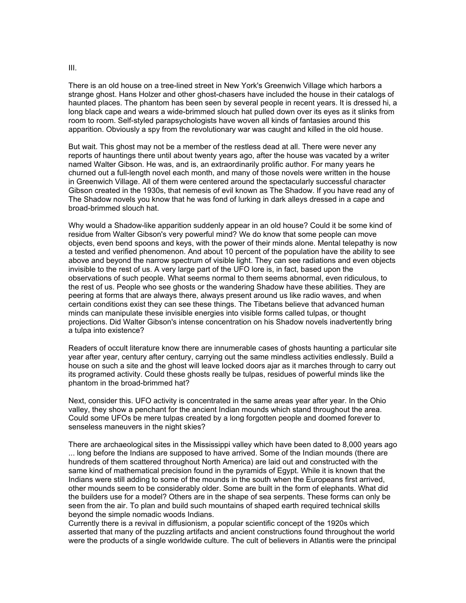There is an old house on a tree-lined street in New York's Greenwich Village which harbors a strange ghost. Hans Holzer and other ghost-chasers have included the house in their catalogs of haunted places. The phantom has been seen by several people in recent years. It is dressed hi, a long black cape and wears a wide-brimmed slouch hat pulled down over its eyes as it slinks from room to room. Self-styled parapsychologists have woven all kinds of fantasies around this apparition. Obviously a spy from the revolutionary war was caught and killed in the old house.

But wait. This ghost may not be a member of the restless dead at all. There were never any reports of hauntings there until about twenty years ago, after the house was vacated by a writer named Walter Gibson. He was, and is, an extraordinarily prolific author. For many years he churned out a full-length novel each month, and many of those novels were written in the house in Greenwich Village. All of them were centered around the spectacularly successful character Gibson created in the 1930s, that nemesis of evil known as The Shadow. If you have read any of The Shadow novels you know that he was fond of lurking in dark alleys dressed in a cape and broad-brimmed slouch hat.

Why would a Shadow-like apparition suddenly appear in an old house? Could it be some kind of residue from Walter Gibson's very powerful mind? We do know that some people can move objects, even bend spoons and keys, with the power of their minds alone. Mental telepathy is now a tested and verified phenomenon. And about 10 percent of the population have the ability to see above and beyond the narrow spectrum of visible light. They can see radiations and even objects invisible to the rest of us. A very large part of the UFO lore is, in fact, based upon the observations of such people. What seems normal to them seems abnormal, even ridiculous, to the rest of us. People who see ghosts or the wandering Shadow have these abilities. They are peering at forms that are always there, always present around us like radio waves, and when certain conditions exist they can see these things. The Tibetans believe that advanced human minds can manipulate these invisible energies into visible forms called tulpas, or thought projections. Did Walter Gibson's intense concentration on his Shadow novels inadvertently bring a tulpa into existence?

Readers of occult literature know there are innumerable cases of ghosts haunting a particular site year after year, century after century, carrying out the same mindless activities endlessly. Build a house on such a site and the ghost will leave locked doors ajar as it marches through to carry out its programed activity. Could these ghosts really be tulpas, residues of powerful minds like the phantom in the broad-brimmed hat?

Next, consider this. UFO activity is concentrated in the same areas year after year. In the Ohio valley, they show a penchant for the ancient Indian mounds which stand throughout the area. Could some UFOs be mere tulpas created by a long forgotten people and doomed forever to senseless maneuvers in the night skies?

There are archaeological sites in the Mississippi valley which have been dated to 8,000 years ago ... long before the Indians are supposed to have arrived. Some of the Indian mounds (there are hundreds of them scattered throughout North America) are laid out and constructed with the same kind of mathematical precision found in the pyramids of Egypt. While it is known that the Indians were still adding to some of the mounds in the south when the Europeans first arrived, other mounds seem to be considerably older. Some are built in the form of elephants. What did the builders use for a model? Others are in the shape of sea serpents. These forms can only be seen from the air. To plan and build such mountains of shaped earth required technical skills beyond the simple nomadic woods Indians.

Currently there is a revival in diffusionism, a popular scientific concept of the 1920s which asserted that many of the puzzling artifacts and ancient constructions found throughout the world were the products of a single worldwide culture. The cult of believers in Atlantis were the principal

#### III.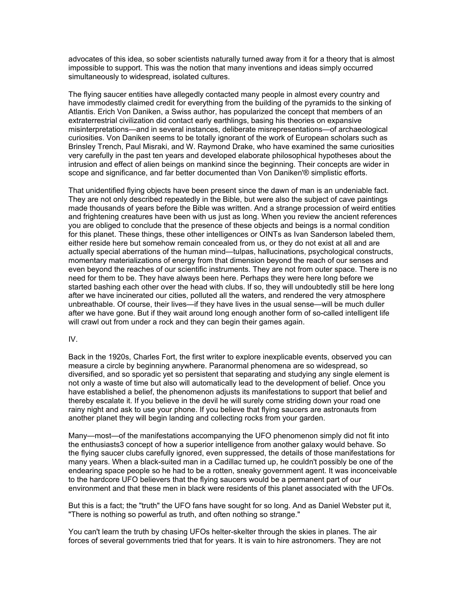advocates of this idea, so sober scientists naturally turned away from it for a theory that is almost impossible to support. This was the notion that many inventions and ideas simply occurred simultaneously to widespread, isolated cultures.

The flying saucer entities have allegedly contacted many people in almost every country and have immodestly claimed credit for everything from the building of the pyramids to the sinking of Atlantis. Erich Von Daniken, a Swiss author, has popularized the concept that members of an extraterrestrial civilization did contact early earthlings, basing his theories on expansive misinterpretations—and in several instances, deliberate misrepresentations—of archaeological curiosities. Von Daniken seems to be totally ignorant of the work of European scholars such as Brinsley Trench, Paul Misraki, and W. Raymond Drake, who have examined the same curiosities very carefully in the past ten years and developed elaborate philosophical hypotheses about the intrusion and effect of alien beings on mankind since the beginning. Their concepts are wider in scope and significance, and far better documented than Von Daniken'® simplistic efforts.

That unidentified flying objects have been present since the dawn of man is an undeniable fact. They are not only described repeatedly in the Bible, but were also the subject of cave paintings made thousands of years before the Bible was written. And a strange procession of weird entities and frightening creatures have been with us just as long. When you review the ancient references you are obliged to conclude that the presence of these objects and beings is a normal condition for this planet. These things, these other intelligences or OINTs as Ivan Sanderson labeled them, either reside here but somehow remain concealed from us, or they do not exist at all and are actually special aberrations of the human mind—tulpas, hallucinations, psychological constructs, momentary materializations of energy from that dimension beyond the reach of our senses and even beyond the reaches of our scientific instruments. They are not from outer space. There is no need for them to be. They have always been here. Perhaps they were here long before we started bashing each other over the head with clubs. If so, they will undoubtedly still be here long after we have incinerated our cities, polluted all the waters, and rendered the very atmosphere unbreathable. Of course, their lives—if they have lives in the usual sense—will be much duller after we have gone. But if they wait around long enough another form of so-called intelligent life will crawl out from under a rock and they can begin their games again.

# IV.

Back in the 1920s, Charles Fort, the first writer to explore inexplicable events, observed you can measure a circle by beginning anywhere. Paranormal phenomena are so widespread, so diversified, and so sporadic yet so persistent that separating and studying any single element is not only a waste of time but also will automatically lead to the development of belief. Once you have established a belief, the phenomenon adjusts its manifestations to support that belief and thereby escalate it. If you believe in the devil he will surely come striding down your road one rainy night and ask to use your phone. If you believe that flying saucers are astronauts from another planet they will begin landing and collecting rocks from your garden.

Many—most—of the manifestations accompanying the UFO phenomenon simply did not fit into the enthusiasts3 concept of how a superior intelligence from another galaxy would behave. So the flying saucer clubs carefully ignored, even suppressed, the details of those manifestations for many years. When a black-suited man in a Cadillac turned up, he couldn't possibly be one of the endearing space people so he had to be a rotten, sneaky government agent. It was inconceivable to the hardcore UFO believers that the flying saucers would be a permanent part of our environment and that these men in black were residents of this planet associated with the UFOs.

But this is a fact; the "truth" the UFO fans have sought for so long. And as Daniel Webster put it, "There is nothing so powerful as truth, and often nothing so strange."

You can't learn the truth by chasing UFOs helter-skelter through the skies in planes. The air forces of several governments tried that for years. It is vain to hire astronomers. They are not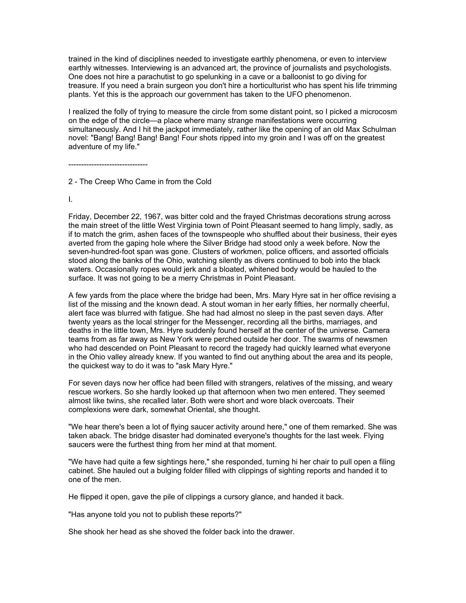trained in the kind of disciplines needed to investigate earthly phenomena, or even to interview earthly witnesses. Interviewing is an advanced art, the province of journalists and psychologists. One does not hire a parachutist to go spelunking in a cave or a balloonist to go diving for treasure. If you need a brain surgeon you don't hire a horticulturist who has spent his life trimming plants. Yet this is the approach our government has taken to the UFO phenomenon.

I realized the folly of trying to measure the circle from some distant point, so I picked a microcosm on the edge of the circle—a place where many strange manifestations were occurring simultaneously. And I hit the jackpot immediately, rather like the opening of an old Max Schulman novel: "Bang! Bang! Bang! Bang! Four shots ripped into my groin and I was off on the greatest adventure of my life."

-------------------------------

2 - The Creep Who Came in from the Cold

I.

Friday, December 22, 1967, was bitter cold and the frayed Christmas decorations strung across the main street of the little West Virginia town of Point Pleasant seemed to hang limply, sadly, as if to match the grim, ashen faces of the townspeople who shuffled about their business, their eyes averted from the gaping hole where the Silver Bridge had stood only a week before. Now the seven-hundred-foot span was gone. Clusters of workmen, police officers, and assorted officials stood along the banks of the Ohio, watching silently as divers continued to bob into the black waters. Occasionally ropes would jerk and a bloated, whitened body would be hauled to the surface. It was not going to be a merry Christmas in Point Pleasant.

A few yards from the place where the bridge had been, Mrs. Mary Hyre sat in her office revising a list of the missing and the known dead. A stout woman in her early fifties, her normally cheerful, alert face was blurred with fatigue. She had had almost no sleep in the past seven days. After twenty years as the local stringer for the Messenger, recording all the births, marriages, and deaths in the little town, Mrs. Hyre suddenly found herself at the center of the universe. Camera teams from as far away as New York were perched outside her door. The swarms of newsmen who had descended on Point Pleasant to record the tragedy had quickly learned what everyone in the Ohio valley already knew. If you wanted to find out anything about the area and its people, the quickest way to do it was to "ask Mary Hyre."

For seven days now her office had been filled with strangers, relatives of the missing, and weary rescue workers. So she hardly looked up that afternoon when two men entered. They seemed almost like twins, she recalled later. Both were short and wore black overcoats. Their complexions were dark, somewhat Oriental, she thought.

"We hear there's been a lot of flying saucer activity around here," one of them remarked. She was taken aback. The bridge disaster had dominated everyone's thoughts for the last week. Flying saucers were the furthest thing from her mind at that moment.

"We have had quite a few sightings here," she responded, turning hi her chair to pull open a filing cabinet. She hauled out a bulging folder filled with clippings of sighting reports and handed it to one of the men.

He flipped it open, gave the pile of clippings a cursory glance, and handed it back.

"Has anyone told you not to publish these reports?"

She shook her head as she shoved the folder back into the drawer.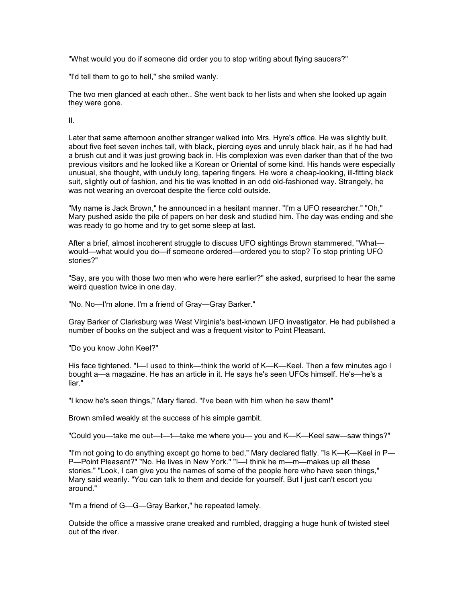"What would you do if someone did order you to stop writing about flying saucers?"

"I'd tell them to go to hell," she smiled wanly.

The two men glanced at each other.. She went back to her lists and when she looked up again they were gone.

II.

Later that same afternoon another stranger walked into Mrs. Hyre's office. He was slightly built, about five feet seven inches tall, with black, piercing eyes and unruly black hair, as if he had had a brush cut and it was just growing back in. His complexion was even darker than that of the two previous visitors and he looked like a Korean or Oriental of some kind. His hands were especially unusual, she thought, with unduly long, tapering fingers. He wore a cheap-looking, ill-fitting black suit, slightly out of fashion, and his tie was knotted in an odd old-fashioned way. Strangely, he was not wearing an overcoat despite the fierce cold outside.

"My name is Jack Brown," he announced in a hesitant manner. "I'm a UFO researcher." "Oh," Mary pushed aside the pile of papers on her desk and studied him. The day was ending and she was ready to go home and try to get some sleep at last.

After a brief, almost incoherent struggle to discuss UFO sightings Brown stammered, "What would—what would you do—if someone ordered—ordered you to stop? To stop printing UFO stories?"

"Say, are you with those two men who were here earlier?" she asked, surprised to hear the same weird question twice in one day.

"No. No—I'm alone. I'm a friend of Gray—Gray Barker."

Gray Barker of Clarksburg was West Virginia's best-known UFO investigator. He had published a number of books on the subject and was a frequent visitor to Point Pleasant.

"Do you know John Keel?"

His face tightened. "I—I used to think—think the world of K—K—Keel. Then a few minutes ago I bought a—a magazine. He has an article in it. He says he's seen UFOs himself. He's—he's a liar."

"I know he's seen things," Mary flared. "I've been with him when he saw them!"

Brown smiled weakly at the success of his simple gambit.

"Could you—take me out—t—t—take me where you— you and K—K—Keel saw—saw things?"

"I'm not going to do anything except go home to bed," Mary declared flatly. "Is K—K—Keel in P— P-Point Pleasant?" "No. He lives in New York." "I-I think he m-m-makes up all these stories." "Look, I can give you the names of some of the people here who have seen things," Mary said wearily. "You can talk to them and decide for yourself. But I just can't escort you around."

"I'm a friend of G—G—Gray Barker," he repeated lamely.

Outside the office a massive crane creaked and rumbled, dragging a huge hunk of twisted steel out of the river.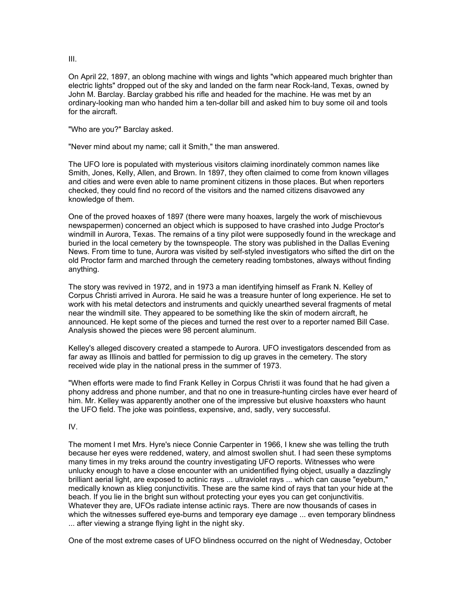III.

On April 22, 1897, an oblong machine with wings and lights "which appeared much brighter than electric lights" dropped out of the sky and landed on the farm near Rock-land, Texas, owned by John M. Barclay. Barclay grabbed his rifle and headed for the machine. He was met by an ordinary-looking man who handed him a ten-dollar bill and asked him to buy some oil and tools for the aircraft.

"Who are you?" Barclay asked.

"Never mind about my name; call it Smith," the man answered.

The UFO lore is populated with mysterious visitors claiming inordinately common names like Smith, Jones, Kelly, Allen, and Brown. In 1897, they often claimed to come from known villages and cities and were even able to name prominent citizens in those places. But when reporters checked, they could find no record of the visitors and the named citizens disavowed any knowledge of them.

One of the proved hoaxes of 1897 (there were many hoaxes, largely the work of mischievous newspapermen) concerned an object which is supposed to have crashed into Judge Proctor's windmill in Aurora, Texas. The remains of a tiny pilot were supposedly found in the wreckage and buried in the local cemetery by the townspeople. The story was published in the Dallas Evening News. From time to tune, Aurora was visited by self-styled investigators who sifted the dirt on the old Proctor farm and marched through the cemetery reading tombstones, always without finding anything.

The story was revived in 1972, and in 1973 a man identifying himself as Frank N. Kelley of Corpus Christi arrived in Aurora. He said he was a treasure hunter of long experience. He set to work with his metal detectors and instruments and quickly unearthed several fragments of metal near the windmill site. They appeared to be something like the skin of modern aircraft, he announced. He kept some of the pieces and turned the rest over to a reporter named Bill Case. Analysis showed the pieces were 98 percent aluminum.

Kelley's alleged discovery created a stampede to Aurora. UFO investigators descended from as far away as Illinois and battled for permission to dig up graves in the cemetery. The story received wide play in the national press in the summer of 1973.

"When efforts were made to find Frank Kelley in Corpus Christi it was found that he had given a phony address and phone number, and that no one in treasure-hunting circles have ever heard of him. Mr. Kelley was apparently another one of the impressive but elusive hoaxsters who haunt the UFO field. The joke was pointless, expensive, and, sadly, very successful.

# IV.

The moment I met Mrs. Hyre's niece Connie Carpenter in 1966, I knew she was telling the truth because her eyes were reddened, watery, and almost swollen shut. I had seen these symptoms many times in my treks around the country investigating UFO reports. Witnesses who were unlucky enough to have a close encounter with an unidentified flying object, usually a dazzlingly brilliant aerial light, are exposed to actinic rays ... ultraviolet rays ... which can cause "eyeburn," medically known as klieg conjunctivitis. These are the same kind of rays that tan your hide at the beach. If you lie in the bright sun without protecting your eyes you can get conjunctivitis. Whatever they are, UFOs radiate intense actinic rays. There are now thousands of cases in which the witnesses suffered eye-burns and temporary eye damage ... even temporary blindness ... after viewing a strange flying light in the night sky.

One of the most extreme cases of UFO blindness occurred on the night of Wednesday, October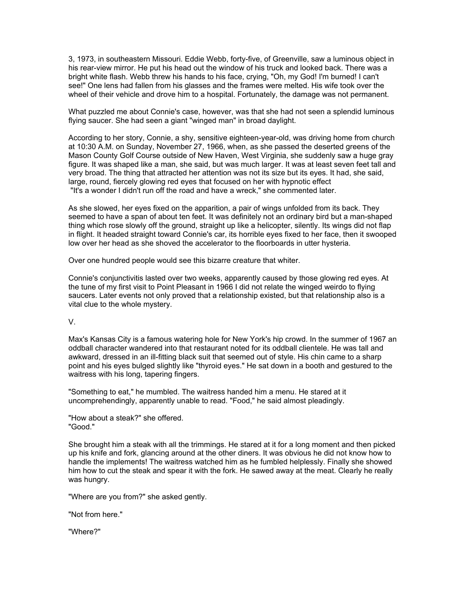3, 1973, in southeastern Missouri. Eddie Webb, forty-five, of Greenville, saw a luminous object in his rear-view mirror. He put his head out the window of his truck and looked back. There was a bright white flash. Webb threw his hands to his face, crying, "Oh, my God! I'm burned! I can't see!" One lens had fallen from his glasses and the frames were melted. His wife took over the wheel of their vehicle and drove him to a hospital. Fortunately, the damage was not permanent.

What puzzled me about Connie's case, however, was that she had not seen a splendid luminous flying saucer. She had seen a giant "winged man" in broad daylight.

According to her story, Connie, a shy, sensitive eighteen-year-old, was driving home from church at 10:30 A.M. on Sunday, November 27, 1966, when, as she passed the deserted greens of the Mason County Golf Course outside of New Haven, West Virginia, she suddenly saw a huge gray figure. It was shaped like a man, she said, but was much larger. It was at least seven feet tall and very broad. The thing that attracted her attention was not its size but its eyes. It had, she said, large, round, fiercely glowing red eyes that focused on her with hypnotic effect "It's a wonder I didn't run off the road and have a wreck," she commented later.

As she slowed, her eyes fixed on the apparition, a pair of wings unfolded from its back. They seemed to have a span of about ten feet. It was definitely not an ordinary bird but a man-shaped thing which rose slowly off the ground, straight up like a helicopter, silently. Its wings did not flap in flight. It headed straight toward Connie's car, its horrible eyes fixed to her face, then it swooped low over her head as she shoved the accelerator to the floorboards in utter hysteria.

Over one hundred people would see this bizarre creature that whiter.

Connie's conjunctivitis lasted over two weeks, apparently caused by those glowing red eyes. At the tune of my first visit to Point Pleasant in 1966 I did not relate the winged weirdo to flying saucers. Later events not only proved that a relationship existed, but that relationship also is a vital clue to the whole mystery.

## V.

Max's Kansas City is a famous watering hole for New York's hip crowd. In the summer of 1967 an oddball character wandered into that restaurant noted for its oddball clientele. He was tall and awkward, dressed in an ill-fitting black suit that seemed out of style. His chin came to a sharp point and his eyes bulged slightly like "thyroid eyes." He sat down in a booth and gestured to the waitress with his long, tapering fingers.

"Something to eat," he mumbled. The waitress handed him a menu. He stared at it uncomprehendingly, apparently unable to read. "Food," he said almost pleadingly.

"How about a steak?" she offered. "Good."

She brought him a steak with all the trimmings. He stared at it for a long moment and then picked up his knife and fork, glancing around at the other diners. It was obvious he did not know how to handle the implements! The waitress watched him as he fumbled helplessly. Finally she showed him how to cut the steak and spear it with the fork. He sawed away at the meat. Clearly he really was hungry.

"Where are you from?" she asked gently.

"Not from here."

"Where?"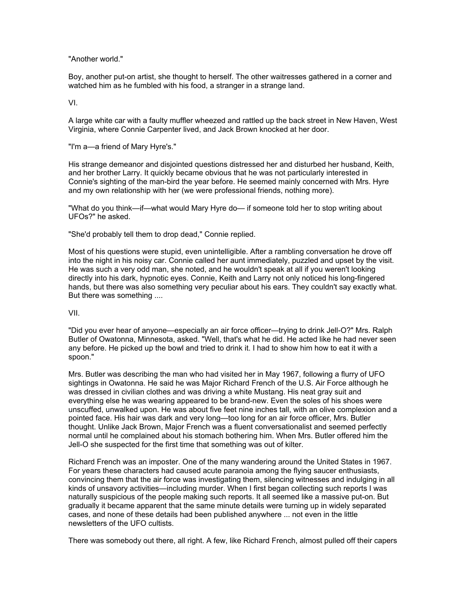"Another world."

Boy, another put-on artist, she thought to herself. The other waitresses gathered in a corner and watched him as he fumbled with his food, a stranger in a strange land.

VI.

A large white car with a faulty muffler wheezed and rattled up the back street in New Haven, West Virginia, where Connie Carpenter lived, and Jack Brown knocked at her door.

"I'm a—a friend of Mary Hyre's."

His strange demeanor and disjointed questions distressed her and disturbed her husband, Keith, and her brother Larry. It quickly became obvious that he was not particularly interested in Connie's sighting of the man-bird the year before. He seemed mainly concerned with Mrs. Hyre and my own relationship with her (we were professional friends, nothing more).

"What do you think—if—what would Mary Hyre do— if someone told her to stop writing about UFOs?" he asked.

"She'd probably tell them to drop dead," Connie replied.

Most of his questions were stupid, even unintelligible. After a rambling conversation he drove off into the night in his noisy car. Connie called her aunt immediately, puzzled and upset by the visit. He was such a very odd man, she noted, and he wouldn't speak at all if you weren't looking directly into his dark, hypnotic eyes. Connie, Keith and Larry not only noticed his long-fingered hands, but there was also something very peculiar about his ears. They couldn't say exactly what. But there was something ....

VII.

"Did you ever hear of anyone—especially an air force officer—trying to drink Jell-O?" Mrs. Ralph Butler of Owatonna, Minnesota, asked. "Well, that's what he did. He acted like he had never seen any before. He picked up the bowl and tried to drink it. I had to show him how to eat it with a spoon."

Mrs. Butler was describing the man who had visited her in May 1967, following a flurry of UFO sightings in Owatonna. He said he was Major Richard French of the U.S. Air Force although he was dressed in civilian clothes and was driving a white Mustang. His neat gray suit and everything else he was wearing appeared to be brand-new. Even the soles of his shoes were unscuffed, unwalked upon. He was about five feet nine inches tall, with an olive complexion and a pointed face. His hair was dark and very long—too long for an air force officer, Mrs. Butler thought. Unlike Jack Brown, Major French was a fluent conversationalist and seemed perfectly normal until he complained about his stomach bothering him. When Mrs. Butler offered him the Jell-O she suspected for the first time that something was out of kilter.

Richard French was an imposter. One of the many wandering around the United States in 1967. For years these characters had caused acute paranoia among the flying saucer enthusiasts, convincing them that the air force was investigating them, silencing witnesses and indulging in all kinds of unsavory activities—including murder. When I first began collecting such reports I was naturally suspicious of the people making such reports. It all seemed like a massive put-on. But gradually it became apparent that the same minute details were turning up in widely separated cases, and none of these details had been published anywhere ... not even in the little newsletters of the UFO cultists.

There was somebody out there, all right. A few, like Richard French, almost pulled off their capers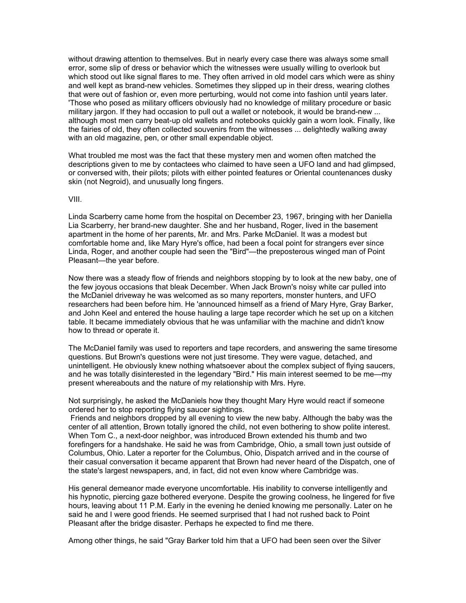without drawing attention to themselves. But in nearly every case there was always some small error, some slip of dress or behavior which the witnesses were usually willing to overlook but which stood out like signal flares to me. They often arrived in old model cars which were as shiny and well kept as brand-new vehicles. Sometimes they slipped up in their dress, wearing clothes that were out of fashion or, even more perturbing, would not come into fashion until years later. 'Those who posed as military officers obviously had no knowledge of military procedure or basic military jargon. If they had occasion to pull out a wallet or notebook, it would be brand-new ... although most men carry beat-up old wallets and notebooks quickly gain a worn look. Finally, like the fairies of old, they often collected souvenirs from the witnesses ... delightedly walking away with an old magazine, pen, or other small expendable object.

What troubled me most was the fact that these mystery men and women often matched the descriptions given to me by contactees who claimed to have seen a UFO land and had glimpsed, or conversed with, their pilots; pilots with either pointed features or Oriental countenances dusky skin (not Negroid), and unusually long fingers.

#### VIII.

Linda Scarberry came home from the hospital on December 23, 1967, bringing with her Daniella Lia Scarberry, her brand-new daughter. She and her husband, Roger, lived in the basement apartment in the home of her parents, Mr. and Mrs. Parke McDaniel. It was a modest but comfortable home and, like Mary Hyre's office, had been a focal point for strangers ever since Linda, Roger, and another couple had seen the "Bird"—the preposterous winged man of Point Pleasant—the year before.

Now there was a steady flow of friends and neighbors stopping by to look at the new baby, one of the few joyous occasions that bleak December. When Jack Brown's noisy white car pulled into the McDaniel driveway he was welcomed as so many reporters, monster hunters, and UFO researchers had been before him. He 'announced himself as a friend of Mary Hyre, Gray Barker, and John Keel and entered the house hauling a large tape recorder which he set up on a kitchen table. It became immediately obvious that he was unfamiliar with the machine and didn't know how to thread or operate it.

The McDaniel family was used to reporters and tape recorders, and answering the same tiresome questions. But Brown's questions were not just tiresome. They were vague, detached, and unintelligent. He obviously knew nothing whatsoever about the complex subject of flying saucers, and he was totally disinterested in the legendary "Bird." His main interest seemed to be me—my present whereabouts and the nature of my relationship with Mrs. Hyre.

Not surprisingly, he asked the McDaniels how they thought Mary Hyre would react if someone ordered her to stop reporting flying saucer sightings.

 Friends and neighbors dropped by all evening to view the new baby. Although the baby was the center of all attention, Brown totally ignored the child, not even bothering to show polite interest. When Tom C., a next-door neighbor, was introduced Brown extended his thumb and two forefingers for a handshake. He said he was from Cambridge, Ohio, a small town just outside of Columbus, Ohio. Later a reporter for the Columbus, Ohio, Dispatch arrived and in the course of their casual conversation it became apparent that Brown had never heard of the Dispatch, one of the state's largest newspapers, and, in fact, did not even know where Cambridge was.

His general demeanor made everyone uncomfortable. His inability to converse intelligently and his hypnotic, piercing gaze bothered everyone. Despite the growing coolness, he lingered for five hours, leaving about 11 P.M. Early in the evening he denied knowing me personally. Later on he said he and I were good friends. He seemed surprised that I had not rushed back to Point Pleasant after the bridge disaster. Perhaps he expected to find me there.

Among other things, he said "Gray Barker told him that a UFO had been seen over the Silver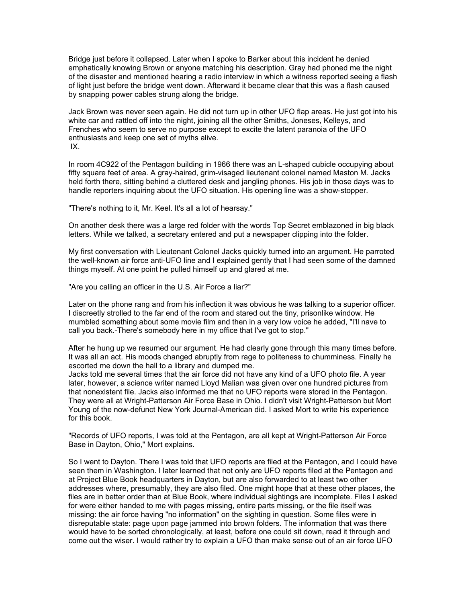Bridge just before it collapsed. Later when I spoke to Barker about this incident he denied emphatically knowing Brown or anyone matching his description. Gray had phoned me the night of the disaster and mentioned hearing a radio interview in which a witness reported seeing a flash of light just before the bridge went down. Afterward it became clear that this was a flash caused by snapping power cables strung along the bridge.

Jack Brown was never seen again. He did not turn up in other UFO flap areas. He just got into his white car and rattled off into the night, joining all the other Smiths, Joneses, Kelleys, and Frenches who seem to serve no purpose except to excite the latent paranoia of the UFO enthusiasts and keep one set of myths alive. IX.

In room 4C922 of the Pentagon building in 1966 there was an L-shaped cubicle occupying about fifty square feet of area. A gray-haired, grim-visaged lieutenant colonel named Maston M. Jacks held forth there, sitting behind a cluttered desk and jangling phones. His job in those days was to handle reporters inquiring about the UFO situation. His opening line was a show-stopper.

"There's nothing to it, Mr. Keel. It's all a lot of hearsay."

On another desk there was a large red folder with the words Top Secret emblazoned in big black letters. While we talked, a secretary entered and put a newspaper clipping into the folder.

My first conversation with Lieutenant Colonel Jacks quickly turned into an argument. He parroted the well-known air force anti-UFO line and I explained gently that I had seen some of the damned things myself. At one point he pulled himself up and glared at me.

"Are you calling an officer in the U.S. Air Force a liar?"

Later on the phone rang and from his inflection it was obvious he was talking to a superior officer. I discreetly strolled to the far end of the room and stared out the tiny, prisonlike window. He mumbled something about some movie film and then in a very low voice he added, "I'll nave to call you back.-There's somebody here in my office that I've got to stop."

After he hung up we resumed our argument. He had clearly gone through this many times before. It was all an act. His moods changed abruptly from rage to politeness to chumminess. Finally he escorted me down the hall to a library and dumped me.

Jacks told me several times that the air force did not have any kind of a UFO photo file. A year later, however, a science writer named Lloyd Malian was given over one hundred pictures from that nonexistent file. Jacks also informed me that no UFO reports were stored in the Pentagon. They were all at Wright-Patterson Air Force Base in Ohio. I didn't visit Wright-Patterson but Mort Young of the now-defunct New York Journal-American did. I asked Mort to write his experience for this book.

"Records of UFO reports, I was told at the Pentagon, are all kept at Wright-Patterson Air Force Base in Dayton, Ohio," Mort explains.

So I went to Dayton. There I was told that UFO reports are filed at the Pentagon, and I could have seen them in Washington. I later learned that not only are UFO reports filed at the Pentagon and at Project Blue Book headquarters in Dayton, but are also forwarded to at least two other addresses where, presumably, they are also filed. One might hope that at these other places, the files are in better order than at Blue Book, where individual sightings are incomplete. Files I asked for were either handed to me with pages missing, entire parts missing, or the file itself was missing: the air force having "no information" on the sighting in question. Some files were in disreputable state: page upon page jammed into brown folders. The information that was there would have to be sorted chronologically, at least, before one could sit down, read it through and come out the wiser. I would rather try to explain a UFO than make sense out of an air force UFO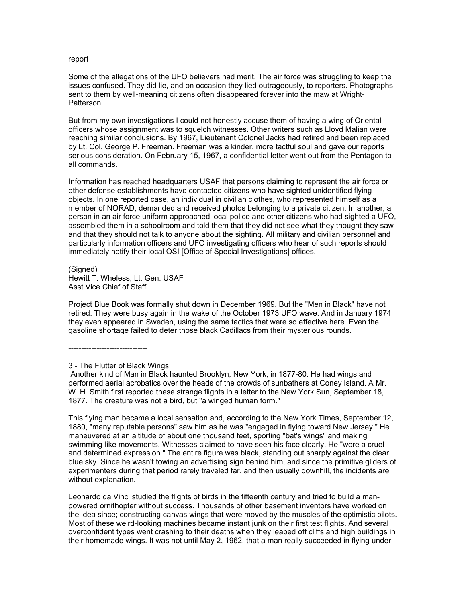#### report

Some of the allegations of the UFO believers had merit. The air force was struggling to keep the issues confused. They did lie, and on occasion they lied outrageously, to reporters. Photographs sent to them by well-meaning citizens often disappeared forever into the maw at Wright-Patterson.

But from my own investigations I could not honestly accuse them of having a wing of Oriental officers whose assignment was to squelch witnesses. Other writers such as Lloyd Malian were reaching similar conclusions. By 1967, Lieutenant Colonel Jacks had retired and been replaced by Lt. Col. George P. Freeman. Freeman was a kinder, more tactful soul and gave our reports serious consideration. On February 15, 1967, a confidential letter went out from the Pentagon to all commands.

Information has reached headquarters USAF that persons claiming to represent the air force or other defense establishments have contacted citizens who have sighted unidentified flying objects. In one reported case, an individual in civilian clothes, who represented himself as a member of NORAD, demanded and received photos belonging to a private citizen. In another, a person in an air force uniform approached local police and other citizens who had sighted a UFO, assembled them in a schoolroom and told them that they did not see what they thought they saw and that they should not talk to anyone about the sighting. All military and civilian personnel and particularly information officers and UFO investigating officers who hear of such reports should immediately notify their local OSI [Office of Special Investigations] offices.

#### (Signed) Hewitt T. Wheless, Lt. Gen. USAF Asst Vice Chief of Staff

Project Blue Book was formally shut down in December 1969. But the "Men in Black" have not retired. They were busy again in the wake of the October 1973 UFO wave. And in January 1974 they even appeared in Sweden, using the same tactics that were so effective here. Even the gasoline shortage failed to deter those black Cadillacs from their mysterious rounds.

## -------------------------------

## 3 - The Flutter of Black Wings

 Another kind of Man in Black haunted Brooklyn, New York, in 1877-80. He had wings and performed aerial acrobatics over the heads of the crowds of sunbathers at Coney Island. A Mr. W. H. Smith first reported these strange flights in a letter to the New York Sun, September 18, 1877. The creature was not a bird, but "a winged human form."

This flying man became a local sensation and, according to the New York Times, September 12, 1880, "many reputable persons" saw him as he was "engaged in flying toward New Jersey." He maneuvered at an altitude of about one thousand feet, sporting "bat's wings" and making swimming-like movements. Witnesses claimed to have seen his face clearly. He "wore a cruel and determined expression." The entire figure was black, standing out sharply against the clear blue sky. Since he wasn't towing an advertising sign behind him, and since the primitive gliders of experimenters during that period rarely traveled far, and then usually downhill, the incidents are without explanation.

Leonardo da Vinci studied the flights of birds in the fifteenth century and tried to build a manpowered ornithopter without success. Thousands of other basement inventors have worked on the idea since; constructing canvas wings that were moved by the muscles of the optimistic pilots. Most of these weird-looking machines became instant junk on their first test flights. And several overconfident types went crashing to their deaths when they leaped off cliffs and high buildings in their homemade wings. It was not until May 2, 1962, that a man really succeeded in flying under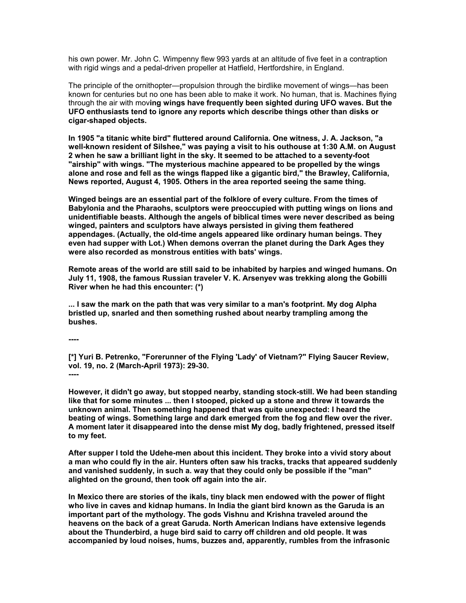his own power. Mr. John C. Wimpenny flew 993 yards at an altitude of five feet in a contraption with rigid wings and a pedal-driven propeller at Hatfield, Hertfordshire, in England.

The principle of the ornithopter—propulsion through the birdlike movement of wings—has been known for centuries but no one has been able to make it work. No human, that is. Machines flying through the air with mov**ing wings have frequently been sighted during UFO waves. But the UFO enthusiasts tend to ignore any reports which describe things other than disks or cigar-shaped objects.** 

**In 1905 "a titanic white bird" fluttered around California. One witness, J. A. Jackson, "a well-known resident of Silshee," was paying a visit to his outhouse at 1:30 A.M. on August 2 when he saw a brilliant light in the sky. It seemed to be attached to a seventy-foot "airship" with wings. "The mysterious machine appeared to be propelled by the wings alone and rose and fell as the wings flapped like a gigantic bird," the Brawley, California, News reported, August 4, 1905. Others in the area reported seeing the same thing.** 

**Winged beings are an essential part of the folklore of every culture. From the times of Babylonia and the Pharaohs, sculptors were preoccupied with putting wings on lions and unidentifiable beasts. Although the angels of biblical times were never described as being winged, painters and sculptors have always persisted in giving them feathered appendages. (Actually, the old-time angels appeared like ordinary human beings. They even had supper with Lot.) When demons overran the planet during the Dark Ages they were also recorded as monstrous entities with bats' wings.** 

**Remote areas of the world are still said to be inhabited by harpies and winged humans. On July 11, 1908, the famous Russian traveler V. K. Arsenyev was trekking along the Gobilli River when he had this encounter: (\*)** 

**... I saw the mark on the path that was very similar to a man's footprint. My dog Alpha bristled up, snarled and then something rushed about nearby trampling among the bushes.** 

**----** 

**[\*] Yuri B. Petrenko, "Forerunner of the Flying 'Lady' of Vietnam?" Flying Saucer Review, vol. 19, no. 2 (March-April 1973): 29-30. ----** 

**However, it didn't go away, but stopped nearby, standing stock-still. We had been standing like that for some minutes ... then I stooped, picked up a stone and threw it towards the unknown animal. Then something happened that was quite unexpected: I heard the beating of wings. Something large and dark emerged from the fog and flew over the river. A moment later it disappeared into the dense mist My dog, badly frightened, pressed itself to my feet.** 

**After supper I told the Udehe-men about this incident. They broke into a vivid story about a man who could fly in the air. Hunters often saw his tracks, tracks that appeared suddenly and vanished suddenly, in such a. way that they could only be possible if the "man" alighted on the ground, then took off again into the air.** 

**In Mexico there are stories of the ikals, tiny black men endowed with the power of flight who live in caves and kidnap humans. In India the giant bird known as the Garuda is an important part of the mythology. The gods Vishnu and Krishna traveled around the heavens on the back of a great Garuda. North American Indians have extensive legends about the Thunderbird, a huge bird said to carry off children and old people. It was accompanied by loud noises, hums, buzzes and, apparently, rumbles from the infrasonic**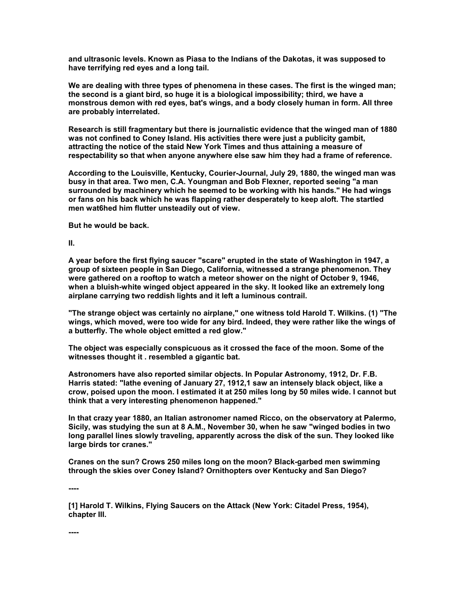**and ultrasonic levels. Known as Piasa to the Indians of the Dakotas, it was supposed to have terrifying red eyes and a long tail.** 

**We are dealing with three types of phenomena in these cases. The first is the winged man; the second is a giant bird, so huge it is a biological impossibility; third, we have a monstrous demon with red eyes, bat's wings, and a body closely human in form. All three are probably interrelated.** 

**Research is still fragmentary but there is journalistic evidence that the winged man of 1880 was not confined to Coney Island. His activities there were just a publicity gambit, attracting the notice of the staid New York Times and thus attaining a measure of respectability so that when anyone anywhere else saw him they had a frame of reference.** 

**According to the Louisville, Kentucky, Courier-Journal, July 29, 1880, the winged man was busy in that area. Two men, C.A. Youngman and Bob Flexner, reported seeing "a man surrounded by machinery which he seemed to be working with his hands." He had wings or fans on his back which he was flapping rather desperately to keep aloft. The startled men wat6hed him flutter unsteadily out of view.** 

**But he would be back.** 

**II.** 

**A year before the first flying saucer "scare" erupted in the state of Washington in 1947, a group of sixteen people in San Diego, California, witnessed a strange phenomenon. They were gathered on a rooftop to watch a meteor shower on the night of October 9, 1946, when a bluish-white winged object appeared in the sky. It looked like an extremely long airplane carrying two reddish lights and it left a luminous contrail.** 

**"The strange object was certainly no airplane," one witness told Harold T. Wilkins. (1) "The wings, which moved, were too wide for any bird. Indeed, they were rather like the wings of a butterfly. The whole object emitted a red glow."** 

**The object was especially conspicuous as it crossed the face of the moon. Some of the witnesses thought it . resembled a gigantic bat.** 

**Astronomers have also reported similar objects. In Popular Astronomy, 1912, Dr. F.B. Harris stated: "lathe evening of January 27, 1912,1 saw an intensely black object, like a crow, poised upon the moon. I estimated it at 250 miles long by 50 miles wide. I cannot but think that a very interesting phenomenon happened."** 

**In that crazy year 1880, an Italian astronomer named Ricco, on the observatory at Palermo, Sicily, was studying the sun at 8 A.M., November 30, when he saw "winged bodies in two long parallel lines slowly traveling, apparently across the disk of the sun. They looked like large birds tor cranes."** 

**Cranes on the sun? Crows 250 miles long on the moon? Black-garbed men swimming through the skies over Coney Island? Ornithopters over Kentucky and San Diego?** 

**----** 

**[1] Harold T. Wilkins, Flying Saucers on the Attack (New York: Citadel Press, 1954), chapter III.** 

**----**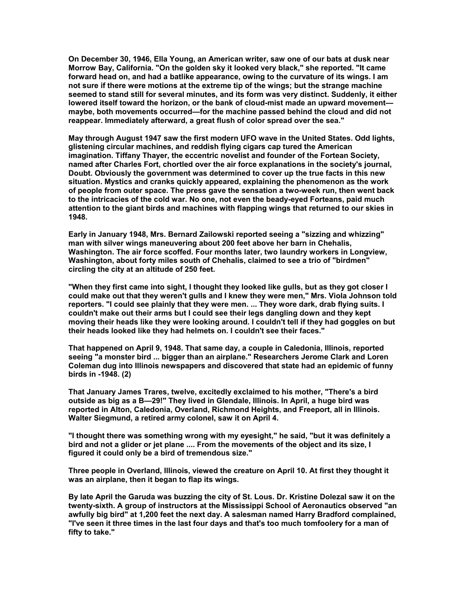**On December 30, 1946, Ella Young, an American writer, saw one of our bats at dusk near Morrow Bay, California. "On the golden sky it looked very black," she reported. "It came forward head on, and had a batlike appearance, owing to the curvature of its wings. I am not sure if there were motions at the extreme tip of the wings; but the strange machine seemed to stand still for several minutes, and its form was very distinct. Suddenly, it either lowered itself toward the horizon, or the bank of cloud-mist made an upward movement maybe, both movements occurred—for the machine passed behind the cloud and did not reappear. Immediately afterward, a great flush of color spread over the sea."** 

**May through August 1947 saw the first modern UFO wave in the United States. Odd lights, glistening circular machines, and reddish flying cigars cap tured the American imagination. Tiffany Thayer, the eccentric novelist and founder of the Fortean Society, named after Charles Fort, chortled over the air force explanations in the society's journal, Doubt. Obviously the government was determined to cover up the true facts in this new situation. Mystics and cranks quickly appeared, explaining the phenomenon as the work of people from outer space. The press gave the sensation a two-week run, then went back to the intricacies of the cold war. No one, not even the beady-eyed Forteans, paid much attention to the giant birds and machines with flapping wings that returned to our skies in 1948.** 

**Early in January 1948, Mrs. Bernard Zailowski reported seeing a "sizzing and whizzing" man with silver wings maneuvering about 200 feet above her barn in Chehalis, Washington. The air force scoffed. Four months later, two laundry workers in Longview, Washington, about forty miles south of Chehalis, claimed to see a trio of "birdmen" circling the city at an altitude of 250 feet.** 

**"When they first came into sight, I thought they looked like gulls, but as they got closer I could make out that they weren't gulls and I knew they were men," Mrs. Viola Johnson told reporters. "I could see plainly that they were men. ... They wore dark, drab flying suits. I couldn't make out their arms but I could see their legs dangling down and they kept moving their heads like they were looking around. I couldn't tell if they had goggles on but their heads looked like they had helmets on. I couldn't see their faces."** 

**That happened on April 9, 1948. That same day, a couple in Caledonia, Illinois, reported seeing "a monster bird ... bigger than an airplane." Researchers Jerome Clark and Loren Coleman dug into Illinois newspapers and discovered that state had an epidemic of funny birds in -1948. (2)** 

**That January James Trares, twelve, excitedly exclaimed to his mother, "There's a bird outside as big as a B—29!" They lived in Glendale, Illinois. In April, a huge bird was reported in Alton, Caledonia, Overland, Richmond Heights, and Freeport, all in Illinois. Walter Siegmund, a retired army colonel, saw it on April 4.** 

**"I thought there was something wrong with my eyesight," he said, "but it was definitely a bird and not a glider or jet plane .... From the movements of the object and its size, I figured it could only be a bird of tremendous size."** 

**Three people in Overland, Illinois, viewed the creature on April 10. At first they thought it was an airplane, then it began to flap its wings.** 

**By late April the Garuda was buzzing the city of St. Lous. Dr. Kristine Dolezal saw it on the twenty-sixth. A group of instructors at the Mississippi School of Aeronautics observed "an awfully big bird" at 1,200 feet the next day. A salesman named Harry Bradford complained, "I've seen it three times in the last four days and that's too much tomfoolery for a man of fifty to take."**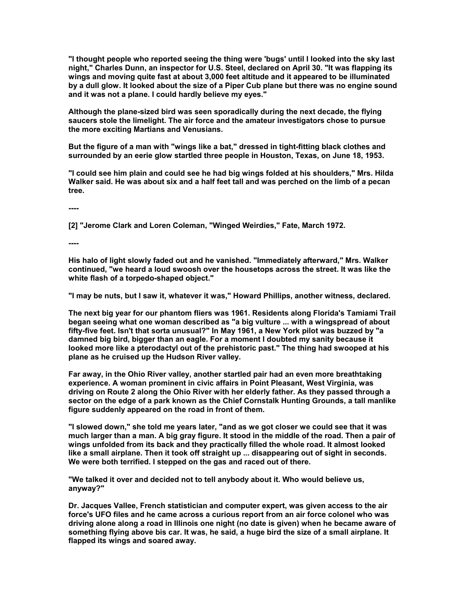**"I thought people who reported seeing the thing were 'bugs' until I looked into the sky last night," Charles Dunn, an inspector for U.S. Steel, declared on April 30. "It was flapping its wings and moving quite fast at about 3,000 feet altitude and it appeared to be illuminated by a dull glow. It looked about the size of a Piper Cub plane but there was no engine sound and it was not a plane. I could hardly believe my eyes."** 

**Although the plane-sized bird was seen sporadically during the next decade, the flying saucers stole the limelight. The air force and the amateur investigators chose to pursue the more exciting Martians and Venusians.** 

**But the figure of a man with "wings like a bat," dressed in tight-fitting black clothes and surrounded by an eerie glow startled three people in Houston, Texas, on June 18, 1953.** 

**"I could see him plain and could see he had big wings folded at his shoulders," Mrs. Hilda Walker said. He was about six and a half feet tall and was perched on the limb of a pecan tree.** 

**----** 

**[2] "Jerome Clark and Loren Coleman, "Winged Weirdies," Fate, March 1972.** 

**----** 

**His halo of light slowly faded out and he vanished. "Immediately afterward," Mrs. Walker continued, "we heard a loud swoosh over the housetops across the street. It was like the white flash of a torpedo-shaped object."** 

**"I may be nuts, but I saw it, whatever it was," Howard Phillips, another witness, declared.** 

**The next big year for our phantom fliers was 1961. Residents along Florida's Tamiami Trail began seeing what one woman described as "a big vulture ... with a wingspread of about fifty-five feet. Isn't that sorta unusual?" In May 1961, a New York pilot was buzzed by "a damned big bird, bigger than an eagle. For a moment I doubted my sanity because it looked more like a pterodactyl out of the prehistoric past." The thing had swooped at his plane as he cruised up the Hudson River valley.** 

**Far away, in the Ohio River valley, another startled pair had an even more breathtaking experience. A woman prominent in civic affairs in Point Pleasant, West Virginia, was driving on Route 2 along the Ohio River with her elderly father. As they passed through a sector on the edge of a park known as the Chief Cornstalk Hunting Grounds, a tall manlike figure suddenly appeared on the road in front of them.** 

**"I slowed down," she told me years later, "and as we got closer we could see that it was much larger than a man. A big gray figure. It stood in the middle of the road. Then a pair of wings unfolded from its back and they practically filled the whole road. It almost looked like a small airplane. Then it took off straight up ... disappearing out of sight in seconds. We were both terrified. I stepped on the gas and raced out of there.** 

**"We talked it over and decided not to tell anybody about it. Who would believe us, anyway?"** 

**Dr. Jacques Vallee, French statistician and computer expert, was given access to the air force's UFO files and he came across a curious report from an air force colonel who was driving alone along a road in Illinois one night (no date is given) when he became aware of something flying above bis car. It was, he said, a huge bird the size of a small airplane. It flapped its wings and soared away.**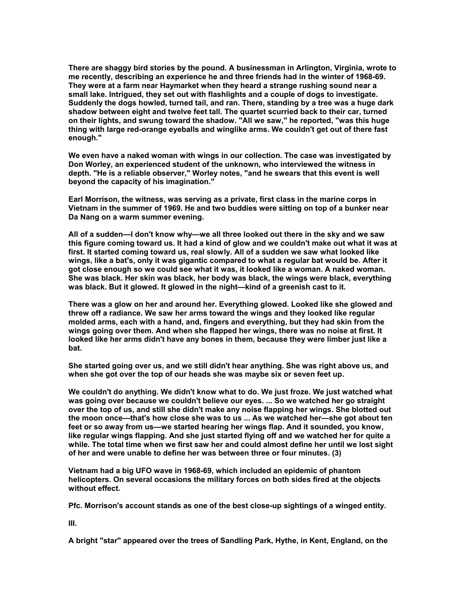**There are shaggy bird stories by the pound. A businessman in Arlington, Virginia, wrote to me recently, describing an experience he and three friends had in the winter of 1968-69. They were at a farm near Haymarket when they heard a strange rushing sound near a small lake. Intrigued, they set out with flashlights and a couple of dogs to investigate. Suddenly the dogs howled, turned tail, and ran. There, standing by a tree was a huge dark shadow between eight and twelve feet tall. The quartet scurried back to their car, turned on their lights, and swung toward the shadow. "All we saw," he reported, "was this huge thing with large red-orange eyeballs and winglike arms. We couldn't get out of there fast enough."** 

**We even have a naked woman with wings in our collection. The case was investigated by Don Worley, an experienced student of the unknown, who interviewed the witness in depth. "He is a reliable observer," Worley notes, "and he swears that this event is well beyond the capacity of his imagination."** 

**Earl Morrison, the witness, was serving as a private, first class in the marine corps in Vietnam in the summer of 1969. He and two buddies were sitting on top of a bunker near Da Nang on a warm summer evening.** 

**All of a sudden—I don't know why—we all three looked out there in the sky and we saw this figure coming toward us. It had a kind of glow and we couldn't make out what it was at first. It started coming toward us, real slowly. All of a sudden we saw what looked like wings, like a bat's, only it was gigantic compared to what a regular bat would be. After it got close enough so we could see what it was, it looked like a woman. A naked woman. She was black. Her skin was black, her body was black, the wings were black, everything was black. But it glowed. It glowed in the night—kind of a greenish cast to it.** 

**There was a glow on her and around her. Everything glowed. Looked like she glowed and threw off a radiance. We saw her arms toward the wings and they looked like regular molded arms, each with a hand, and, fingers and everything, but they had skin from the wings going over them. And when she flapped her wings, there was no noise at first. It looked like her arms didn't have any bones in them, because they were limber just like a bat.** 

**She started going over us, and we still didn't hear anything. She was right above us, and when she got over the top of our heads she was maybe six or seven feet up.** 

**We couldn't do anything. We didn't know what to do. We just froze. We just watched what was going over because we couldn't believe our eyes. ... So we watched her go straight over the top of us, and still she didn't make any noise flapping her wings. She blotted out the moon once—that's how close she was to us ... As we watched her—she got about ten feet or so away from us—we started hearing her wings flap. And it sounded, you know, like regular wings flapping. And she just started flying off and we watched her for quite a while. The total time when we first saw her and could almost define her until we lost sight of her and were unable to define her was between three or four minutes. (3)** 

**Vietnam had a big UFO wave in 1968-69, which included an epidemic of phantom helicopters. On several occasions the military forces on both sides fired at the objects without effect.** 

**Pfc. Morrison's account stands as one of the best close-up sightings of a winged entity.** 

**III.** 

**A bright "star" appeared over the trees of Sandling Park, Hythe, in Kent, England, on the**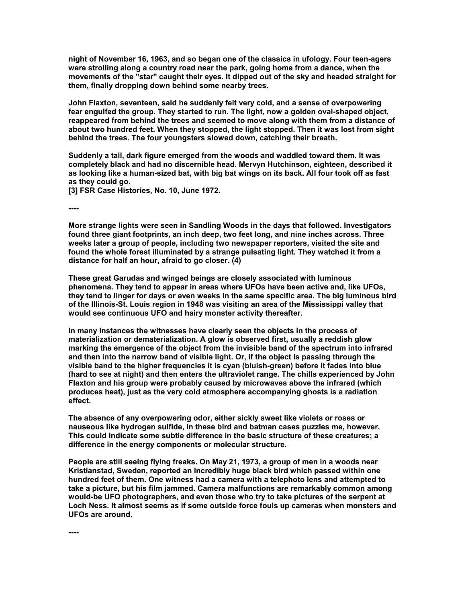**night of November 16, 1963, and so began one of the classics in ufology. Four teen-agers were strolling along a country road near the park, going home from a dance, when the movements of the "star" caught their eyes. It dipped out of the sky and headed straight for them, finally dropping down behind some nearby trees.** 

**John Flaxton, seventeen, said he suddenly felt very cold, and a sense of overpowering fear engulfed the group. They started to run. The light, now a golden oval-shaped object, reappeared from behind the trees and seemed to move along with them from a distance of about two hundred feet. When they stopped, the light stopped. Then it was lost from sight behind the trees. The four youngsters slowed down, catching their breath.** 

**Suddenly a tall, dark figure emerged from the woods and waddled toward them. It was completely black and had no discernible head. Mervyn Hutchinson, eighteen, described it as looking like a human-sized bat, with big bat wings on its back. All four took off as fast as they could go.** 

**[3] FSR Case Histories, No. 10, June 1972.** 

**----** 

**More strange lights were seen in Sandling Woods in the days that followed. Investigators found three giant footprints, an inch deep, two feet long, and nine inches across. Three weeks later a group of people, including two newspaper reporters, visited the site and found the whole forest illuminated by a strange pulsating light. They watched it from a distance for half an hour, afraid to go closer. (4)** 

**These great Garudas and winged beings are closely associated with luminous phenomena. They tend to appear in areas where UFOs have been active and, like UFOs, they tend to linger for days or even weeks in the same specific area. The big luminous bird of the Illinois-St. Louis region in 1948 was visiting an area of the Mississippi valley that would see continuous UFO and hairy monster activity thereafter.** 

**In many instances the witnesses have clearly seen the objects in the process of materialization or dematerialization. A glow is observed first, usually a reddish glow marking the emergence of the object from the invisible band of the spectrum into infrared and then into the narrow band of visible light. Or, if the object is passing through the visible band to the higher frequencies it is cyan (bluish-green) before it fades into blue (hard to see at night) and then enters the ultraviolet range. The chills experienced by John Flaxton and his group were probably caused by microwaves above the infrared (which produces heat), just as the very cold atmosphere accompanying ghosts is a radiation effect.** 

**The absence of any overpowering odor, either sickly sweet like violets or roses or nauseous like hydrogen sulfide, in these bird and batman cases puzzles me, however. This could indicate some subtle difference in the basic structure of these creatures; a difference in the energy components or molecular structure.** 

**People are still seeing flying freaks. On May 21, 1973, a group of men in a woods near Kristianstad, Sweden, reported an incredibly huge black bird which passed within one hundred feet of them. One witness had a camera with a telephoto lens and attempted to take a picture, but his film jammed. Camera malfunctions are remarkably common among would-be UFO photographers, and even those who try to take pictures of the serpent at Loch Ness. It almost seems as if some outside force fouls up cameras when monsters and UFOs are around.**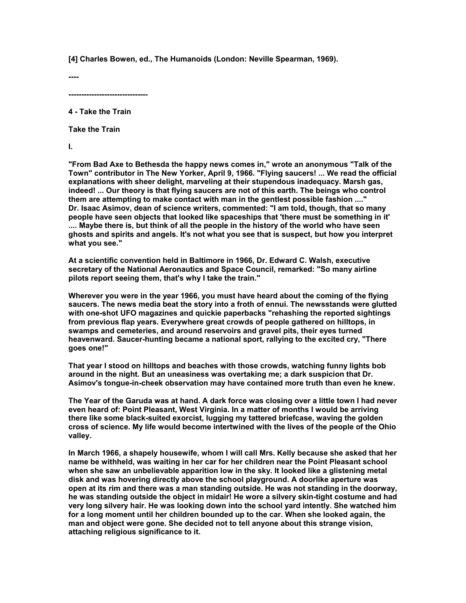**[4] Charles Bowen, ed., The Humanoids (London: Neville Spearman, 1969).** 

**----** 

**-------------------------------** 

**4 - Take the Train** 

**Take the Train** 

**I.** 

**"From Bad Axe to Bethesda the happy news comes in," wrote an anonymous "Talk of the Town" contributor in The New Yorker, April 9, 1966. "Flying saucers! ... We read the official explanations with sheer delight, marveling at their stupendous inadequacy. Marsh gas, indeed! ... Our theory is that flying saucers are not of this earth. The beings who control them are attempting to make contact with man in the gentlest possible fashion ...." Dr. Isaac Asimov, dean of science writers, commented: "I am told, though, that so many people have seen objects that looked like spaceships that 'there must be something in it' .... Maybe there is, but think of all the people in the history of the world who have seen ghosts and spirits and angels. It's not what you see that is suspect, but how you interpret what you see."** 

**At a scientific convention held in Baltimore in 1966, Dr. Edward C. Walsh, executive secretary of the National Aeronautics and Space Council, remarked: "So many airline pilots report seeing them, that's why I take the train."** 

**Wherever you were in the year 1966, you must have heard about the coming of the flying saucers. The news media beat the story into a froth of ennui. The newsstands were glutted with one-shot UFO magazines and quickie paperbacks "rehashing the reported sightings from previous flap years. Everywhere great crowds of people gathered on hilltops, in swamps and cemeteries, and around reservoirs and gravel pits, their eyes turned heavenward. Saucer-hunting became a national sport, rallying to the excited cry, "There goes one!"** 

**That year I stood on hilltops and beaches with those crowds, watching funny lights bob around in the night. But an uneasiness was overtaking me; a dark suspicion that Dr. Asimov's tongue-in-cheek observation may have contained more truth than even he knew.** 

**The Year of the Garuda was at hand. A dark force was closing over a little town I had never even heard of: Point Pleasant, West Virginia. In a matter of months I would be arriving there like some black-suited exorcist, lugging my tattered briefcase, waving the golden cross of science. My life would become intertwined with the lives of the people of the Ohio valley.** 

**In March 1966, a shapely housewife, whom I will call Mrs. Kelly because she asked that her name be withheld, was waiting in her car for her children near the Point Pleasant school when she saw an unbelievable apparition low in the sky. It looked like a glistening metal disk and was hovering directly above the school playground. A doorlike aperture was open at its rim and there was a man standing outside. He was not standing in the doorway, he was standing outside the object in midair! He wore a silvery skin-tight costume and had very long silvery hair. He was looking down into the school yard intently. She watched him for a long moment until her children bounded up to the car. When she looked again, the man and object were gone. She decided not to tell anyone about this strange vision, attaching religious significance to it.**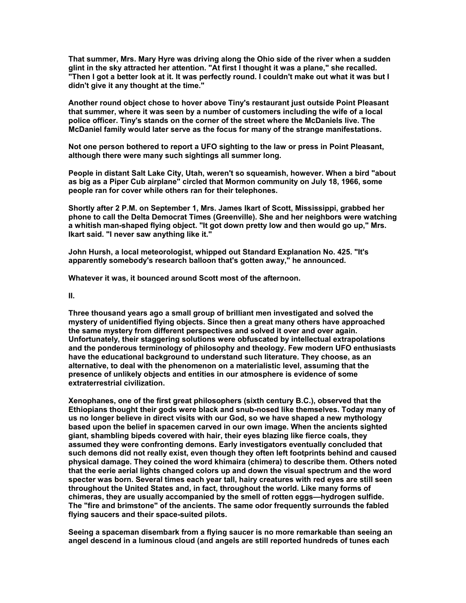**That summer, Mrs. Mary Hyre was driving along the Ohio side of the river when a sudden glint in the sky attracted her attention. "At first I thought it was a plane," she recalled. "Then I got a better look at it. It was perfectly round. I couldn't make out what it was but I didn't give it any thought at the time."** 

**Another round object chose to hover above Tiny's restaurant just outside Point Pleasant that summer, where it was seen by a number of customers including the wife of a local police officer. Tiny's stands on the corner of the street where the McDaniels live. The McDaniel family would later serve as the focus for many of the strange manifestations.** 

**Not one person bothered to report a UFO sighting to the law or press in Point Pleasant, although there were many such sightings all summer long.** 

**People in distant Salt Lake City, Utah, weren't so squeamish, however. When a bird "about as big as a Piper Cub airplane" circled that Mormon community on July 18, 1966, some people ran for cover while others ran for their telephones.** 

**Shortly after 2 P.M. on September 1, Mrs. James Ikart of Scott, Mississippi, grabbed her phone to call the Delta Democrat Times (Greenville). She and her neighbors were watching a whitish man-shaped flying object. "It got down pretty low and then would go up," Mrs. Ikart said. "I never saw anything like it."** 

**John Hursh, a local meteorologist, whipped out Standard Explanation No. 425. "It's apparently somebody's research balloon that's gotten away," he announced.** 

**Whatever it was, it bounced around Scott most of the afternoon.** 

**II.** 

**Three thousand years ago a small group of brilliant men investigated and solved the mystery of unidentified flying objects. Since then a great many others have approached the same mystery from different perspectives and solved it over and over again. Unfortunately, their staggering solutions were obfuscated by intellectual extrapolations and the ponderous terminology of philosophy and theology. Few modern UFO enthusiasts have the educational background to understand such literature. They choose, as an alternative, to deal with the phenomenon on a materialistic level, assuming that the presence of unlikely objects and entities in our atmosphere is evidence of some extraterrestrial civilization.** 

**Xenophanes, one of the first great philosophers (sixth century B.C.), observed that the Ethiopians thought their gods were black and snub-nosed like themselves. Today many of us no longer believe in direct visits with our God, so we have shaped a new mythology based upon the belief in spacemen carved in our own image. When the ancients sighted giant, shambling bipeds covered with hair, their eyes blazing like fierce coals, they assumed they were confronting demons. Early investigators eventually concluded that such demons did not really exist, even though they often left footprints behind and caused physical damage. They coined the word khimaira (chimera) to describe them. Others noted that the eerie aerial lights changed colors up and down the visual spectrum and the word specter was born. Several times each year tall, hairy creatures with red eyes are still seen throughout the United States and, in fact, throughout the world. Like many forms of chimeras, they are usually accompanied by the smell of rotten eggs—hydrogen sulfide. The "fire and brimstone" of the ancients. The same odor frequently surrounds the fabled flying saucers and their space-suited pilots.** 

**Seeing a spaceman disembark from a flying saucer is no more remarkable than seeing an angel descend in a luminous cloud (and angels are still reported hundreds of tunes each**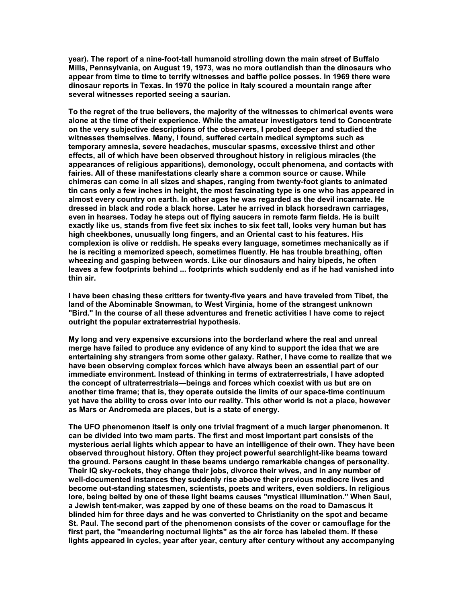**year). The report of a nine-foot-tall humanoid strolling down the main street of Buffalo Mills, Pennsylvania, on August 19, 1973, was no more outlandish than the dinosaurs who appear from time to time to terrify witnesses and baffle police posses. In 1969 there were dinosaur reports in Texas. In 1970 the police in Italy scoured a mountain range after several witnesses reported seeing a saurian.** 

**To the regret of the true believers, the majority of the witnesses to chimerical events were alone at the time of their experience. While the amateur investigators tend to Concentrate on the very subjective descriptions of the observers, I probed deeper and studied the witnesses themselves. Many, I found, suffered certain medical symptoms such as temporary amnesia, severe headaches, muscular spasms, excessive thirst and other effects, all of which have been observed throughout history in religious miracles (the appearances of religious apparitions), demonology, occult phenomena, and contacts with fairies. All of these manifestations clearly share a common source or cause. While chimeras can come in all sizes and shapes, ranging from twenty-foot giants to animated tin cans only a few inches in height, the most fascinating type is one who has appeared in almost every country on earth. In other ages he was regarded as the devil incarnate. He dressed in black and rode a black horse. Later he arrived in black horsedrawn carriages, even in hearses. Today he steps out of flying saucers in remote farm fields. He is built exactly like us, stands from five feet six inches to six feet tall, looks very human but has high cheekbones, unusually long fingers, and an Oriental cast to his features. His complexion is olive or reddish. He speaks every language, sometimes mechanically as if he is reciting a memorized speech, sometimes fluently. He has trouble breathing, often wheezing and gasping between words. Like our dinosaurs and hairy bipeds, he often leaves a few footprints behind ... footprints which suddenly end as if he had vanished into thin air.** 

**I have been chasing these critters for twenty-five years and have traveled from Tibet, the land of the Abominable Snowman, to West Virginia, home of the strangest unknown "Bird." In the course of all these adventures and frenetic activities I have come to reject outright the popular extraterrestrial hypothesis.** 

**My long and very expensive excursions into the borderland where the real and unreal merge have failed to produce any evidence of any kind to support the idea that we are entertaining shy strangers from some other galaxy. Rather, I have come to realize that we have been observing complex forces which have always been an essential part of our immediate environment. Instead of thinking in terms of extraterrestrials, I have adopted the concept of ultraterrestrials—beings and forces which coexist with us but are on another time frame; that is, they operate outside the limits of our space-time continuum yet have the ability to cross over into our reality. This other world is not a place, however as Mars or Andromeda are places, but is a state of energy.** 

**The UFO phenomenon itself is only one trivial fragment of a much larger phenomenon. It can be divided into two mam parts. The first and most important part consists of the mysterious aerial lights which appear to have an intelligence of their own. They have been observed throughout history. Often they project powerful searchlight-like beams toward the ground. Persons caught in these beams undergo remarkable changes of personality. Their IQ sky-rockets, they change their jobs, divorce their wives, and in any number of well-documented instances they suddenly rise above their previous mediocre lives and become out-standing statesmen, scientists, poets and writers, even soldiers. In religious lore, being belted by one of these light beams causes "mystical illumination." When Saul, a Jewish tent-maker, was zapped by one of these beams on the road to Damascus it blinded him for three days and he was converted to Christianity on the spot and became St. Paul. The second part of the phenomenon consists of the cover or camouflage for the first part, the "meandering nocturnal lights" as the air force has labeled them. If these lights appeared in cycles, year after year, century after century without any accompanying**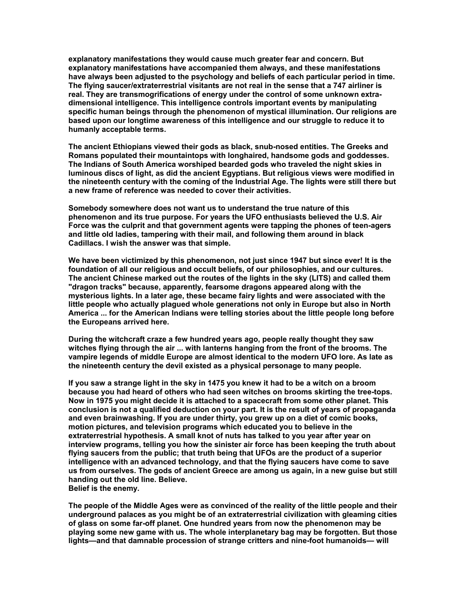**explanatory manifestations they would cause much greater fear and concern. But explanatory manifestations have accompanied them always, and these manifestations have always been adjusted to the psychology and beliefs of each particular period in time. The flying saucer/extraterrestrial visitants are not real in the sense that a 747 airliner is real. They are transmogrifications of energy under the control of some unknown extradimensional intelligence. This intelligence controls important events by manipulating specific human beings through the phenomenon of mystical illumination. Our religions are based upon our longtime awareness of this intelligence and our struggle to reduce it to humanly acceptable terms.** 

**The ancient Ethiopians viewed their gods as black, snub-nosed entities. The Greeks and Romans populated their mountaintops with longhaired, handsome gods and goddesses. The Indians of South America worshiped bearded gods who traveled the night skies in luminous discs of light, as did the ancient Egyptians. But religious views were modified in the nineteenth century with the coming of the Industrial Age. The lights were still there but a new frame of reference was needed to cover their activities.** 

**Somebody somewhere does not want us to understand the true nature of this phenomenon and its true purpose. For years the UFO enthusiasts believed the U.S. Air Force was the culprit and that government agents were tapping the phones of teen-agers and little old ladies, tampering with their mail, and following them around in black Cadillacs. I wish the answer was that simple.** 

**We have been victimized by this phenomenon, not just since 1947 but since ever! It is the foundation of all our religious and occult beliefs, of our philosophies, and our cultures. The ancient Chinese marked out the routes of the lights in the sky (LITS) and called them "dragon tracks" because, apparently, fearsome dragons appeared along with the mysterious lights. In a later age, these became fairy lights and were associated with the little people who actually plagued whole generations not only in Europe but also in North America ... for the American Indians were telling stories about the little people long before the Europeans arrived here.** 

**During the witchcraft craze a few hundred years ago, people really thought they saw witches flying through the air ... with lanterns hanging from the front of the brooms. The vampire legends of middle Europe are almost identical to the modern UFO lore. As late as the nineteenth century the devil existed as a physical personage to many people.** 

**If you saw a strange light in the sky in 1475 you knew it had to be a witch on a broom because you had heard of others who had seen witches on brooms skirting the tree-tops. Now in 1975 you might decide it is attached to a spacecraft from some other planet. This conclusion is not a qualified deduction on your part. It is the result of years of propaganda and even brainwashing. If you are under thirty, you grew up on a diet of comic books, motion pictures, and television programs which educated you to believe in the extraterrestrial hypothesis. A small knot of nuts has talked to you year after year on interview programs, telling you how the sinister air force has been keeping the truth about flying saucers from the public; that truth being that UFOs are the product of a superior intelligence with an advanced technology, and that the flying saucers have come to save us from ourselves. The gods of ancient Greece are among us again, in a new guise but still handing out the old line. Believe. Belief is the enemy.** 

**The people of the Middle Ages were as convinced of the reality of the little people and their underground palaces as you might be of an extraterrestrial civilization with gleaming cities of glass on some far-off planet. One hundred years from now the phenomenon may be playing some new game with us. The whole interplanetary bag may be forgotten. But those lights—and that damnable procession of strange critters and nine-foot humanoids— will**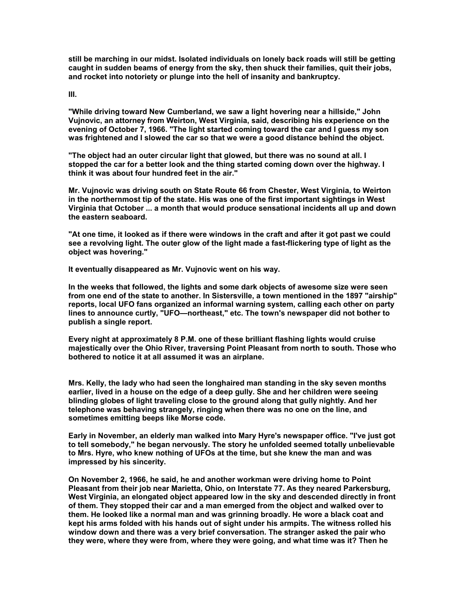**still be marching in our midst. Isolated individuals on lonely back roads will still be getting caught in sudden beams of energy from the sky, then shuck their families, quit their jobs, and rocket into notoriety or plunge into the hell of insanity and bankruptcy.** 

**III.** 

**"While driving toward New Cumberland, we saw a light hovering near a hillside," John Vujnovic, an attorney from Weirton, West Virginia, said, describing his experience on the evening of October 7, 1966. "The light started coming toward the car and I guess my son was frightened and I slowed the car so that we were a good distance behind the object.** 

**"The object had an outer circular light that glowed, but there was no sound at all. I stopped the car for a better look and the thing started coming down over the highway. I think it was about four hundred feet in the air."** 

**Mr. Vujnovic was driving south on State Route 66 from Chester, West Virginia, to Weirton in the northernmost tip of the state. His was one of the first important sightings in West Virginia that October ... a month that would produce sensational incidents all up and down the eastern seaboard.** 

**"At one time, it looked as if there were windows in the craft and after it got past we could see a revolving light. The outer glow of the light made a fast-flickering type of light as the object was hovering."** 

**It eventually disappeared as Mr. Vujnovic went on his way.** 

**In the weeks that followed, the lights and some dark objects of awesome size were seen from one end of the state to another. In Sistersville, a town mentioned in the 1897 "airship" reports, local UFO fans organized an informal warning system, calling each other on party lines to announce curtly, "UFO—northeast," etc. The town's newspaper did not bother to publish a single report.** 

**Every night at approximately 8 P.M. one of these brilliant flashing lights would cruise majestically over the Ohio River, traversing Point Pleasant from north to south. Those who bothered to notice it at all assumed it was an airplane.** 

**Mrs. Kelly, the lady who had seen the longhaired man standing in the sky seven months earlier, lived in a house on the edge of a deep gully. She and her children were seeing blinding globes of light traveling close to the ground along that gully nightly. And her telephone was behaving strangely, ringing when there was no one on the line, and sometimes emitting beeps like Morse code.** 

**Early in November, an elderly man walked into Mary Hyre's newspaper office. "I've just got to tell somebody," he began nervously. The story he unfolded seemed totally unbelievable to Mrs. Hyre, who knew nothing of UFOs at the time, but she knew the man and was impressed by his sincerity.** 

**On November 2, 1966, he said, he and another workman were driving home to Point Pleasant from their job near Marietta, Ohio, on Interstate 77. As they neared Parkersburg, West Virginia, an elongated object appeared low in the sky and descended directly in front of them. They stopped their car and a man emerged from the object and walked over to them. He looked like a normal man and was grinning broadly. He wore a black coat and kept his arms folded with his hands out of sight under his armpits. The witness rolled his window down and there was a very brief conversation. The stranger asked the pair who they were, where they were from, where they were going, and what time was it? Then he**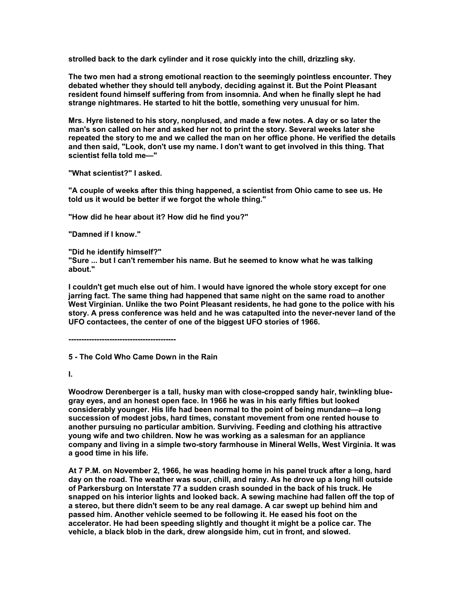**strolled back to the dark cylinder and it rose quickly into the chill, drizzling sky.** 

**The two men had a strong emotional reaction to the seemingly pointless encounter. They debated whether they should tell anybody, deciding against it. But the Point Pleasant resident found himself suffering from from insomnia. And when he finally slept he had strange nightmares. He started to hit the bottle, something very unusual for him.** 

**Mrs. Hyre listened to his story, nonplused, and made a few notes. A day or so later the man's son called on her and asked her not to print the story. Several weeks later she repeated the story to me and we called the man on her office phone. He verified the details and then said, "Look, don't use my name. I don't want to get involved in this thing. That scientist fella told me—"** 

**"What scientist?" I asked.** 

**"A couple of weeks after this thing happened, a scientist from Ohio came to see us. He told us it would be better if we forgot the whole thing."** 

**"How did he hear about it? How did he find you?"** 

**"Damned if I know."** 

**"Did he identify himself?"** 

**"Sure ... but I can't remember his name. But he seemed to know what he was talking about."** 

**I couldn't get much else out of him. I would have ignored the whole story except for one jarring fact. The same thing had happened that same night on the same road to another West Virginian. Unlike the two Point Pleasant residents, he had gone to the police with his story. A press conference was held and he was catapulted into the never-never land of the UFO contactees, the center of one of the biggest UFO stories of 1966.** 

**------------------------------------------** 

**5 - The Cold Who Came Down in the Rain** 

**I.** 

**Woodrow Derenberger is a tall, husky man with close-cropped sandy hair, twinkling bluegray eyes, and an honest open face. In 1966 he was in his early fifties but looked considerably younger. His life had been normal to the point of being mundane—a long succession of modest jobs, hard times, constant movement from one rented house to another pursuing no particular ambition. Surviving. Feeding and clothing his attractive young wife and two children. Now he was working as a salesman for an appliance company and living in a simple two-story farmhouse in Mineral Wells, West Virginia. It was a good time in his life.** 

**At 7 P.M. on November 2, 1966, he was heading home in his panel truck after a long, hard day on the road. The weather was sour, chill, and rainy. As he drove up a long hill outside of Parkersburg on Interstate 77 a sudden crash sounded in the back of his truck. He snapped on his interior lights and looked back. A sewing machine had fallen off the top of a stereo, but there didn't seem to be any real damage. A car swept up behind him and passed him. Another vehicle seemed to be following it. He eased his foot on the accelerator. He had been speeding slightly and thought it might be a police car. The vehicle, a black blob in the dark, drew alongside him, cut in front, and slowed.**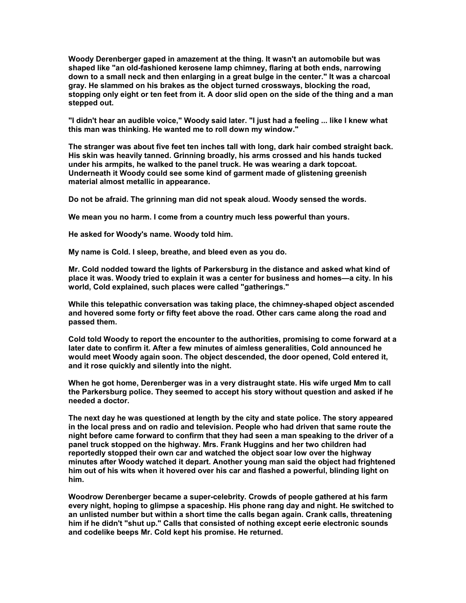**Woody Derenberger gaped in amazement at the thing. It wasn't an automobile but was shaped like "an old-fashioned kerosene lamp chimney, flaring at both ends, narrowing down to a small neck and then enlarging in a great bulge in the center." It was a charcoal gray. He slammed on his brakes as the object turned crossways, blocking the road, stopping only eight or ten feet from it. A door slid open on the side of the thing and a man stepped out.** 

**"I didn't hear an audible voice," Woody said later. "I just had a feeling ... like I knew what this man was thinking. He wanted me to roll down my window."** 

**The stranger was about five feet ten inches tall with long, dark hair combed straight back. His skin was heavily tanned. Grinning broadly, his arms crossed and his hands tucked under his armpits, he walked to the panel truck. He was wearing a dark topcoat. Underneath it Woody could see some kind of garment made of glistening greenish material almost metallic in appearance.** 

**Do not be afraid. The grinning man did not speak aloud. Woody sensed the words.** 

**We mean you no harm. I come from a country much less powerful than yours.** 

**He asked for Woody's name. Woody told him.** 

**My name is Cold. I sleep, breathe, and bleed even as you do.** 

**Mr. Cold nodded toward the lights of Parkersburg in the distance and asked what kind of place it was. Woody tried to explain it was a center for business and homes—a city. In his world, Cold explained, such places were called "gatherings."** 

**While this telepathic conversation was taking place, the chimney-shaped object ascended and hovered some forty or fifty feet above the road. Other cars came along the road and passed them.** 

**Cold told Woody to report the encounter to the authorities, promising to come forward at a later date to confirm it. After a few minutes of aimless generalities, Cold announced he would meet Woody again soon. The object descended, the door opened, Cold entered it, and it rose quickly and silently into the night.** 

**When he got home, Derenberger was in a very distraught state. His wife urged Mm to call the Parkersburg police. They seemed to accept his story without question and asked if he needed a doctor.** 

**The next day he was questioned at length by the city and state police. The story appeared in the local press and on radio and television. People who had driven that same route the night before came forward to confirm that they had seen a man speaking to the driver of a panel truck stopped on the highway. Mrs. Frank Huggins and her two children had reportedly stopped their own car and watched the object soar low over the highway minutes after Woody watched it depart. Another young man said the object had frightened him out of his wits when it hovered over his car and flashed a powerful, blinding light on him.** 

**Woodrow Derenberger became a super-celebrity. Crowds of people gathered at his farm every night, hoping to glimpse a spaceship. His phone rang day and night. He switched to an unlisted number but within a short time the calls began again. Crank calls, threatening him if he didn't "shut up." Calls that consisted of nothing except eerie electronic sounds and codelike beeps Mr. Cold kept his promise. He returned.**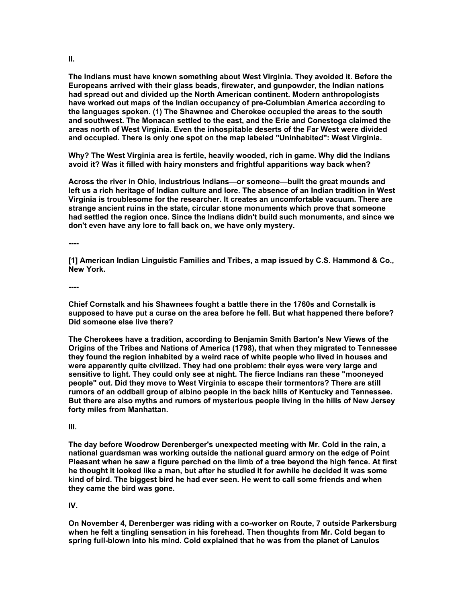**II.** 

**The Indians must have known something about West Virginia. They avoided it. Before the Europeans arrived with their glass beads, firewater, and gunpowder, the Indian nations had spread out and divided up the North American continent. Modern anthropologists have worked out maps of the Indian occupancy of pre-Columbian America according to the languages spoken. (1) The Shawnee and Cherokee occupied the areas to the south and southwest. The Monacan settled to the east, and the Erie and Conestoga claimed the areas north of West Virginia. Even the inhospitable deserts of the Far West were divided and occupied. There is only one spot on the map labeled "Uninhabited": West Virginia.** 

**Why? The West Virginia area is fertile, heavily wooded, rich in game. Why did the Indians avoid it? Was it filled with hairy monsters and frightful apparitions way back when?** 

**Across the river in Ohio, industrious Indians—or someone—built the great mounds and left us a rich heritage of Indian culture and lore. The absence of an Indian tradition in West Virginia is troublesome for the researcher. It creates an uncomfortable vacuum. There are strange ancient ruins in the state, circular stone monuments which prove that someone had settled the region once. Since the Indians didn't build such monuments, and since we don't even have any lore to fall back on, we have only mystery.** 

**----** 

**[1] American Indian Linguistic Families and Tribes, a map issued by C.S. Hammond & Co., New York.** 

**----** 

**Chief Cornstalk and his Shawnees fought a battle there in the 1760s and Cornstalk is supposed to have put a curse on the area before he fell. But what happened there before? Did someone else live there?** 

**The Cherokees have a tradition, according to Benjamin Smith Barton's New Views of the Origins of the Tribes and Nations of America (1798), that when they migrated to Tennessee they found the region inhabited by a weird race of white people who lived in houses and were apparently quite civilized. They had one problem: their eyes were very large and sensitive to light. They could only see at night. The fierce Indians ran these "mooneyed people" out. Did they move to West Virginia to escape their tormentors? There are still rumors of an oddball group of albino people in the back hills of Kentucky and Tennessee. But there are also myths and rumors of mysterious people living in the hills of New Jersey forty miles from Manhattan.** 

**III.** 

**The day before Woodrow Derenberger's unexpected meeting with Mr. Cold in the rain, a national guardsman was working outside the national guard armory on the edge of Point Pleasant when he saw a figure perched on the limb of a tree beyond the high fence. At first he thought it looked like a man, but after he studied it for awhile he decided it was some kind of bird. The biggest bird he had ever seen. He went to call some friends and when they came the bird was gone.** 

**IV.** 

**On November 4, Derenberger was riding with a co-worker on Route, 7 outside Parkersburg when he felt a tingling sensation in his forehead. Then thoughts from Mr. Cold began to spring full-blown into his mind. Cold explained that he was from the planet of Lanulos**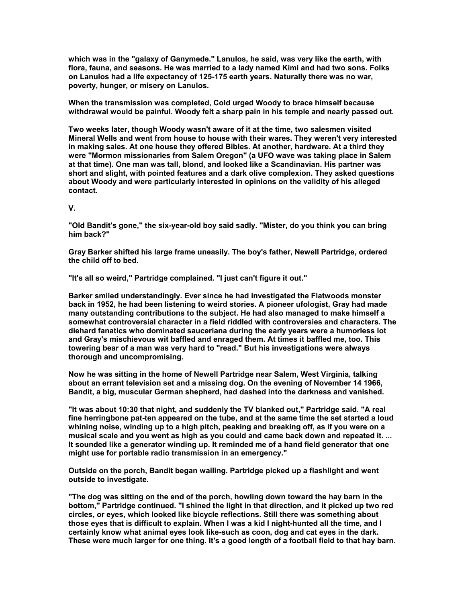**which was in the "galaxy of Ganymede." Lanulos, he said, was very like the earth, with flora, fauna, and seasons. He was married to a lady named Kimi and had two sons. Folks on Lanulos had a life expectancy of 125-175 earth years. Naturally there was no war, poverty, hunger, or misery on Lanulos.** 

**When the transmission was completed, Cold urged Woody to brace himself because withdrawal would be painful. Woody felt a sharp pain in his temple and nearly passed out.** 

**Two weeks later, though Woody wasn't aware of it at the time, two salesmen visited Mineral Wells and went from house to house with their wares. They weren't very interested in making sales. At one house they offered Bibles. At another, hardware. At a third they were "Mormon missionaries from Salem Oregon" (a UFO wave was taking place in Salem at that time). One man was tall, blond, and looked like a Scandinavian. His partner was short and slight, with pointed features and a dark olive complexion. They asked questions about Woody and were particularly interested in opinions on the validity of his alleged contact.** 

## **V.**

**"Old Bandit's gone," the six-year-old boy said sadly. "Mister, do you think you can bring him back?"** 

**Gray Barker shifted his large frame uneasily. The boy's father, Newell Partridge, ordered the child off to bed.** 

**"It's all so weird," Partridge complained. "I just can't figure it out."** 

**Barker smiled understandingly. Ever since he had investigated the Flatwoods monster back in 1952, he had been listening to weird stories. A pioneer ufologist, Gray had made many outstanding contributions to the subject. He had also managed to make himself a somewhat controversial character in a field riddled with controversies and characters. The diehard fanatics who dominated sauceriana during the early years were a humorless lot and Gray's mischievous wit baffled and enraged them. At times it baffled me, too. This towering bear of a man was very hard to "read." But his investigations were always thorough and uncompromising.** 

**Now he was sitting in the home of Newell Partridge near Salem, West Virginia, talking about an errant television set and a missing dog. On the evening of November 14 1966, Bandit, a big, muscular German shepherd, had dashed into the darkness and vanished.** 

**"It was about 10:30 that night, and suddenly the TV blanked out," Partridge said. "A real fine herringbone pat-ten appeared on the tube, and at the same time the set started a loud whining noise, winding up to a high pitch, peaking and breaking off, as if you were on a musical scale and you went as high as you could and came back down and repeated it. ... It sounded like a generator winding up. It reminded me of a hand field generator that one might use for portable radio transmission in an emergency."** 

**Outside on the porch, Bandit began wailing. Partridge picked up a flashlight and went outside to investigate.** 

**"The dog was sitting on the end of the porch, howling down toward the hay barn in the bottom," Partridge continued. "I shined the light in that direction, and it picked up two red circles, or eyes, which looked like bicycle reflections. Still there was something about those eyes that is difficult to explain. When I was a kid I night-hunted all the time, and I certainly know what animal eyes look like-such as coon, dog and cat eyes in the dark. These were much larger for one thing. It's a good length of a football field to that hay barn.**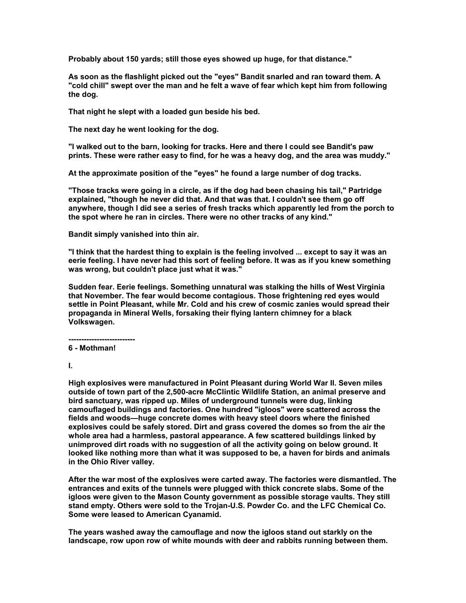**Probably about 150 yards; still those eyes showed up huge, for that distance."** 

**As soon as the flashlight picked out the "eyes" Bandit snarled and ran toward them. A "cold chill" swept over the man and he felt a wave of fear which kept him from following the dog.** 

**That night he slept with a loaded gun beside his bed.** 

**The next day he went looking for the dog.** 

**"I walked out to the barn, looking for tracks. Here and there I could see Bandit's paw prints. These were rather easy to find, for he was a heavy dog, and the area was muddy."** 

**At the approximate position of the "eyes" he found a large number of dog tracks.** 

**"Those tracks were going in a circle, as if the dog had been chasing his tail," Partridge explained, "though he never did that. And that was that. I couldn't see them go off anywhere, though I did see a series of fresh tracks which apparently led from the porch to the spot where he ran in circles. There were no other tracks of any kind."** 

## **Bandit simply vanished into thin air.**

**"I think that the hardest thing to explain is the feeling involved ... except to say it was an eerie feeling. I have never had this sort of feeling before. It was as if you knew something was wrong, but couldn't place just what it was."** 

**Sudden fear. Eerie feelings. Something unnatural was stalking the hills of West Virginia that November. The fear would become contagious. Those frightening red eyes would settle in Point Pleasant, while Mr. Cold and his crew of cosmic zanies would spread their propaganda in Mineral Wells, forsaking their flying lantern chimney for a black Volkswagen.** 

# **--------------------------**

**6 - Mothman!** 

**I.** 

**High explosives were manufactured in Point Pleasant during World War II. Seven miles outside of town part of the 2,500-acre McClintic Wildlife Station, an animal preserve and bird sanctuary, was ripped up. Miles of underground tunnels were dug, linking camouflaged buildings and factories. One hundred "igloos" were scattered across the fields and woods—huge concrete domes with heavy steel doors where the finished explosives could be safely stored. Dirt and grass covered the domes so from the air the whole area had a harmless, pastoral appearance. A few scattered buildings linked by unimproved dirt roads with no suggestion of all the activity going on below ground. It looked like nothing more than what it was supposed to be, a haven for birds and animals in the Ohio River valley.** 

**After the war most of the explosives were carted away. The factories were dismantled. The entrances and exits of the tunnels were plugged with thick concrete slabs. Some of the igloos were given to the Mason County government as possible storage vaults. They still stand empty. Others were sold to the Trojan-U.S. Powder Co. and the LFC Chemical Co. Some were leased to American Cyanamid.** 

**The years washed away the camouflage and now the igloos stand out starkly on the landscape, row upon row of white mounds with deer and rabbits running between them.**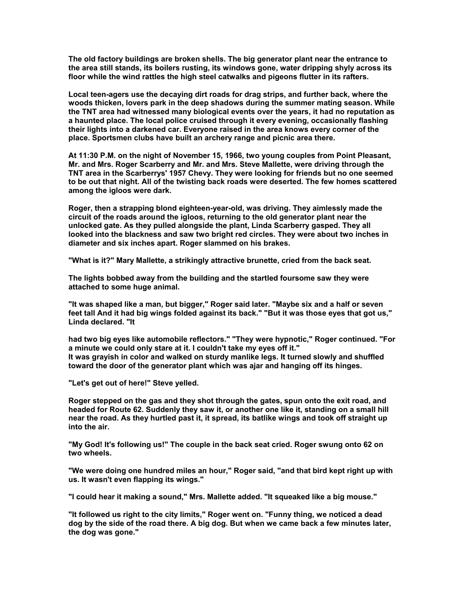**The old factory buildings are broken shells. The big generator plant near the entrance to the area still stands, its boilers rusting, its windows gone, water dripping shyly across its floor while the wind rattles the high steel catwalks and pigeons flutter in its rafters.** 

**Local teen-agers use the decaying dirt roads for drag strips, and further back, where the woods thicken, lovers park in the deep shadows during the summer mating season. While the TNT area had witnessed many biological events over the years, it had no reputation as a haunted place. The local police cruised through it every evening, occasionally flashing their lights into a darkened car. Everyone raised in the area knows every corner of the place. Sportsmen clubs have built an archery range and picnic area there.** 

**At 11:30 P.M. on the night of November 15, 1966, two young couples from Point Pleasant, Mr. and Mrs. Roger Scarberry and Mr. and Mrs. Steve Mallette, were driving through the TNT area in the Scarberrys' 1957 Chevy. They were looking for friends but no one seemed to be out that night. All of the twisting back roads were deserted. The few homes scattered among the igloos were dark.** 

**Roger, then a strapping blond eighteen-year-old, was driving. They aimlessly made the circuit of the roads around the igloos, returning to the old generator plant near the unlocked gate. As they pulled alongside the plant, Linda Scarberry gasped. They all looked into the blackness and saw two bright red circles. They were about two inches in diameter and six inches apart. Roger slammed on his brakes.** 

**"What is it?" Mary Mallette, a strikingly attractive brunette, cried from the back seat.** 

**The lights bobbed away from the building and the startled foursome saw they were attached to some huge animal.** 

**"It was shaped like a man, but bigger," Roger said later. "Maybe six and a half or seven feet tall And it had big wings folded against its back." "But it was those eyes that got us," Linda declared. "It** 

**had two big eyes like automobile reflectors." "They were hypnotic," Roger continued. "For a minute we could only stare at it. I couldn't take my eyes off it." It was grayish in color and walked on sturdy manlike legs. It turned slowly and shuffled toward the door of the generator plant which was ajar and hanging off its hinges.** 

**"Let's get out of here!" Steve yelled.** 

**Roger stepped on the gas and they shot through the gates, spun onto the exit road, and headed for Route 62. Suddenly they saw it, or another one like it, standing on a small hill near the road. As they hurtled past it, it spread, its batlike wings and took off straight up into the air.** 

**"My God! It's following us!" The couple in the back seat cried. Roger swung onto 62 on two wheels.** 

**"We were doing one hundred miles an hour," Roger said, "and that bird kept right up with us. It wasn't even flapping its wings."** 

**"I could hear it making a sound," Mrs. Mallette added. "It squeaked like a big mouse."** 

**"It followed us right to the city limits," Roger went on. "Funny thing, we noticed a dead dog by the side of the road there. A big dog. But when we came back a few minutes later, the dog was gone."**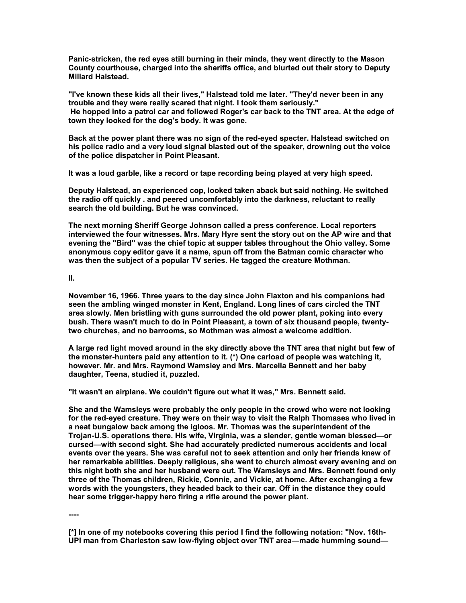**Panic-stricken, the red eyes still burning in their minds, they went directly to the Mason County courthouse, charged into the sheriffs office, and blurted out their story to Deputy Millard Halstead.** 

**"I've known these kids all their lives," Halstead told me later. "They'd never been in any trouble and they were really scared that night. I took them seriously." He hopped into a patrol car and followed Roger's car back to the TNT area. At the edge of town they looked for the dog's body. It was gone.** 

**Back at the power plant there was no sign of the red-eyed specter. Halstead switched on his police radio and a very loud signal blasted out of the speaker, drowning out the voice of the police dispatcher in Point Pleasant.** 

**It was a loud garble, like a record or tape recording being played at very high speed.** 

**Deputy Halstead, an experienced cop, looked taken aback but said nothing. He switched the radio off quickly . and peered uncomfortably into the darkness, reluctant to really search the old building. But he was convinced.** 

**The next morning Sheriff George Johnson called a press conference. Local reporters interviewed the four witnesses. Mrs. Mary Hyre sent the story out on the AP wire and that evening the "Bird" was the chief topic at supper tables throughout the Ohio valley. Some anonymous copy editor gave it a name, spun off from the Batman comic character who was then the subject of a popular TV series. He tagged the creature Mothman.** 

**II.** 

**November 16, 1966. Three years to the day since John Flaxton and his companions had seen the ambling winged monster in Kent, England. Long lines of cars circled the TNT area slowly. Men bristling with guns surrounded the old power plant, poking into every bush. There wasn't much to do in Point Pleasant, a town of six thousand people, twentytwo churches, and no barrooms, so Mothman was almost a welcome addition.** 

**A large red light moved around in the sky directly above the TNT area that night but few of the monster-hunters paid any attention to it. (\*) One carload of people was watching it, however. Mr. and Mrs. Raymond Wamsley and Mrs. Marcella Bennett and her baby daughter, Teena, studied it, puzzled.** 

**"It wasn't an airplane. We couldn't figure out what it was," Mrs. Bennett said.** 

**She and the Wamsleys were probably the only people in the crowd who were not looking for the red-eyed creature. They were on their way to visit the Ralph Thomases who lived in a neat bungalow back among the igloos. Mr. Thomas was the superintendent of the Trojan-U.S. operations there. His wife, Virginia, was a slender, gentle woman blessed—or cursed—with second sight. She had accurately predicted numerous accidents and local events over the years. She was careful not to seek attention and only her friends knew of her remarkable abilities. Deeply religious, she went to church almost every evening and on this night both she and her husband were out. The Wamsleys and Mrs. Bennett found only three of the Thomas children, Rickie, Connie, and Vickie, at home. After exchanging a few words with the youngsters, they headed back to their car. Off in the distance they could hear some trigger-happy hero firing a rifle around the power plant.** 

**----** 

[<sup>\*</sup>] In one of my notebooks covering this period I find the following notation: "Nov. 16th-**UPI man from Charleston saw low-flying object over TNT area—made humming sound—**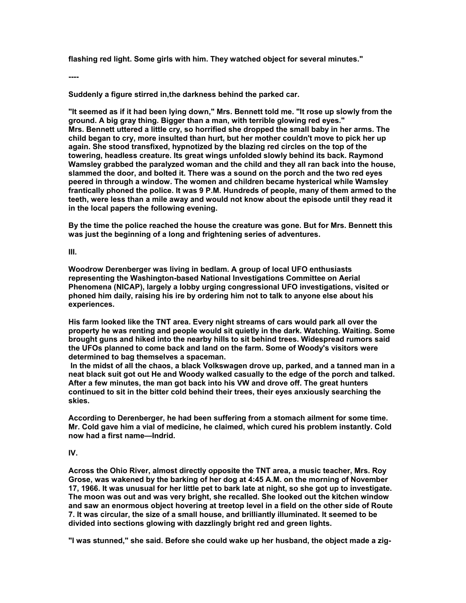**flashing red light. Some girls with him. They watched object for several minutes."** 

**----** 

**Suddenly a figure stirred in,the darkness behind the parked car.** 

**"It seemed as if it had been lying down," Mrs. Bennett told me. "It rose up slowly from the ground. A big gray thing. Bigger than a man, with terrible glowing red eyes." Mrs. Bennett uttered a little cry, so horrified she dropped the small baby in her arms. The child began to cry, more insulted than hurt, but her mother couldn't move to pick her up again. She stood transfixed, hypnotized by the blazing red circles on the top of the towering, headless creature. Its great wings unfolded slowly behind its back. Raymond Wamsley grabbed the paralyzed woman and the child and they all ran back into the house, slammed the door, and bolted it. There was a sound on the porch and the two red eyes peered in through a window. The women and children became hysterical while Wamsley frantically phoned the police. It was 9 P.M. Hundreds of people, many of them armed to the teeth, were less than a mile away and would not know about the episode until they read it in the local papers the following evening.** 

**By the time the police reached the house the creature was gone. But for Mrs. Bennett this was just the beginning of a long and frightening series of adventures.** 

**III.** 

**Woodrow Derenberger was living in bedlam. A group of local UFO enthusiasts representing the Washington-based National Investigations Committee on Aerial Phenomena (NICAP), largely a lobby urging congressional UFO investigations, visited or phoned him daily, raising his ire by ordering him not to talk to anyone else about his experiences.** 

**His farm looked like the TNT area. Every night streams of cars would park all over the property he was renting and people would sit quietly in the dark. Watching. Waiting. Some brought guns and hiked into the nearby hills to sit behind trees. Widespread rumors said the UFOs planned to come back and land on the farm. Some of Woody's visitors were determined to bag themselves a spaceman.** 

 **In the midst of all the chaos, a black Volkswagen drove up, parked, and a tanned man in a neat black suit got out He and Woody walked casually to the edge of the porch and talked. After a few minutes, the man got back into his VW and drove off. The great hunters continued to sit in the bitter cold behind their trees, their eyes anxiously searching the skies.** 

**According to Derenberger, he had been suffering from a stomach ailment for some time. Mr. Cold gave him a vial of medicine, he claimed, which cured his problem instantly. Cold now had a first name—Indrid.** 

**IV.** 

**Across the Ohio River, almost directly opposite the TNT area, a music teacher, Mrs. Roy Grose, was wakened by the barking of her dog at 4:45 A.M. on the morning of November 17, 1966. It was unusual for her little pet to bark late at night, so she got up to investigate. The moon was out and was very bright, she recalled. She looked out the kitchen window and saw an enormous object hovering at treetop level in a field on the other side of Route 7. It was circular, the size of a small house, and brilliantly illuminated. It seemed to be divided into sections glowing with dazzlingly bright red and green lights.** 

**"I was stunned," she said. Before she could wake up her husband, the object made a zig-**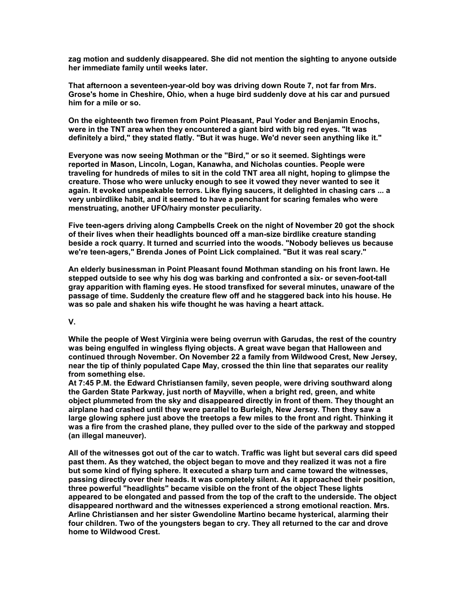**zag motion and suddenly disappeared. She did not mention the sighting to anyone outside her immediate family until weeks later.** 

**That afternoon a seventeen-year-old boy was driving down Route 7, not far from Mrs. Grose's home in Cheshire, Ohio, when a huge bird suddenly dove at his car and pursued him for a mile or so.** 

**On the eighteenth two firemen from Point Pleasant, Paul Yoder and Benjamin Enochs, were in the TNT area when they encountered a giant bird with big red eyes. "It was definitely a bird," they stated flatly. "But it was huge. We'd never seen anything like it."** 

**Everyone was now seeing Mothman or the "Bird," or so it seemed. Sightings were reported in Mason, Lincoln, Logan, Kanawha, and Nicholas counties. People were traveling for hundreds of miles to sit in the cold TNT area all night, hoping to glimpse the creature. Those who were unlucky enough to see it vowed they never wanted to see it again. It evoked unspeakable terrors. Like flying saucers, it delighted in chasing cars ... a very unbirdlike habit, and it seemed to have a penchant for scaring females who were menstruating, another UFO/hairy monster peculiarity.** 

**Five teen-agers driving along Campbells Creek on the night of November 20 got the shock of their lives when their headlights bounced off a man-size birdlike creature standing beside a rock quarry. It turned and scurried into the woods. "Nobody believes us because we're teen-agers," Brenda Jones of Point Lick complained. "But it was real scary."** 

**An elderly businessman in Point Pleasant found Mothman standing on his front lawn. He stepped outside to see why his dog was barking and confronted a six- or seven-foot-tall gray apparition with flaming eyes. He stood transfixed for several minutes, unaware of the passage of time. Suddenly the creature flew off and he staggered back into his house. He was so pale and shaken his wife thought he was having a heart attack.** 

## **V.**

**While the people of West Virginia were being overrun with Garudas, the rest of the country was being engulfed in wingless flying objects. A great wave began that Halloween and continued through November. On November 22 a family from Wildwood Crest, New Jersey, near the tip of thinly populated Cape May, crossed the thin line that separates our reality from something else.** 

**At 7:45 P.M. the Edward Christiansen family, seven people, were driving southward along the Garden State Parkway, just north of Mayville, when a bright red, green, and white object plummeted from the sky and disappeared directly in front of them. They thought an airplane had crashed until they were parallel to Burleigh, New Jersey. Then they saw a large glowing sphere just above the treetops a few miles to the front and right. Thinking it was a fire from the crashed plane, they pulled over to the side of the parkway and stopped (an illegal maneuver).** 

**All of the witnesses got out of the car to watch. Traffic was light but several cars did speed past them. As they watched, the object began to move and they realized it was not a fire but some kind of flying sphere. It executed a sharp turn and came toward the witnesses, passing directly over their heads. It was completely silent. As it approached their position, three powerful "headlights" became visible on the front of the object These lights appeared to be elongated and passed from the top of the craft to the underside. The object disappeared northward and the witnesses experienced a strong emotional reaction. Mrs. Arline Christiansen and her sister Gwendoline Martino became hysterical, alarming their four children. Two of the youngsters began to cry. They all returned to the car and drove home to Wildwood Crest.**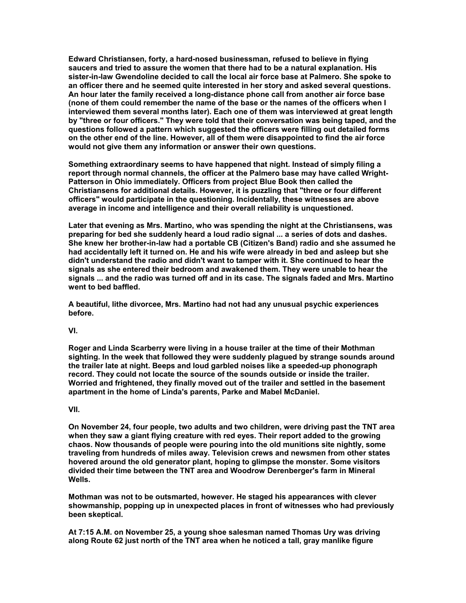**Edward Christiansen, forty, a hard-nosed businessman, refused to believe in flying saucers and tried to assure the women that there had to be a natural explanation. His sister-in-law Gwendoline decided to call the local air force base at Palmero. She spoke to an officer there and he seemed quite interested in her story and asked several questions. An hour later the family received a long-distance phone call from another air force base (none of them could remember the name of the base or the names of the officers when I interviewed them several months later). Each one of them was interviewed at great length by "three or four officers." They were told that their conversation was being taped, and the questions followed a pattern which suggested the officers were filling out detailed forms on the other end of the line. However, all of them were disappointed to find the air force would not give them any information or answer their own questions.** 

**Something extraordinary seems to have happened that night. Instead of simply filing a report through normal channels, the officer at the Palmero base may have called Wright-Patterson in Ohio immediately. Officers from project Blue Book then called the Christiansens for additional details. However, it is puzzling that "three or four different officers" would participate in the questioning. Incidentally, these witnesses are above average in income and intelligence and their overall reliability is unquestioned.** 

**Later that evening as Mrs. Martino, who was spending the night at the Christiansens, was preparing for bed she suddenly heard a loud radio signal ... a series of dots and dashes. She knew her brother-in-law had a portable CB (Citizen's Band) radio and she assumed he had accidentally left it turned on. He and his wife were already in bed and asleep but she didn't understand the radio and didn't want to tamper with it. She continued to hear the signals as she entered their bedroom and awakened them. They were unable to hear the signals ... and the radio was turned off and in its case. The signals faded and Mrs. Martino went to bed baffled.** 

**A beautiful, lithe divorcee, Mrs. Martino had not had any unusual psychic experiences before.** 

## **VI.**

**Roger and Linda Scarberry were living in a house trailer at the time of their Mothman sighting. In the week that followed they were suddenly plagued by strange sounds around the trailer late at night. Beeps and loud garbled noises like a speeded-up phonograph record. They could not locate the source of the sounds outside or inside the trailer. Worried and frightened, they finally moved out of the trailer and settled in the basement apartment in the home of Linda's parents, Parke and Mabel McDaniel.** 

# **VII.**

**On November 24, four people, two adults and two children, were driving past the TNT area when they saw a giant flying creature with red eyes. Their report added to the growing chaos. Now thousands of people were pouring into the old munitions site nightly, some traveling from hundreds of miles away. Television crews and newsmen from other states hovered around the old generator plant, hoping to glimpse the monster. Some visitors divided their time between the TNT area and Woodrow Derenberger's farm in Mineral Wells.** 

**Mothman was not to be outsmarted, however. He staged his appearances with clever showmanship, popping up in unexpected places in front of witnesses who had previously been skeptical.** 

**At 7:15 A.M. on November 25, a young shoe salesman named Thomas Ury was driving along Route 62 just north of the TNT area when he noticed a tall, gray manlike figure**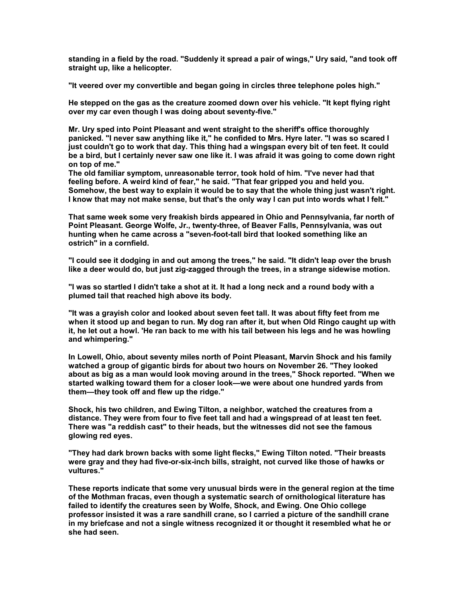**standing in a field by the road. "Suddenly it spread a pair of wings," Ury said, "and took off straight up, like a helicopter.** 

**"It veered over my convertible and began going in circles three telephone poles high."** 

**He stepped on the gas as the creature zoomed down over his vehicle. "It kept flying right over my car even though I was doing about seventy-five."** 

**Mr. Ury sped into Point Pleasant and went straight to the sheriff's office thoroughly panicked. "I never saw anything like it," he confided to Mrs. Hyre later. "I was so scared I just couldn't go to work that day. This thing had a wingspan every bit of ten feet. It could be a bird, but I certainly never saw one like it. I was afraid it was going to come down right on top of me."** 

**The old familiar symptom, unreasonable terror, took hold of him. "I've never had that feeling before. A weird kind of fear," he said. "That fear gripped you and held you. Somehow, the best way to explain it would be to say that the whole thing just wasn't right. I know that may not make sense, but that's the only way I can put into words what I felt."** 

**That same week some very freakish birds appeared in Ohio and Pennsylvania, far north of Point Pleasant. George Wolfe, Jr., twenty-three, of Beaver Falls, Pennsylvania, was out hunting when he came across a "seven-foot-tall bird that looked something like an ostrich" in a cornfield.** 

**"I could see it dodging in and out among the trees," he said. "It didn't leap over the brush like a deer would do, but just zig-zagged through the trees, in a strange sidewise motion.** 

**"I was so startled I didn't take a shot at it. It had a long neck and a round body with a plumed tail that reached high above its body.** 

**"It was a grayish color and looked about seven feet tall. It was about fifty feet from me when it stood up and began to run. My dog ran after it, but when Old Ringo caught up with it, he let out a howl. 'He ran back to me with his tail between his legs and he was howling and whimpering."** 

**In Lowell, Ohio, about seventy miles north of Point Pleasant, Marvin Shock and his family watched a group of gigantic birds for about two hours on November 26. "They looked about as big as a man would look moving around in the trees," Shock reported. "When we started walking toward them for a closer look—we were about one hundred yards from them—they took off and flew up the ridge."** 

**Shock, his two children, and Ewing Tilton, a neighbor, watched the creatures from a distance. They were from four to five feet tall and had a wingspread of at least ten feet. There was "a reddish cast" to their heads, but the witnesses did not see the famous glowing red eyes.** 

**"They had dark brown backs with some light flecks," Ewing Tilton noted. "Their breasts were gray and they had five-or-six-inch bills, straight, not curved like those of hawks or vultures."** 

**These reports indicate that some very unusual birds were in the general region at the time of the Mothman fracas, even though a systematic search of ornithological literature has failed to identify the creatures seen by Wolfe, Shock, and Ewing. One Ohio college professor insisted it was a rare sandhill crane, so I carried a picture of the sandhill crane in my briefcase and not a single witness recognized it or thought it resembled what he or she had seen.**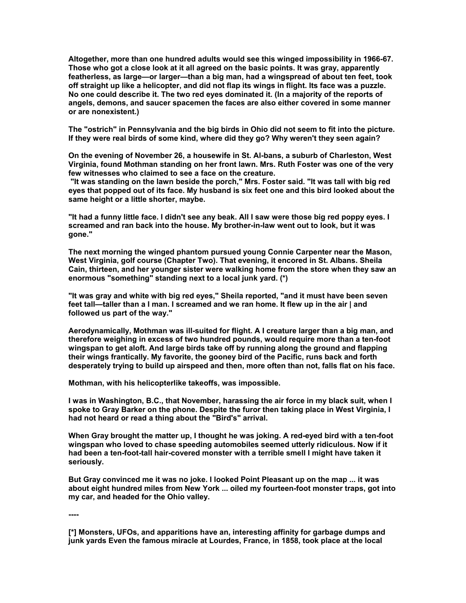**Altogether, more than one hundred adults would see this winged impossibility in 1966-67. Those who got a close look at it all agreed on the basic points. It was gray, apparently featherless, as large—or larger—than a big man, had a wingspread of about ten feet, took off straight up like a helicopter, and did not flap its wings in flight. Its face was a puzzle. No one could describe it. The two red eyes dominated it. (In a majority of the reports of angels, demons, and saucer spacemen the faces are also either covered in some manner or are nonexistent.)** 

**The "ostrich" in Pennsylvania and the big birds in Ohio did not seem to fit into the picture. If they were real birds of some kind, where did they go? Why weren't they seen again?** 

**On the evening of November 26, a housewife in St. Al-bans, a suburb of Charleston, West Virginia, found Mothman standing on her front lawn. Mrs. Ruth Foster was one of the very few witnesses who claimed to see a face on the creature.** 

 **"It was standing on the lawn beside the porch," Mrs. Foster said. "It was tall with big red eyes that popped out of its face. My husband is six feet one and this bird looked about the same height or a little shorter, maybe.** 

**"It had a funny little face. I didn't see any beak. All I saw were those big red poppy eyes. I screamed and ran back into the house. My brother-in-law went out to look, but it was gone."** 

**The next morning the winged phantom pursued young Connie Carpenter near the Mason, West Virginia, golf course (Chapter Two). That evening, it encored in St. Albans. Sheila Cain, thirteen, and her younger sister were walking home from the store when they saw an enormous "something" standing next to a local junk yard. (\*)** 

**"It was gray and white with big red eyes," Sheila reported, "and it must have been seven feet tall—taller than a I man. I screamed and we ran home. It flew up in the air | and followed us part of the way."** 

**Aerodynamically, Mothman was ill-suited for flight. A I creature larger than a big man, and therefore weighing in excess of two hundred pounds, would require more than a ten-foot wingspan to get aloft. And large birds take off by running along the ground and flapping their wings frantically. My favorite, the gooney bird of the Pacific, runs back and forth desperately trying to build up airspeed and then, more often than not, falls flat on his face.** 

**Mothman, with his helicopterlike takeoffs, was impossible.** 

**I was in Washington, B.C., that November, harassing the air force in my black suit, when I spoke to Gray Barker on the phone. Despite the furor then taking place in West Virginia, I had not heard or read a thing about the "Bird's" arrival.** 

**When Gray brought the matter up, I thought he was joking. A red-eyed bird with a ten-foot wingspan who loved to chase speeding automobiles seemed utterly ridiculous. Now if it had been a ten-foot-tall hair-covered monster with a terrible smell I might have taken it seriously.** 

**But Gray convinced me it was no joke. I looked Point Pleasant up on the map ... it was about eight hundred miles from New York ... oiled my fourteen-foot monster traps, got into my car, and headed for the Ohio valley.** 

**----** 

**[\*] Monsters, UFOs, and apparitions have an, interesting affinity for garbage dumps and junk yards Even the famous miracle at Lourdes, France, in 1858, took place at the local**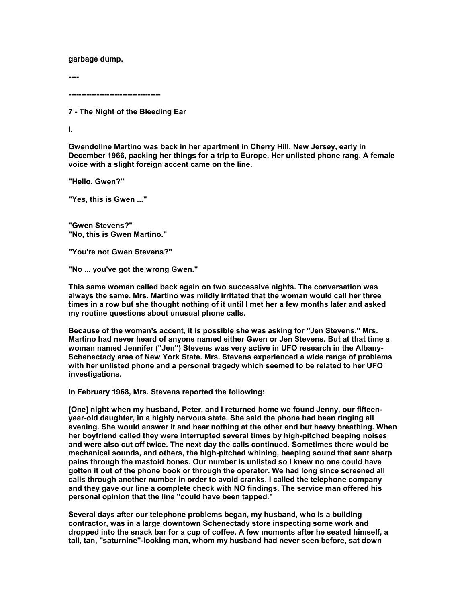**garbage dump.** 

**----** 

**------------------------------------** 

**7 - The Night of the Bleeding Ear** 

**I.** 

**Gwendoline Martino was back in her apartment in Cherry Hill, New Jersey, early in December 1966, packing her things for a trip to Europe. Her unlisted phone rang. A female voice with a slight foreign accent came on the line.** 

**"Hello, Gwen?"** 

**"Yes, this is Gwen ..."** 

**"Gwen Stevens?" "No, this is Gwen Martino."** 

**"You're not Gwen Stevens?"** 

**"No ... you've got the wrong Gwen."** 

**This same woman called back again on two successive nights. The conversation was always the same. Mrs. Martino was mildly irritated that the woman would call her three times in a row but she thought nothing of it until I met her a few months later and asked my routine questions about unusual phone calls.** 

**Because of the woman's accent, it is possible she was asking for "Jen Stevens." Mrs. Martino had never heard of anyone named either Gwen or Jen Stevens. But at that time a woman named Jennifer ("Jen") Stevens was very active in UFO research in the Albany-Schenectady area of New York State. Mrs. Stevens experienced a wide range of problems with her unlisted phone and a personal tragedy which seemed to be related to her UFO investigations.** 

**In February 1968, Mrs. Stevens reported the following:** 

**[One] night when my husband, Peter, and I returned home we found Jenny, our fifteenyear-old daughter, in a highly nervous state. She said the phone had been ringing all evening. She would answer it and hear nothing at the other end but heavy breathing. When her boyfriend called they were interrupted several times by high-pitched beeping noises and were also cut off twice. The next day the calls continued. Sometimes there would be mechanical sounds, and others, the high-pitched whining, beeping sound that sent sharp pains through the mastoid bones. Our number is unlisted so I knew no one could have gotten it out of the phone book or through the operator. We had long since screened all calls through another number in order to avoid cranks. I called the telephone company and they gave our line a complete check with NO findings. The service man offered his personal opinion that the line "could have been tapped."** 

**Several days after our telephone problems began, my husband, who is a building contractor, was in a large downtown Schenectady store inspecting some work and dropped into the snack bar for a cup of coffee. A few moments after he seated himself, a tall, tan, "saturnine"-looking man, whom my husband had never seen before, sat down**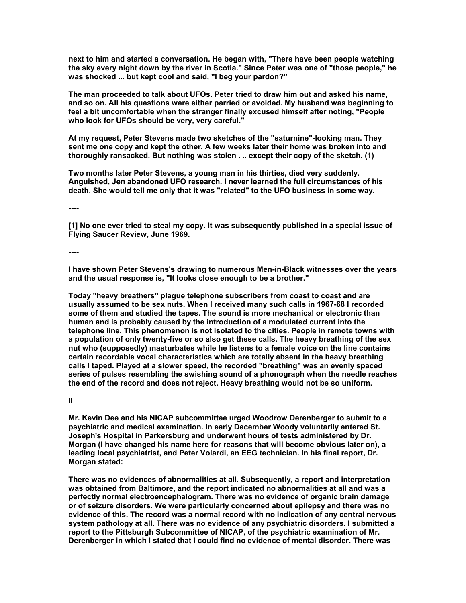**next to him and started a conversation. He began with, "There have been people watching the sky every night down by the river in Scotia." Since Peter was one of "those people," he was shocked ... but kept cool and said, "I beg your pardon?"** 

**The man proceeded to talk about UFOs. Peter tried to draw him out and asked his name, and so on. All his questions were either parried or avoided. My husband was beginning to feel a bit uncomfortable when the stranger finally excused himself after noting, "People who look for UFOs should be very, very careful."** 

**At my request, Peter Stevens made two sketches of the "saturnine"-looking man. They sent me one copy and kept the other. A few weeks later their home was broken into and thoroughly ransacked. But nothing was stolen . .. except their copy of the sketch. (1)** 

**Two months later Peter Stevens, a young man in his thirties, died very suddenly. Anguished, Jen abandoned UFO research. I never learned the full circumstances of his death. She would tell me only that it was "related" to the UFO business in some way.** 

**----** 

**[1] No one ever tried to steal my copy. It was subsequently published in a special issue of Flying Saucer Review, June 1969.** 

**----** 

**I have shown Peter Stevens's drawing to numerous Men-in-Black witnesses over the years and the usual response is, "It looks close enough to be a brother."** 

**Today "heavy breathers" plague telephone subscribers from coast to coast and are usually assumed to be sex nuts. When I received many such calls in 1967-68 I recorded some of them and studied the tapes. The sound is more mechanical or electronic than human and is probably caused by the introduction of a modulated current into the telephone line. This phenomenon is not isolated to the cities. People in remote towns with a population of only twenty-five or so also get these calls. The heavy breathing of the sex nut who (supposedly) masturbates while he listens to a female voice on the line contains certain recordable vocal characteristics which are totally absent in the heavy breathing calls I taped. Played at a slower speed, the recorded "breathing" was an evenly spaced series of pulses resembling the swishing sound of a phonograph when the needle reaches the end of the record and does not reject. Heavy breathing would not be so uniform.** 

#### **II**

**Mr. Kevin Dee and his NICAP subcommittee urged Woodrow Derenberger to submit to a psychiatric and medical examination. In early December Woody voluntarily entered St. Joseph's Hospital in Parkersburg and underwent hours of tests administered by Dr. Morgan (I have changed his name here for reasons that will become obvious later on), a leading local psychiatrist, and Peter Volardi, an EEG technician. In his final report, Dr. Morgan stated:** 

**There was no evidences of abnormalities at all. Subsequently, a report and interpretation was obtained from Baltimore, and the report indicated no abnormalities at all and was a perfectly normal electroencephalogram. There was no evidence of organic brain damage or of seizure disorders. We were particularly concerned about epilepsy and there was no evidence of this. The record was a normal record with no indication of any central nervous system pathology at all. There was no evidence of any psychiatric disorders. I submitted a report to the Pittsburgh Subcommittee of NICAP, of the psychiatric examination of Mr. Derenberger in which I stated that I could find no evidence of mental disorder. There was**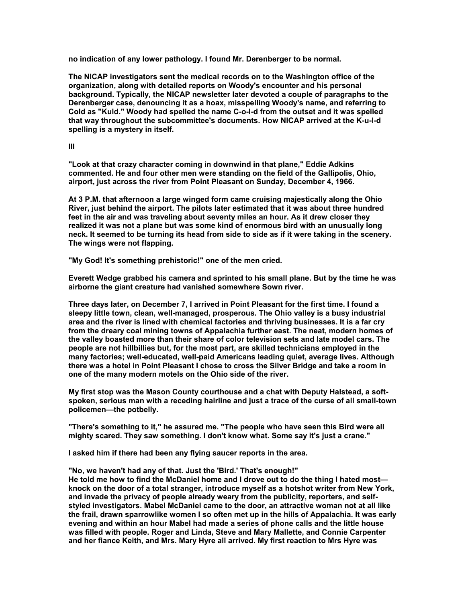**no indication of any lower pathology. I found Mr. Derenberger to be normal.** 

**The NICAP investigators sent the medical records on to the Washington office of the organization, along with detailed reports on Woody's encounter and his personal background. Typically, the NICAP newsletter later devoted a couple of paragraphs to the Derenberger case, denouncing it as a hoax, misspelling Woody's name, and referring to Cold as "Kuld." Woody had spelled the name C-o-l-d from the outset and it was spelled that way throughout the subcommittee's documents. How NICAP arrived at the K-u-l-d spelling is a mystery in itself.** 

**III** 

**"Look at that crazy character coming in downwind in that plane," Eddie Adkins commented. He and four other men were standing on the field of the Gallipolis, Ohio, airport, just across the river from Point Pleasant on Sunday, December 4, 1966.** 

**At 3 P.M. that afternoon a large winged form came cruising majestically along the Ohio River, just behind the airport. The pilots later estimated that it was about three hundred feet in the air and was traveling about seventy miles an hour. As it drew closer they realized it was not a plane but was some kind of enormous bird with an unusually long neck. It seemed to be turning its head from side to side as if it were taking in the scenery. The wings were not flapping.** 

**"My God! It's something prehistoric!" one of the men cried.** 

**Everett Wedge grabbed his camera and sprinted to his small plane. But by the time he was airborne the giant creature had vanished somewhere Sown river.** 

**Three days later, on December 7, I arrived in Point Pleasant for the first time. I found a sleepy little town, clean, well-managed, prosperous. The Ohio valley is a busy industrial area and the river is lined with chemical factories and thriving businesses. It is a far cry from the dreary coal mining towns of Appalachia further east. The neat, modern homes of the valley boasted more than their share of color television sets and late model cars. The people are not hillbillies but, for the most part, are skilled technicians employed in the many factories; well-educated, well-paid Americans leading quiet, average lives. Although there was a hotel in Point Pleasant I chose to cross the Silver Bridge and take a room in one of the many modern motels on the Ohio side of the river.** 

**My first stop was the Mason County courthouse and a chat with Deputy Halstead, a softspoken, serious man with a receding hairline and just a trace of the curse of all small-town policemen—the potbelly.** 

**"There's something to it," he assured me. "The people who have seen this Bird were all mighty scared. They saw something. I don't know what. Some say it's just a crane."** 

**I asked him if there had been any flying saucer reports in the area.** 

**"No, we haven't had any of that. Just the 'Bird.' That's enough!" He told me how to find the McDaniel home and I drove out to do the thing I hated most knock on the door of a total stranger, introduce myself as a hotshot writer from New York, and invade the privacy of people already weary from the publicity, reporters, and selfstyled investigators. Mabel McDaniel came to the door, an attractive woman not at all like the frail, drawn sparrowlike women I so often met up in the hills of Appalachia. It was early evening and within an hour Mabel had made a series of phone calls and the little house was filled with people. Roger and Linda, Steve and Mary Mallette, and Connie Carpenter and her fiance Keith, and Mrs. Mary Hyre all arrived. My first reaction to Mrs Hyre was**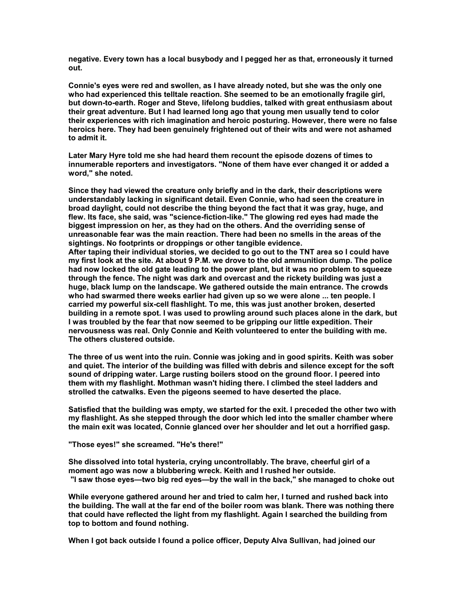**negative. Every town has a local busybody and I pegged her as that, erroneously it turned out.** 

**Connie's eyes were red and swollen, as I have already noted, but she was the only one who had experienced this telltale reaction. She seemed to be an emotionally fragile girl, but down-to-earth. Roger and Steve, lifelong buddies, talked with great enthusiasm about their great adventure. But I had learned long ago that young men usually tend to color their experiences with rich imagination and heroic posturing. However, there were no false heroics here. They had been genuinely frightened out of their wits and were not ashamed to admit it.** 

**Later Mary Hyre told me she had heard them recount the episode dozens of times to innumerable reporters and investigators. "None of them have ever changed it or added a word," she noted.** 

**Since they had viewed the creature only briefly and in the dark, their descriptions were understandably lacking in significant detail. Even Connie, who had seen the creature in broad daylight, could not describe the thing beyond the fact that it was gray, huge, and flew. Its face, she said, was "science-fiction-like." The glowing red eyes had made the biggest impression on her, as they had on the others. And the overriding sense of unreasonable fear was the main reaction. There had been no smells in the areas of the sightings. No footprints or droppings or other tangible evidence. After taping their individual stories, we decided to go out to the TNT area so I could have my first look at the site. At about 9 P.M. we drove to the old ammunition dump. The police had now locked the old gate leading to the power plant, but it was no problem to squeeze through the fence. The night was dark and overcast and the rickety building was just a huge, black lump on the landscape. We gathered outside the main entrance. The crowds who had swarmed there weeks earlier had given up so we were alone ... ten people. I carried my powerful six-cell flashlight. To me, this was just another broken, deserted building in a remote spot. I was used to prowling around such places alone in the dark, but I was troubled by the fear that now seemed to be gripping our little expedition. Their nervousness was real. Only Connie and Keith volunteered to enter the building with me. The others clustered outside.** 

**The three of us went into the ruin. Connie was joking and in good spirits. Keith was sober and quiet. The interior of the building was filled with debris and silence except for the soft sound of dripping water. Large rusting boilers stood on the ground floor. I peered into them with my flashlight. Mothman wasn't hiding there. I climbed the steel ladders and strolled the catwalks. Even the pigeons seemed to have deserted the place.** 

**Satisfied that the building was empty, we started for the exit. I preceded the other two with my flashlight. As she stepped through the door which led into the smaller chamber where the main exit was located, Connie glanced over her shoulder and let out a horrified gasp.** 

**"Those eyes!" she screamed. "He's there!"** 

**She dissolved into total hysteria, crying uncontrollably. The brave, cheerful girl of a moment ago was now a blubbering wreck. Keith and I rushed her outside. "I saw those eyes—two big red eyes—by the wall in the back," she managed to choke out** 

**While everyone gathered around her and tried to calm her, I turned and rushed back into the building. The wall at the far end of the boiler room was blank. There was nothing there that could have reflected the light from my flashlight. Again I searched the building from top to bottom and found nothing.** 

**When I got back outside I found a police officer, Deputy Alva Sullivan, had joined our**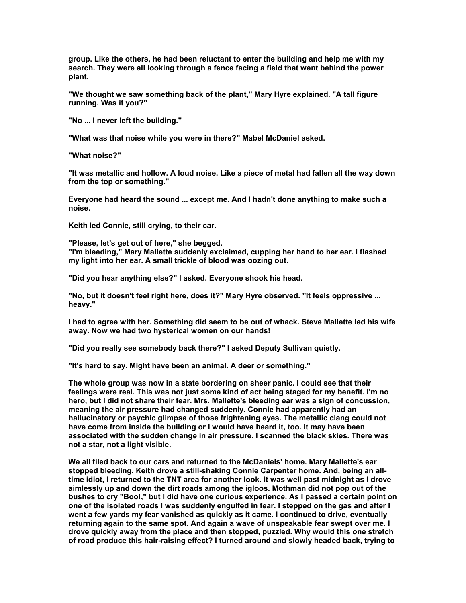**group. Like the others, he had been reluctant to enter the building and help me with my search. They were all looking through a fence facing a field that went behind the power plant.** 

**"We thought we saw something back of the plant," Mary Hyre explained. "A tall figure running. Was it you?"** 

**"No ... I never left the building."** 

**"What was that noise while you were in there?" Mabel McDaniel asked.** 

**"What noise?"** 

**"It was metallic and hollow. A loud noise. Like a piece of metal had fallen all the way down from the top or something."** 

**Everyone had heard the sound ... except me. And I hadn't done anything to make such a noise.** 

**Keith led Connie, still crying, to their car.** 

**"Please, let's get out of here," she begged. "I'm bleeding," Mary Mallette suddenly exclaimed, cupping her hand to her ear. I flashed my light into her ear. A small trickle of blood was oozing out.** 

**"Did you hear anything else?" I asked. Everyone shook his head.** 

**"No, but it doesn't feel right here, does it?" Mary Hyre observed. "It feels oppressive ... heavy."** 

**I had to agree with her. Something did seem to be out of whack. Steve Mallette led his wife away. Now we had two hysterical women on our hands!** 

**"Did you really see somebody back there?" I asked Deputy Sullivan quietly.** 

**"It's hard to say. Might have been an animal. A deer or something."** 

**The whole group was now in a state bordering on sheer panic. I could see that their feelings were real. This was not just some kind of act being staged for my benefit. I'm no hero, but I did not share their fear. Mrs. Mallette's bleeding ear was a sign of concussion, meaning the air pressure had changed suddenly. Connie had apparently had an hallucinatory or psychic glimpse of those frightening eyes. The metallic clang could not have come from inside the building or I would have heard it, too. It may have been associated with the sudden change in air pressure. I scanned the black skies. There was not a star, not a light visible.** 

**We all filed back to our cars and returned to the McDaniels' home. Mary Mallette's ear stopped bleeding. Keith drove a still-shaking Connie Carpenter home. And, being an alltime idiot, I returned to the TNT area for another look. It was well past midnight as I drove aimlessly up and down the dirt roads among the igloos. Mothman did not pop out of the bushes to cry "Boo!," but I did have one curious experience. As I passed a certain point on one of the isolated roads I was suddenly engulfed in fear. I stepped on the gas and after I went a few yards my fear vanished as quickly as it came. I continued to drive, eventually returning again to the same spot. And again a wave of unspeakable fear swept over me. I drove quickly away from the place and then stopped, puzzled. Why would this one stretch of road produce this hair-raising effect? I turned around and slowly headed back, trying to**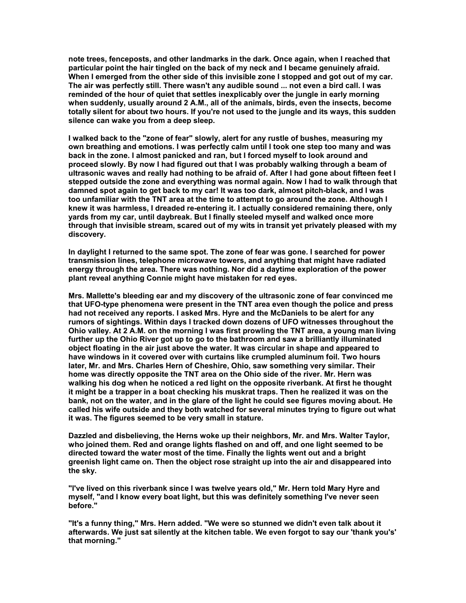**note trees, fenceposts, and other landmarks in the dark. Once again, when I reached that particular point the hair tingled on the back of my neck and I became genuinely afraid. When I emerged from the other side of this invisible zone I stopped and got out of my car. The air was perfectly still. There wasn't any audible sound ... not even a bird call. I was reminded of the hour of quiet that settles inexplicably over the jungle in early morning when suddenly, usually around 2 A.M., all of the animals, birds, even the insects, become totally silent for about two hours. If you're not used to the jungle and its ways, this sudden silence can wake you from a deep sleep.** 

**I walked back to the "zone of fear" slowly, alert for any rustle of bushes, measuring my own breathing and emotions. I was perfectly calm until I took one step too many and was back in the zone. I almost panicked and ran, but I forced myself to look around and proceed slowly. By now I had figured out that I was probably walking through a beam of ultrasonic waves and really had nothing to be afraid of. After I had gone about fifteen feet I stepped outside the zone and everything was normal again. Now I had to walk through that damned spot again to get back to my car! It was too dark, almost pitch-black, and I was too unfamiliar with the TNT area at the time to attempt to go around the zone. Although I knew it was harmless, I dreaded re-entering it. I actually considered remaining there, only yards from my car, until daybreak. But I finally steeled myself and walked once more through that invisible stream, scared out of my wits in transit yet privately pleased with my discovery.** 

**In daylight I returned to the same spot. The zone of fear was gone. I searched for power transmission lines, telephone microwave towers, and anything that might have radiated energy through the area. There was nothing. Nor did a daytime exploration of the power plant reveal anything Connie might have mistaken for red eyes.** 

**Mrs. Mallette's bleeding ear and my discovery of the ultrasonic zone of fear convinced me that UFO-type phenomena were present in the TNT area even though the police and press had not received any reports. I asked Mrs. Hyre and the McDaniels to be alert for any rumors of sightings. Within days I tracked down dozens of UFO witnesses throughout the Ohio valley. At 2 A.M. on the morning I was first prowling the TNT area, a young man living further up the Ohio River got up to go to the bathroom and saw a brilliantly illuminated object floating in the air just above the water. It was circular in shape and appeared to have windows in it covered over with curtains like crumpled aluminum foil. Two hours later, Mr. and Mrs. Charles Hern of Cheshire, Ohio, saw something very similar. Their home was directly opposite the TNT area on the Ohio side of the river. Mr. Hern was walking his dog when he noticed a red light on the opposite riverbank. At first he thought it might be a trapper in a boat checking his muskrat traps. Then he realized it was on the bank, not on the water, and in the glare of the light he could see figures moving about. He called his wife outside and they both watched for several minutes trying to figure out what it was. The figures seemed to be very small in stature.** 

**Dazzled and disbelieving, the Herns woke up their neighbors, Mr. and Mrs. Walter Taylor, who joined them. Red and orange lights flashed on and off, and one light seemed to be directed toward the water most of the time. Finally the lights went out and a bright greenish light came on. Then the object rose straight up into the air and disappeared into the sky.** 

**"I've lived on this riverbank since I was twelve years old," Mr. Hern told Mary Hyre and myself, "and I know every boat light, but this was definitely something I've never seen before."** 

**"It's a funny thing," Mrs. Hern added. "We were so stunned we didn't even talk about it afterwards. We just sat silently at the kitchen table. We even forgot to say our 'thank you's' that morning."**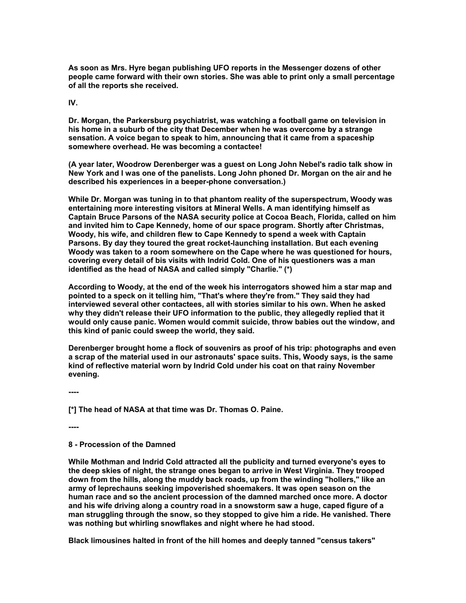**As soon as Mrs. Hyre began publishing UFO reports in the Messenger dozens of other people came forward with their own stories. She was able to print only a small percentage of all the reports she received.** 

**IV.** 

**Dr. Morgan, the Parkersburg psychiatrist, was watching a football game on television in his home in a suburb of the city that December when he was overcome by a strange sensation. A voice began to speak to him, announcing that it came from a spaceship somewhere overhead. He was becoming a contactee!** 

**(A year later, Woodrow Derenberger was a guest on Long John Nebel's radio talk show in New York and I was one of the panelists. Long John phoned Dr. Morgan on the air and he described his experiences in a beeper-phone conversation.)** 

**While Dr. Morgan was tuning in to that phantom reality of the superspectrum, Woody was entertaining more interesting visitors at Mineral Wells. A man identifying himself as Captain Bruce Parsons of the NASA security police at Cocoa Beach, Florida, called on him and invited him to Cape Kennedy, home of our space program. Shortly after Christmas, Woody, his wife, and children flew to Cape Kennedy to spend a week with Captain Parsons. By day they toured the great rocket-launching installation. But each evening Woody was taken to a room somewhere on the Cape where he was questioned for hours, covering every detail of bis visits with Indrid Cold. One of his questioners was a man identified as the head of NASA and called simply "Charlie." (\*)** 

**According to Woody, at the end of the week his interrogators showed him a star map and pointed to a speck on it telling him, "That's where they're from." They said they had interviewed several other contactees, all with stories similar to his own. When he asked why they didn't release their UFO information to the public, they allegedly replied that it would only cause panic. Women would commit suicide, throw babies out the window, and this kind of panic could sweep the world, they said.** 

**Derenberger brought home a flock of souvenirs as proof of his trip: photographs and even a scrap of the material used in our astronauts' space suits. This, Woody says, is the same kind of reflective material worn by Indrid Cold under his coat on that rainy November evening.** 

**----** 

**[\*] The head of NASA at that time was Dr. Thomas O. Paine.** 

**----** 

# **8 - Procession of the Damned**

**While Mothman and Indrid Cold attracted all the publicity and turned everyone's eyes to the deep skies of night, the strange ones began to arrive in West Virginia. They trooped down from the hills, along the muddy back roads, up from the winding "hollers," like an army of leprechauns seeking impoverished shoemakers. It was open season on the human race and so the ancient procession of the damned marched once more. A doctor and his wife driving along a country road in a snowstorm saw a huge, caped figure of a man struggling through the snow, so they stopped to give him a ride. He vanished. There was nothing but whirling snowflakes and night where he had stood.** 

**Black limousines halted in front of the hill homes and deeply tanned "census takers"**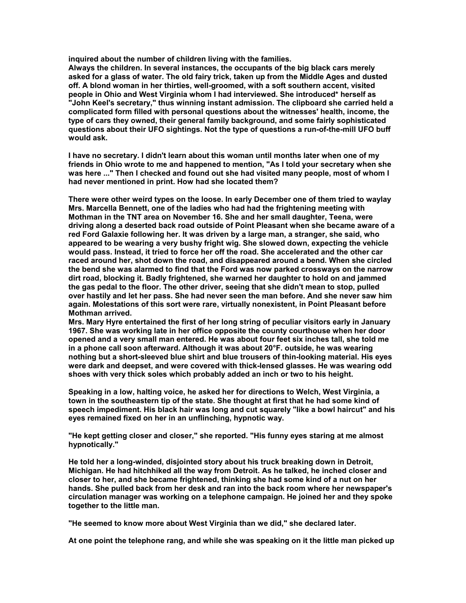**inquired about the number of children living with the families.** 

**Always the children. In several instances, the occupants of the big black cars merely asked for a glass of water. The old fairy trick, taken up from the Middle Ages and dusted off. A blond woman in her thirties, well-groomed, with a soft southern accent, visited people in Ohio and West Virginia whom I had interviewed. She introduced\* herself as "John Keel's secretary," thus winning instant admission. The clipboard she carried held a complicated form filled with personal questions about the witnesses' health, income, the type of cars they owned, their general family background, and some fairly sophisticated questions about their UFO sightings. Not the type of questions a run-of-the-mill UFO buff would ask.** 

**I have no secretary. I didn't learn about this woman until months later when one of my friends in Ohio wrote to me and happened to mention, "As I told your secretary when she was here ..." Then I checked and found out she had visited many people, most of whom I had never mentioned in print. How had she located them?** 

**There were other weird types on the loose. In early December one of them tried to waylay Mrs. Marcella Bennett, one of the ladies who had had the frightening meeting with Mothman in the TNT area on November 16. She and her small daughter, Teena, were driving along a deserted back road outside of Point Pleasant when she became aware of a red Ford Galaxie following her. It was driven by a large man, a stranger, she said, who appeared to be wearing a very bushy fright wig. She slowed down, expecting the vehicle would pass. Instead, it tried to force her off the road. She accelerated and the other car raced around her, shot down the road, and disappeared around a bend. When she circled the bend she was alarmed to find that the Ford was now parked crossways on the narrow dirt road, blocking it. Badly frightened, she warned her daughter to hold on and jammed the gas pedal to the floor. The other driver, seeing that she didn't mean to stop, pulled over hastily and let her pass. She had never seen the man before. And she never saw him again. Molestations of this sort were rare, virtually nonexistent, in Point Pleasant before Mothman arrived.** 

**Mrs. Mary Hyre entertained the first of her long string of peculiar visitors early in January 1967. She was working late in her office opposite the county courthouse when her door opened and a very small man entered. He was about four feet six inches tall, she told me in a phone call soon afterward. Although it was about 20°F. outside, he was wearing nothing but a short-sleeved blue shirt and blue trousers of thin-looking material. His eyes were dark and deepset, and were covered with thick-lensed glasses. He was wearing odd shoes with very thick soles which probably added an inch or two to his height.** 

**Speaking in a low, halting voice, he asked her for directions to Welch, West Virginia, a town in the southeastern tip of the state. She thought at first that he had some kind of speech impediment. His black hair was long and cut squarely "like a bowl haircut" and his eyes remained fixed on her in an unflinching, hypnotic way.** 

**"He kept getting closer and closer," she reported. "His funny eyes staring at me almost hypnotically."** 

**He told her a long-winded, disjointed story about his truck breaking down in Detroit, Michigan. He had hitchhiked all the way from Detroit. As he talked, he inched closer and closer to her, and she became frightened, thinking she had some kind of a nut on her hands. She pulled back from her desk and ran into the back room where her newspaper's circulation manager was working on a telephone campaign. He joined her and they spoke together to the little man.** 

**"He seemed to know more about West Virginia than we did," she declared later.** 

**At one point the telephone rang, and while she was speaking on it the little man picked up**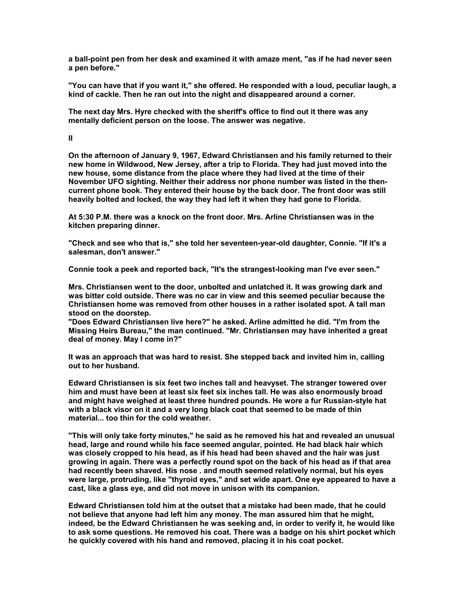**a ball-point pen from her desk and examined it with amaze ment, "as if he had never seen a pen before."** 

**"You can have that if you want it," she offered. He responded with a loud, peculiar laugh, a kind of cackle. Then he ran out into the night and disappeared around a corner.** 

**The next day Mrs. Hyre checked with the sheriff's office to find out it there was any mentally deficient person on the loose. The answer was negative.** 

**II** 

**On the afternoon of January 9, 1967, Edward Christiansen and his family returned to their new home in Wildwood, New Jersey, after a trip to Florida. They had just moved into the new house, some distance from the place where they had lived at the time of their November UFO sighting. Neither their address nor phone number was listed in the thencurrent phone book. They entered their house by the back door. The front door was still heavily bolted and locked, the way they had left it when they had gone to Florida.** 

**At 5:30 P.M. there was a knock on the front door. Mrs. Arline Christiansen was in the kitchen preparing dinner.** 

**"Check and see who that is," she told her seventeen-year-old daughter, Connie. "If it's a salesman, don't answer."** 

**Connie took a peek and reported back, "It's the strangest-looking man I've ever seen."** 

**Mrs. Christiansen went to the door, unbolted and unlatched it. It was growing dark and was bitter cold outside. There was no car in view and this seemed peculiar because the Christiansen home was removed from other houses in a rather isolated spot. A tall man stood on the doorstep.** 

**"Does Edward Christiansen live here?" he asked. Arline admitted he did. "I'm from the Missing Heirs Bureau," the man continued. "Mr. Christiansen may have inherited a great deal of money. May I come in?"** 

**It was an approach that was hard to resist. She stepped back and invited him in, calling out to her husband.** 

**Edward Christiansen is six feet two inches tall and heavyset. The stranger towered over him and must have been at least six feet six inches tall. He was also enormously broad and might have weighed at least three hundred pounds. He wore a fur Russian-style hat with a black visor on it and a very long black coat that seemed to be made of thin material... too thin for the cold weather.** 

**"This will only take forty minutes," he said as he removed his hat and revealed an unusual head, large and round while his face seemed angular, pointed. He had black hair which was closely cropped to his head, as if his head had been shaved and the hair was just growing in again. There was a perfectly round spot on the back of his head as if that area had recently been shaved. His nose . and mouth seemed relatively normal, but his eyes were large, protruding, like "thyroid eyes," and set wide apart. One eye appeared to have a cast, like a glass eye, and did not move in unison with its companion.** 

**Edward Christiansen told him at the outset that a mistake had been made, that he could not believe that anyone had left him any money. The man assured him that he might, indeed, be the Edward Christiansen he was seeking and, in order to verify it, he would like to ask some questions. He removed his coat. There was a badge on his shirt pocket which he quickly covered with his hand and removed, placing it in his coat pocket.**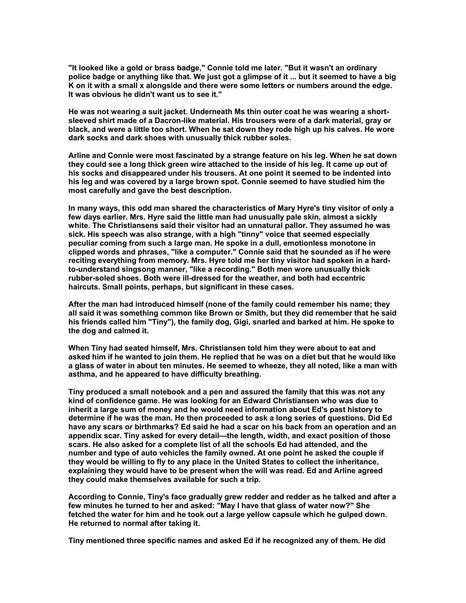**"It looked like a gold or brass badge," Connie told me later. "But it wasn't an ordinary police badge or anything like that. We just got a glimpse of it ... but it seemed to have a big K on it with a small x alongside and there were some letters or numbers around the edge. It was obvious he didn't want us to see it."** 

**He was not wearing a suit jacket. Underneath Ms thin outer coat he was wearing a shortsleeved shirt made of a Dacron-like material. His trousers were of a dark material, gray or black, and were a little too short. When he sat down they rode high up his calves. He wore dark socks and dark shoes with unusually thick rubber soles.** 

**Arline and Connie were most fascinated by a strange feature on his leg. When he sat down they could see a long thick green wire attached to the inside of his leg. It came up out of his socks and disappeared under his trousers. At one point it seemed to be indented into his leg and was covered by a large brown spot. Connie seemed to have studied him the most carefully and gave the best description.** 

**In many ways, this odd man shared the characteristics of Mary Hyre's tiny visitor of only a few days earlier. Mrs. Hyre said the little man had unusually pale skin, almost a sickly white. The Christiansens said their visitor had an unnatural pallor. They assumed he was sick. His speech was also strange, with a high "tinny" voice that seemed especially peculiar coming from such a large man. He spoke in a dull, emotionless monotone in clipped words and phrases, "like a computer." Connie said that he sounded as if he were reciting everything from memory. Mrs. Hyre told me her tiny visitor had spoken in a hardto-understand singsong manner, "like a recording." Both men wore unusually thick rubber-soled shoes. Both were ill-dressed for the weather, and both had eccentric haircuts. Small points, perhaps, but significant in these cases.** 

**After the man had introduced himself (none of the family could remember his name; they all said it was something common like Brown or Smith, but they did remember that he said his friends called him "Tiny"), the family dog, Gigi, snarled and barked at him. He spoke to the dog and calmed it.** 

**When Tiny had seated himself, Mrs. Christiansen told him they were about to eat and asked him if he wanted to join them. He replied that he was on a diet but that he would like a glass of water in about ten minutes. He seemed to wheeze, they all noted, like a man with asthma, and he appeared to have difficulty breathing.** 

**Tiny produced a small notebook and a pen and assured the family that this was not any kind of confidence game. He was looking for an Edward Christiansen who was due to inherit a large sum of money and he would need information about Ed's past history to determine if he was the man. He then proceeded to ask a long series of questions. Did Ed have any scars or birthmarks? Ed said he had a scar on his back from an operation and an appendix scar. Tiny asked for every detail—the length, width, and exact position of those scars. He also asked for a complete list of all the schools Ed had attended, and the number and type of auto vehicles the family owned. At one point he asked the couple if they would be willing to fly to any place in the United States to collect the inheritance, explaining they would have to be present when the will was read. Ed and Arline agreed they could make themselves available for such a trip.** 

**According to Connie, Tiny's face gradually grew redder and redder as he talked and after a few minutes he turned to her and asked: "May I have that glass of water now?" She fetched the water for him and he took out a large yellow capsule which he gulped down. He returned to normal after taking it.** 

**Tiny mentioned three specific names and asked Ed if he recognized any of them. He did**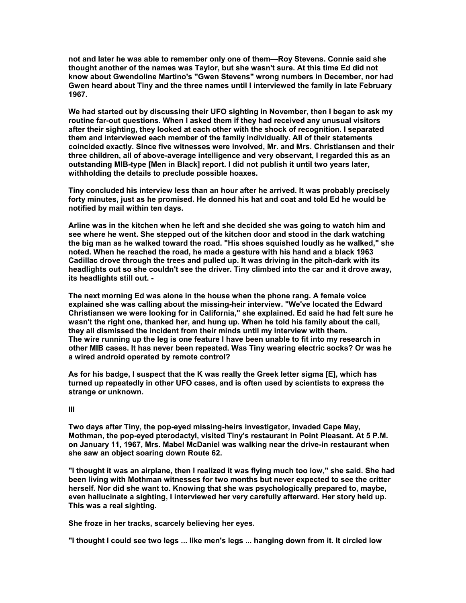**not and later he was able to remember only one of them—Roy Stevens. Connie said she thought another of the names was Taylor, but she wasn't sure. At this time Ed did not know about Gwendoline Martino's "Gwen Stevens" wrong numbers in December, nor had Gwen heard about Tiny and the three names until I interviewed the family in late February 1967.** 

**We had started out by discussing their UFO sighting in November, then I began to ask my routine far-out questions. When I asked them if they had received any unusual visitors after their sighting, they looked at each other with the shock of recognition. I separated them and interviewed each member of the family individually. All of their statements coincided exactly. Since five witnesses were involved, Mr. and Mrs. Christiansen and their three children, all of above-average intelligence and very observant, I regarded this as an outstanding MIB-type [Men in Black] report. I did not publish it until two years later, withholding the details to preclude possible hoaxes.** 

**Tiny concluded his interview less than an hour after he arrived. It was probably precisely forty minutes, just as he promised. He donned his hat and coat and told Ed he would be notified by mail within ten days.** 

**Arline was in the kitchen when he left and she decided she was going to watch him and see where he went. She stepped out of the kitchen door and stood in the dark watching the big man as he walked toward the road. "His shoes squished loudly as he walked," she noted. When he reached the road, he made a gesture with his hand and a black 1963 Cadillac drove through the trees and pulled up. It was driving in the pitch-dark with its headlights out so she couldn't see the driver. Tiny climbed into the car and it drove away, its headlights still out. -** 

**The next morning Ed was alone in the house when the phone rang. A female voice explained she was calling about the missing-heir interview. "We've located the Edward Christiansen we were looking for in California," she explained. Ed said he had felt sure he wasn't the right one, thanked her, and hung up. When he told his family about the call, they all dismissed the incident from their minds until my interview with them. The wire running up the leg is one feature I have been unable to fit into my research in other MIB cases. It has never been repeated. Was Tiny wearing electric socks? Or was he a wired android operated by remote control?** 

**As for his badge, I suspect that the K was really the Greek letter sigma [E], which has turned up repeatedly in other UFO cases, and is often used by scientists to express the strange or unknown.** 

#### **III**

**Two days after Tiny, the pop-eyed missing-heirs investigator, invaded Cape May, Mothman, the pop-eyed pterodactyl, visited Tiny's restaurant in Point Pleasant. At 5 P.M. on January 11, 1967, Mrs. Mabel McDaniel was walking near the drive-in restaurant when she saw an object soaring down Route 62.** 

**"I thought it was an airplane, then I realized it was flying much too low," she said. She had been living with Mothman witnesses for two months but never expected to see the critter herself. Nor did she want to. Knowing that she was psychologically prepared to, maybe, even hallucinate a sighting, I interviewed her very carefully afterward. Her story held up. This was a real sighting.** 

**She froze in her tracks, scarcely believing her eyes.** 

**"I thought I could see two legs ... like men's legs ... hanging down from it. It circled low**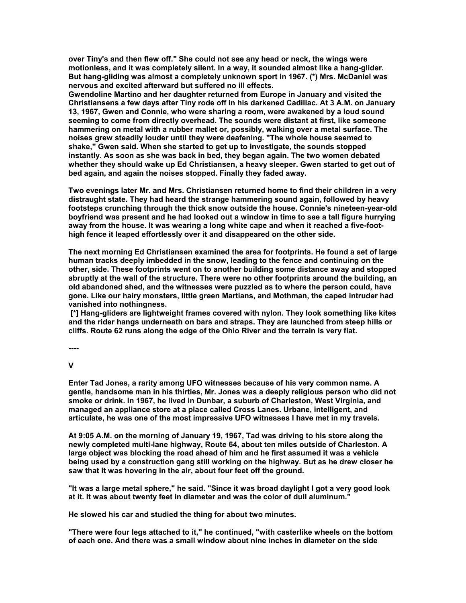**over Tiny's and then flew off." She could not see any head or neck, the wings were motionless, and it was completely silent. In a way, it sounded almost like a hang-glider. But hang-gliding was almost a completely unknown sport in 1967. (\*) Mrs. McDaniel was nervous and excited afterward but suffered no ill effects.** 

**Gwendoline Martino and her daughter returned from Europe in January and visited the Christiansens a few days after Tiny rode off in his darkened Cadillac. At 3 A.M. on January 13, 1967, Gwen and Connie, who were sharing a room, were awakened by a loud sound seeming to come from directly overhead. The sounds were distant at first, like someone hammering on metal with a rubber mallet or, possibly, walking over a metal surface. The noises grew steadily louder until they were deafening. "The whole house seemed to shake," Gwen said. When she started to get up to investigate, the sounds stopped instantly. As soon as she was back in bed, they began again. The two women debated whether they should wake up Ed Christiansen, a heavy sleeper. Gwen started to get out of bed again, and again the noises stopped. Finally they faded away.** 

**Two evenings later Mr. and Mrs. Christiansen returned home to find their children in a very distraught state. They had heard the strange hammering sound again, followed by heavy footsteps crunching through the thick snow outside the house. Connie's nineteen-year-old boyfriend was present and he had looked out a window in time to see a tall figure hurrying away from the house. It was wearing a long white cape and when it reached a five-foothigh fence it leaped effortlessly over it and disappeared on the other side.** 

**The next morning Ed Christiansen examined the area for footprints. He found a set of large human tracks deeply imbedded in the snow, leading to the fence and continuing on the other, side. These footprints went on to another building some distance away and stopped abruptly at the wall of the structure. There were no other footprints around the building, an old abandoned shed, and the witnesses were puzzled as to where the person could, have gone. Like our hairy monsters, little green Martians, and Mothman, the caped intruder had vanished into nothingness.** 

 **[\*] Hang-gliders are lightweight frames covered with nylon. They look something like kites and the rider hangs underneath on bars and straps. They are launched from steep hills or cliffs. Route 62 runs along the edge of the Ohio River and the terrain is very flat.** 

**----** 

**V** 

**Enter Tad Jones, a rarity among UFO witnesses because of his very common name. A gentle, handsome man in his thirties, Mr. Jones was a deeply religious person who did not smoke or drink. In 1967, he lived in Dunbar, a suburb of Charleston, West Virginia, and managed an appliance store at a place called Cross Lanes. Urbane, intelligent, and articulate, he was one of the most impressive UFO witnesses I have met in my travels.** 

**At 9:05 A.M. on the morning of January 19, 1967, Tad was driving to his store along the newly completed multi-lane highway, Route 64, about ten miles outside of Charleston. A large object was blocking the road ahead of him and he first assumed it was a vehicle being used by a construction gang still working on the highway. But as he drew closer he saw that it was hovering in the air, about four feet off the ground.** 

**"It was a large metal sphere," he said. "Since it was broad daylight I got a very good look at it. It was about twenty feet in diameter and was the color of dull aluminum."** 

**He slowed his car and studied the thing for about two minutes.** 

**"There were four legs attached to it," he continued, "with casterlike wheels on the bottom of each one. And there was a small window about nine inches in diameter on the side**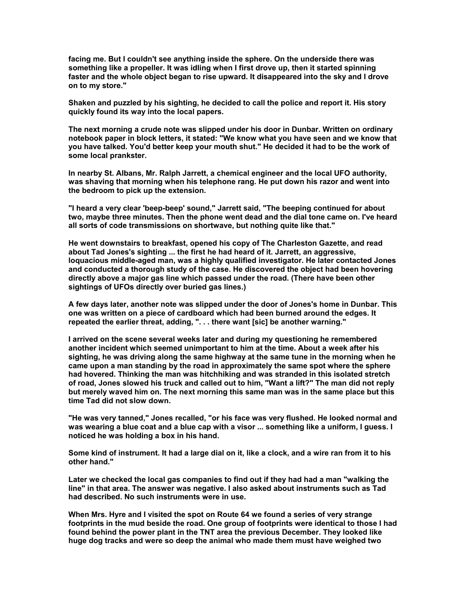**facing me. But I couldn't see anything inside the sphere. On the underside there was something like a propeller. It was idling when I first drove up, then it started spinning faster and the whole object began to rise upward. It disappeared into the sky and I drove on to my store."** 

**Shaken and puzzled by his sighting, he decided to call the police and report it. His story quickly found its way into the local papers.** 

**The next morning a crude note was slipped under his door in Dunbar. Written on ordinary notebook paper in block letters, it stated: "We know what you have seen and we know that you have talked. You'd better keep your mouth shut." He decided it had to be the work of some local prankster.** 

**In nearby St. Albans, Mr. Ralph Jarrett, a chemical engineer and the local UFO authority, was shaving that morning when his telephone rang. He put down his razor and went into the bedroom to pick up the extension.** 

**"I heard a very clear 'beep-beep' sound," Jarrett said, "The beeping continued for about two, maybe three minutes. Then the phone went dead and the dial tone came on. I've heard all sorts of code transmissions on shortwave, but nothing quite like that."** 

**He went downstairs to breakfast, opened his copy of The Charleston Gazette, and read about Tad Jones's sighting ... the first he had heard of it. Jarrett, an aggressive, loquacious middle-aged man, was a highly qualified investigator. He later contacted Jones and conducted a thorough study of the case. He discovered the object had been hovering directly above a major gas line which passed under the road. (There have been other sightings of UFOs directly over buried gas lines.)** 

**A few days later, another note was slipped under the door of Jones's home in Dunbar. This one was written on a piece of cardboard which had been burned around the edges. It repeated the earlier threat, adding, ". . . there want [sic] be another warning."** 

**I arrived on the scene several weeks later and during my questioning he remembered another incident which seemed unimportant to him at the time. About a week after his sighting, he was driving along the same highway at the same tune in the morning when he came upon a man standing by the road in approximately the same spot where the sphere had hovered. Thinking the man was hitchhiking and was stranded in this isolated stretch of road, Jones slowed his truck and called out to him, "Want a lift?" The man did not reply but merely waved him on. The next morning this same man was in the same place but this time Tad did not slow down.** 

**"He was very tanned," Jones recalled, "or his face was very flushed. He looked normal and was wearing a blue coat and a blue cap with a visor ... something like a uniform, I guess. I noticed he was holding a box in his hand.** 

**Some kind of instrument. It had a large dial on it, like a clock, and a wire ran from it to his other hand."** 

**Later we checked the local gas companies to find out if they had had a man "walking the line" in that area. The answer was negative. I also asked about instruments such as Tad had described. No such instruments were in use.** 

**When Mrs. Hyre and I visited the spot on Route 64 we found a series of very strange footprints in the mud beside the road. One group of footprints were identical to those I had found behind the power plant in the TNT area the previous December. They looked like huge dog tracks and were so deep the animal who made them must have weighed two**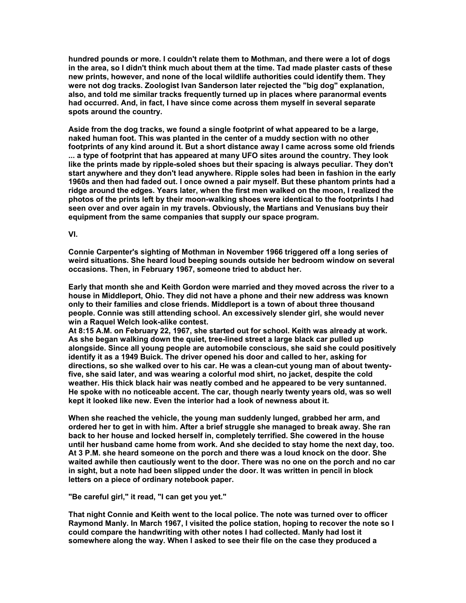**hundred pounds or more. I couldn't relate them to Mothman, and there were a lot of dogs in the area, so I didn't think much about them at the time. Tad made plaster casts of these new prints, however, and none of the local wildlife authorities could identify them. They were not dog tracks. Zoologist Ivan Sanderson later rejected the "big dog" explanation, also, and told me similar tracks frequently turned up in places where paranormal events had occurred. And, in fact, I have since come across them myself in several separate spots around the country.** 

**Aside from the dog tracks, we found a single footprint of what appeared to be a large, naked human foot. This was planted in the center of a muddy section with no other footprints of any kind around it. But a short distance away I came across some old friends ... a type of footprint that has appeared at many UFO sites around the country. They look like the prints made by ripple-soled shoes but their spacing is always peculiar. They don't start anywhere and they don't lead anywhere. Ripple soles had been in fashion in the early 1960s and then had faded out. I once owned a pair myself. But these phantom prints had a ridge around the edges. Years later, when the first men walked on the moon, I realized the photos of the prints left by their moon-walking shoes were identical to the footprints I had seen over and over again in my travels. Obviously, the Martians and Venusians buy their equipment from the same companies that supply our space program.** 

## **VI.**

**Connie Carpenter's sighting of Mothman in November 1966 triggered off a long series of weird situations. She heard loud beeping sounds outside her bedroom window on several occasions. Then, in February 1967, someone tried to abduct her.** 

**Early that month she and Keith Gordon were married and they moved across the river to a house in Middleport, Ohio. They did not have a phone and their new address was known only to their families and close friends. Middleport is a town of about three thousand people. Connie was still attending school. An excessively slender girl, she would never win a Raquel Welch look-alike contest.** 

**At 8:15 A.M. on February 22, 1967, she started out for school. Keith was already at work. As she began walking down the quiet, tree-lined street a large black car pulled up alongside. Since all young people are automobile conscious, she said she could positively identify it as a 1949 Buick. The driver opened his door and called to her, asking for directions, so she walked over to his car. He was a clean-cut young man of about twentyfive, she said later, and was wearing a colorful mod shirt, no jacket, despite the cold weather. His thick black hair was neatly combed and he appeared to be very suntanned. He spoke with no noticeable accent. The car, though nearly twenty years old, was so well kept it looked like new. Even the interior had a look of newness about it.** 

**When she reached the vehicle, the young man suddenly lunged, grabbed her arm, and ordered her to get in with him. After a brief struggle she managed to break away. She ran back to her house and locked herself in, completely terrified. She cowered in the house until her husband came home from work. And she decided to stay home the next day, too. At 3 P.M. she heard someone on the porch and there was a loud knock on the door. She waited awhile then cautiously went to the door. There was no one on the porch and no car in sight, but a note had been slipped under the door. It was written in pencil in block letters on a piece of ordinary notebook paper.** 

**"Be careful girl," it read, "I can get you yet."** 

**That night Connie and Keith went to the local police. The note was turned over to officer Raymond Manly. In March 1967, I visited the police station, hoping to recover the note so I could compare the handwriting with other notes I had collected. Manly had lost it somewhere along the way. When I asked to see their file on the case they produced a**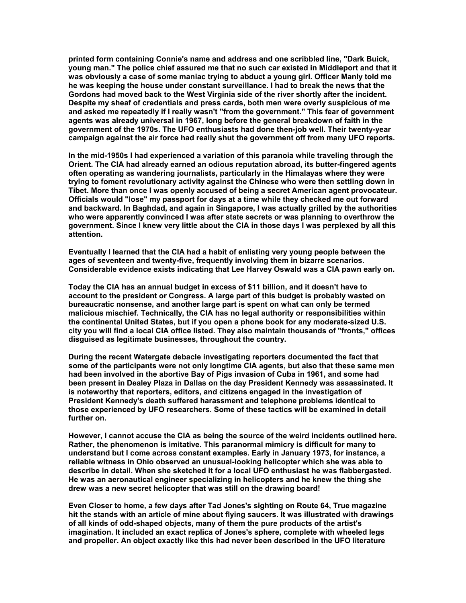**printed form containing Connie's name and address and one scribbled line, "Dark Buick, young man." The police chief assured me that no such car existed in Middleport and that it was obviously a case of some maniac trying to abduct a young girl. Officer Manly told me he was keeping the house under constant surveillance. I had to break the news that the Gordons had moved back to the West Virginia side of the river shortly after the incident. Despite my sheaf of credentials and press cards, both men were overly suspicious of me and asked me repeatedly if I really wasn't "from the government." This fear of government agents was already universal in 1967, long before the general breakdown of faith in the government of the 1970s. The UFO enthusiasts had done then-job well. Their twenty-year campaign against the air force had really shut the government off from many UFO reports.** 

**In the mid-1950s I had experienced a variation of this paranoia while traveling through the Orient. The CIA had already earned an odious reputation abroad, its butter-fingered agents often operating as wandering journalists, particularly in the Himalayas where they were trying to foment revolutionary activity against the Chinese who were then settling down in Tibet. More than once I was openly accused of being a secret American agent provocateur. Officials would "lose" my passport for days at a time while they checked me out forward and backward. In Baghdad, and again in Singapore, I was actually grilled by the authorities who were apparently convinced I was after state secrets or was planning to overthrow the government. Since I knew very little about the CIA in those days I was perplexed by all this attention.** 

**Eventually I learned that the CIA had a habit of enlisting very young people between the ages of seventeen and twenty-five, frequently involving them in bizarre scenarios. Considerable evidence exists indicating that Lee Harvey Oswald was a CIA pawn early on.** 

**Today the CIA has an annual budget in excess of \$11 billion, and it doesn't have to account to the president or Congress. A large part of this budget is probably wasted on bureaucratic nonsense, and another large part is spent on what can only be termed malicious mischief. Technically, the CIA has no legal authority or responsibilities within the continental United States, but if you open a phone book for any moderate-sized U.S. city you will find a local CIA office listed. They also maintain thousands of "fronts," offices disguised as legitimate businesses, throughout the country.** 

**During the recent Watergate debacle investigating reporters documented the fact that some of the participants were not only longtime CIA agents, but also that these same men had been involved in the abortive Bay of Pigs invasion of Cuba in 1961, and some had been present in Dealey Plaza in Dallas on the day President Kennedy was assassinated. It is noteworthy that reporters, editors, and citizens engaged in the investigation of President Kennedy's death suffered harassment and telephone problems identical to those experienced by UFO researchers. Some of these tactics will be examined in detail further on.** 

**However, I cannot accuse the CIA as being the source of the weird incidents outlined here. Rather, the phenomenon is imitative. This paranormal mimicry is difficult for many to understand but I come across constant examples. Early in January 1973, for instance, a reliable witness in Ohio observed an unusual-looking helicopter which she was able to describe in detail. When she sketched it for a local UFO enthusiast he was flabbergasted. He was an aeronautical engineer specializing in helicopters and he knew the thing she drew was a new secret helicopter that was still on the drawing board!** 

**Even Closer to home, a few days after Tad Jones's sighting on Route 64, True magazine hit the stands with an article of mine about flying saucers. It was illustrated with drawings of all kinds of odd-shaped objects, many of them the pure products of the artist's imagination. It included an exact replica of Jones's sphere, complete with wheeled legs and propeller. An object exactly like this had never been described in the UFO literature**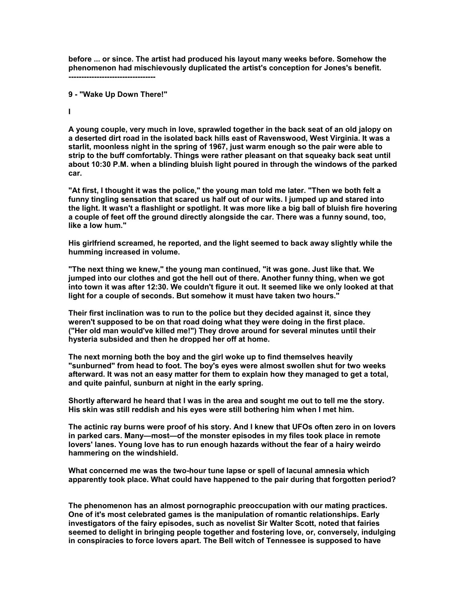**before ... or since. The artist had produced his layout many weeks before. Somehow the phenomenon had mischievously duplicated the artist's conception for Jones's benefit. ----------------------------------** 

**9 - "Wake Up Down There!"** 

**I** 

**A young couple, very much in love, sprawled together in the back seat of an old jalopy on a deserted dirt road in the isolated back hills east of Ravenswood, West Virginia. It was a starlit, moonless night in the spring of 1967, just warm enough so the pair were able to strip to the buff comfortably. Things were rather pleasant on that squeaky back seat until about 10:30 P.M. when a blinding bluish light poured in through the windows of the parked car.** 

**"At first, I thought it was the police," the young man told me later. "Then we both felt a funny tingling sensation that scared us half out of our wits. I jumped up and stared into the light. It wasn't a flashlight or spotlight. It was more like a big ball of bluish fire hovering a couple of feet off the ground directly alongside the car. There was a funny sound, too, like a low hum."** 

**His girlfriend screamed, he reported, and the light seemed to back away slightly while the humming increased in volume.** 

**"The next thing we knew," the young man continued, "it was gone. Just like that. We jumped into our clothes and got the hell out of there. Another funny thing, when we got into town it was after 12:30. We couldn't figure it out. It seemed like we only looked at that light for a couple of seconds. But somehow it must have taken two hours."** 

**Their first inclination was to run to the police but they decided against it, since they weren't supposed to be on that road doing what they were doing in the first place. ("Her old man would've killed me!") They drove around for several minutes until their hysteria subsided and then he dropped her off at home.** 

**The next morning both the boy and the girl woke up to find themselves heavily "sunburned" from head to foot. The boy's eyes were almost swollen shut for two weeks afterward. It was not an easy matter for them to explain how they managed to get a total, and quite painful, sunburn at night in the early spring.** 

**Shortly afterward he heard that I was in the area and sought me out to tell me the story. His skin was still reddish and his eyes were still bothering him when I met him.** 

**The actinic ray burns were proof of his story. And I knew that UFOs often zero in on lovers in parked cars. Many—most—of the monster episodes in my files took place in remote lovers' lanes. Young love has to run enough hazards without the fear of a hairy weirdo hammering on the windshield.** 

**What concerned me was the two-hour tune lapse or spell of lacunal amnesia which apparently took place. What could have happened to the pair during that forgotten period?** 

**The phenomenon has an almost pornographic preoccupation with our mating practices. One of it's most celebrated games is the manipulation of romantic relationships. Early investigators of the fairy episodes, such as novelist Sir Walter Scott, noted that fairies seemed to delight in bringing people together and fostering love, or, conversely, indulging in conspiracies to force lovers apart. The Bell witch of Tennessee is supposed to have**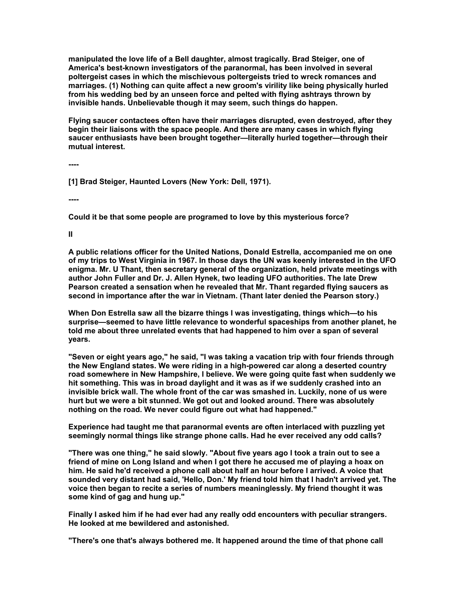**manipulated the love life of a Bell daughter, almost tragically. Brad Steiger, one of America's best-known investigators of the paranormal, has been involved in several poltergeist cases in which the mischievous poltergeists tried to wreck romances and marriages. (1) Nothing can quite affect a new groom's virility like being physically hurled from his wedding bed by an unseen force and pelted with flying ashtrays thrown by invisible hands. Unbelievable though it may seem, such things do happen.** 

**Flying saucer contactees often have their marriages disrupted, even destroyed, after they begin their liaisons with the space people. And there are many cases in which flying saucer enthusiasts have been brought together—literally hurled together—through their mutual interest.** 

**----** 

**[1] Brad Steiger, Haunted Lovers (New York: Dell, 1971).** 

**----** 

**Could it be that some people are programed to love by this mysterious force?** 

**II** 

**A public relations officer for the United Nations, Donald Estrella, accompanied me on one of my trips to West Virginia in 1967. In those days the UN was keenly interested in the UFO enigma. Mr. U Thant, then secretary general of the organization, held private meetings with author John Fuller and Dr. J. Allen Hynek, two leading UFO authorities. The late Drew Pearson created a sensation when he revealed that Mr. Thant regarded flying saucers as second in importance after the war in Vietnam. (Thant later denied the Pearson story.)** 

**When Don Estrella saw all the bizarre things I was investigating, things which—to his surprise—seemed to have little relevance to wonderful spaceships from another planet, he told me about three unrelated events that had happened to him over a span of several years.** 

**"Seven or eight years ago," he said, "I was taking a vacation trip with four friends through the New England states. We were riding in a high-powered car along a deserted country road somewhere in New Hampshire, I believe. We were going quite fast when suddenly we hit something. This was in broad daylight and it was as if we suddenly crashed into an invisible brick wall. The whole front of the car was smashed in. Luckily, none of us were hurt but we were a bit stunned. We got out and looked around. There was absolutely nothing on the road. We never could figure out what had happened."** 

**Experience had taught me that paranormal events are often interlaced with puzzling yet seemingly normal things like strange phone calls. Had he ever received any odd calls?** 

**"There was one thing," he said slowly. "About five years ago I took a train out to see a friend of mine on Long Island and when I got there he accused me of playing a hoax on him. He said he'd received a phone call about half an hour before I arrived. A voice that sounded very distant had said, 'Hello, Don.' My friend told him that I hadn't arrived yet. The voice then began to recite a series of numbers meaninglessly. My friend thought it was some kind of gag and hung up."** 

**Finally I asked him if he had ever had any really odd encounters with peculiar strangers. He looked at me bewildered and astonished.** 

**"There's one that's always bothered me. It happened around the time of that phone call**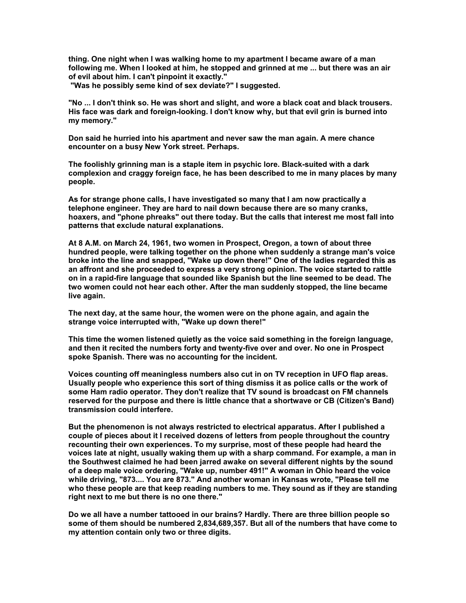**thing. One night when I was walking home to my apartment I became aware of a man following me. When I looked at him, he stopped and grinned at me ... but there was an air of evil about him. I can't pinpoint it exactly."** 

 **"Was he possibly seme kind of sex deviate?" I suggested.** 

**"No ... I don't think so. He was short and slight, and wore a black coat and black trousers. His face was dark and foreign-looking. I don't know why, but that evil grin is burned into my memory."** 

**Don said he hurried into his apartment and never saw the man again. A mere chance encounter on a busy New York street. Perhaps.** 

**The foolishly grinning man is a staple item in psychic lore. Black-suited with a dark complexion and craggy foreign face, he has been described to me in many places by many people.** 

**As for strange phone calls, I have investigated so many that I am now practically a telephone engineer. They are hard to nail down because there are so many cranks, hoaxers, and "phone phreaks" out there today. But the calls that interest me most fall into patterns that exclude natural explanations.** 

**At 8 A.M. on March 24, 1961, two women in Prospect, Oregon, a town of about three hundred people, were talking together on the phone when suddenly a strange man's voice broke into the line and snapped, "Wake up down there!" One of the ladies regarded this as an affront and she proceeded to express a very strong opinion. The voice started to rattle on in a rapid-fire language that sounded like Spanish but the line seemed to be dead. The two women could not hear each other. After the man suddenly stopped, the line became live again.** 

**The next day, at the same hour, the women were on the phone again, and again the strange voice interrupted with, "Wake up down there!"** 

**This time the women listened quietly as the voice said something in the foreign language, and then it recited the numbers forty and twenty-five over and over. No one in Prospect spoke Spanish. There was no accounting for the incident.** 

**Voices counting off meaningless numbers also cut in on TV reception in UFO flap areas. Usually people who experience this sort of thing dismiss it as police calls or the work of some Ham radio operator. They don't realize that TV sound is broadcast on FM channels reserved for the purpose and there is little chance that a shortwave or CB (Citizen's Band) transmission could interfere.** 

**But the phenomenon is not always restricted to electrical apparatus. After I published a couple of pieces about it I received dozens of letters from people throughout the country recounting their own experiences. To my surprise, most of these people had heard the voices late at night, usually waking them up with a sharp command. For example, a man in the Southwest claimed he had been jarred awake on several different nights by the sound of a deep male voice ordering, "Wake up, number 491!" A woman in Ohio heard the voice while driving, "873.... You are 873." And another woman in Kansas wrote, "Please tell me who these people are that keep reading numbers to me. They sound as if they are standing right next to me but there is no one there."** 

**Do we all have a number tattooed in our brains? Hardly. There are three billion people so some of them should be numbered 2,834,689,357. But all of the numbers that have come to my attention contain only two or three digits.**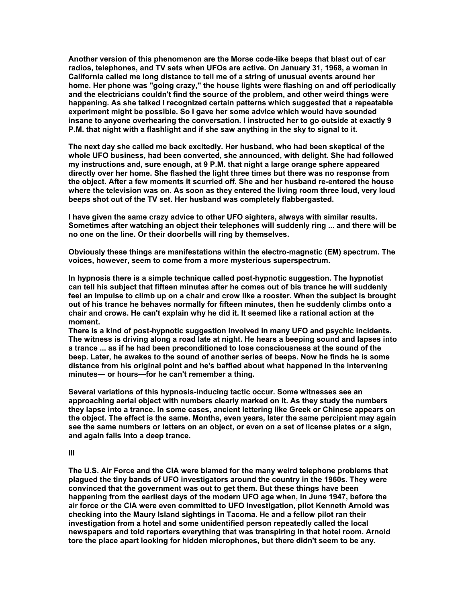**Another version of this phenomenon are the Morse code-like beeps that blast out of car radios, telephones, and TV sets when UFOs are active. On January 31, 1968, a woman in California called me long distance to tell me of a string of unusual events around her home. Her phone was "going crazy," the house lights were flashing on and off periodically and the electricians couldn't find the source of the problem, and other weird things were happening. As she talked I recognized certain patterns which suggested that a repeatable experiment might be possible. So I gave her some advice which would have sounded insane to anyone overhearing the conversation. I instructed her to go outside at exactly 9 P.M. that night with a flashlight and if she saw anything in the sky to signal to it.** 

**The next day she called me back excitedly. Her husband, who had been skeptical of the whole UFO business, had been converted, she announced, with delight. She had followed my instructions and, sure enough, at 9 P.M. that night a large orange sphere appeared directly over her home. She flashed the light three times but there was no response from the object. After a few moments it scurried off. She and her husband re-entered the house where the television was on. As soon as they entered the living room three loud, very loud beeps shot out of the TV set. Her husband was completely flabbergasted.** 

**I have given the same crazy advice to other UFO sighters, always with similar results. Sometimes after watching an object their telephones will suddenly ring ... and there will be no one on the line. Or their doorbells will ring by themselves.** 

**Obviously these things are manifestations within the electro-magnetic (EM) spectrum. The voices, however, seem to come from a more mysterious superspectrum.** 

**In hypnosis there is a simple technique called post-hypnotic suggestion. The hypnotist can tell his subject that fifteen minutes after he comes out of bis trance he will suddenly feel an impulse to climb up on a chair and crow like a rooster. When the subject is brought out of his trance he behaves normally for fifteen minutes, then he suddenly climbs onto a chair and crows. He can't explain why he did it. It seemed like a rational action at the moment.** 

**There is a kind of post-hypnotic suggestion involved in many UFO and psychic incidents. The witness is driving along a road late at night. He hears a beeping sound and lapses into a trance ... as if he had been preconditioned to lose consciousness at the sound of the beep. Later, he awakes to the sound of another series of beeps. Now he finds he is some distance from his original point and he's baffled about what happened in the intervening minutes— or hours—for he can't remember a thing.** 

**Several variations of this hypnosis-inducing tactic occur. Some witnesses see an approaching aerial object with numbers clearly marked on it. As they study the numbers they lapse into a trance. In some cases, ancient lettering like Greek or Chinese appears on the object. The effect is the same. Months, even years, later the same percipient may again see the same numbers or letters on an object, or even on a set of license plates or a sign, and again falls into a deep trance.** 

## **III**

**The U.S. Air Force and the CIA were blamed for the many weird telephone problems that plagued the tiny bands of UFO investigators around the country in the 1960s. They were convinced that the government was out to get them. But these things have been happening from the earliest days of the modern UFO age when, in June 1947, before the air force or the CIA were even committed to UFO investigation, pilot Kenneth Arnold was checking into the Maury Island sightings in Tacoma. He and a fellow pilot ran their investigation from a hotel and some unidentified person repeatedly called the local newspapers and told reporters everything that was transpiring in that hotel room. Arnold tore the place apart looking for hidden microphones, but there didn't seem to be any.**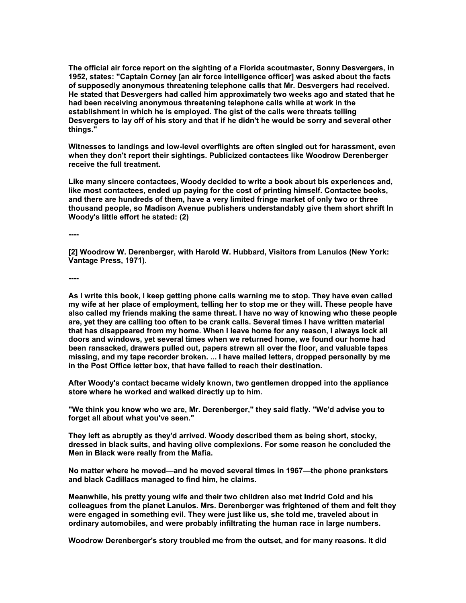**The official air force report on the sighting of a Florida scoutmaster, Sonny Desvergers, in 1952, states: "Captain Corney [an air force intelligence officer] was asked about the facts of supposedly anonymous threatening telephone calls that Mr. Desvergers had received. He stated that Desvergers had called him approximately two weeks ago and stated that he had been receiving anonymous threatening telephone calls while at work in the establishment in which he is employed. The gist of the calls were threats telling Desvergers to lay off of his story and that if he didn't he would be sorry and several other things."** 

**Witnesses to landings and low-level overflights are often singled out for harassment, even when they don't report their sightings. Publicized contactees like Woodrow Derenberger receive the full treatment.** 

**Like many sincere contactees, Woody decided to write a book about bis experiences and, like most contactees, ended up paying for the cost of printing himself. Contactee books, and there are hundreds of them, have a very limited fringe market of only two or three thousand people, so Madison Avenue publishers understandably give them short shrift In Woody's little effort he stated: (2)** 

**----** 

**[2] Woodrow W. Derenberger, with Harold W. Hubbard, Visitors from Lanulos (New York: Vantage Press, 1971).** 

**----** 

**As I write this book, I keep getting phone calls warning me to stop. They have even called my wife at her place of employment, telling her to stop me or they will. These people have also called my friends making the same threat. I have no way of knowing who these people are, yet they are calling too often to be crank calls. Several times I have written material that has disappeared from my home. When I leave home for any reason, I always lock all doors and windows, yet several times when we returned home, we found our home had been ransacked, drawers pulled out, papers strewn all over the floor, and valuable tapes missing, and my tape recorder broken. ... I have mailed letters, dropped personally by me in the Post Office letter box, that have failed to reach their destination.** 

**After Woody's contact became widely known, two gentlemen dropped into the appliance store where he worked and walked directly up to him.** 

**"We think you know who we are, Mr. Derenberger," they said flatly. "We'd advise you to forget all about what you've seen."** 

**They left as abruptly as they'd arrived. Woody described them as being short, stocky, dressed in black suits, and having olive complexions. For some reason he concluded the Men in Black were really from the Mafia.** 

**No matter where he moved—and he moved several times in 1967—the phone pranksters and black Cadillacs managed to find him, he claims.** 

**Meanwhile, his pretty young wife and their two children also met Indrid Cold and his colleagues from the planet Lanulos. Mrs. Derenberger was frightened of them and felt they were engaged in something evil. They were just like us, she told me, traveled about in ordinary automobiles, and were probably infiltrating the human race in large numbers.** 

**Woodrow Derenberger's story troubled me from the outset, and for many reasons. It did**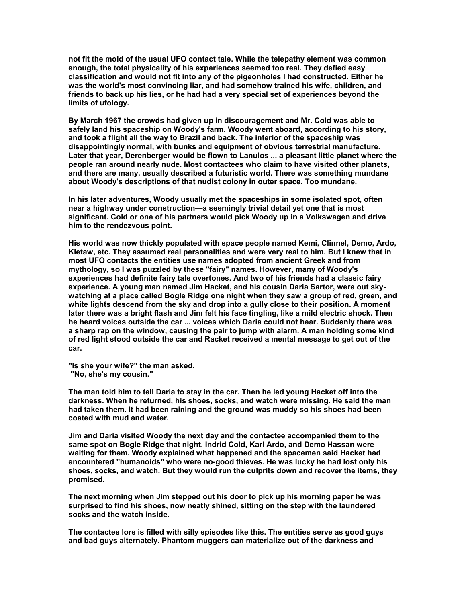**not fit the mold of the usual UFO contact tale. While the telepathy element was common enough, the total physicality of his experiences seemed too real. They defied easy classification and would not fit into any of the pigeonholes I had constructed. Either he was the world's most convincing liar, and had somehow trained his wife, children, and friends to back up his lies, or he had had a very special set of experiences beyond the limits of ufology.** 

**By March 1967 the crowds had given up in discouragement and Mr. Cold was able to safely land his spaceship on Woody's farm. Woody went aboard, according to his story, and took a flight all the way to Brazil and back. The interior of the spaceship was disappointingly normal, with bunks and equipment of obvious terrestrial manufacture. Later that year, Derenberger would be flown to Lanulos ... a pleasant little planet where the people ran around nearly nude. Most contactees who claim to have visited other planets, and there are many, usually described a futuristic world. There was something mundane about Woody's descriptions of that nudist colony in outer space. Too mundane.** 

**In his later adventures, Woody usually met the spaceships in some isolated spot, often near a highway under construction—a seemingly trivial detail yet one that is most significant. Cold or one of his partners would pick Woody up in a Volkswagen and drive him to the rendezvous point.** 

**His world was now thickly populated with space people named Kemi, Clinnel, Demo, Ardo, Kletaw, etc. They assumed real personalities and were very real to him. But I knew that in most UFO contacts the entities use names adopted from ancient Greek and from mythology, so I was puzzled by these "fairy" names. However, many of Woody's experiences had definite fairy tale overtones. And two of his friends had a classic fairy experience. A young man named Jim Hacket, and his cousin Daria Sartor, were out skywatching at a place called Bogle Ridge one night when they saw a group of red, green, and white lights descend from the sky and drop into a gully close to their position. A moment later there was a bright flash and Jim felt his face tingling, like a mild electric shock. Then he heard voices outside the car ... voices which Daria could not hear. Suddenly there was a sharp rap on the window, causing the pair to jump with alarm. A man holding some kind of red light stood outside the car and Racket received a mental message to get out of the car.** 

**"Is she your wife?" the man asked. "No, she's my cousin."** 

**The man told him to tell Daria to stay in the car. Then he led young Hacket off into the darkness. When he returned, his shoes, socks, and watch were missing. He said the man had taken them. It had been raining and the ground was muddy so his shoes had been coated with mud and water.** 

**Jim and Daria visited Woody the next day and the contactee accompanied them to the same spot on Bogle Ridge that night. Indrid Cold, Karl Ardo, and Demo Hassan were waiting for them. Woody explained what happened and the spacemen said Hacket had encountered "humanoids" who were no-good thieves. He was lucky he had lost only his shoes, socks, and watch. But they would run the culprits down and recover the items, they promised.** 

**The next morning when Jim stepped out his door to pick up his morning paper he was surprised to find his shoes, now neatly shined, sitting on the step with the laundered socks and the watch inside.** 

**The contactee lore is filled with silly episodes like this. The entities serve as good guys and bad guys alternately. Phantom muggers can materialize out of the darkness and**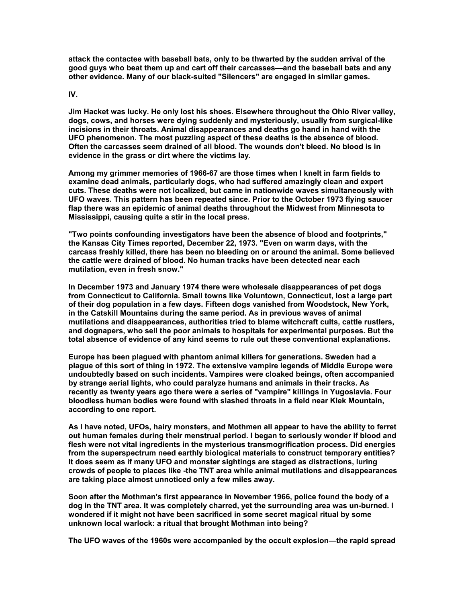**attack the contactee with baseball bats, only to be thwarted by the sudden arrival of the good guys who beat them up and cart off their carcasses—and the baseball bats and any other evidence. Many of our black-suited "Silencers" are engaged in similar games.** 

**IV.** 

**Jim Hacket was lucky. He only lost his shoes. Elsewhere throughout the Ohio River valley, dogs, cows, and horses were dying suddenly and mysteriously, usually from surgical-like incisions in their throats. Animal disappearances and deaths go hand in hand with the UFO phenomenon. The most puzzling aspect of these deaths is the absence of blood. Often the carcasses seem drained of all blood. The wounds don't bleed. No blood is in evidence in the grass or dirt where the victims lay.** 

**Among my grimmer memories of 1966-67 are those times when I knelt in farm fields to examine dead animals, particularly dogs, who had suffered amazingly clean and expert cuts. These deaths were not localized, but came in nationwide waves simultaneously with UFO waves. This pattern has been repeated since. Prior to the October 1973 flying saucer flap there was an epidemic of animal deaths throughout the Midwest from Minnesota to Mississippi, causing quite a stir in the local press.** 

**"Two points confounding investigators have been the absence of blood and footprints," the Kansas City Times reported, December 22, 1973. "Even on warm days, with the carcass freshly killed, there has been no bleeding on or around the animal. Some believed the cattle were drained of blood. No human tracks have been detected near each mutilation, even in fresh snow."** 

**In December 1973 and January 1974 there were wholesale disappearances of pet dogs from Connecticut to California. Small towns like Voluntown, Connecticut, lost a large part of their dog population in a few days. Fifteen dogs vanished from Woodstock, New York, in the Catskill Mountains during the same period. As in previous waves of animal mutilations and disappearances, authorities tried to blame witchcraft cults, cattle rustlers, and dognapers, who sell the poor animals to hospitals for experimental purposes. But the total absence of evidence of any kind seems to rule out these conventional explanations.** 

**Europe has been plagued with phantom animal killers for generations. Sweden had a plague of this sort of thing in 1972. The extensive vampire legends of Middle Europe were undoubtedly based on such incidents. Vampires were cloaked beings, often accompanied by strange aerial lights, who could paralyze humans and animals in their tracks. As recently as twenty years ago there were a series of "vampire" killings in Yugoslavia. Four bloodless human bodies were found with slashed throats in a field near Klek Mountain, according to one report.** 

**As I have noted, UFOs, hairy monsters, and Mothmen all appear to have the ability to ferret out human females during their menstrual period. I began to seriously wonder if blood and flesh were not vital ingredients in the mysterious transmogrification process. Did energies from the superspectrum need earthly biological materials to construct temporary entities? It does seem as if many UFO and monster sightings are staged as distractions, luring crowds of people to places like -the TNT area while animal mutilations and disappearances are taking place almost unnoticed only a few miles away.** 

**Soon after the Mothman's first appearance in November 1966, police found the body of a dog in the TNT area. It was completely charred, yet the surrounding area was un-burned. I wondered if it might not have been sacrificed in some secret magical ritual by some unknown local warlock: a ritual that brought Mothman into being?** 

**The UFO waves of the 1960s were accompanied by the occult explosion—the rapid spread**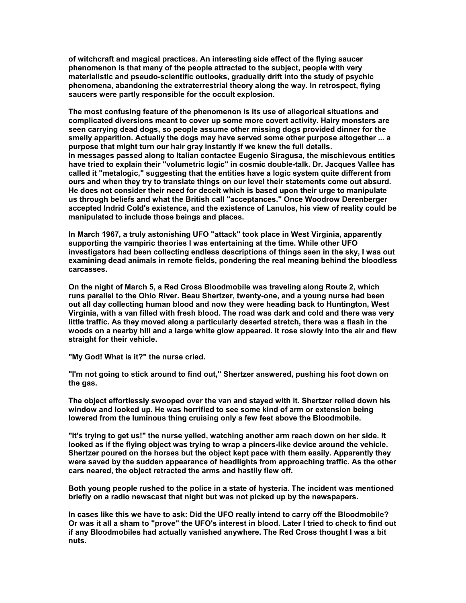**of witchcraft and magical practices. An interesting side effect of the flying saucer phenomenon is that many of the people attracted to the subject, people with very materialistic and pseudo-scientific outlooks, gradually drift into the study of psychic phenomena, abandoning the extraterrestrial theory along the way. In retrospect, flying saucers were partly responsible for the occult explosion.** 

**The most confusing feature of the phenomenon is its use of allegorical situations and complicated diversions meant to cover up some more covert activity. Hairy monsters are seen carrying dead dogs, so people assume other missing dogs provided dinner for the smelly apparition. Actually the dogs may have served some other purpose altogether ... a purpose that might turn our hair gray instantly if we knew the full details. In messages passed along to Italian contactee Eugenio Siragusa, the mischievous entities have tried to explain their "volumetric logic" in cosmic double-talk. Dr. Jacques Vallee has called it "metalogic," suggesting that the entities have a logic system quite different from ours and when they try to translate things on our level their statements come out absurd. He does not consider their need for deceit which is based upon their urge to manipulate us through beliefs and what the British call "acceptances." Once Woodrow Derenberger accepted Indrid Cold's existence, and the existence of Lanulos, his view of reality could be manipulated to include those beings and places.** 

**In March 1967, a truly astonishing UFO "attack" took place in West Virginia, apparently supporting the vampiric theories I was entertaining at the time. While other UFO investigators had been collecting endless descriptions of things seen in the sky, I was out examining dead animals in remote fields, pondering the real meaning behind the bloodless carcasses.** 

**On the night of March 5, a Red Cross Bloodmobile was traveling along Route 2, which runs parallel to the Ohio River. Beau Shertzer, twenty-one, and a young nurse had been out all day collecting human blood and now they were heading back to Huntington, West Virginia, with a van filled with fresh blood. The road was dark and cold and there was very little traffic. As they moved along a particularly deserted stretch, there was a flash in the woods on a nearby hill and a large white glow appeared. It rose slowly into the air and flew straight for their vehicle.** 

**"My God! What is it?" the nurse cried.** 

**"I'm not going to stick around to find out," Shertzer answered, pushing his foot down on the gas.** 

**The object effortlessly swooped over the van and stayed with it. Shertzer rolled down his window and looked up. He was horrified to see some kind of arm or extension being lowered from the luminous thing cruising only a few feet above the Bloodmobile.** 

**"It's trying to get us!" the nurse yelled, watching another arm reach down on her side. It looked as if the flying object was trying to wrap a pincers-like device around the vehicle. Shertzer poured on the horses but the object kept pace with them easily. Apparently they were saved by the sudden appearance of headlights from approaching traffic. As the other cars neared, the object retracted the arms and hastily flew off.** 

**Both young people rushed to the police in a state of hysteria. The incident was mentioned briefly on a radio newscast that night but was not picked up by the newspapers.** 

**In cases like this we have to ask: Did the UFO really intend to carry off the Bloodmobile? Or was it all a sham to "prove" the UFO's interest in blood. Later I tried to check to find out if any Bloodmobiles had actually vanished anywhere. The Red Cross thought I was a bit nuts.**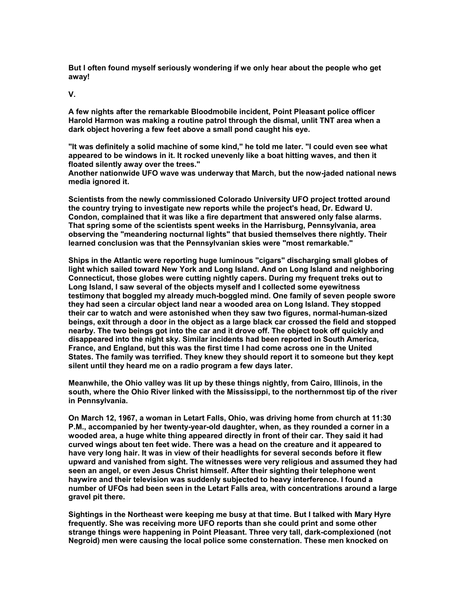**But I often found myself seriously wondering if we only hear about the people who get away!** 

**V.** 

**A few nights after the remarkable Bloodmobile incident, Point Pleasant police officer Harold Harmon was making a routine patrol through the dismal, unlit TNT area when a dark object hovering a few feet above a small pond caught his eye.** 

**"It was definitely a solid machine of some kind," he told me later. "I could even see what appeared to be windows in it. It rocked unevenly like a boat hitting waves, and then it floated silently away over the trees."** 

**Another nationwide UFO wave was underway that March, but the now-jaded national news media ignored it.** 

**Scientists from the newly commissioned Colorado University UFO project trotted around the country trying to investigate new reports while the project's head, Dr. Edward U. Condon, complained that it was like a fire department that answered only false alarms. That spring some of the scientists spent weeks in the Harrisburg, Pennsylvania, area observing the "meandering nocturnal lights" that busied themselves there nightly. Their learned conclusion was that the Pennsylvanian skies were "most remarkable."** 

**Ships in the Atlantic were reporting huge luminous "cigars" discharging small globes of light which sailed toward New York and Long Island. And on Long Island and neighboring Connecticut, those globes were cutting nightly capers. During my frequent treks out to Long Island, I saw several of the objects myself and I collected some eyewitness testimony that boggled my already much-boggled mind. One family of seven people swore they had seen a circular object land near a wooded area on Long Island. They stopped their car to watch and were astonished when they saw two figures, normal-human-sized beings, exit through a door in the object as a large black car crossed the field and stopped nearby. The two beings got into the car and it drove off. The object took off quickly and disappeared into the night sky. Similar incidents had been reported in South America, France, and England, but this was the first time I had come across one in the United States. The family was terrified. They knew they should report it to someone but they kept silent until they heard me on a radio program a few days later.** 

**Meanwhile, the Ohio valley was lit up by these things nightly, from Cairo, Illinois, in the south, where the Ohio River linked with the Mississippi, to the northernmost tip of the river in Pennsylvania.** 

**On March 12, 1967, a woman in Letart Falls, Ohio, was driving home from church at 11:30 P.M., accompanied by her twenty-year-old daughter, when, as they rounded a corner in a wooded area, a huge white thing appeared directly in front of their car. They said it had curved wings about ten feet wide. There was a head on the creature and it appeared to have very long hair. It was in view of their headlights for several seconds before it flew upward and vanished from sight. The witnesses were very religious and assumed they had seen an angel, or even Jesus Christ himself. After their sighting their telephone went haywire and their television was suddenly subjected to heavy interference. I found a number of UFOs had been seen in the Letart Falls area, with concentrations around a large gravel pit there.** 

**Sightings in the Northeast were keeping me busy at that time. But I talked with Mary Hyre frequently. She was receiving more UFO reports than she could print and some other strange things were happening in Point Pleasant. Three very tall, dark-complexioned (not Negroid) men were causing the local police some consternation. These men knocked on**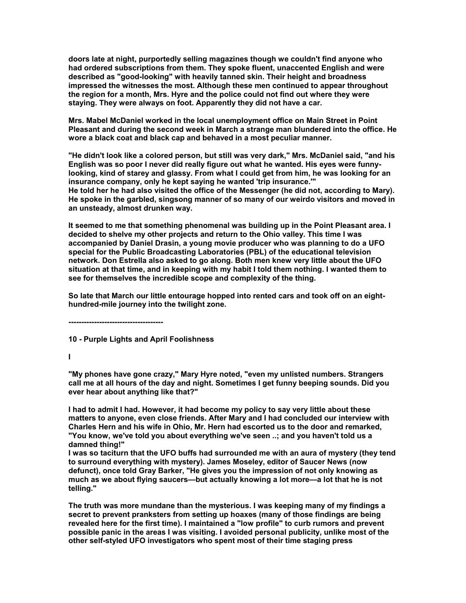**doors late at night, purportedly selling magazines though we couldn't find anyone who had ordered subscriptions from them. They spoke fluent, unaccented English and were described as "good-looking" with heavily tanned skin. Their height and broadness impressed the witnesses the most. Although these men continued to appear throughout the region for a month, Mrs. Hyre and the police could not find out where they were staying. They were always on foot. Apparently they did not have a car.** 

**Mrs. Mabel McDaniel worked in the local unemployment office on Main Street in Point Pleasant and during the second week in March a strange man blundered into the office. He wore a black coat and black cap and behaved in a most peculiar manner.** 

**"He didn't look like a colored person, but still was very dark," Mrs. McDaniel said, "and his English was so poor I never did really figure out what he wanted. His eyes were funnylooking, kind of starey and glassy. From what I could get from him, he was looking for an insurance company, only he kept saying he wanted 'trip insurance.'" He told her he had also visited the office of the Messenger (he did not, according to Mary). He spoke in the garbled, singsong manner of so many of our weirdo visitors and moved in an unsteady, almost drunken way.** 

**It seemed to me that something phenomenal was building up in the Point Pleasant area. I decided to shelve my other projects and return to the Ohio valley. This time I was accompanied by Daniel Drasin, a young movie producer who was planning to do a UFO special for the Public Broadcasting Laboratories (PBL) of the educational television network. Don Estrella also asked to go along. Both men knew very little about the UFO situation at that time, and in keeping with my habit I told them nothing. I wanted them to see for themselves the incredible scope and complexity of the thing.** 

**So late that March our little entourage hopped into rented cars and took off on an eighthundred-mile journey into the twilight zone.** 

**-------------------------------------** 

**10 - Purple Lights and April Foolishness** 

**I** 

**"My phones have gone crazy," Mary Hyre noted, "even my unlisted numbers. Strangers call me at all hours of the day and night. Sometimes I get funny beeping sounds. Did you ever hear about anything like that?"** 

**I had to admit I had. However, it had become my policy to say very little about these matters to anyone, even close friends. After Mary and I had concluded our interview with Charles Hern and his wife in Ohio, Mr. Hern had escorted us to the door and remarked, "You know, we've told you about everything we've seen ..; and you haven't told us a damned thing!"** 

**I was so taciturn that the UFO buffs had surrounded me with an aura of mystery (they tend to surround everything with mystery). James Moseley, editor of Saucer News (now defunct), once told Gray Barker, "He gives you the impression of not only knowing as much as we about flying saucers—but actually knowing a lot more—a lot that he is not telling."** 

**The truth was more mundane than the mysterious. I was keeping many of my findings a secret to prevent pranksters from setting up hoaxes (many of those findings are being revealed here for the first time). I maintained a "low profile" to curb rumors and prevent possible panic in the areas I was visiting. I avoided personal publicity, unlike most of the other self-styled UFO investigators who spent most of their time staging press**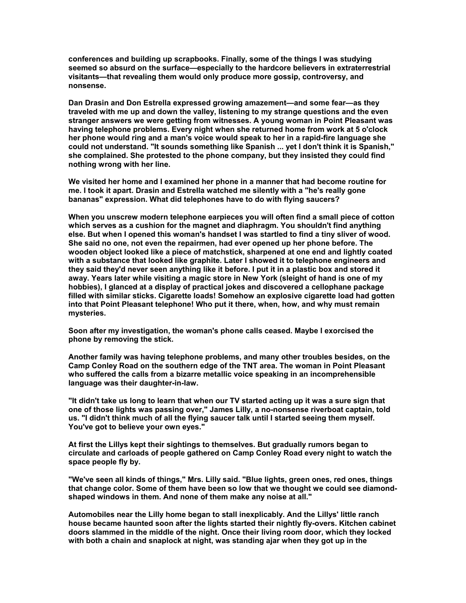**conferences and building up scrapbooks. Finally, some of the things I was studying seemed so absurd on the surface—especially to the hardcore believers in extraterrestrial visitants—that revealing them would only produce more gossip, controversy, and nonsense.** 

**Dan Drasin and Don Estrella expressed growing amazement—and some fear—as they traveled with me up and down the valley, listening to my strange questions and the even stranger answers we were getting from witnesses. A young woman in Point Pleasant was having telephone problems. Every night when she returned home from work at 5 o'clock her phone would ring and a man's voice would speak to her in a rapid-fire language she could not understand. "It sounds something like Spanish ... yet I don't think it is Spanish," she complained. She protested to the phone company, but they insisted they could find nothing wrong with her line.** 

**We visited her home and I examined her phone in a manner that had become routine for me. I took it apart. Drasin and Estrella watched me silently with a "he's really gone bananas" expression. What did telephones have to do with flying saucers?** 

**When you unscrew modern telephone earpieces you will often find a small piece of cotton which serves as a cushion for the magnet and diaphragm. You shouldn't find anything else. But when I opened this woman's handset I was startled to find a tiny sliver of wood. She said no one, not even the repairmen, had ever opened up her phone before. The wooden object looked like a piece of matchstick, sharpened at one end and lightly coated with a substance that looked like graphite. Later I showed it to telephone engineers and they said they'd never seen anything like it before. I put it in a plastic box and stored it away. Years later while visiting a magic store in New York (sleight of hand is one of my hobbies), I glanced at a display of practical jokes and discovered a cellophane package filled with similar sticks. Cigarette loads! Somehow an explosive cigarette load had gotten into that Point Pleasant telephone! Who put it there, when, how, and why must remain mysteries.** 

**Soon after my investigation, the woman's phone calls ceased. Maybe I exorcised the phone by removing the stick.** 

**Another family was having telephone problems, and many other troubles besides, on the Camp Conley Road on the southern edge of the TNT area. The woman in Point Pleasant who suffered the calls from a bizarre metallic voice speaking in an incomprehensible language was their daughter-in-law.** 

**"It didn't take us long to learn that when our TV started acting up it was a sure sign that one of those lights was passing over," James Lilly, a no-nonsense riverboat captain, told us. "I didn't think much of all the flying saucer talk until I started seeing them myself. You've got to believe your own eyes."** 

**At first the Lillys kept their sightings to themselves. But gradually rumors began to circulate and carloads of people gathered on Camp Conley Road every night to watch the space people fly by.** 

**"We've seen all kinds of things," Mrs. Lilly said. "Blue lights, green ones, red ones, things that change color. Some of them have been so low that we thought we could see diamondshaped windows in them. And none of them make any noise at all."** 

**Automobiles near the Lilly home began to stall inexplicably. And the Lillys' little ranch house became haunted soon after the lights started their nightly fly-overs. Kitchen cabinet doors slammed in the middle of the night. Once their living room door, which they locked with both a chain and snaplock at night, was standing ajar when they got up in the**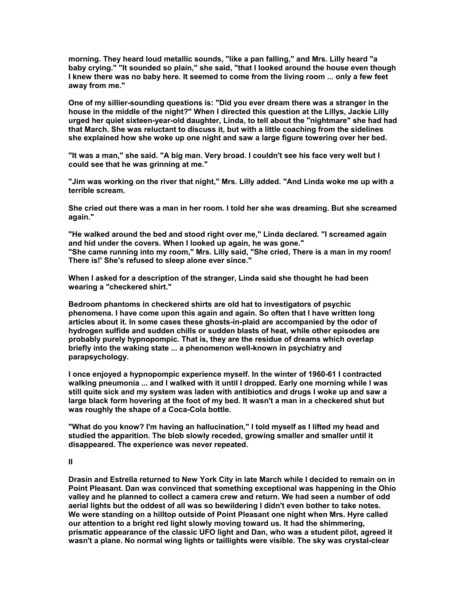**morning. They heard loud metallic sounds, "like a pan falling," and Mrs. Lilly heard "a baby crying." "It sounded so plain," she said, "that I looked around the house even though I knew there was no baby here. It seemed to come from the living room ... only a few feet away from me."** 

**One of my sillier-sounding questions is: "Did you ever dream there was a stranger in the house in the middle of the night?" When I directed this question at the Lillys, Jackie Lilly urged her quiet sixteen-year-old daughter, Linda, to tell about the "nightmare" she had had that March. She was reluctant to discuss it, but with a little coaching from the sidelines she explained how she woke up one night and saw a large figure towering over her bed.** 

**"It was a man," she said. "A big man. Very broad. I couldn't see his face very well but I could see that he was grinning at me."** 

**"Jim was working on the river that night," Mrs. Lilly added. "And Linda woke me up with a terrible scream.** 

**She cried out there was a man in her room. I told her she was dreaming. But she screamed again."** 

**"He walked around the bed and stood right over me," Linda declared. "I screamed again and hid under the covers. When I looked up again, he was gone." "She came running into my room," Mrs. Lilly said, "She cried, There is a man in my room! There is!' She's refused to sleep alone ever since."** 

**When I asked for a description of the stranger, Linda said she thought he had been wearing a "checkered shirt."** 

**Bedroom phantoms in checkered shirts are old hat to investigators of psychic phenomena. I have come upon this again and again. So often that I have written long articles about it. In some cases these ghosts-in-plaid are accompanied by the odor of hydrogen sulfide and sudden chills or sudden blasts of heat, while other episodes are probably purely hypnopompic. That is, they are the residue of dreams which overlap briefly into the waking state ... a phenomenon well-known in psychiatry and parapsychology.** 

**I once enjoyed a hypnopompic experience myself. In the winter of 1960-61 I contracted walking pneumonia ... and I walked with it until I dropped. Early one morning while I was still quite sick and my system was laden with antibiotics and drugs I woke up and saw a large black form hovering at the foot of my bed. It wasn't a man in a checkered shut but was roughly the shape of a Coca-Cola bottle.** 

**"What do you know? I'm having an hallucination," I told myself as I lifted my head and studied the apparition. The blob slowly receded, growing smaller and smaller until it disappeared. The experience was never repeated.** 

**II** 

**Drasin and Estrella returned to New York City in late March while I decided to remain on in Point Pleasant. Dan was convinced that something exceptional was happening in the Ohio valley and he planned to collect a camera crew and return. We had seen a number of odd aerial lights but the oddest of all was so bewildering I didn't even bother to take notes. We were standing on a hilltop outside of Point Pleasant one night when Mrs. Hyre called our attention to a bright red light slowly moving toward us. It had the shimmering, prismatic appearance of the classic UFO light and Dan, who was a student pilot, agreed it wasn't a plane. No normal wing lights or taillights were visible. The sky was crystal-clear**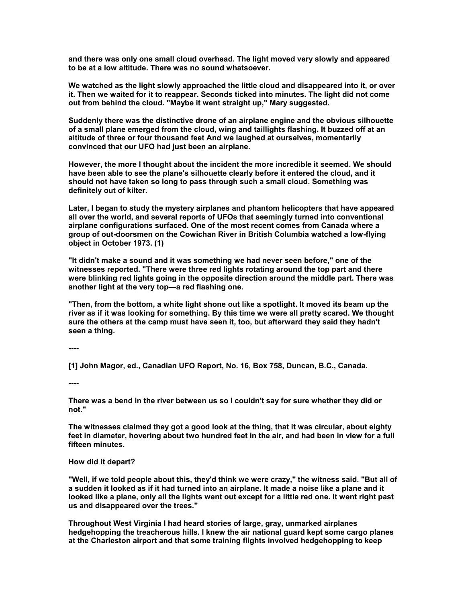**and there was only one small cloud overhead. The light moved very slowly and appeared to be at a low altitude. There was no sound whatsoever.** 

**We watched as the light slowly approached the little cloud and disappeared into it, or over it. Then we waited for it to reappear. Seconds ticked into minutes. The light did not come out from behind the cloud. "Maybe it went straight up," Mary suggested.** 

**Suddenly there was the distinctive drone of an airplane engine and the obvious silhouette of a small plane emerged from the cloud, wing and taillights flashing. It buzzed off at an altitude of three or four thousand feet And we laughed at ourselves, momentarily convinced that our UFO had just been an airplane.** 

**However, the more I thought about the incident the more incredible it seemed. We should have been able to see the plane's silhouette clearly before it entered the cloud, and it should not have taken so long to pass through such a small cloud. Something was definitely out of kilter.** 

**Later, I began to study the mystery airplanes and phantom helicopters that have appeared all over the world, and several reports of UFOs that seemingly turned into conventional airplane configurations surfaced. One of the most recent comes from Canada where a group of out-doorsmen on the Cowichan River in British Columbia watched a low-flying object in October 1973. (1)** 

**"It didn't make a sound and it was something we had never seen before," one of the witnesses reported. "There were three red lights rotating around the top part and there were blinking red lights going in the opposite direction around the middle part. There was another light at the very top—a red flashing one.** 

**"Then, from the bottom, a white light shone out like a spotlight. It moved its beam up the river as if it was looking for something. By this time we were all pretty scared. We thought sure the others at the camp must have seen it, too, but afterward they said they hadn't seen a thing.** 

**----** 

**[1] John Magor, ed., Canadian UFO Report, No. 16, Box 758, Duncan, B.C., Canada.** 

**----** 

**There was a bend in the river between us so I couldn't say for sure whether they did or not."** 

**The witnesses claimed they got a good look at the thing, that it was circular, about eighty feet in diameter, hovering about two hundred feet in the air, and had been in view for a full fifteen minutes.** 

**How did it depart?** 

**"Well, if we told people about this, they'd think we were crazy," the witness said. "But all of a sudden it looked as if it had turned into an airplane. It made a noise like a plane and it looked like a plane, only all the lights went out except for a little red one. It went right past us and disappeared over the trees."** 

**Throughout West Virginia I had heard stories of large, gray, unmarked airplanes hedgehopping the treacherous hills. I knew the air national guard kept some cargo planes at the Charleston airport and that some training flights involved hedgehopping to keep**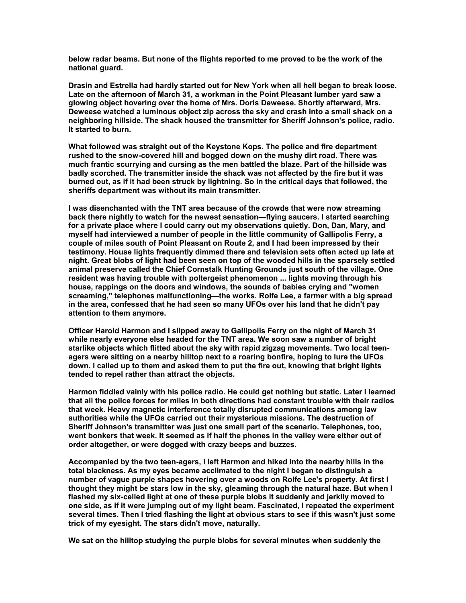**below radar beams. But none of the flights reported to me proved to be the work of the national guard.** 

**Drasin and Estrella had hardly started out for New York when all hell began to break loose. Late on the afternoon of March 31, a workman in the Point Pleasant lumber yard saw a glowing object hovering over the home of Mrs. Doris Deweese. Shortly afterward, Mrs. Deweese watched a luminous object zip across the sky and crash into a small shack on a neighboring hillside. The shack housed the transmitter for Sheriff Johnson's police, radio. It started to burn.** 

**What followed was straight out of the Keystone Kops. The police and fire department rushed to the snow-covered hill and bogged down on the mushy dirt road. There was much frantic scurrying and cursing as the men battled the blaze. Part of the hillside was badly scorched. The transmitter inside the shack was not affected by the fire but it was burned out, as if it had been struck by lightning. So in the critical days that followed, the sheriffs department was without its main transmitter.** 

**I was disenchanted with the TNT area because of the crowds that were now streaming back there nightly to watch for the newest sensation—flying saucers. I started searching for a private place where I could carry out my observations quietly. Don, Dan, Mary, and myself had interviewed a number of people in the little community of Gallipolis Ferry, a couple of miles south of Point Pleasant on Route 2, and I had been impressed by their testimony. House lights frequently dimmed there and television sets often acted up late at night. Great blobs of light had been seen on top of the wooded hills in the sparsely settled animal preserve called the Chief Cornstalk Hunting Grounds just south of the village. One resident was having trouble with poltergeist phenomenon ... lights moving through his house, rappings on the doors and windows, the sounds of babies crying and "women screaming," telephones malfunctioning—the works. Rolfe Lee, a farmer with a big spread in the area, confessed that he had seen so many UFOs over his land that he didn't pay attention to them anymore.** 

**Officer Harold Harmon and I slipped away to Gallipolis Ferry on the night of March 31 while nearly everyone else headed for the TNT area. We soon saw a number of bright starlike objects which flitted about the sky with rapid zigzag movements. Two local teenagers were sitting on a nearby hilltop next to a roaring bonfire, hoping to lure the UFOs down. I called up to them and asked them to put the fire out, knowing that bright lights tended to repel rather than attract the objects.** 

**Harmon fiddled vainly with his police radio. He could get nothing but static. Later I learned that all the police forces for miles in both directions had constant trouble with their radios that week. Heavy magnetic interference totally disrupted communications among law authorities while the UFOs carried out their mysterious missions. The destruction of Sheriff Johnson's transmitter was just one small part of the scenario. Telephones, too, went bonkers that week. It seemed as if half the phones in the valley were either out of order altogether, or were dogged with crazy beeps and buzzes.** 

**Accompanied by the two teen-agers, I left Harmon and hiked into the nearby hills in the total blackness. As my eyes became acclimated to the night I began to distinguish a number of vague purple shapes hovering over a woods on Rolfe Lee's property. At first I thought they might be stars low in the sky, gleaming through the natural haze. But when I flashed my six-celled light at one of these purple blobs it suddenly and jerkily moved to one side, as if it were jumping out of my light beam. Fascinated, I repeated the experiment several times. Then I tried flashing the light at obvious stars to see if this wasn't just some trick of my eyesight. The stars didn't move, naturally.** 

**We sat on the hilltop studying the purple blobs for several minutes when suddenly the**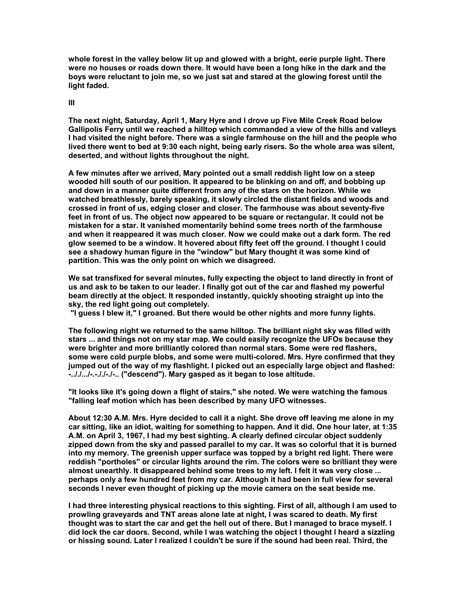**whole forest in the valley below lit up and glowed with a bright, eerie purple light. There were no houses or roads down there. It would have been a long hike in the dark and the boys were reluctant to join me, so we just sat and stared at the glowing forest until the light faded.** 

**III** 

**The next night, Saturday, April 1, Mary Hyre and I drove up Five Mile Creek Road below Gallipolis Ferry until we reached a hilltop which commanded a view of the hills and valleys I had visited the night before. There was a single farmhouse on the hill and the people who lived there went to bed at 9:30 each night, being early risers. So the whole area was silent, deserted, and without lights throughout the night.** 

**A few minutes after we arrived, Mary pointed out a small reddish light low on a steep wooded hill south of our position. It appeared to be blinking on and off, and bobbing up and down in a manner quite different from any of the stars on the horizon. While we watched breathlessly, barely speaking, it slowly circled the distant fields and woods and crossed in front of us, edging closer and closer. The farmhouse was about seventy-five feet in front of us. The object now appeared to be square or rectangular. It could not be mistaken for a star. It vanished momentarily behind some trees north of the farmhouse and when it reappeared it was much closer. Now we could make out a dark form. The red glow seemed to be a window. It hovered about fifty feet off the ground. I thought I could see a shadowy human figure in the "window" but Mary thought it was some kind of partition. This was the only point on which we disagreed.** 

**We sat transfixed for several minutes, fully expecting the object to land directly in front of us and ask to be taken to our leader. I finally got out of the car and flashed my powerful beam directly at the object. It responded instantly, quickly shooting straight up into the sky, the red light going out completely.** 

 **"I guess I blew it," I groaned. But there would be other nights and more funny lights.** 

**The following night we returned to the same hilltop. The brilliant night sky was filled with stars ... and things not on my star map. We could easily recognize the UFOs because they were brighter and more brilliantly colored than normal stars. Some were red flashers, some were cold purple blobs, and some were multi-colored. Mrs. Hyre confirmed that they jumped out of the way of my flashlight. I picked out an especially large object and flashed: -.././.../-.-././-./-.. ("descend"). Mary gasped as it began to lose altitude.** 

**"It looks like it's going down a flight of stairs," she noted. We were watching the famous "falling leaf motion which has been described by many UFO witnesses.** 

**About 12:30 A.M. Mrs. Hyre decided to call it a night. She drove off leaving me alone in my car sitting, like an idiot, waiting for something to happen. And it did. One hour later, at 1:35 A.M. on April 3, 1967, I had my best sighting. A clearly defined circular object suddenly zipped down from the sky and passed parallel to my car. It was so colorful that it is burned into my memory. The greenish upper surface was topped by a bright red light. There were reddish "portholes" or circular lights around the rim. The colors were so brilliant they were almost unearthly. It disappeared behind some trees to my left. I felt it was very close ... perhaps only a few hundred feet from my car. Although it had been in full view for several seconds I never even thought of picking up the movie camera on the seat beside me.** 

**I had three interesting physical reactions to this sighting. First of all, although I am used to prowling graveyards and TNT areas alone late at night, I was scared to death. My first thought was to start the car and get the hell out of there. But I managed to brace myself. I did lock the car doors. Second, while I was watching the object I thought I heard a sizzling or hissing sound. Later I realized I couldn't be sure if the sound had been real. Third, the**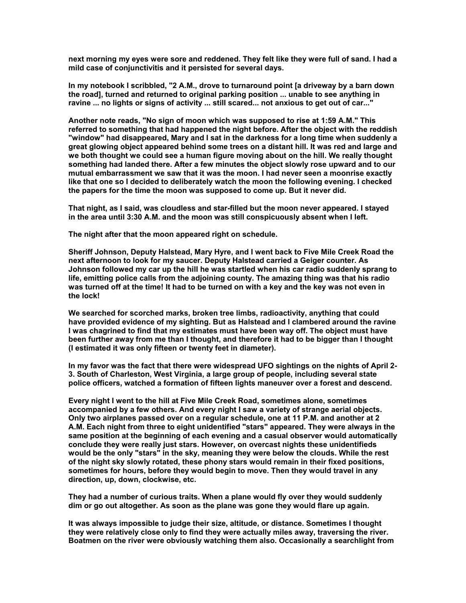**next morning my eyes were sore and reddened. They felt like they were full of sand. I had a mild case of conjunctivitis and it persisted for several days.** 

**In my notebook I scribbled, "2 A.M., drove to turnaround point [a driveway by a barn down the road], turned and returned to original parking position ... unable to see anything in ravine ... no lights or signs of activity ... still scared... not anxious to get out of car..."** 

**Another note reads, "No sign of moon which was supposed to rise at 1:59 A.M." This referred to something that had happened the night before. After the object with the reddish "window" had disappeared, Mary and I sat in the darkness for a long time when suddenly a great glowing object appeared behind some trees on a distant hill. It was red and large and we both thought we could see a human figure moving about on the hill. We really thought something had landed there. After a few minutes the object slowly rose upward and to our mutual embarrassment we saw that it was the moon. I had never seen a moonrise exactly like that one so I decided to deliberately watch the moon the following evening. I checked the papers for the time the moon was supposed to come up. But it never did.** 

**That night, as I said, was cloudless and star-filled but the moon never appeared. I stayed in the area until 3:30 A.M. and the moon was still conspicuously absent when I left.** 

**The night after that the moon appeared right on schedule.** 

**Sheriff Johnson, Deputy Halstead, Mary Hyre, and I went back to Five Mile Creek Road the next afternoon to look for my saucer. Deputy Halstead carried a Geiger counter. As Johnson followed my car up the hill he was startled when his car radio suddenly sprang to life, emitting police calls from the adjoining county. The amazing thing was that his radio was turned off at the time! It had to be turned on with a key and the key was not even in the lock!** 

**We searched for scorched marks, broken tree limbs, radioactivity, anything that could have provided evidence of my sighting. But as Halstead and I clambered around the ravine I was chagrined to find that my estimates must have been way off. The object must have been further away from me than I thought, and therefore it had to be bigger than I thought (I estimated it was only fifteen or twenty feet in diameter).** 

**In my favor was the fact that there were widespread UFO sightings on the nights of April 2- 3. South of Charleston, West Virginia, a large group of people, including several state police officers, watched a formation of fifteen lights maneuver over a forest and descend.** 

**Every night I went to the hill at Five Mile Creek Road, sometimes alone, sometimes accompanied by a few others. And every night I saw a variety of strange aerial objects. Only two airplanes passed over on a regular schedule, one at 11 P.M. and another at 2 A.M. Each night from three to eight unidentified "stars" appeared. They were always in the same position at the beginning of each evening and a casual observer would automatically conclude they were really just stars. However, on overcast nights these unidentifieds would be the only "stars" in the sky, meaning they were below the clouds. While the rest of the night sky slowly rotated, these phony stars would remain in their fixed positions, sometimes for hours, before they would begin to move. Then they would travel in any direction, up, down, clockwise, etc.** 

**They had a number of curious traits. When a plane would fly over they would suddenly dim or go out altogether. As soon as the plane was gone they would flare up again.** 

**It was always impossible to judge their size, altitude, or distance. Sometimes I thought they were relatively close only to find they were actually miles away, traversing the river. Boatmen on the river were obviously watching them also. Occasionally a searchlight from**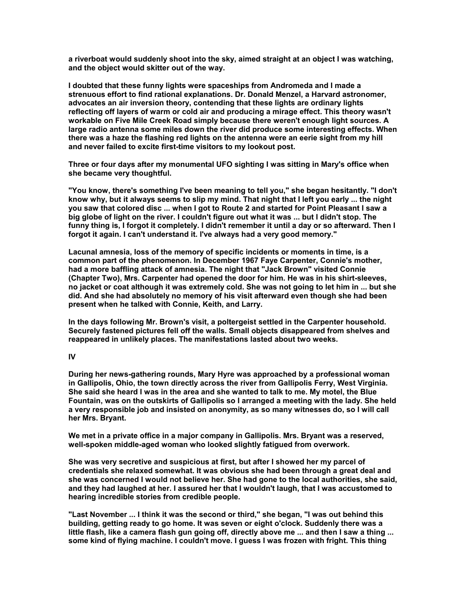**a riverboat would suddenly shoot into the sky, aimed straight at an object I was watching, and the object would skitter out of the way.** 

**I doubted that these funny lights were spaceships from Andromeda and I made a strenuous effort to find rational explanations. Dr. Donald Menzel, a Harvard astronomer, advocates an air inversion theory, contending that these lights are ordinary lights reflecting off layers of warm or cold air and producing a mirage effect. This theory wasn't workable on Five Mile Creek Road simply because there weren't enough light sources. A large radio antenna some miles down the river did produce some interesting effects. When there was a haze the flashing red lights on the antenna were an eerie sight from my hill and never failed to excite first-time visitors to my lookout post.** 

**Three or four days after my monumental UFO sighting I was sitting in Mary's office when she became very thoughtful.** 

**"You know, there's something I've been meaning to tell you," she began hesitantly. "I don't know why, but it always seems to slip my mind. That night that I left you early ... the night you saw that colored disc ... when I got to Route 2 and started for Point Pleasant I saw a big globe of light on the river. I couldn't figure out what it was ... but I didn't stop. The funny thing is, I forgot it completely. I didn't remember it until a day or so afterward. Then I forgot it again. I can't understand it. I've always had a very good memory."** 

**Lacunal amnesia, loss of the memory of specific incidents or moments in time, is a common part of the phenomenon. In December 1967 Faye Carpenter, Connie's mother, had a more baffling attack of amnesia. The night that "Jack Brown" visited Connie (Chapter Two), Mrs. Carpenter had opened the door for him. He was in his shirt-sleeves, no jacket or coat although it was extremely cold. She was not going to let him in ... but she did. And she had absolutely no memory of his visit afterward even though she had been present when he talked with Connie, Keith, and Larry.** 

**In the days following Mr. Brown's visit, a poltergeist settled in the Carpenter household. Securely fastened pictures fell off the walls. Small objects disappeared from shelves and reappeared in unlikely places. The manifestations lasted about two weeks.** 

## **IV**

**During her news-gathering rounds, Mary Hyre was approached by a professional woman in Gallipolis, Ohio, the town directly across the river from Gallipolis Ferry, West Virginia. She said she heard I was in the area and she wanted to talk to me. My motel, the Blue Fountain, was on the outskirts of Gallipolis so I arranged a meeting with the lady. She held a very responsible job and insisted on anonymity, as so many witnesses do, so I will call her Mrs. Bryant.** 

**We met in a private office in a major company in Gallipolis. Mrs. Bryant was a reserved, well-spoken middle-aged woman who looked slightly fatigued from overwork.** 

**She was very secretive and suspicious at first, but after I showed her my parcel of credentials she relaxed somewhat. It was obvious she had been through a great deal and she was concerned I would not believe her. She had gone to the local authorities, she said, and they had laughed at her. I assured her that I wouldn't laugh, that I was accustomed to hearing incredible stories from credible people.** 

**"Last November ... I think it was the second or third," she began, "I was out behind this building, getting ready to go home. It was seven or eight o'clock. Suddenly there was a little flash, like a camera flash gun going off, directly above me ... and then I saw a thing ... some kind of flying machine. I couldn't move. I guess I was frozen with fright. This thing**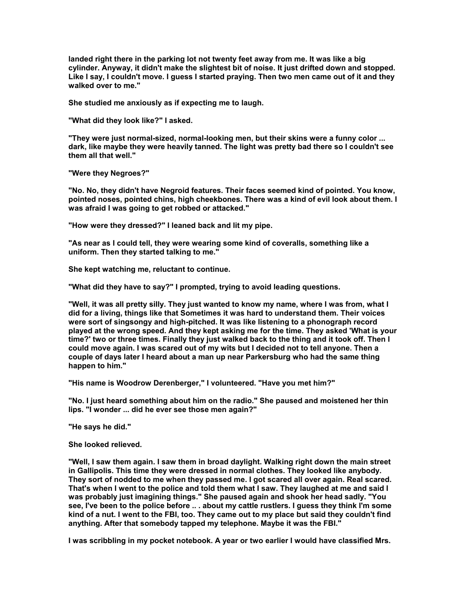**landed right there in the parking lot not twenty feet away from me. It was like a big cylinder. Anyway, it didn't make the slightest bit of noise. It just drifted down and stopped. Like I say, I couldn't move. I guess I started praying. Then two men came out of it and they walked over to me."** 

**She studied me anxiously as if expecting me to laugh.** 

**"What did they look like?" I asked.** 

**"They were just normal-sized, normal-looking men, but their skins were a funny color ... dark, like maybe they were heavily tanned. The light was pretty bad there so I couldn't see them all that well."** 

**"Were they Negroes?"** 

**"No. No, they didn't have Negroid features. Their faces seemed kind of pointed. You know, pointed noses, pointed chins, high cheekbones. There was a kind of evil look about them. I was afraid I was going to get robbed or attacked."** 

**"How were they dressed?" I leaned back and lit my pipe.** 

**"As near as I could tell, they were wearing some kind of coveralls, something like a uniform. Then they started talking to me."** 

**She kept watching me, reluctant to continue.** 

**"What did they have to say?" I prompted, trying to avoid leading questions.** 

**"Well, it was all pretty silly. They just wanted to know my name, where I was from, what I did for a living, things like that Sometimes it was hard to understand them. Their voices were sort of singsongy and high-pitched. It was like listening to a phonograph record played at the wrong speed. And they kept asking me for the time. They asked 'What is your time?' two or three times. Finally they just walked back to the thing and it took off. Then I could move again. I was scared out of my wits but I decided not to tell anyone. Then a couple of days later I heard about a man up near Parkersburg who had the same thing happen to him."** 

**"His name is Woodrow Derenberger," I volunteered. "Have you met him?"** 

**"No. I just heard something about him on the radio." She paused and moistened her thin lips. "I wonder ... did he ever see those men again?"** 

**"He says he did."** 

**She looked relieved.** 

**"Well, I saw them again. I saw them in broad daylight. Walking right down the main street in Gallipolis. This time they were dressed in normal clothes. They looked like anybody. They sort of nodded to me when they passed me. I got scared all over again. Real scared. That's when I went to the police and told them what I saw. They laughed at me and said I was probably just imagining things." She paused again and shook her head sadly. "You see, I've been to the police before .. . about my cattle rustlers. I guess they think I'm some kind of a nut. I went to the FBI, too. They came out to my place but said they couldn't find anything. After that somebody tapped my telephone. Maybe it was the FBI."** 

**I was scribbling in my pocket notebook. A year or two earlier I would have classified Mrs.**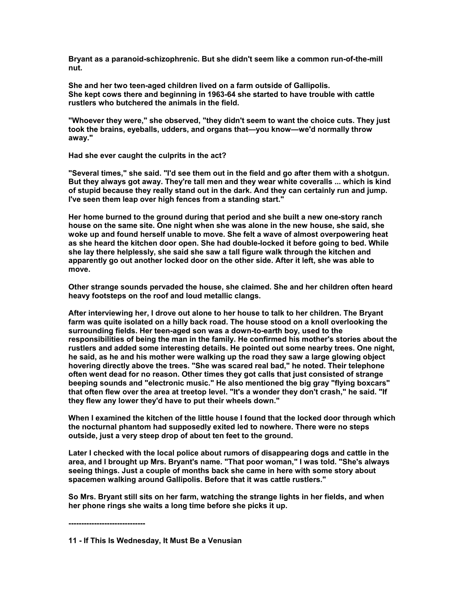**Bryant as a paranoid-schizophrenic. But she didn't seem like a common run-of-the-mill nut.** 

**She and her two teen-aged children lived on a farm outside of Gallipolis. She kept cows there and beginning in 1963-64 she started to have trouble with cattle rustlers who butchered the animals in the field.** 

**"Whoever they were," she observed, "they didn't seem to want the choice cuts. They just took the brains, eyeballs, udders, and organs that—you know—we'd normally throw away."** 

**Had she ever caught the culprits in the act?** 

**"Several times," she said. "I'd see them out in the field and go after them with a shotgun. But they always got away. They're tall men and they wear white coveralls ... which is kind of stupid because they really stand out in the dark. And they can certainly run and jump. I've seen them leap over high fences from a standing start."** 

**Her home burned to the ground during that period and she built a new one-story ranch house on the same site. One night when she was alone in the new house, she said, she woke up and found herself unable to move. She felt a wave of almost overpowering heat as she heard the kitchen door open. She had double-locked it before going to bed. While she lay there helplessly, she said she saw a tall figure walk through the kitchen and apparently go out another locked door on the other side. After it left, she was able to move.** 

**Other strange sounds pervaded the house, she claimed. She and her children often heard heavy footsteps on the roof and loud metallic clangs.** 

**After interviewing her, I drove out alone to her house to talk to her children. The Bryant farm was quite isolated on a hilly back road. The house stood on a knoll overlooking the surrounding fields. Her teen-aged son was a down-to-earth boy, used to the responsibilities of being the man in the family. He confirmed his mother's stories about the rustlers and added some interesting details. He pointed out some nearby trees. One night, he said, as he and his mother were walking up the road they saw a large glowing object hovering directly above the trees. "She was scared real bad," he noted. Their telephone often went dead for no reason. Other times they got calls that just consisted of strange beeping sounds and "electronic music." He also mentioned the big gray "flying boxcars" that often flew over the area at treetop level. "It's a wonder they don't crash," he said. "If they flew any lower they'd have to put their wheels down."** 

**When I examined the kitchen of the little house I found that the locked door through which the nocturnal phantom had supposedly exited led to nowhere. There were no steps outside, just a very steep drop of about ten feet to the ground.** 

**Later I checked with the local police about rumors of disappearing dogs and cattle in the area, and I brought up Mrs. Bryant's name. "That poor woman," I was told. "She's always seeing things. Just a couple of months back she came in here with some story about spacemen walking around Gallipolis. Before that it was cattle rustlers."** 

**So Mrs. Bryant still sits on her farm, watching the strange lights in her fields, and when her phone rings she waits a long time before she picks it up.** 

**------------------------------** 

**<sup>11 -</sup> If This Is Wednesday, It Must Be a Venusian**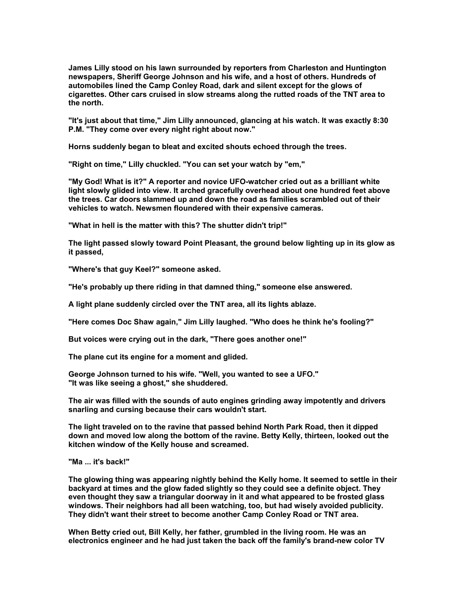**James Lilly stood on his lawn surrounded by reporters from Charleston and Huntington newspapers, Sheriff George Johnson and his wife, and a host of others. Hundreds of automobiles lined the Camp Conley Road, dark and silent except for the glows of cigarettes. Other cars cruised in slow streams along the rutted roads of the TNT area to the north.** 

**"It's just about that time," Jim Lilly announced, glancing at his watch. It was exactly 8:30 P.M. "They come over every night right about now."** 

**Horns suddenly began to bleat and excited shouts echoed through the trees.** 

**"Right on time," Lilly chuckled. "You can set your watch by "em,"** 

**"My God! What is it?" A reporter and novice UFO-watcher cried out as a brilliant white light slowly glided into view. It arched gracefully overhead about one hundred feet above the trees. Car doors slammed up and down the road as families scrambled out of their vehicles to watch. Newsmen floundered with their expensive cameras.** 

**"What in hell is the matter with this? The shutter didn't trip!"** 

**The light passed slowly toward Point Pleasant, the ground below lighting up in its glow as it passed,** 

**"Where's that guy Keel?" someone asked.** 

**"He's probably up there riding in that damned thing," someone else answered.** 

**A light plane suddenly circled over the TNT area, all its lights ablaze.** 

**"Here comes Doc Shaw again," Jim Lilly laughed. "Who does he think he's fooling?"** 

**But voices were crying out in the dark, "There goes another one!"** 

**The plane cut its engine for a moment and glided.** 

**George Johnson turned to his wife. "Well, you wanted to see a UFO." "It was like seeing a ghost," she shuddered.** 

**The air was filled with the sounds of auto engines grinding away impotently and drivers snarling and cursing because their cars wouldn't start.** 

**The light traveled on to the ravine that passed behind North Park Road, then it dipped down and moved low along the bottom of the ravine. Betty Kelly, thirteen, looked out the kitchen window of the Kelly house and screamed.** 

**"Ma ... it's back!"** 

**The glowing thing was appearing nightly behind the Kelly home. It seemed to settle in their backyard at times and the glow faded slightly so they could see a definite object. They even thought they saw a triangular doorway in it and what appeared to be frosted glass windows. Their neighbors had all been watching, too, but had wisely avoided publicity. They didn't want their street to become another Camp Conley Road or TNT area.** 

**When Betty cried out, Bill Kelly, her father, grumbled in the living room. He was an electronics engineer and he had just taken the back off the family's brand-new color TV**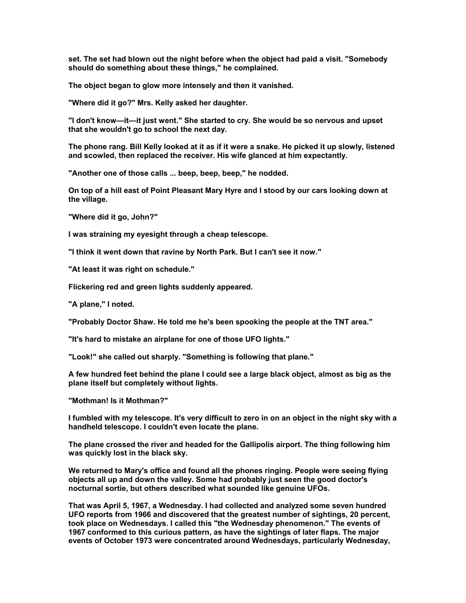**set. The set had blown out the night before when the object had paid a visit. "Somebody should do something about these things," he complained.** 

**The object began to glow more intensely and then it vanished.** 

**"Where did it go?" Mrs. Kelly asked her daughter.** 

**"I don't know—it—it just went." She started to cry. She would be so nervous and upset that she wouldn't go to school the next day.** 

**The phone rang. Bill Kelly looked at it as if it were a snake. He picked it up slowly, listened and scowled, then replaced the receiver. His wife glanced at him expectantly.** 

**"Another one of those calls ... beep, beep, beep," he nodded.** 

**On top of a hill east of Point Pleasant Mary Hyre and I stood by our cars looking down at the village.** 

**"Where did it go, John?"** 

**I was straining my eyesight through a cheap telescope.** 

**"I think it went down that ravine by North Park. But I can't see it now."** 

**"At least it was right on schedule."** 

**Flickering red and green lights suddenly appeared.** 

**"A plane," I noted.** 

**"Probably Doctor Shaw. He told me he's been spooking the people at the TNT area."** 

**"It's hard to mistake an airplane for one of those UFO lights."** 

**"Look!" she called out sharply. "Something is following that plane."** 

**A few hundred feet behind the plane I could see a large black object, almost as big as the plane itself but completely without lights.** 

**"Mothman! Is it Mothman?"** 

**I fumbled with my telescope. It's very difficult to zero in on an object in the night sky with a handheld telescope. I couldn't even locate the plane.** 

**The plane crossed the river and headed for the Gallipolis airport. The thing following him was quickly lost in the black sky.** 

**We returned to Mary's office and found all the phones ringing. People were seeing flying objects all up and down the valley. Some had probably just seen the good doctor's nocturnal sortie, but others described what sounded like genuine UFOs.** 

**That was April 5, 1967, a Wednesday. I had collected and analyzed some seven hundred UFO reports from 1966 and discovered that the greatest number of sightings, 20 percent, took place on Wednesdays. I called this "the Wednesday phenomenon." The events of 1967 conformed to this curious pattern, as have the sightings of later flaps. The major events of October 1973 were concentrated around Wednesdays, particularly Wednesday,**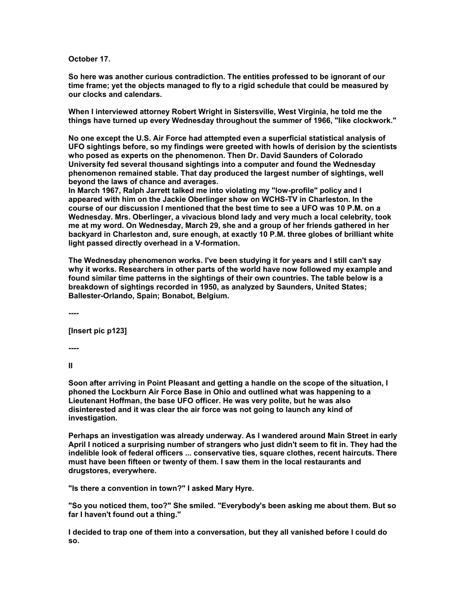**October 17.** 

**So here was another curious contradiction. The entities professed to be ignorant of our time frame; yet the objects managed to fly to a rigid schedule that could be measured by our clocks and calendars.** 

**When I interviewed attorney Robert Wright in Sistersville, West Virginia, he told me the things have turned up every Wednesday throughout the summer of 1966, "like clockwork."** 

**No one except the U.S. Air Force had attempted even a superficial statistical analysis of UFO sightings before, so my findings were greeted with howls of derision by the scientists who posed as experts on the phenomenon. Then Dr. David Saunders of Colorado University fed several thousand sightings into a computer and found the Wednesday phenomenon remained stable. That day produced the largest number of sightings, well beyond the laws of chance and averages.** 

**In March 1967, Ralph Jarrett talked me into violating my "low-profile" policy and I appeared with him on the Jackie Oberlinger show on WCHS-TV in Charleston. In the course of our discussion I mentioned that the best time to see a UFO was 10 P.M. on a Wednesday. Mrs. Oberlinger, a vivacious blond lady and very much a local celebrity, took me at my word. On Wednesday, March 29, she and a group of her friends gathered in her backyard in Charleston and, sure enough, at exactly 10 P.M. three globes of brilliant white light passed directly overhead in a V-formation.** 

**The Wednesday phenomenon works. I've been studying it for years and I still can't say why it works. Researchers in other parts of the world have now followed my example and found similar time patterns in the sightings of their own countries. The table below is a breakdown of sightings recorded in 1950, as analyzed by Saunders, United States; Ballester-Orlando, Spain; Bonabot, Belgium.** 

**----** 

**[Insert pic p123]** 

**----** 

**II** 

**Soon after arriving in Point Pleasant and getting a handle on the scope of the situation, I phoned the Lockburn Air Force Base in Ohio and outlined what was happening to a Lieutenant Hoffman, the base UFO officer. He was very polite, but he was also disinterested and it was clear the air force was not going to launch any kind of investigation.** 

**Perhaps an investigation was already underway. As I wandered around Main Street in early April I noticed a surprising number of strangers who just didn't seem to fit in. They had the indelible look of federal officers ... conservative ties, square clothes, recent haircuts. There must have been fifteen or twenty of them. I saw them in the local restaurants and drugstores, everywhere.** 

**"Is there a convention in town?" I asked Mary Hyre.** 

**"So you noticed them, too?" She smiled. "Everybody's been asking me about them. But so far I haven't found out a thing."** 

**I decided to trap one of them into a conversation, but they all vanished before I could do so.**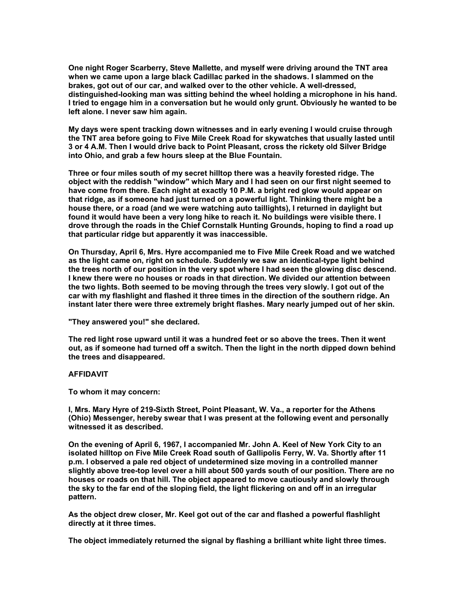**One night Roger Scarberry, Steve Mallette, and myself were driving around the TNT area when we came upon a large black Cadillac parked in the shadows. I slammed on the brakes, got out of our car, and walked over to the other vehicle. A well-dressed, distinguished-looking man was sitting behind the wheel holding a microphone in his hand. I tried to engage him in a conversation but he would only grunt. Obviously he wanted to be left alone. I never saw him again.** 

**My days were spent tracking down witnesses and in early evening I would cruise through the TNT area before going to Five Mile Creek Road for skywatches that usually lasted until 3 or 4 A.M. Then I would drive back to Point Pleasant, cross the rickety old Silver Bridge into Ohio, and grab a few hours sleep at the Blue Fountain.** 

**Three or four miles south of my secret hilltop there was a heavily forested ridge. The object with the reddish "window" which Mary and I had seen on our first night seemed to have come from there. Each night at exactly 10 P.M. a bright red glow would appear on that ridge, as if someone had just turned on a powerful light. Thinking there might be a house there, or a road (and we were watching auto taillights), I returned in daylight but found it would have been a very long hike to reach it. No buildings were visible there. I drove through the roads in the Chief Cornstalk Hunting Grounds, hoping to find a road up that particular ridge but apparently it was inaccessible.** 

**On Thursday, April 6, Mrs. Hyre accompanied me to Five Mile Creek Road and we watched as the light came on, right on schedule. Suddenly we saw an identical-type light behind the trees north of our position in the very spot where I had seen the glowing disc descend. I knew there were no houses or roads in that direction. We divided our attention between the two lights. Both seemed to be moving through the trees very slowly. I got out of the car with my flashlight and flashed it three times in the direction of the southern ridge. An instant later there were three extremely bright flashes. Mary nearly jumped out of her skin.** 

**"They answered you!" she declared.** 

**The red light rose upward until it was a hundred feet or so above the trees. Then it went out, as if someone had turned off a switch. Then the light in the north dipped down behind the trees and disappeared.** 

# **AFFIDAVIT**

**To whom it may concern:** 

**I, Mrs. Mary Hyre of 219-Sixth Street, Point Pleasant, W. Va., a reporter for the Athens (Ohio) Messenger, hereby swear that I was present at the following event and personally witnessed it as described.** 

**On the evening of April 6, 1967, I accompanied Mr. John A. Keel of New York City to an isolated hilltop on Five Mile Creek Road south of Gallipolis Ferry, W. Va. Shortly after 11 p.m. I observed a pale red object of undetermined size moving in a controlled manner slightly above tree-top level over a hill about 500 yards south of our position. There are no houses or roads on that hill. The object appeared to move cautiously and slowly through the sky to the far end of the sloping field, the light flickering on and off in an irregular pattern.** 

**As the object drew closer, Mr. Keel got out of the car and flashed a powerful flashlight directly at it three times.** 

**The object immediately returned the signal by flashing a brilliant white light three times.**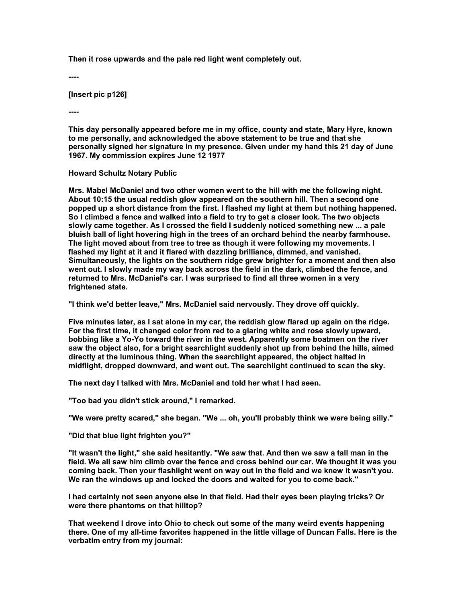**Then it rose upwards and the pale red light went completely out.** 

**----** 

**[Insert pic p126]** 

**----** 

**This day personally appeared before me in my office, county and state, Mary Hyre, known to me personally, and acknowledged the above statement to be true and that she personally signed her signature in my presence. Given under my hand this 21 day of June 1967. My commission expires June 12 1977** 

## **Howard Schultz Notary Public**

**Mrs. Mabel McDaniel and two other women went to the hill with me the following night. About 10:15 the usual reddish glow appeared on the southern hill. Then a second one popped up a short distance from the first. I flashed my light at them but nothing happened. So I climbed a fence and walked into a field to try to get a closer look. The two objects slowly came together. As I crossed the field I suddenly noticed something new ... a pale bluish ball of light hovering high in the trees of an orchard behind the nearby farmhouse. The light moved about from tree to tree as though it were following my movements. I flashed my light at it and it flared with dazzling brilliance, dimmed, and vanished. Simultaneously, the lights on the southern ridge grew brighter for a moment and then also went out. I slowly made my way back across the field in the dark, climbed the fence, and returned to Mrs. McDaniel's car. I was surprised to find all three women in a very frightened state.** 

**"I think we'd better leave," Mrs. McDaniel said nervously. They drove off quickly.** 

**Five minutes later, as I sat alone in my car, the reddish glow flared up again on the ridge. For the first time, it changed color from red to a glaring white and rose slowly upward, bobbing like a Yo-Yo toward the river in the west. Apparently some boatmen on the river saw the object also, for a bright searchlight suddenly shot up from behind the hills, aimed directly at the luminous thing. When the searchlight appeared, the object halted in midflight, dropped downward, and went out. The searchlight continued to scan the sky.** 

**The next day I talked with Mrs. McDaniel and told her what I had seen.** 

**"Too bad you didn't stick around," I remarked.** 

**"We were pretty scared," she began. "We ... oh, you'll probably think we were being silly."** 

**"Did that blue light frighten you?"** 

**"It wasn't the light," she said hesitantly. "We saw that. And then we saw a tall man in the field. We all saw him climb over the fence and cross behind our car. We thought it was you coming back. Then your flashlight went on way out in the field and we knew it wasn't you. We ran the windows up and locked the doors and waited for you to come back."** 

**I had certainly not seen anyone else in that field. Had their eyes been playing tricks? Or were there phantoms on that hilltop?** 

**That weekend I drove into Ohio to check out some of the many weird events happening there. One of my all-time favorites happened in the little village of Duncan Falls. Here is the verbatim entry from my journal:**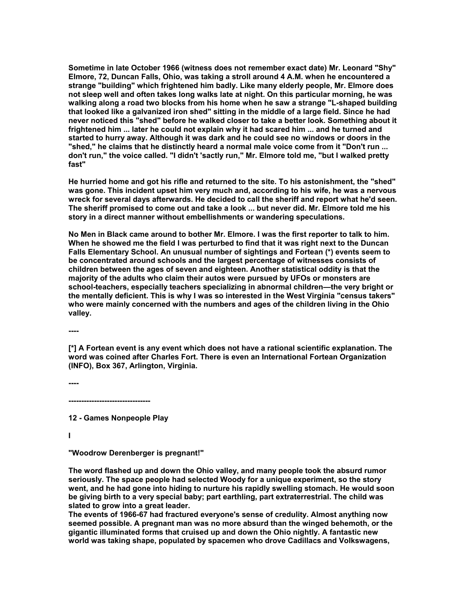**Sometime in late October 1966 (witness does not remember exact date) Mr. Leonard "Shy" Elmore, 72, Duncan Falls, Ohio, was taking a stroll around 4 A.M. when he encountered a strange "building" which frightened him badly. Like many elderly people, Mr. Elmore does not sleep well and often takes long walks late at night. On this particular morning, he was walking along a road two blocks from his home when he saw a strange "L-shaped building that looked like a galvanized iron shed" sitting in the middle of a large field. Since he had never noticed this "shed" before he walked closer to take a better look. Something about it frightened him ... later he could not explain why it had scared him ... and he turned and started to hurry away. Although it was dark and he could see no windows or doors in the "shed," he claims that he distinctly heard a normal male voice come from it "Don't run ... don't run," the voice called. "I didn't 'sactly run," Mr. Elmore told me, "but I walked pretty fast"** 

**He hurried home and got his rifle and returned to the site. To his astonishment, the "shed" was gone. This incident upset him very much and, according to his wife, he was a nervous wreck for several days afterwards. He decided to call the sheriff and report what he'd seen. The sheriff promised to come out and take a look ... but never did. Mr. Elmore told me his story in a direct manner without embellishments or wandering speculations.** 

**No Men in Black came around to bother Mr. Elmore. I was the first reporter to talk to him. When he showed me the field I was perturbed to find that it was right next to the Duncan Falls Elementary School. An unusual number of sightings and Fortean (\*) events seem to be concentrated around schools and the largest percentage of witnesses consists of children between the ages of seven and eighteen. Another statistical oddity is that the majority of the adults who claim their autos were pursued by UFOs or monsters are school-teachers, especially teachers specializing in abnormal children—the very bright or the mentally deficient. This is why I was so interested in the West Virginia "census takers" who were mainly concerned with the numbers and ages of the children living in the Ohio valley.** 

**----** 

**[\*] A Fortean event is any event which does not have a rational scientific explanation. The word was coined after Charles Fort. There is even an International Fortean Organization (INFO), Box 367, Arlington, Virginia.** 

**----** 

**--------------------------------** 

**12 - Games Nonpeople Play** 

**I** 

**"Woodrow Derenberger is pregnant!"** 

**The word flashed up and down the Ohio valley, and many people took the absurd rumor seriously. The space people had selected Woody for a unique experiment, so the story went, and he had gone into hiding to nurture his rapidly swelling stomach. He would soon be giving birth to a very special baby; part earthling, part extraterrestrial. The child was slated to grow into a great leader.** 

**The events of 1966-67 had fractured everyone's sense of credulity. Almost anything now seemed possible. A pregnant man was no more absurd than the winged behemoth, or the gigantic illuminated forms that cruised up and down the Ohio nightly. A fantastic new world was taking shape, populated by spacemen who drove Cadillacs and Volkswagens,**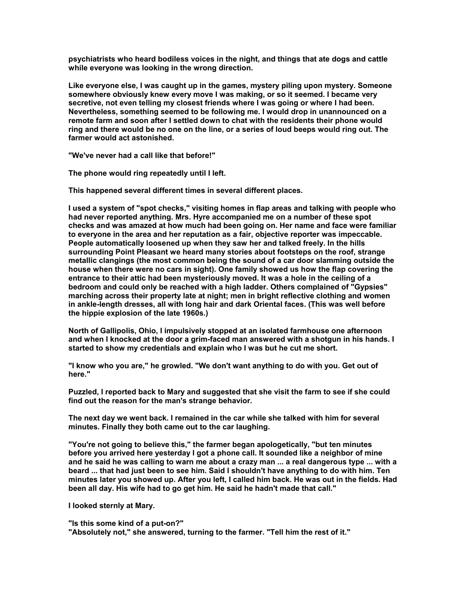**psychiatrists who heard bodiless voices in the night, and things that ate dogs and cattle while everyone was looking in the wrong direction.** 

**Like everyone else, I was caught up in the games, mystery piling upon mystery. Someone somewhere obviously knew every move I was making, or so it seemed. I became very secretive, not even telling my closest friends where I was going or where I had been. Nevertheless, something seemed to be following me. I would drop in unannounced on a remote farm and soon after I settled down to chat with the residents their phone would ring and there would be no one on the line, or a series of loud beeps would ring out. The farmer would act astonished.** 

**"We've never had a call like that before!"** 

**The phone would ring repeatedly until I left.** 

**This happened several different times in several different places.** 

**I used a system of "spot checks," visiting homes in flap areas and talking with people who had never reported anything. Mrs. Hyre accompanied me on a number of these spot checks and was amazed at how much had been going on. Her name and face were familiar to everyone in the area and her reputation as a fair, objective reporter was impeccable. People automatically loosened up when they saw her and talked freely. In the hills surrounding Point Pleasant we heard many stories about footsteps on the roof, strange metallic clangings (the most common being the sound of a car door slamming outside the house when there were no cars in sight). One family showed us how the flap covering the entrance to their attic had been mysteriously moved. It was a hole in the ceiling of a bedroom and could only be reached with a high ladder. Others complained of "Gypsies" marching across their property late at night; men in bright reflective clothing and women in ankle-length dresses, all with long hair and dark Oriental faces. (This was well before the hippie explosion of the late 1960s.)** 

**North of Gallipolis, Ohio, I impulsively stopped at an isolated farmhouse one afternoon and when I knocked at the door a grim-faced man answered with a shotgun in his hands. I started to show my credentials and explain who I was but he cut me short.** 

**"I know who you are," he growled. "We don't want anything to do with you. Get out of here."** 

**Puzzled, I reported back to Mary and suggested that she visit the farm to see if she could find out the reason for the man's strange behavior.** 

**The next day we went back. I remained in the car while she talked with him for several minutes. Finally they both came out to the car laughing.** 

**"You're not going to believe this," the farmer began apologetically, "but ten minutes before you arrived here yesterday I got a phone call. It sounded like a neighbor of mine and he said he was calling to warn me about a crazy man ... a real dangerous type ... with a beard ... that had just been to see him. Said I shouldn't have anything to do with him. Ten minutes later you showed up. After you left, I called him back. He was out in the fields. Had been all day. His wife had to go get him. He said he hadn't made that call."** 

**I looked sternly at Mary.** 

**"Is this some kind of a put-on?"** 

**"Absolutely not," she answered, turning to the farmer. "Tell him the rest of it."**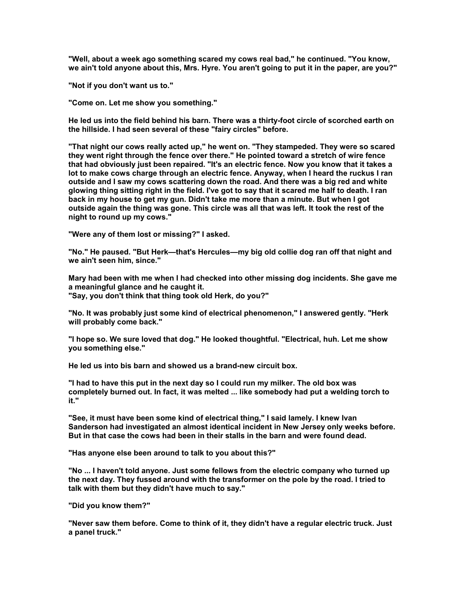**"Well, about a week ago something scared my cows real bad," he continued. "You know, we ain't told anyone about this, Mrs. Hyre. You aren't going to put it in the paper, are you?"** 

**"Not if you don't want us to."** 

**"Come on. Let me show you something."** 

**He led us into the field behind his barn. There was a thirty-foot circle of scorched earth on the hillside. I had seen several of these "fairy circles" before.** 

**"That night our cows really acted up," he went on. "They stampeded. They were so scared they went right through the fence over there." He pointed toward a stretch of wire fence that had obviously just been repaired. "It's an electric fence. Now you know that it takes a lot to make cows charge through an electric fence. Anyway, when I heard the ruckus I ran outside and I saw my cows scattering down the road. And there was a big red and white glowing thing sitting right in the field. I've got to say that it scared me half to death. I ran back in my house to get my gun. Didn't take me more than a minute. But when I got outside again the thing was gone. This circle was all that was left. It took the rest of the night to round up my cows."** 

**"Were any of them lost or missing?" I asked.** 

**"No." He paused. "But Herk—that's Hercules—my big old collie dog ran off that night and we ain't seen him, since."** 

**Mary had been with me when I had checked into other missing dog incidents. She gave me a meaningful glance and he caught it. "Say, you don't think that thing took old Herk, do you?"** 

**"No. It was probably just some kind of electrical phenomenon," I answered gently. "Herk will probably come back."** 

**"I hope so. We sure loved that dog." He looked thoughtful. "Electrical, huh. Let me show you something else."** 

**He led us into bis barn and showed us a brand-new circuit box.** 

**"I had to have this put in the next day so I could run my milker. The old box was completely burned out. In fact, it was melted ... like somebody had put a welding torch to it."** 

**"See, it must have been some kind of electrical thing," I said lamely. I knew Ivan Sanderson had investigated an almost identical incident in New Jersey only weeks before. But in that case the cows had been in their stalls in the barn and were found dead.** 

**"Has anyone else been around to talk to you about this?"** 

**"No ... I haven't told anyone. Just some fellows from the electric company who turned up the next day. They fussed around with the transformer on the pole by the road. I tried to talk with them but they didn't have much to say."** 

**"Did you know them?"** 

**"Never saw them before. Come to think of it, they didn't have a regular electric truck. Just a panel truck."**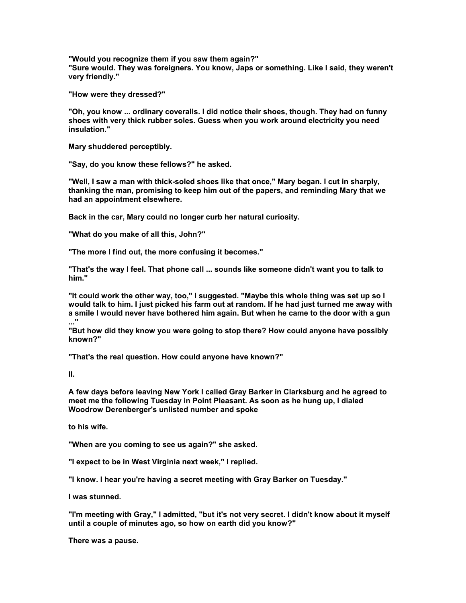**"Would you recognize them if you saw them again?"** 

**"Sure would. They was foreigners. You know, Japs or something. Like I said, they weren't very friendly."** 

**"How were they dressed?"** 

**"Oh, you know ... ordinary coveralls. I did notice their shoes, though. They had on funny shoes with very thick rubber soles. Guess when you work around electricity you need insulation."** 

**Mary shuddered perceptibly.** 

**"Say, do you know these fellows?" he asked.** 

**"Well, I saw a man with thick-soled shoes like that once," Mary began. I cut in sharply, thanking the man, promising to keep him out of the papers, and reminding Mary that we had an appointment elsewhere.** 

**Back in the car, Mary could no longer curb her natural curiosity.** 

**"What do you make of all this, John?"** 

**"The more I find out, the more confusing it becomes."** 

**"That's the way I feel. That phone call ... sounds like someone didn't want you to talk to him."** 

**"It could work the other way, too," I suggested. "Maybe this whole thing was set up so I would talk to him. I just picked his farm out at random. If he had just turned me away with a smile I would never have bothered him again. But when he came to the door with a gun ..."** 

**"But how did they know you were going to stop there? How could anyone have possibly known?"** 

**"That's the real question. How could anyone have known?"** 

**II.** 

**A few days before leaving New York I called Gray Barker in Clarksburg and he agreed to meet me the following Tuesday in Point Pleasant. As soon as he hung up, I dialed Woodrow Derenberger's unlisted number and spoke** 

**to his wife.** 

**"When are you coming to see us again?" she asked.** 

**"I expect to be in West Virginia next week," I replied.** 

**"I know. I hear you're having a secret meeting with Gray Barker on Tuesday."** 

**I was stunned.** 

**"I'm meeting with Gray," I admitted, "but it's not very secret. I didn't know about it myself until a couple of minutes ago, so how on earth did you know?"** 

**There was a pause.**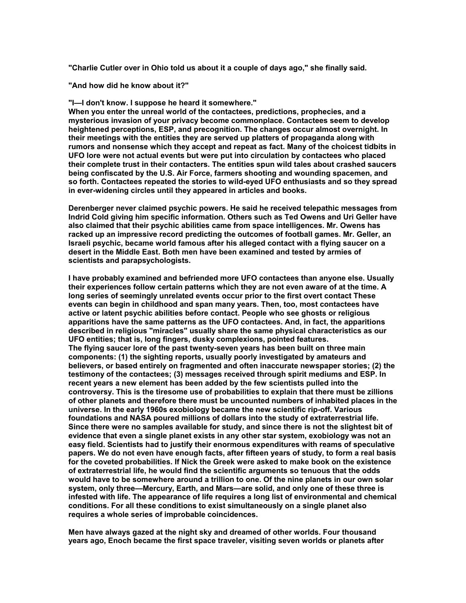**"Charlie Cutler over in Ohio told us about it a couple of days ago," she finally said.** 

**"And how did he know about it?"** 

**"I—I don't know. I suppose he heard it somewhere."** 

**When you enter the unreal world of the contactees, predictions, prophecies, and a mysterious invasion of your privacy become commonplace. Contactees seem to develop heightened perceptions, ESP, and precognition. The changes occur almost overnight. In their meetings with the entities they are served up platters of propaganda along with rumors and nonsense which they accept and repeat as fact. Many of the choicest tidbits in UFO lore were not actual events but were put into circulation by contactees who placed their complete trust in their contacters. The entities spun wild tales about crashed saucers being confiscated by the U.S. Air Force, farmers shooting and wounding spacemen, and so forth. Contactees repeated the stories to wild-eyed UFO enthusiasts and so they spread in ever-widening circles until they appeared in articles and books.** 

**Derenberger never claimed psychic powers. He said he received telepathic messages from Indrid Cold giving him specific information. Others such as Ted Owens and Uri Geller have also claimed that their psychic abilities came from space intelligences. Mr. Owens has racked up an impressive record predicting the outcomes of football games. Mr. Geller, an Israeli psychic, became world famous after his alleged contact with a flying saucer on a desert in the Middle East. Both men have been examined and tested by armies of scientists and parapsychologists.** 

**I have probably examined and befriended more UFO contactees than anyone else. Usually their experiences follow certain patterns which they are not even aware of at the time. A long series of seemingly unrelated events occur prior to the first overt contact These events can begin in childhood and span many years. Then, too, most contactees have active or latent psychic abilities before contact. People who see ghosts or religious apparitions have the same patterns as the UFO contactees. And, in fact, the apparitions described in religious "miracles" usually share the same physical characteristics as our UFO entities; that is, long fingers, dusky complexions, pointed features. The flying saucer lore of the past twenty-seven years has been built on three main components: (1) the sighting reports, usually poorly investigated by amateurs and believers, or based entirely on fragmented and often inaccurate newspaper stories; (2) the testimony of the contactees; (3) messages received through spirit mediums and ESP. In recent years a new element has been added by the few scientists pulled into the controversy. This is the tiresome use of probabilities to explain that there must be zillions of other planets and therefore there must be uncounted numbers of inhabited places in the universe. In the early 1960s exobiology became the new scientific rip-off. Various foundations and NASA poured millions of dollars into the study of extraterrestrial life. Since there were no samples available for study, and since there is not the slightest bit of evidence that even a single planet exists in any other star system, exobiology was not an easy field. Scientists had to justify their enormous expenditures with reams of speculative papers. We do not even have enough facts, after fifteen years of study, to form a real basis for the coveted probabilities. If Nick the Greek were asked to make book on the existence of extraterrestrial life, he would find the scientific arguments so tenuous that the odds would have to be somewhere around a trillion to one. Of the nine planets in our own solar system, only three—Mercury, Earth, and Mars—are solid, and only one of these three is infested with life. The appearance of life requires a long list of environmental and chemical conditions. For all these conditions to exist simultaneously on a single planet also requires a whole series of improbable coincidences.** 

**Men have always gazed at the night sky and dreamed of other worlds. Four thousand years ago, Enoch became the first space traveler, visiting seven worlds or planets after**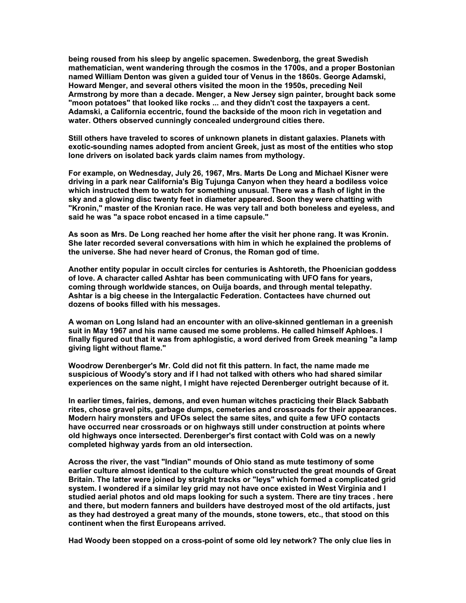**being roused from his sleep by angelic spacemen. Swedenborg, the great Swedish mathematician, went wandering through the cosmos in the 1700s, and a proper Bostonian named William Denton was given a guided tour of Venus in the 1860s. George Adamski, Howard Menger, and several others visited the moon in the 1950s, preceding Neil Armstrong by more than a decade. Menger, a New Jersey sign painter, brought back some "moon potatoes" that looked like rocks ... and they didn't cost the taxpayers a cent. Adamski, a California eccentric, found the backside of the moon rich in vegetation and water. Others observed cunningly concealed underground cities there.** 

**Still others have traveled to scores of unknown planets in distant galaxies. Planets with exotic-sounding names adopted from ancient Greek, just as most of the entities who stop lone drivers on isolated back yards claim names from mythology.** 

**For example, on Wednesday, July 26, 1967, Mrs. Marts De Long and Michael Kisner were driving in a park near California's Big Tujunga Canyon when they heard a bodiless voice which instructed them to watch for something unusual. There was a flash of light in the sky and a glowing disc twenty feet in diameter appeared. Soon they were chatting with "Kronin," master of the Kronian race. He was very tall and both boneless and eyeless, and said he was "a space robot encased in a time capsule."** 

**As soon as Mrs. De Long reached her home after the visit her phone rang. It was Kronin. She later recorded several conversations with him in which he explained the problems of the universe. She had never heard of Cronus, the Roman god of time.** 

**Another entity popular in occult circles for centuries is Ashtoreth, the Phoenician goddess of love. A character called Ashtar has been communicating with UFO fans for years, coming through worldwide stances, on Ouija boards, and through mental telepathy. Ashtar is a big cheese in the Intergalactic Federation. Contactees have churned out dozens of books filled with his messages.** 

**A woman on Long Island had an encounter with an olive-skinned gentleman in a greenish suit in May 1967 and his name caused me some problems. He called himself Aphloes. I finally figured out that it was from aphlogistic, a word derived from Greek meaning "a lamp giving light without flame."** 

**Woodrow Derenberger's Mr. Cold did not fit this pattern. In fact, the name made me suspicious of Woody's story and if I had not talked with others who had shared similar experiences on the same night, I might have rejected Derenberger outright because of it.** 

**In earlier times, fairies, demons, and even human witches practicing their Black Sabbath rites, chose gravel pits, garbage dumps, cemeteries and crossroads for their appearances. Modern hairy monsters and UFOs select the same sites, and quite a few UFO contacts have occurred near crossroads or on highways still under construction at points where old highways once intersected. Derenberger's first contact with Cold was on a newly completed highway yards from an old intersection.** 

**Across the river, the vast "Indian" mounds of Ohio stand as mute testimony of some earlier culture almost identical to the culture which constructed the great mounds of Great Britain. The latter were joined by straight tracks or "leys" which formed a complicated grid system. I wondered if a similar ley grid may not have once existed in West Virginia and I studied aerial photos and old maps looking for such a system. There are tiny traces . here and there, but modern fanners and builders have destroyed most of the old artifacts, just as they had destroyed a great many of the mounds, stone towers, etc., that stood on this continent when the first Europeans arrived.** 

**Had Woody been stopped on a cross-point of some old ley network? The only clue lies in**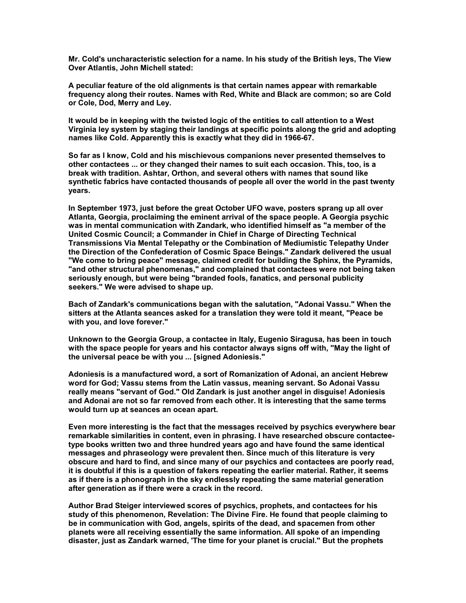**Mr. Cold's uncharacteristic selection for a name. In his study of the British leys, The View Over Atlantis, John Michell stated:** 

**A peculiar feature of the old alignments is that certain names appear with remarkable frequency along their routes. Names with Red, White and Black are common; so are Cold or Cole, Dod, Merry and Ley.** 

**It would be in keeping with the twisted logic of the entities to call attention to a West Virginia ley system by staging their landings at specific points along the grid and adopting names like Cold. Apparently this is exactly what they did in 1966-67.** 

**So far as I know, Cold and his mischievous companions never presented themselves to other contactees ... or they changed their names to suit each occasion. This, too, is a break with tradition. Ashtar, Orthon, and several others with names that sound like synthetic fabrics have contacted thousands of people all over the world in the past twenty years.** 

**In September 1973, just before the great October UFO wave, posters sprang up all over Atlanta, Georgia, proclaiming the eminent arrival of the space people. A Georgia psychic was in mental communication with Zandark, who identified himself as "a member of the United Cosmic Council; a Commander in Chief in Charge of Directing Technical Transmissions Via Mental Telepathy or the Combination of Mediumistic Telepathy Under the Direction of the Confederation of Cosmic Space Beings." Zandark delivered the usual "We come to bring peace" message, claimed credit for building the Sphinx, the Pyramids, "and other structural phenomenas," and complained that contactees were not being taken seriously enough, but were being "branded fools, fanatics, and personal publicity seekers." We were advised to shape up.** 

**Bach of Zandark's communications began with the salutation, "Adonai Vassu." When the sitters at the Atlanta seances asked for a translation they were told it meant, "Peace be with you, and love forever."** 

**Unknown to the Georgia Group, a contactee in Italy, Eugenio Siragusa, has been in touch with the space people for years and his contactor always signs off with, "May the light of the universal peace be with you ... [signed Adoniesis."** 

**Adoniesis is a manufactured word, a sort of Romanization of Adonai, an ancient Hebrew word for God; Vassu stems from the Latin vassus, meaning servant. So Adonai Vassu really means "servant of God." Old Zandark is just another angel in disguise! Adoniesis and Adonai are not so far removed from each other. It is interesting that the same terms would turn up at seances an ocean apart.** 

**Even more interesting is the fact that the messages received by psychics everywhere bear remarkable similarities in content, even in phrasing. I have researched obscure contacteetype books written two and three hundred years ago and have found the same identical messages and phraseology were prevalent then. Since much of this literature is very obscure and hard to find, and since many of our psychics and contactees are poorly read, it is doubtful if this is a question of fakers repeating the earlier material. Rather, it seems as if there is a phonograph in the sky endlessly repeating the same material generation after generation as if there were a crack in the record.** 

**Author Brad Steiger interviewed scores of psychics, prophets, and contactees for his study of this phenomenon, Revelation: The Divine Fire. He found that people claiming to be in communication with God, angels, spirits of the dead, and spacemen from other planets were all receiving essentially the same information. All spoke of an impending disaster, just as Zandark warned, 'The time for your planet is crucial." But the prophets**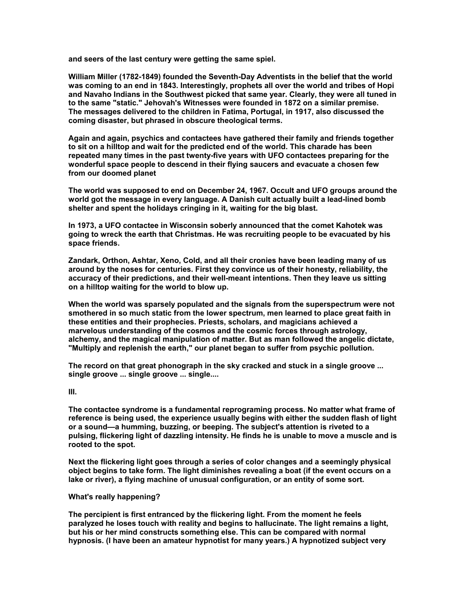**and seers of the last century were getting the same spiel.** 

**William Miller (1782-1849) founded the Seventh-Day Adventists in the belief that the world was coming to an end in 1843. Interestingly, prophets all over the world and tribes of Hopi and Navaho Indians in the Southwest picked that same year. Clearly, they were all tuned in to the same "static." Jehovah's Witnesses were founded in 1872 on a similar premise. The messages delivered to the children in Fatima, Portugal, in 1917, also discussed the coming disaster, but phrased in obscure theological terms.** 

**Again and again, psychics and contactees have gathered their family and friends together to sit on a hilltop and wait for the predicted end of the world. This charade has been repeated many times in the past twenty-five years with UFO contactees preparing for the wonderful space people to descend in their flying saucers and evacuate a chosen few from our doomed planet** 

**The world was supposed to end on December 24, 1967. Occult and UFO groups around the world got the message in every language. A Danish cult actually built a lead-lined bomb shelter and spent the holidays cringing in it, waiting for the big blast.** 

**In 1973, a UFO contactee in Wisconsin soberly announced that the comet Kahotek was going to wreck the earth that Christmas. He was recruiting people to be evacuated by his space friends.** 

**Zandark, Orthon, Ashtar, Xeno, Cold, and all their cronies have been leading many of us around by the noses for centuries. First they convince us of their honesty, reliability, the accuracy of their predictions, and their well-meant intentions. Then they leave us sitting on a hilltop waiting for the world to blow up.** 

**When the world was sparsely populated and the signals from the superspectrum were not smothered in so much static from the lower spectrum, men learned to place great faith in these entities and their prophecies. Priests, scholars, and magicians achieved a marvelous understanding of the cosmos and the cosmic forces through astrology, alchemy, and the magical manipulation of matter. But as man followed the angelic dictate, "Multiply and replenish the earth," our planet began to suffer from psychic pollution.** 

**The record on that great phonograph in the sky cracked and stuck in a single groove ... single groove ... single groove ... single....** 

**III.** 

**The contactee syndrome is a fundamental reprograming process. No matter what frame of reference is being used, the experience usually begins with either the sudden flash of light or a sound—a humming, buzzing, or beeping. The subject's attention is riveted to a pulsing, flickering light of dazzling intensity. He finds he is unable to move a muscle and is rooted to the spot.** 

**Next the flickering light goes through a series of color changes and a seemingly physical object begins to take form. The light diminishes revealing a boat (if the event occurs on a lake or river), a flying machine of unusual configuration, or an entity of some sort.** 

# **What's really happening?**

**The percipient is first entranced by the flickering light. From the moment he feels paralyzed he loses touch with reality and begins to hallucinate. The light remains a light, but his or her mind constructs something else. This can be compared with normal hypnosis. (I have been an amateur hypnotist for many years.) A hypnotized subject very**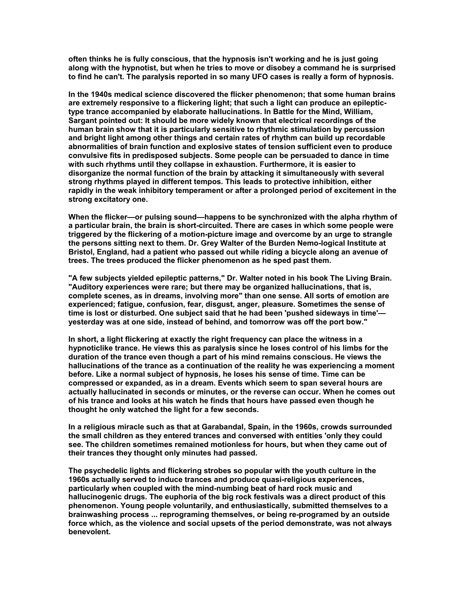**often thinks he is fully conscious, that the hypnosis isn't working and he is just going along with the hypnotist, but when he tries to move or disobey a command he is surprised to find he can't. The paralysis reported in so many UFO cases is really a form of hypnosis.** 

**In the 1940s medical science discovered the flicker phenomenon; that some human brains are extremely responsive to a flickering light; that such a light can produce an epileptictype trance accompanied by elaborate hallucinations. In Battle for the Mind, William, Sargant pointed out: It should be more widely known that electrical recordings of the human brain show that it is particularly sensitive to rhythmic stimulation by percussion and bright light among other things and certain rates of rhythm can build up recordable abnormalities of brain function and explosive states of tension sufficient even to produce convulsive fits in predisposed subjects. Some people can be persuaded to dance in time with such rhythms until they collapse in exhaustion. Furthermore, it is easier to disorganize the normal function of the brain by attacking it simultaneously with several strong rhythms played in different tempos. This leads to protective inhibition, either rapidly in the weak inhibitory temperament or after a prolonged period of excitement in the strong excitatory one.** 

**When the flicker—or pulsing sound—happens to be synchronized with the alpha rhythm of a particular brain, the brain is short-circuited. There are cases in which some people were triggered by the flickering of a motion-picture image and overcome by an urge to strangle the persons sitting next to them. Dr. Grey Walter of the Burden Nemo-logical Institute at Bristol, England, had a patient who passed out while riding a bicycle along an avenue of trees. The trees produced the flicker phenomenon as he sped past them.** 

**"A few subjects yielded epileptic patterns," Dr. Walter noted in his book The Living Brain. "Auditory experiences were rare; but there may be organized hallucinations, that is, complete scenes, as in dreams, involving more" than one sense. All sorts of emotion are experienced; fatigue, confusion, fear, disgust, anger, pleasure. Sometimes the sense of time is lost or disturbed. One subject said that he had been 'pushed sideways in time' yesterday was at one side, instead of behind, and tomorrow was off the port bow."** 

**In short, a light flickering at exactly the right frequency can place the witness in a hypnoticlike trance. He views this as paralysis since he loses control of his limbs for the duration of the trance even though a part of his mind remains conscious. He views the hallucinations of the trance as a continuation of the reality he was experiencing a moment before. Like a normal subject of hypnosis, he loses his sense of time. Time can be compressed or expanded, as in a dream. Events which seem to span several hours are actually hallucinated in seconds or minutes, or the reverse can occur. When he comes out of his trance and looks at his watch he finds that hours have passed even though he thought he only watched the light for a few seconds.** 

**In a religious miracle such as that at Garabandal, Spain, in the 1960s, crowds surrounded the small children as they entered trances and conversed with entities 'only they could see. The children sometimes remained motionless for hours, but when they came out of their trances they thought only minutes had passed.** 

**The psychedelic lights and flickering strobes so popular with the youth culture in the 1960s actually served to induce trances and produce quasi-religious experiences, particularly when coupled with the mind-numbing beat of hard rock music and hallucinogenic drugs. The euphoria of the big rock festivals was a direct product of this phenomenon. Young people voluntarily, and enthusiastically, submitted themselves to a brainwashing process ... reprograming themselves, or being re-programed by an outside force which, as the violence and social upsets of the period demonstrate, was not always benevolent.**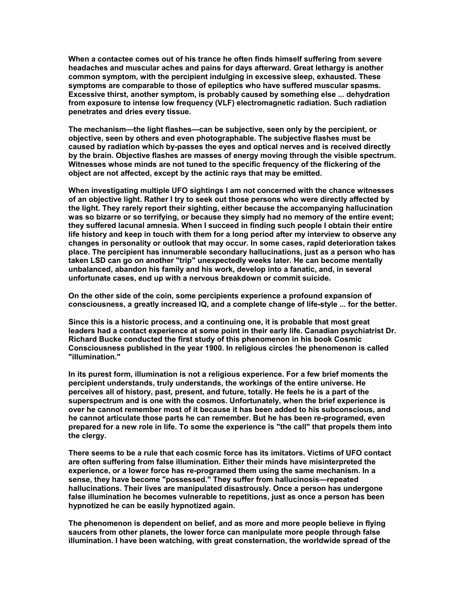**When a contactee comes out of his trance he often finds himself suffering from severe headaches and muscular aches and pains for days afterward. Great lethargy is another common symptom, with the percipient indulging in excessive sleep, exhausted. These symptoms are comparable to those of epileptics who have suffered muscular spasms. Excessive thirst, another symptom, is probably caused by something else ... dehydration from exposure to intense low frequency (VLF) electromagnetic radiation. Such radiation penetrates and dries every tissue.** 

**The mechanism—the light flashes—can be subjective, seen only by the percipient, or objective, seen by others and even photographable. The subjective flashes must be caused by radiation which by-passes the eyes and optical nerves and is received directly by the brain. Objective flashes are masses of energy moving through the visible spectrum. Witnesses whose minds are not tuned to the specific frequency of the flickering of the object are not affected, except by the actinic rays that may be emitted.** 

**When investigating multiple UFO sightings I am not concerned with the chance witnesses of an objective light. Rather I try to seek out those persons who were directly affected by the light. They rarely report their sighting, either because the accompanying hallucination was so bizarre or so terrifying, or because they simply had no memory of the entire event; they suffered lacunal amnesia. When I succeed in finding such people I obtain their entire life history and keep in touch with them for a long period after my interview to observe any changes in personality or outlook that may occur. In some cases, rapid deterioration takes place. The percipient has innumerable secondary hallucinations, just as a person who has taken LSD can go on another "trip" unexpectedly weeks later. He can become mentally unbalanced, abandon his family and his work, develop into a fanatic, and, in several unfortunate cases, end up with a nervous breakdown or commit suicide.** 

**On the other side of the coin, some percipients experience a profound expansion of consciousness, a greatly increased IQ, and a complete change of life-style ... for the better.** 

**Since this is a historic process, and a continuing one, it is probable that most great leaders had a contact experience at some point in their early life. Canadian psychiatrist Dr. Richard Bucke conducted the first study of this phenomenon in his book Cosmic Consciousness published in the year 1900. In religious circles !he phenomenon is called "illumination."** 

**In its purest form, illumination is not a religious experience. For a few brief moments the percipient understands, truly understands, the workings of the entire universe. He perceives all of history, past, present, and future, totally. He feels he is a part of the superspectrum and is one with the cosmos. Unfortunately, when the brief experience is over he cannot remember most of it because it has been added to his subconscious, and he cannot articulate those parts he can remember. But he has been re-programed, even prepared for a new role in life. To some the experience is "the call" that propels them into the clergy.** 

**There seems to be a rule that each cosmic force has its imitators. Victims of UFO contact are often suffering from false illumination. Either their minds have misinterpreted the experience, or a lower force has re-programed them using the same mechanism. In a sense, they have become "possessed." They suffer from hallucinosis—repeated hallucinations. Their lives are manipulated disastrously. Once a person has undergone false illumination he becomes vulnerable to repetitions, just as once a person has been hypnotized he can be easily hypnotized again.** 

**The phenomenon is dependent on belief, and as more and more people believe in flying saucers from other planets, the lower force can manipulate more people through false illumination. I have been watching, with great consternation, the worldwide spread of the**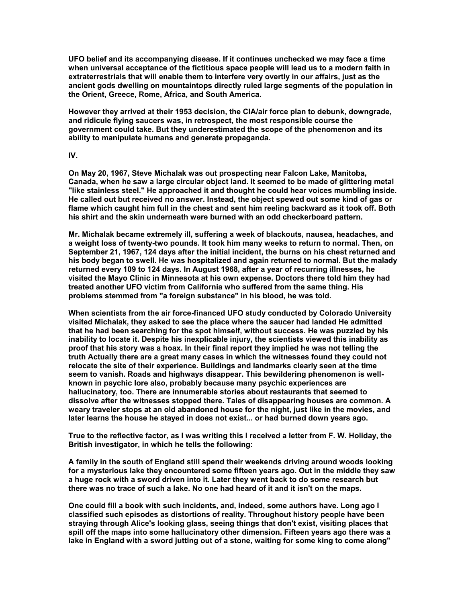**UFO belief and its accompanying disease. If it continues unchecked we may face a time when universal acceptance of the fictitious space people will lead us to a modern faith in extraterrestrials that will enable them to interfere very overtly in our affairs, just as the ancient gods dwelling on mountaintops directly ruled large segments of the population in the Orient, Greece, Rome, Africa, and South America.** 

**However they arrived at their 1953 decision, the CIA/air force plan to debunk, downgrade, and ridicule flying saucers was, in retrospect, the most responsible course the government could take. But they underestimated the scope of the phenomenon and its ability to manipulate humans and generate propaganda.** 

**IV.** 

**On May 20, 1967, Steve Michalak was out prospecting near Falcon Lake, Manitoba, Canada, when he saw a large circular object land. It seemed to be made of glittering metal "like stainless steel." He approached it and thought he could hear voices mumbling inside. He called out but received no answer. Instead, the object spewed out some kind of gas or flame which caught him full in the chest and sent him reeling backward as it took off. Both his shirt and the skin underneath were burned with an odd checkerboard pattern.** 

**Mr. Michalak became extremely ill, suffering a week of blackouts, nausea, headaches, and a weight loss of twenty-two pounds. It took him many weeks to return to normal. Then, on September 21, 1967, 124 days after the initial incident, the burns on his chest returned and his body began to swell. He was hospitalized and again returned to normal. But the malady returned every 109 to 124 days. In August 1968, after a year of recurring illnesses, he visited the Mayo Clinic in Minnesota at his own expense. Doctors there told him they had treated another UFO victim from California who suffered from the same thing. His problems stemmed from "a foreign substance" in his blood, he was told.** 

**When scientists from the air force-financed UFO study conducted by Colorado University visited Michalak, they asked to see the place where the saucer had landed He admitted that he had been searching for the spot himself, without success. He was puzzled by his inability to locate it. Despite his inexplicable injury, the scientists viewed this inability as proof that his story was a hoax. In their final report they implied he was not telling the truth Actually there are a great many cases in which the witnesses found they could not relocate the site of their experience. Buildings and landmarks clearly seen at the time seem to vanish. Roads and highways disappear. This bewildering phenomenon is wellknown in psychic lore also, probably because many psychic experiences are hallucinatory, too. There are innumerable stories about restaurants that seemed to dissolve after the witnesses stopped there. Tales of disappearing houses are common. A weary traveler stops at an old abandoned house for the night, just like in the movies, and later learns the house he stayed in does not exist... or had burned down years ago.** 

**True to the reflective factor, as I was writing this I received a letter from F. W. Holiday, the British investigator, in which he tells the following:** 

**A family in the south of England still spend their weekends driving around woods looking for a mysterious lake they encountered some fifteen years ago. Out in the middle they saw a huge rock with a sword driven into it. Later they went back to do some research but there was no trace of such a lake. No one had heard of it and it isn't on the maps.** 

**One could fill a book with such incidents, and, indeed, some authors have. Long ago I classified such episodes as distortions of reality. Throughout history people have been straying through Alice's looking glass, seeing things that don't exist, visiting places that spill off the maps into some hallucinatory other dimension. Fifteen years ago there was a lake in England with a sword jutting out of a stone, waiting for some king to come along"**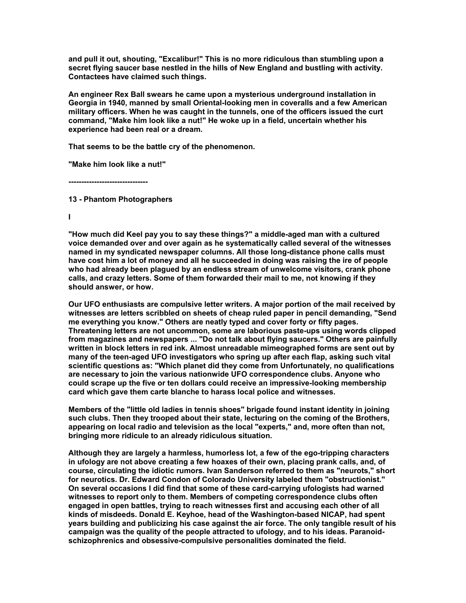**and pull it out, shouting, "Excalibur!" This is no more ridiculous than stumbling upon a secret flying saucer base nestled in the hills of New England and bustling with activity. Contactees have claimed such things.** 

**An engineer Rex Ball swears he came upon a mysterious underground installation in Georgia in 1940, manned by small Oriental-looking men in coveralls and a few American military officers. When he was caught in the tunnels, one of the officers issued the curt command, "Make him look like a nut!" He woke up in a field, uncertain whether his experience had been real or a dream.** 

**That seems to be the battle cry of the phenomenon.** 

**"Make him look like a nut!"** 

**-------------------------------** 

**13 - Phantom Photographers** 

**I** 

**"How much did Keel pay you to say these things?" a middle-aged man with a cultured voice demanded over and over again as he systematically called several of the witnesses named in my syndicated newspaper columns. All those long-distance phone calls must have cost him a lot of money and all he succeeded in doing was raising the ire of people who had already been plagued by an endless stream of unwelcome visitors, crank phone calls, and crazy letters. Some of them forwarded their mail to me, not knowing if they should answer, or how.** 

**Our UFO enthusiasts are compulsive letter writers. A major portion of the mail received by witnesses are letters scribbled on sheets of cheap ruled paper in pencil demanding, "Send me everything you know." Others are neatly typed and cover forty or fifty pages. Threatening letters are not uncommon, some are laborious paste-ups using words clipped from magazines and newspapers ... "Do not talk about flying saucers." Others are painfully written in block letters in red ink. Almost unreadable mimeographed forms are sent out by many of the teen-aged UFO investigators who spring up after each flap, asking such vital scientific questions as: "Which planet did they come from Unfortunately, no qualifications are necessary to join the various nationwide UFO correspondence clubs. Anyone who could scrape up the five or ten dollars could receive an impressive-looking membership card which gave them carte blanche to harass local police and witnesses.** 

**Members of the "little old ladies in tennis shoes" brigade found instant identity in joining such clubs. Then they trooped about their state, lecturing on the coming of the Brothers, appearing on local radio and television as the local "experts," and, more often than not, bringing more ridicule to an already ridiculous situation.** 

**Although they are largely a harmless, humorless lot, a few of the ego-tripping characters in ufology are not above creating a few hoaxes of their own, placing prank calls, and, of course, circulating the idiotic rumors. Ivan Sanderson referred to them as "neurots," short for neurotics. Dr. Edward Condon of Colorado University labeled them "obstructionist." On several occasions I did find that some of these card-carrying ufologists had warned witnesses to report only to them. Members of competing correspondence clubs often engaged in open battles, trying to reach witnesses first and accusing each other of all kinds of misdeeds. Donald E. Keyhoe, head of the Washington-based NICAP, had spent years building and publicizing his case against the air force. The only tangible result of his campaign was the quality of the people attracted to ufology, and to his ideas. Paranoidschizophrenics and obsessive-compulsive personalities dominated the field.**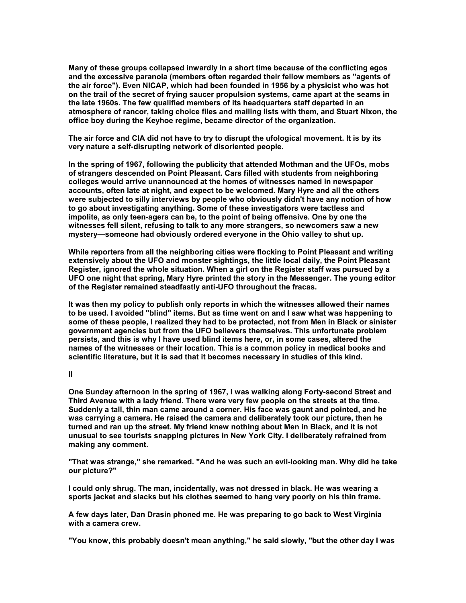**Many of these groups collapsed inwardly in a short time because of the conflicting egos and the excessive paranoia (members often regarded their fellow members as "agents of the air force"). Even NICAP, which had been founded in 1956 by a physicist who was hot on the trail of the secret of frying saucer propulsion systems, came apart at the seams in the late 1960s. The few qualified members of its headquarters staff departed in an atmosphere of rancor, taking choice files and mailing lists with them, and Stuart Nixon, the office boy during the Keyhoe regime, became director of the organization.** 

**The air force and CIA did not have to try to disrupt the ufological movement. It is by its very nature a self-disrupting network of disoriented people.** 

**In the spring of 1967, following the publicity that attended Mothman and the UFOs, mobs of strangers descended on Point Pleasant. Cars filled with students from neighboring colleges would arrive unannounced at the homes of witnesses named in newspaper accounts, often late at night, and expect to be welcomed. Mary Hyre and all the others were subjected to silly interviews by people who obviously didn't have any notion of how to go about investigating anything. Some of these investigators were tactless and impolite, as only teen-agers can be, to the point of being offensive. One by one the witnesses fell silent, refusing to talk to any more strangers, so newcomers saw a new mystery—someone had obviously ordered everyone in the Ohio valley to shut up.** 

**While reporters from all the neighboring cities were flocking to Point Pleasant and writing extensively about the UFO and monster sightings, the little local daily, the Point Pleasant Register, ignored the whole situation. When a girl on the Register staff was pursued by a UFO one night that spring, Mary Hyre printed the story in the Messenger. The young editor of the Register remained steadfastly anti-UFO throughout the fracas.** 

**It was then my policy to publish only reports in which the witnesses allowed their names to be used. I avoided "blind" items. But as time went on and I saw what was happening to some of these people, I realized they had to be protected, not from Men in Black or sinister government agencies but from the UFO believers themselves. This unfortunate problem persists, and this is why I have used blind items here, or, in some cases, altered the names of the witnesses or their location. This is a common policy in medical books and scientific literature, but it is sad that it becomes necessary in studies of this kind.** 

#### **II**

**One Sunday afternoon in the spring of 1967, I was walking along Forty-second Street and Third Avenue with a lady friend. There were very few people on the streets at the time. Suddenly a tall, thin man came around a corner. His face was gaunt and pointed, and he was carrying a camera. He raised the camera and deliberately took our picture, then he turned and ran up the street. My friend knew nothing about Men in Black, and it is not unusual to see tourists snapping pictures in New York City. I deliberately refrained from making any comment.** 

**"That was strange," she remarked. "And he was such an evil-looking man. Why did he take our picture?"** 

**I could only shrug. The man, incidentally, was not dressed in black. He was wearing a sports jacket and slacks but his clothes seemed to hang very poorly on his thin frame.** 

**A few days later, Dan Drasin phoned me. He was preparing to go back to West Virginia with a camera crew.** 

**"You know, this probably doesn't mean anything," he said slowly, "but the other day I was**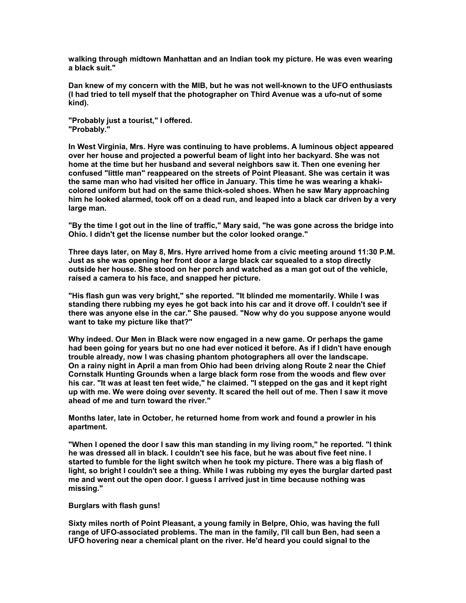**walking through midtown Manhattan and an Indian took my picture. He was even wearing a black suit."** 

**Dan knew of my concern with the MIB, but he was not well-known to the UFO enthusiasts (I had tried to tell myself that the photographer on Third Avenue was a ufo-nut of some kind).** 

**"Probably just a tourist," I offered. "Probably."** 

**In West Virginia, Mrs. Hyre was continuing to have problems. A luminous object appeared over her house and projected a powerful beam of light into her backyard. She was not home at the time but her husband and several neighbors saw it. Then one evening her confused "little man" reappeared on the streets of Point Pleasant. She was certain it was the same man who had visited her office in January. This time he was wearing a khakicolored uniform but had on the same thick-soled shoes. When he saw Mary approaching him he looked alarmed, took off on a dead run, and leaped into a black car driven by a very large man.** 

**"By the time I got out in the line of traffic," Mary said, "he was gone across the bridge into Ohio. I didn't get the license number but the color looked orange."** 

**Three days later, on May 8, Mrs. Hyre arrived home from a civic meeting around 11:30 P.M. Just as she was opening her front door a large black car squealed to a stop directly outside her house. She stood on her porch and watched as a man got out of the vehicle, raised a camera to his face, and snapped her picture.** 

**"His flash gun was very bright," she reported. "It blinded me momentarily. While I was standing there rubbing my eyes he got back into his car and it drove off. I couldn't see if there was anyone else in the car." She paused. "Now why do you suppose anyone would want to take my picture like that?"** 

**Why indeed. Our Men in Black were now engaged in a new game. Or perhaps the game had been going for years but no one had ever noticed it before. As if I didn't have enough trouble already, now I was chasing phantom photographers all over the landscape. On a rainy night in April a man from Ohio had been driving along Route 2 near the Chief Cornstalk Hunting Grounds when a large black form rose from the woods and flew over his car. "It was at least ten feet wide," he claimed. "I stepped on the gas and it kept right up with me. We were doing over seventy. It scared the hell out of me. Then I saw it move ahead of me and turn toward the river."** 

**Months later, late in October, he returned home from work and found a prowler in his apartment.** 

**"When I opened the door I saw this man standing in my living room," he reported. "I think he was dressed all in black. I couldn't see his face, but he was about five feet nine. I started to fumble for the light switch when he took my picture. There was a big flash of light, so bright I couldn't see a thing. While I was rubbing my eyes the burglar darted past me and went out the open door. I guess I arrived just in time because nothing was missing."** 

**Burglars with flash guns!** 

**Sixty miles north of Point Pleasant, a young family in Belpre, Ohio, was having the full range of UFO-associated problems. The man in the family, I'll call bun Ben, had seen a UFO hovering near a chemical plant on the river. He'd heard you could signal to the**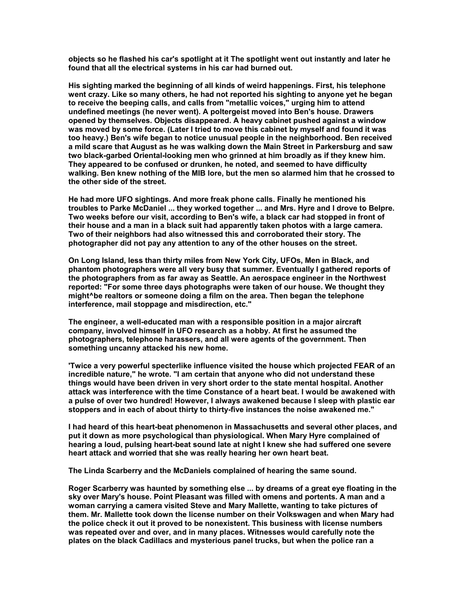**objects so he flashed his car's spotlight at it The spotlight went out instantly and later he found that all the electrical systems in his car had burned out.** 

**His sighting marked the beginning of all kinds of weird happenings. First, his telephone went crazy. Like so many others, he had not reported his sighting to anyone yet he began to receive the beeping calls, and calls from "metallic voices," urging him to attend undefined meetings (he never went). A poltergeist moved into Ben's house. Drawers opened by themselves. Objects disappeared. A heavy cabinet pushed against a window was moved by some force. (Later I tried to move this cabinet by myself and found it was too heavy.) Ben's wife began to notice unusual people in the neighborhood. Ben received a mild scare that August as he was walking down the Main Street in Parkersburg and saw two black-garbed Oriental-looking men who grinned at him broadly as if they knew him. They appeared to be confused or drunken, he noted, and seemed to have difficulty walking. Ben knew nothing of the MIB lore, but the men so alarmed him that he crossed to the other side of the street.** 

**He had more UFO sightings. And more freak phone calls. Finally he mentioned his troubles to Parke McDaniel ... they worked together ... and Mrs. Hyre and I drove to Belpre. Two weeks before our visit, according to Ben's wife, a black car had stopped in front of their house and a man in a black suit had apparently taken photos with a large camera. Two of their neighbors had also witnessed this and corroborated their story. The photographer did not pay any attention to any of the other houses on the street.** 

**On Long Island, less than thirty miles from New York City, UFOs, Men in Black, and phantom photographers were all very busy that summer. Eventually I gathered reports of the photographers from as far away as Seattle. An aerospace engineer in the Northwest reported: "For some three days photographs were taken of our house. We thought they might^be realtors or someone doing a film on the area. Then began the telephone interference, mail stoppage and misdirection, etc."** 

**The engineer, a well-educated man with a responsible position in a major aircraft company, involved himself in UFO research as a hobby. At first he assumed the photographers, telephone harassers, and all were agents of the government. Then something uncanny attacked his new home.** 

**'Twice a very powerful specterlike influence visited the house which projected FEAR of an incredible nature," he wrote. "I am certain that anyone who did not understand these things would have been driven in very short order to the state mental hospital. Another attack was interference with the time Constance of a heart beat. I would be awakened with a pulse of over two hundred! However, I always awakened because I sleep with plastic ear stoppers and in each of about thirty to thirty-five instances the noise awakened me."** 

**I had heard of this heart-beat phenomenon in Massachusetts and several other places, and put it down as more psychological than physiological. When Mary Hyre complained of hearing a loud, pulsing heart-beat sound late at night I knew she had suffered one severe heart attack and worried that she was really hearing her own heart beat.** 

**The Linda Scarberry and the McDaniels complained of hearing the same sound.** 

**Roger Scarberry was haunted by something else ... by dreams of a great eye floating in the sky over Mary's house. Point Pleasant was filled with omens and portents. A man and a woman carrying a camera visited Steve and Mary Mallette, wanting to take pictures of them. Mr. Mallette took down the license number on their Volkswagen and when Mary had the police check it out it proved to be nonexistent. This business with license numbers was repeated over and over, and in many places. Witnesses would carefully note the plates on the black Cadillacs and mysterious panel trucks, but when the police ran a**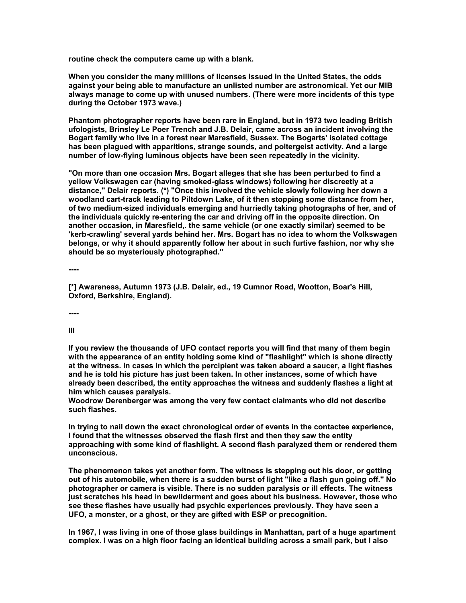**routine check the computers came up with a blank.** 

**When you consider the many millions of licenses issued in the United States, the odds against your being able to manufacture an unlisted number are astronomical. Yet our MIB always manage to come up with unused numbers. (There were more incidents of this type during the October 1973 wave.)** 

**Phantom photographer reports have been rare in England, but in 1973 two leading British ufologists, Brinsley Le Poer Trench and J.B. Delair, came across an incident involving the Bogart family who live in a forest near Maresfield, Sussex. The Bogarts' isolated cottage has been plagued with apparitions, strange sounds, and poltergeist activity. And a large number of low-flying luminous objects have been seen repeatedly in the vicinity.** 

**"On more than one occasion Mrs. Bogart alleges that she has been perturbed to find a yellow Volkswagen car (having smoked-glass windows) following her discreetly at a distance," Delair reports. (\*) "Once this involved the vehicle slowly following her down a woodland cart-track leading to Piltdown Lake, of it then stopping some distance from her, of two medium-sized individuals emerging and hurriedly taking photographs of her, and of the individuals quickly re-entering the car and driving off in the opposite direction. On another occasion, in Maresfield,. the same vehicle (or one exactly similar) seemed to be 'kerb-crawling' several yards behind her. Mrs. Bogart has no idea to whom the Volkswagen belongs, or why it should apparently follow her about in such furtive fashion, nor why she should be so mysteriously photographed."** 

**----** 

**[\*] Awareness, Autumn 1973 (J.B. Delair, ed., 19 Cumnor Road, Wootton, Boar's Hill, Oxford, Berkshire, England).** 

**----** 

**III** 

**If you review the thousands of UFO contact reports you will find that many of them begin with the appearance of an entity holding some kind of "flashlight" which is shone directly at the witness. In cases in which the percipient was taken aboard a saucer, a light flashes and he is told his picture has just been taken. In other instances, some of which have already been described, the entity approaches the witness and suddenly flashes a light at him which causes paralysis.** 

**Woodrow Derenberger was among the very few contact claimants who did not describe such flashes.** 

**In trying to nail down the exact chronological order of events in the contactee experience, I found that the witnesses observed the flash first and then they saw the entity approaching with some kind of flashlight. A second flash paralyzed them or rendered them unconscious.** 

**The phenomenon takes yet another form. The witness is stepping out his door, or getting out of his automobile, when there is a sudden burst of light "like a flash gun going off." No photographer or camera is visible. There is no sudden paralysis or ill effects. The witness just scratches his head in bewilderment and goes about his business. However, those who see these flashes have usually had psychic experiences previously. They have seen a UFO, a monster, or a ghost, or they are gifted with ESP or precognition.** 

**In 1967, I was living in one of those glass buildings in Manhattan, part of a huge apartment complex. I was on a high floor facing an identical building across a small park, but I also**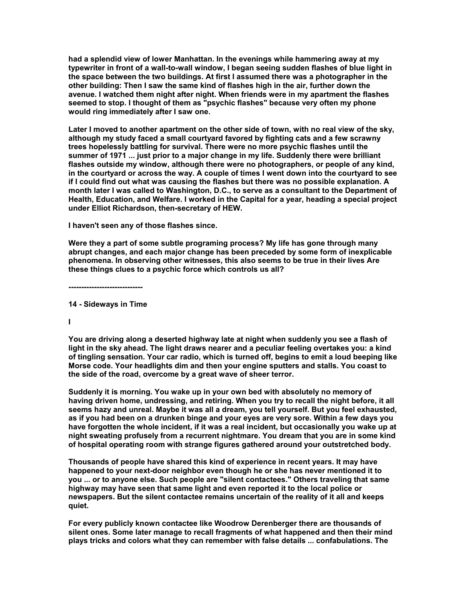**had a splendid view of lower Manhattan. In the evenings while hammering away at my typewriter in front of a wall-to-wall window, I began seeing sudden flashes of blue light in the space between the two buildings. At first I assumed there was a photographer in the other building: Then I saw the same kind of flashes high in the air, further down the avenue. I watched them night after night. When friends were in my apartment the flashes seemed to stop. I thought of them as "psychic flashes" because very often my phone would ring immediately after I saw one.** 

**Later I moved to another apartment on the other side of town, with no real view of the sky, although my study faced a small courtyard favored by fighting cats and a few scrawny trees hopelessly battling for survival. There were no more psychic flashes until the summer of 1971 ... just prior to a major change in my life. Suddenly there were brilliant flashes outside my window, although there were no photographers, or people of any kind, in the courtyard or across the way. A couple of times I went down into the courtyard to see if I could find out what was causing the flashes but there was no possible explanation. A month later I was called to Washington, D.C., to serve as a consultant to the Department of Health, Education, and Welfare. I worked in the Capital for a year, heading a special project under Elliot Richardson, then-secretary of HEW.** 

**I haven't seen any of those flashes since.** 

**Were they a part of some subtle programing process? My life has gone through many abrupt changes, and each major change has been preceded by some form of inexplicable phenomena. In observing other witnesses, this also seems to be true in their lives Are these things clues to a psychic force which controls us all?** 

**-----------------------------** 

**14 - Sideways in Time** 

**I** 

**You are driving along a deserted highway late at night when suddenly you see a flash of light in the sky ahead. The light draws nearer and a peculiar feeling overtakes you: a kind of tingling sensation. Your car radio, which is turned off, begins to emit a loud beeping like Morse code. Your headlights dim and then your engine sputters and stalls. You coast to the side of the road, overcome by a great wave of sheer terror.** 

**Suddenly it is morning. You wake up in your own bed with absolutely no memory of having driven home, undressing, and retiring. When you try to recall the night before, it all seems hazy and unreal. Maybe it was all a dream, you tell yourself. But you feel exhausted, as if you had been on a drunken binge and your eyes are very sore. Within a few days you have forgotten the whole incident, if it was a real incident, but occasionally you wake up at night sweating profusely from a recurrent nightmare. You dream that you are in some kind of hospital operating room with strange figures gathered around your outstretched body.** 

**Thousands of people have shared this kind of experience in recent years. It may have happened to your next-door neighbor even though he or she has never mentioned it to you ... or to anyone else. Such people are "silent contactees." Others traveling that same highway may have seen that same light and even reported it to the local police or newspapers. But the silent contactee remains uncertain of the reality of it all and keeps quiet.** 

**For every publicly known contactee like Woodrow Derenberger there are thousands of silent ones. Some later manage to recall fragments of what happened and then their mind plays tricks and colors what they can remember with false details ... confabulations. The**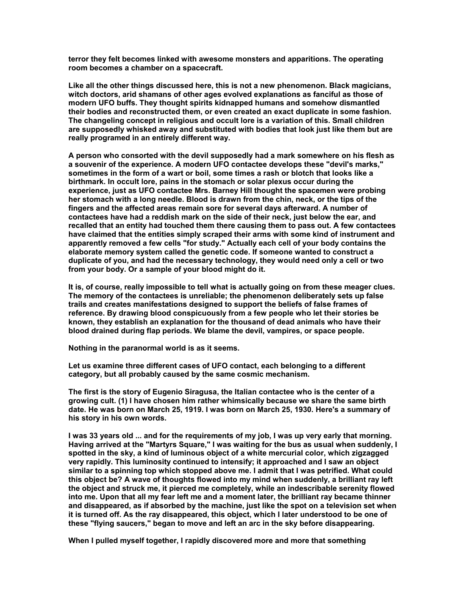**terror they felt becomes linked with awesome monsters and apparitions. The operating room becomes a chamber on a spacecraft.** 

**Like all the other things discussed here, this is not a new phenomenon. Black magicians, witch doctors, arid shamans of other ages evolved explanations as fanciful as those of modern UFO buffs. They thought spirits kidnapped humans and somehow dismantled their bodies and reconstructed them, or even created an exact duplicate in some fashion. The changeling concept in religious and occult lore is a variation of this. Small children are supposedly whisked away and substituted with bodies that look just like them but are really programed in an entirely different way.** 

**A person who consorted with the devil supposedly had a mark somewhere on his flesh as a souvenir of the experience. A modern UFO contactee develops these "devil's marks," sometimes in the form of a wart or boil, some times a rash or blotch that looks like a birthmark. In occult lore, pains in the stomach or solar plexus occur during the experience, just as UFO contactee Mrs. Barney Hill thought the spacemen were probing her stomach with a long needle. Blood is drawn from the chin, neck, or the tips of the fingers and the affected areas remain sore for several days afterward. A number of contactees have had a reddish mark on the side of their neck, just below the ear, and recalled that an entity had touched them there causing them to pass out. A few contactees have claimed that the entities simply scraped their arms with some kind of instrument and apparently removed a few cells "for study." Actually each cell of your body contains the elaborate memory system called the genetic code. If someone wanted to construct a duplicate of you, and had the necessary technology, they would need only a cell or two from your body. Or a sample of your blood might do it.** 

**It is, of course, really impossible to tell what is actually going on from these meager clues. The memory of the contactees is unreliable; the phenomenon deliberately sets up false trails and creates manifestations designed to support the beliefs of false frames of reference. By drawing blood conspicuously from a few people who let their stories be known, they establish an explanation for the thousand of dead animals who have their blood drained during flap periods. We blame the devil, vampires, or space people.** 

**Nothing in the paranormal world is as it seems.** 

**Let us examine three different cases of UFO contact, each belonging to a different category, but all probably caused by the same cosmic mechanism.** 

**The first is the story of Eugenio Siragusa, the Italian contactee who is the center of a growing cult. (1) I have chosen him rather whimsically because we share the same birth date. He was born on March 25, 1919. I was born on March 25, 1930. Here's a summary of his story in his own words.** 

**I was 33 years old ... and for the requirements of my job, I was up very early that morning. Having arrived at the "Martyrs Square," I was waiting for the bus as usual when suddenly, I spotted in the sky, a kind of luminous object of a white mercurial color, which zigzagged very rapidly. This luminosity continued to intensify; it approached and I saw an object similar to a spinning top which stopped above me. I admit that I was petrified. What could this object be? A wave of thoughts flowed into my mind when suddenly, a brilliant ray left the object and struck me, it pierced me completely, while an indescribable serenity flowed into me. Upon that all my fear left me and a moment later, the brilliant ray became thinner and disappeared, as if absorbed by the machine, just like the spot on a television set when it is turned off. As the ray disappeared, this object, which I later understood to be one of these "flying saucers," began to move and left an arc in the sky before disappearing.** 

**When I pulled myself together, I rapidly discovered more and more that something**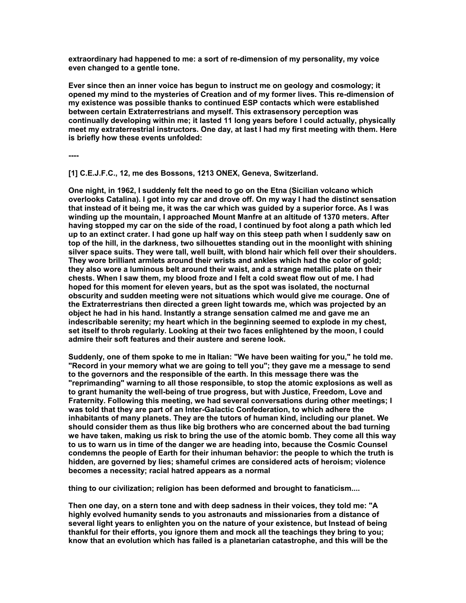**extraordinary had happened to me: a sort of re-dimension of my personality, my voice even changed to a gentle tone.** 

**Ever since then an inner voice has begun to instruct me on geology and cosmology; it opened my mind to the mysteries of Creation and of my former lives. This re-dimension of my existence was possible thanks to continued ESP contacts which were established between certain Extraterrestrians and myself. This extrasensory perception was continually developing within me; it lasted 11 long years before I could actually, physically meet my extraterrestrial instructors. One day, at last I had my first meeting with them. Here is briefly how these events unfolded:** 

**----** 

**[1] C.E.J.F.C., 12, me des Bossons, 1213 ONEX, Geneva, Switzerland.** 

**One night, in 1962, I suddenly felt the need to go on the Etna (Sicilian volcano which overlooks Catalina). I got into my car and drove off. On my way I had the distinct sensation that instead of it being me, it was the car which was guided by a superior force. As I was winding up the mountain, I approached Mount Manfre at an altitude of 1370 meters. After having stopped my car on the side of the road, I continued by foot along a path which led up to an extinct crater. I had gone up half way on this steep path when I suddenly saw on top of the hill, in the darkness, two silhouettes standing out in the moonlight with shining silver space suits. They were tall, well built, with blond hair which fell over their shoulders. They wore brilliant armlets around their wrists and ankles which had the color of gold; they also wore a luminous belt around their waist, and a strange metallic plate on their chests. When I saw them, my blood froze and I felt a cold sweat flow out of me. I had hoped for this moment for eleven years, but as the spot was isolated, the nocturnal obscurity and sudden meeting were not situations which would give me courage. One of the Extraterrestrians then directed a green light towards me, which was projected by an object he had in his hand. Instantly a strange sensation calmed me and gave me an indescribable serenity; my heart which in the beginning seemed to explode in my chest, set itself to throb regularly. Looking at their two faces enlightened by the moon, I could admire their soft features and their austere and serene look.** 

**Suddenly, one of them spoke to me in Italian: "We have been waiting for you," he told me. "Record in your memory what we are going to tell you"; they gave me a message to send to the governors and the responsible of the earth. In this message there was the "reprimanding" warning to all those responsible, to stop the atomic explosions as well as to grant humanity the well-being of true progress, but with Justice, Freedom, Love and Fraternity. Following this meeting, we had several conversations during other meetings; I was told that they are part of an Inter-Galactic Confederation, to which adhere the inhabitants of many planets. They are the tutors of human kind, including our planet. We should consider them as thus like big brothers who are concerned about the bad turning we have taken, making us risk to bring the use of the atomic bomb. They come all this way to us to warn us in time of the danger we are heading into, because the Cosmic Counsel condemns the people of Earth for their inhuman behavior: the people to which the truth is hidden, are governed by lies; shameful crimes are considered acts of heroism; violence becomes a necessity; racial hatred appears as a normal** 

**thing to our civilization; religion has been deformed and brought to fanaticism....** 

**Then one day, on a stern tone and with deep sadness in their voices, they told me: "A highly evolved humanity sends to you astronauts and missionaries from a distance of several light years to enlighten you on the nature of your existence, but Instead of being thankful for their efforts, you ignore them and mock all the teachings they bring to you; know that an evolution which has failed is a planetarian catastrophe, and this will be the**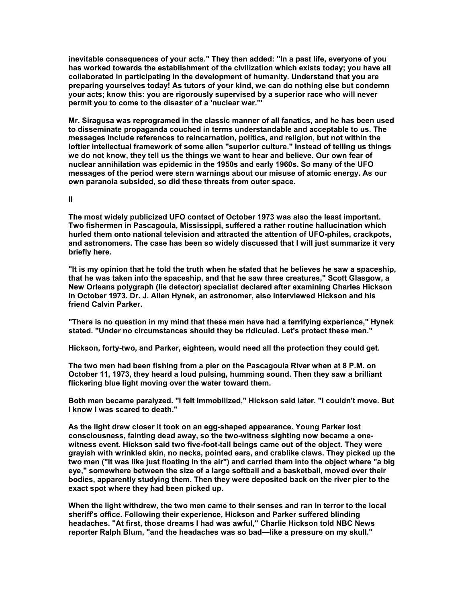**inevitable consequences of your acts." They then added: "In a past life, everyone of you has worked towards the establishment of the civilization which exists today; you have all collaborated in participating in the development of humanity. Understand that you are preparing yourselves today! As tutors of your kind, we can do nothing else but condemn your acts; know this: you are rigorously supervised by a superior race who will never permit you to come to the disaster of a 'nuclear war.'"** 

**Mr. Siragusa was reprogramed in the classic manner of all fanatics, and he has been used to disseminate propaganda couched in terms understandable and acceptable to us. The messages include references to reincarnation, politics, and religion, but not within the loftier intellectual framework of some alien "superior culture." Instead of telling us things we do not know, they tell us the things we want to hear and believe. Our own fear of nuclear annihilation was epidemic in the 1950s and early 1960s. So many of the UFO messages of the period were stern warnings about our misuse of atomic energy. As our own paranoia subsided, so did these threats from outer space.** 

## **II**

**The most widely publicized UFO contact of October 1973 was also the least important. Two fishermen in Pascagoula, Mississippi, suffered a rather routine hallucination which hurled them onto national television and attracted the attention of UFO-philes, crackpots, and astronomers. The case has been so widely discussed that I will just summarize it very briefly here.** 

**"It is my opinion that he told the truth when he stated that he believes he saw a spaceship, that he was taken into the spaceship, and that he saw three creatures," Scott Glasgow, a New Orleans polygraph (lie detector) specialist declared after examining Charles Hickson in October 1973. Dr. J. Allen Hynek, an astronomer, also interviewed Hickson and his friend Calvin Parker.** 

**"There is no question in my mind that these men have had a terrifying experience," Hynek stated. "Under no circumstances should they be ridiculed. Let's protect these men."** 

**Hickson, forty-two, and Parker, eighteen, would need all the protection they could get.** 

**The two men had been fishing from a pier on the Pascagoula River when at 8 P.M. on October 11, 1973, they heard a loud pulsing, humming sound. Then they saw a brilliant flickering blue light moving over the water toward them.** 

**Both men became paralyzed. "I felt immobilized," Hickson said later. "I couldn't move. But I know I was scared to death."** 

**As the light drew closer it took on an egg-shaped appearance. Young Parker lost consciousness, fainting dead away, so the two-witness sighting now became a onewitness event. Hickson said two five-foot-tall beings came out of the object. They were grayish with wrinkled skin, no necks, pointed ears, and crablike claws. They picked up the two men ("It was like just floating in the air") and carried them into the object where "a big eye," somewhere between the size of a large softball and a basketball, moved over their bodies, apparently studying them. Then they were deposited back on the river pier to the exact spot where they had been picked up.** 

**When the light withdrew, the two men came to their senses and ran in terror to the local sheriff's office. Following their experience, Hickson and Parker suffered blinding headaches. "At first, those dreams I had was awful," Charlie Hickson told NBC News reporter Ralph Blum, "and the headaches was so bad—like a pressure on my skull."**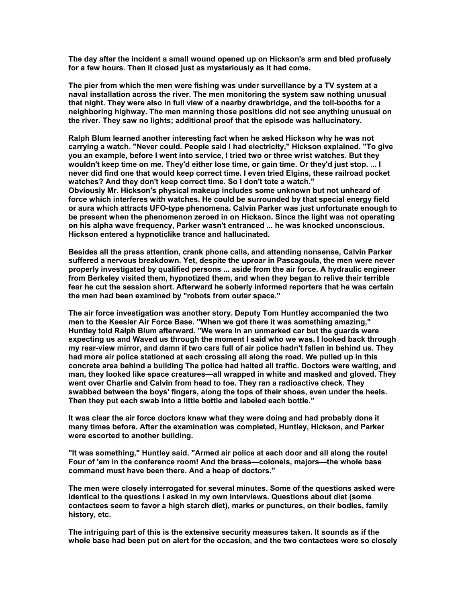**The day after the incident a small wound opened up on Hickson's arm and bled profusely for a few hours. Then it closed just as mysteriously as it had come.** 

**The pier from which the men were fishing was under surveillance by a TV system at a naval installation across the river. The men monitoring the system saw nothing unusual that night. They were also in full view of a nearby drawbridge, and the toll-booths for a neighboring highway. The men manning those positions did not see anything unusual on the river. They saw no lights; additional proof that the episode was hallucinatory.** 

**Ralph Blum learned another interesting fact when he asked Hickson why he was not carrying a watch. "Never could. People said I had electricity," Hickson explained. "To give you an example, before I went into service, I tried two or three wrist watches. But they wouldn't keep time on me. They'd either lose time, or gain time. Or they'd just stop. ... I never did find one that would keep correct time. I even tried Elgins, these railroad pocket watches? And they don't keep correct time. So I don't tote a watch."** 

**Obviously Mr. Hickson's physical makeup includes some unknown but not unheard of force which interferes with watches. He could be surrounded by that special energy field or aura which attracts UFO-type phenomena. Calvin Parker was just unfortunate enough to be present when the phenomenon zeroed in on Hickson. Since the light was not operating on his alpha wave frequency, Parker wasn't entranced ... he was knocked unconscious. Hickson entered a hypnoticlike trance and hallucinated.** 

**Besides all the press attention, crank phone calls, and attending nonsense, Calvin Parker suffered a nervous breakdown. Yet, despite the uproar in Pascagoula, the men were never properly investigated by qualified persons ... aside from the air force. A hydraulic engineer from Berkeley visited them, hypnotized them, and when they began to relive their terrible fear he cut the session short. Afterward he soberly informed reporters that he was certain the men had been examined by "robots from outer space."** 

**The air force investigation was another story. Deputy Tom Huntley accompanied the two men to the Keesler Air Force Base. "When we got there it was something amazing," Huntley told Ralph Blum afterward. "We were in an unmarked car but the guards were expecting us and Waved us through the moment I said who we was. I looked back through my rear-view mirror, and damn if two cars full of air police hadn't fallen in behind us. They had more air police stationed at each crossing all along the road. We pulled up in this concrete area behind a building The police had halted all traffic. Doctors were waiting, and man, they looked like space creatures—all wrapped in white and masked and gloved. They went over Charlie and Calvin from head to toe. They ran a radioactive check. They swabbed between the boys' fingers, along the tops of their shoes, even under the heels. Then they put each swab into a little bottle and labeled each bottle."** 

**It was clear the air force doctors knew what they were doing and had probably done it many times before. After the examination was completed, Huntley, Hickson, and Parker were escorted to another building.** 

**"It was something," Huntley said. "Armed air police at each door and all along the route! Four of 'em in the conference room! And the brass—colonels, majors—the whole base command must have been there. And a heap of doctors."** 

**The men were closely interrogated for several minutes. Some of the questions asked were identical to the questions I asked in my own interviews. Questions about diet (some contactees seem to favor a high starch diet), marks or punctures, on their bodies, family history, etc.** 

**The intriguing part of this is the extensive security measures taken. It sounds as if the whole base had been put on alert for the occasion, and the two contactees were so closely**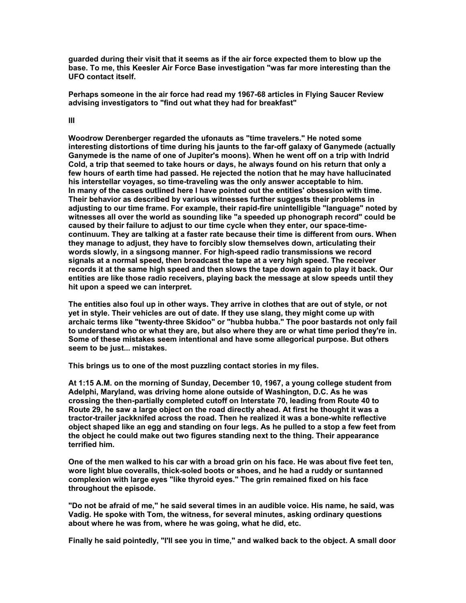**guarded during their visit that it seems as if the air force expected them to blow up the base. To me, this Keesler Air Force Base investigation "was far more interesting than the UFO contact itself.** 

**Perhaps someone in the air force had read my 1967-68 articles in Flying Saucer Review advising investigators to "find out what they had for breakfast"** 

**III** 

**Woodrow Derenberger regarded the ufonauts as "time travelers." He noted some interesting distortions of time during his jaunts to the far-off galaxy of Ganymede (actually Ganymede is the name of one of Jupiter's moons). When he went off on a trip with Indrid Cold, a trip that seemed to take hours or days, he always found on his return that only a few hours of earth time had passed. He rejected the notion that he may have hallucinated his interstellar voyages, so time-traveling was the only answer acceptable to him. In many of the cases outlined here I have pointed out the entities' obsession with time. Their behavior as described by various witnesses further suggests their problems in adjusting to our time frame. For example, their rapid-fire unintelligible "language" noted by witnesses all over the world as sounding like "a speeded up phonograph record" could be caused by their failure to adjust to our time cycle when they enter, our space-timecontinuum. They are talking at a faster rate because their time is different from ours. When they manage to adjust, they have to forcibly slow themselves down, articulating their words slowly, in a singsong manner. For high-speed radio transmissions we record signals at a normal speed, then broadcast the tape at a very high speed. The receiver records it at the same high speed and then slows the tape down again to play it back. Our entities are like those radio receivers, playing back the message at slow speeds until they hit upon a speed we can interpret.** 

**The entities also foul up in other ways. They arrive in clothes that are out of style, or not yet in style. Their vehicles are out of date. If they use slang, they might come up with archaic terms like "twenty-three Skidoo" or "hubba hubba." The poor bastards not only fail to understand who or what they are, but also where they are or what time period they're in. Some of these mistakes seem intentional and have some allegorical purpose. But others seem to be just... mistakes.** 

**This brings us to one of the most puzzling contact stories in my files.** 

**At 1:15 A.M. on the morning of Sunday, December 10, 1967, a young college student from Adelphi, Maryland, was driving home alone outside of Washington, D.C. As he was crossing the then-partially completed cutoff on Interstate 70, leading from Route 40 to Route 29, he saw a large object on the road directly ahead. At first he thought it was a tractor-trailer jackknifed across the road. Then he realized it was a bone-white reflective object shaped like an egg and standing on four legs. As he pulled to a stop a few feet from the object he could make out two figures standing next to the thing. Their appearance terrified him.** 

**One of the men walked to his car with a broad grin on his face. He was about five feet ten, wore light blue coveralls, thick-soled boots or shoes, and he had a ruddy or suntanned complexion with large eyes "like thyroid eyes." The grin remained fixed on his face throughout the episode.** 

**"Do not be afraid of me," he said several times in an audible voice. His name, he said, was Vadig. He spoke with Tom, the witness, for several minutes, asking ordinary questions about where he was from, where he was going, what he did, etc.** 

**Finally he said pointedly, "I'll see you in time," and walked back to the object. A small door**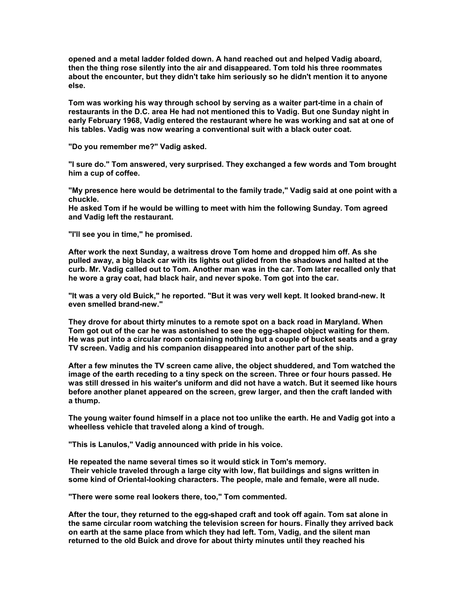**opened and a metal ladder folded down. A hand reached out and helped Vadig aboard, then the thing rose silently into the air and disappeared. Tom told his three roommates about the encounter, but they didn't take him seriously so he didn't mention it to anyone else.** 

**Tom was working his way through school by serving as a waiter part-time in a chain of restaurants in the D.C. area He had not mentioned this to Vadig. But one Sunday night in early February 1968, Vadig entered the restaurant where he was working and sat at one of his tables. Vadig was now wearing a conventional suit with a black outer coat.** 

**"Do you remember me?" Vadig asked.** 

**"I sure do." Tom answered, very surprised. They exchanged a few words and Tom brought him a cup of coffee.** 

**"My presence here would be detrimental to the family trade," Vadig said at one point with a chuckle.** 

**He asked Tom if he would be willing to meet with him the following Sunday. Tom agreed and Vadig left the restaurant.** 

**"I'll see you in time," he promised.** 

**After work the next Sunday, a waitress drove Tom home and dropped him off. As she pulled away, a big black car with its lights out glided from the shadows and halted at the curb. Mr. Vadig called out to Tom. Another man was in the car. Tom later recalled only that he wore a gray coat, had black hair, and never spoke. Tom got into the car.** 

**"It was a very old Buick," he reported. "But it was very well kept. It looked brand-new. It even smelled brand-new."** 

**They drove for about thirty minutes to a remote spot on a back road in Maryland. When Tom got out of the car he was astonished to see the egg-shaped object waiting for them. He was put into a circular room containing nothing but a couple of bucket seats and a gray TV screen. Vadig and his companion disappeared into another part of the ship.** 

**After a few minutes the TV screen came alive, the object shuddered, and Tom watched the image of the earth receding to a tiny speck on the screen. Three or four hours passed. He was still dressed in his waiter's uniform and did not have a watch. But it seemed like hours before another planet appeared on the screen, grew larger, and then the craft landed with a thump.** 

**The young waiter found himself in a place not too unlike the earth. He and Vadig got into a wheelless vehicle that traveled along a kind of trough.** 

**"This is Lanulos," Vadig announced with pride in his voice.** 

**He repeated the name several times so it would stick in Tom's memory. Their vehicle traveled through a large city with low, flat buildings and signs written in some kind of Oriental-looking characters. The people, male and female, were all nude.** 

**"There were some real lookers there, too," Tom commented.** 

**After the tour, they returned to the egg-shaped craft and took off again. Tom sat alone in the same circular room watching the television screen for hours. Finally they arrived back on earth at the same place from which they had left. Tom, Vadig, and the silent man returned to the old Buick and drove for about thirty minutes until they reached his**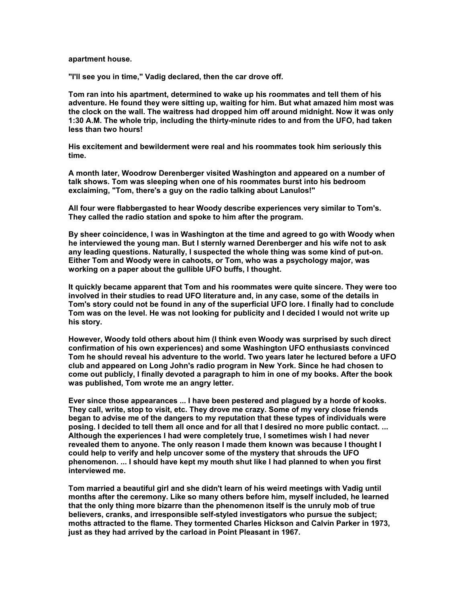### **apartment house.**

**"I'll see you in time," Vadig declared, then the car drove off.** 

**Tom ran into his apartment, determined to wake up his roommates and tell them of his adventure. He found they were sitting up, waiting for him. But what amazed him most was the clock on the wall. The waitress had dropped him off around midnight. Now it was only 1:30 A.M. The whole trip, including the thirty-minute rides to and from the UFO, had taken less than two hours!** 

**His excitement and bewilderment were real and his roommates took him seriously this time.** 

**A month later, Woodrow Derenberger visited Washington and appeared on a number of talk shows. Tom was sleeping when one of his roommates burst into his bedroom exclaiming, "Tom, there's a guy on the radio talking about Lanulos!"** 

**All four were flabbergasted to hear Woody describe experiences very similar to Tom's. They called the radio station and spoke to him after the program.** 

**By sheer coincidence, I was in Washington at the time and agreed to go with Woody when he interviewed the young man. But I sternly warned Derenberger and his wife not to ask any leading questions. Naturally, I suspected the whole thing was some kind of put-on. Either Tom and Woody were in cahoots, or Tom, who was a psychology major, was working on a paper about the gullible UFO buffs, I thought.** 

**It quickly became apparent that Tom and his roommates were quite sincere. They were too involved in their studies to read UFO literature and, in any case, some of the details in Tom's story could not be found in any of the superficial UFO lore. I finally had to conclude Tom was on the level. He was not looking for publicity and I decided I would not write up his story.** 

**However, Woody told others about him (I think even Woody was surprised by such direct confirmation of his own experiences) and some Washington UFO enthusiasts convinced Tom he should reveal his adventure to the world. Two years later he lectured before a UFO club and appeared on Long John's radio program in New York. Since he had chosen to come out publicly, I finally devoted a paragraph to him in one of my books. After the book was published, Tom wrote me an angry letter.** 

**Ever since those appearances ... I have been pestered and plagued by a horde of kooks. They call, write, stop to visit, etc. They drove me crazy. Some of my very close friends began to advise me of the dangers to my reputation that these types of individuals were posing. I decided to tell them all once and for all that I desired no more public contact. ... Although the experiences I had were completely true, I sometimes wish I had never revealed them to anyone. The only reason I made them known was because I thought I could help to verify and help uncover some of the mystery that shrouds the UFO phenomenon. ... I should have kept my mouth shut like I had planned to when you first interviewed me.** 

**Tom married a beautiful girl and she didn't learn of his weird meetings with Vadig until months after the ceremony. Like so many others before him, myself included, he learned that the only thing more bizarre than the phenomenon itself is the unruly mob of true believers, cranks, and irresponsible self-styled investigators who pursue the subject; moths attracted to the flame. They tormented Charles Hickson and Calvin Parker in 1973, just as they had arrived by the carload in Point Pleasant in 1967.**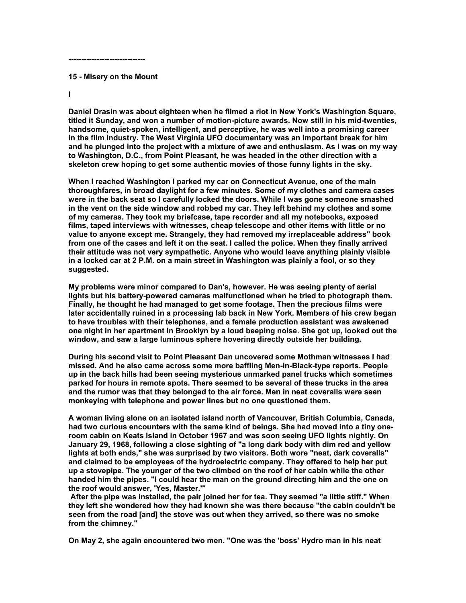**15 - Misery on the Mount** 

**I** 

**Daniel Drasin was about eighteen when he filmed a riot in New York's Washington Square, titled it Sunday, and won a number of motion-picture awards. Now still in his mid-twenties, handsome, quiet-spoken, intelligent, and perceptive, he was well into a promising career in the film industry. The West Virginia UFO documentary was an important break for him and he plunged into the project with a mixture of awe and enthusiasm. As I was on my way to Washington, D.C., from Point Pleasant, he was headed in the other direction with a skeleton crew hoping to get some authentic movies of those funny lights in the sky.** 

**When I reached Washington I parked my car on Connecticut Avenue, one of the main thoroughfares, in broad daylight for a few minutes. Some of my clothes and camera cases were in the back seat so I carefully locked the doors. While I was gone someone smashed in the vent on the side window and robbed my car. They left behind my clothes and some of my cameras. They took my briefcase, tape recorder and all my notebooks, exposed films, taped interviews with witnesses, cheap telescope and other items with little or no value to anyone except me. Strangely, they had removed my irreplaceable address" book from one of the cases and left it on the seat. I called the police. When they finally arrived their attitude was not very sympathetic. Anyone who would leave anything plainly visible in a locked car at 2 P.M. on a main street in Washington was plainly a fool, or so they suggested.** 

**My problems were minor compared to Dan's, however. He was seeing plenty of aerial lights but his battery-powered cameras malfunctioned when he tried to photograph them. Finally, he thought he had managed to get some footage. Then the precious films were later accidentally ruined in a processing lab back in New York. Members of his crew began to have troubles with their telephones, and a female production assistant was awakened one night in her apartment in Brooklyn by a loud beeping noise. She got up, looked out the window, and saw a large luminous sphere hovering directly outside her building.** 

**During his second visit to Point Pleasant Dan uncovered some Mothman witnesses I had missed. And he also came across some more baffling Men-in-Black-type reports. People up in the back hills had been seeing mysterious unmarked panel trucks which sometimes parked for hours in remote spots. There seemed to be several of these trucks in the area and the rumor was that they belonged to the air force. Men in neat coveralls were seen monkeying with telephone and power lines but no one questioned them.** 

**A woman living alone on an isolated island north of Vancouver, British Columbia, Canada, had two curious encounters with the same kind of beings. She had moved into a tiny oneroom cabin on Keats Island in October 1967 and was soon seeing UFO lights nightly. On January 29, 1968, following a close sighting of "a long dark body with dim red and yellow lights at both ends," she was surprised by two visitors. Both wore "neat, dark coveralls" and claimed to be employees of the hydroelectric company. They offered to help her put up a stovepipe. The younger of the two climbed on the roof of her cabin while the other handed him the pipes. "I could hear the man on the ground directing him and the one on the roof would answer, 'Yes, Master.'"** 

 **After the pipe was installed, the pair joined her for tea. They seemed "a little stiff." When they left she wondered how they had known she was there because "the cabin couldn't be seen from the road [and] the stove was out when they arrived, so there was no smoke from the chimney."** 

**On May 2, she again encountered two men. "One was the 'boss' Hydro man in his neat**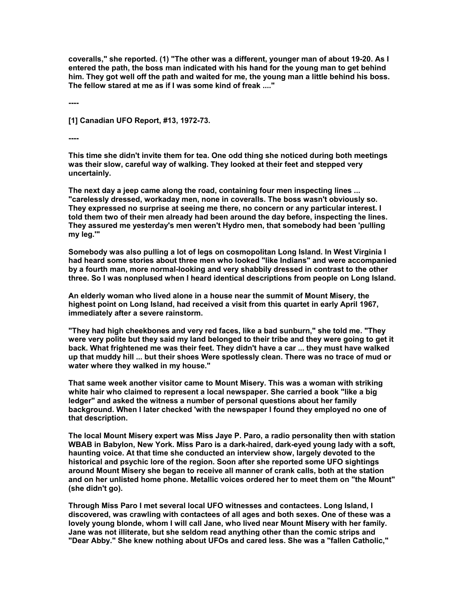**coveralls," she reported. (1) "The other was a different, younger man of about 19-20. As I entered the path, the boss man indicated with his hand for the young man to get behind him. They got well off the path and waited for me, the young man a little behind his boss. The fellow stared at me as if I was some kind of freak ...."** 

**----** 

**[1] Canadian UFO Report, #13, 1972-73.** 

**----** 

**This time she didn't invite them for tea. One odd thing she noticed during both meetings was their slow, careful way of walking. They looked at their feet and stepped very uncertainly.** 

**The next day a jeep came along the road, containing four men inspecting lines ... "carelessly dressed, workaday men, none in coveralls. The boss wasn't obviously so. They expressed no surprise at seeing me there, no concern or any particular interest. I told them two of their men already had been around the day before, inspecting the lines. They assured me yesterday's men weren't Hydro men, that somebody had been 'pulling my leg.'"** 

**Somebody was also pulling a lot of legs on cosmopolitan Long Island. In West Virginia I had heard some stories about three men who looked "like Indians" and were accompanied by a fourth man, more normal-looking and very shabbily dressed in contrast to the other three. So I was nonplused when I heard identical descriptions from people on Long Island.** 

**An elderly woman who lived alone in a house near the summit of Mount Misery, the highest point on Long Island, had received a visit from this quartet in early April 1967, immediately after a severe rainstorm.** 

**"They had high cheekbones and very red faces, like a bad sunburn," she told me. "They were very polite but they said my land belonged to their tribe and they were going to get it back. What frightened me was their feet. They didn't have a car ... they must have walked up that muddy hill ... but their shoes Were spotlessly clean. There was no trace of mud or water where they walked in my house."** 

**That same week another visitor came to Mount Misery. This was a woman with striking white hair who claimed to represent a local newspaper. She carried a book "like a big ledger" and asked the witness a number of personal questions about her family background. When I later checked 'with the newspaper I found they employed no one of that description.** 

**The local Mount Misery expert was Miss Jaye P. Paro, a radio personality then with station WBAB in Babylon, New York. Miss Paro is a dark-haired, dark-eyed young lady with a soft, haunting voice. At that time she conducted an interview show, largely devoted to the historical and psychic lore of the region. Soon after she reported some UFO sightings around Mount Misery she began to receive all manner of crank calls, both at the station and on her unlisted home phone. Metallic voices ordered her to meet them on "the Mount" (she didn't go).** 

**Through Miss Paro I met several local UFO witnesses and contactees. Long Island, I discovered, was crawling with contactees of all ages and both sexes. One of these was a lovely young blonde, whom I will call Jane, who lived near Mount Misery with her family. Jane was not illiterate, but she seldom read anything other than the comic strips and "Dear Abby." She knew nothing about UFOs and cared less. She was a "fallen Catholic,"**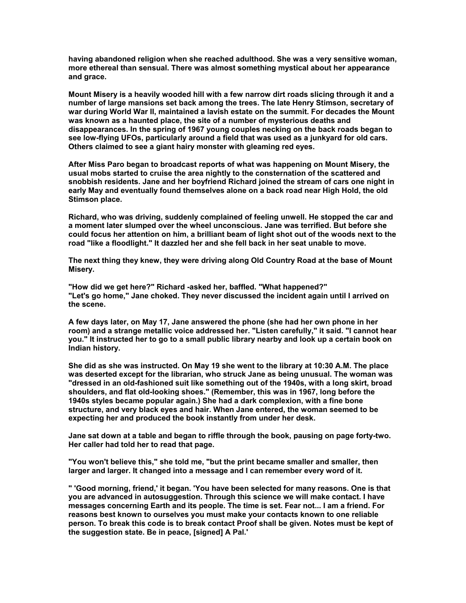**having abandoned religion when she reached adulthood. She was a very sensitive woman, more ethereal than sensual. There was almost something mystical about her appearance and grace.** 

**Mount Misery is a heavily wooded hill with a few narrow dirt roads slicing through it and a number of large mansions set back among the trees. The late Henry Stimson, secretary of war during World War II, maintained a lavish estate on the summit. For decades the Mount was known as a haunted place, the site of a number of mysterious deaths and disappearances. In the spring of 1967 young couples necking on the back roads began to see low-flying UFOs, particularly around a field that was used as a junkyard for old cars. Others claimed to see a giant hairy monster with gleaming red eyes.** 

**After Miss Paro began to broadcast reports of what was happening on Mount Misery, the usual mobs started to cruise the area nightly to the consternation of the scattered and snobbish residents. Jane and her boyfriend Richard joined the stream of cars one night in early May and eventually found themselves alone on a back road near High Hold, the old Stimson place.** 

**Richard, who was driving, suddenly complained of feeling unwell. He stopped the car and a moment later slumped over the wheel unconscious. Jane was terrified. But before she could focus her attention on him, a brilliant beam of light shot out of the woods next to the road "like a floodlight." It dazzled her and she fell back in her seat unable to move.** 

**The next thing they knew, they were driving along Old Country Road at the base of Mount Misery.** 

**"How did we get here?" Richard -asked her, baffled. "What happened?" "Let's go home," Jane choked. They never discussed the incident again until I arrived on the scene.** 

**A few days later, on May 17, Jane answered the phone (she had her own phone in her room) and a strange metallic voice addressed her. "Listen carefully," it said. "I cannot hear you." It instructed her to go to a small public library nearby and look up a certain book on Indian history.** 

**She did as she was instructed. On May 19 she went to the library at 10:30 A.M. The place was deserted except for the librarian, who struck Jane as being unusual. The woman was "dressed in an old-fashioned suit like something out of the 1940s, with a long skirt, broad shoulders, and flat old-looking shoes." (Remember, this was in 1967, long before the 1940s styles became popular again.) She had a dark complexion, with a fine bone structure, and very black eyes and hair. When Jane entered, the woman seemed to be expecting her and produced the book instantly from under her desk.** 

**Jane sat down at a table and began to riffle through the book, pausing on page forty-two. Her caller had told her to read that page.** 

**"You won't believe this," she told me, "but the print became smaller and smaller, then larger and larger. It changed into a message and I can remember every word of it.** 

**" 'Good morning, friend,' it began. 'You have been selected for many reasons. One is that you are advanced in autosuggestion. Through this science we will make contact. I have messages concerning Earth and its people. The time is set. Fear not... I am a friend. For reasons best known to ourselves you must make your contacts known to one reliable person. To break this code is to break contact Proof shall be given. Notes must be kept of the suggestion state. Be in peace, [signed] A Pal.'**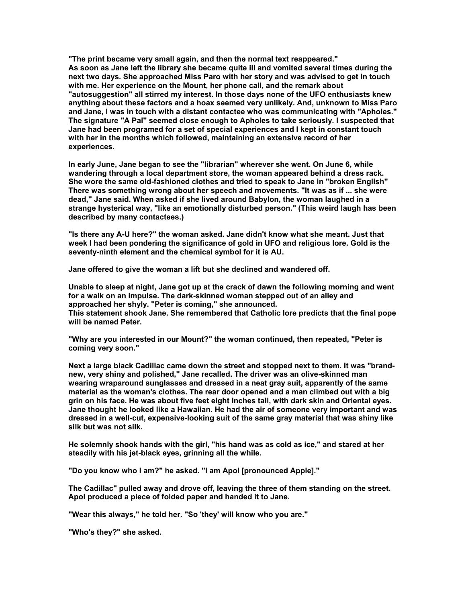**"The print became very small again, and then the normal text reappeared." As soon as Jane left the library she became quite ill and vomited several times during the next two days. She approached Miss Paro with her story and was advised to get in touch with me. Her experience on the Mount, her phone call, and the remark about "autosuggestion" all stirred my interest. In those days none of the UFO enthusiasts knew anything about these factors and a hoax seemed very unlikely. And, unknown to Miss Paro and Jane, I was in touch with a distant contactee who was communicating with "Apholes." The signature "A Pal" seemed close enough to Apholes to take seriously. I suspected that Jane had been programed for a set of special experiences and I kept in constant touch with her in the months which followed, maintaining an extensive record of her experiences.** 

**In early June, Jane began to see the "librarian" wherever she went. On June 6, while wandering through a local department store, the woman appeared behind a dress rack. She wore the same old-fashioned clothes and tried to speak to Jane in "broken English" There was something wrong about her speech and movements. "It was as if ... she were dead," Jane said. When asked if she lived around Babylon, the woman laughed in a strange hysterical way, "like an emotionally disturbed person." (This weird laugh has been described by many contactees.)** 

**"Is there any A-U here?" the woman asked. Jane didn't know what she meant. Just that week I had been pondering the significance of gold in UFO and religious lore. Gold is the seventy-ninth element and the chemical symbol for it is AU.** 

**Jane offered to give the woman a lift but she declined and wandered off.** 

**Unable to sleep at night, Jane got up at the crack of dawn the following morning and went for a walk on an impulse. The dark-skinned woman stepped out of an alley and approached her shyly. "Peter is coming," she announced. This statement shook Jane. She remembered that Catholic lore predicts that the final pope will be named Peter.** 

**"Why are you interested in our Mount?" the woman continued, then repeated, "Peter is coming very soon."** 

**Next a large black Cadillac came down the street and stopped next to them. It was "brandnew, very shiny and polished," Jane recalled. The driver was an olive-skinned man wearing wraparound sunglasses and dressed in a neat gray suit, apparently of the same material as the woman's clothes. The rear door opened and a man climbed out with a big grin on his face. He was about five feet eight inches tall, with dark skin and Oriental eyes. Jane thought he looked like a Hawaiian. He had the air of someone very important and was dressed in a well-cut, expensive-looking suit of the same gray material that was shiny like silk but was not silk.** 

**He solemnly shook hands with the girl, "his hand was as cold as ice," and stared at her steadily with his jet-black eyes, grinning all the while.** 

**"Do you know who I am?" he asked. "I am Apol [pronounced Apple]."** 

**The Cadillac" pulled away and drove off, leaving the three of them standing on the street. Apol produced a piece of folded paper and handed it to Jane.** 

**"Wear this always," he told her. "So 'they' will know who you are."** 

**"Who's they?" she asked.**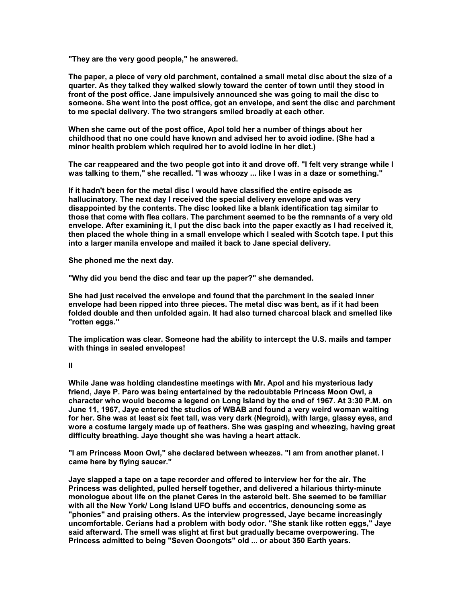**"They are the very good people," he answered.** 

**The paper, a piece of very old parchment, contained a small metal disc about the size of a quarter. As they talked they walked slowly toward the center of town until they stood in front of the post office. Jane impulsively announced she was going to mail the disc to someone. She went into the post office, got an envelope, and sent the disc and parchment to me special delivery. The two strangers smiled broadly at each other.** 

**When she came out of the post office, Apol told her a number of things about her childhood that no one could have known and advised her to avoid iodine. (She had a minor health problem which required her to avoid iodine in her diet.)** 

**The car reappeared and the two people got into it and drove off. "I felt very strange while I was talking to them," she recalled. "I was whoozy ... like I was in a daze or something."** 

**If it hadn't been for the metal disc I would have classified the entire episode as hallucinatory. The next day I received the special delivery envelope and was very disappointed by the contents. The disc looked like a blank identification tag similar to those that come with flea collars. The parchment seemed to be the remnants of a very old envelope. After examining it, I put the disc back into the paper exactly as I had received it, then placed the whole thing in a small envelope which I sealed with Scotch tape. I put this into a larger manila envelope and mailed it back to Jane special delivery.** 

**She phoned me the next day.** 

**"Why did you bend the disc and tear up the paper?" she demanded.** 

**She had just received the envelope and found that the parchment in the sealed inner envelope had been ripped into three pieces. The metal disc was bent, as if it had been folded double and then unfolded again. It had also turned charcoal black and smelled like "rotten eggs."** 

**The implication was clear. Someone had the ability to intercept the U.S. mails and tamper with things in sealed envelopes!** 

## **II**

**While Jane was holding clandestine meetings with Mr. Apol and his mysterious lady friend, Jaye P. Paro was being entertained by the redoubtable Princess Moon Owl, a character who would become a legend on Long Island by the end of 1967. At 3:30 P.M. on June 11, 1967, Jaye entered the studios of WBAB and found a very weird woman waiting for her. She was at least six feet tall, was very dark (Negroid), with large, glassy eyes, and wore a costume largely made up of feathers. She was gasping and wheezing, having great difficulty breathing. Jaye thought she was having a heart attack.** 

**"I am Princess Moon Owl," she declared between wheezes. "I am from another planet. I came here by flying saucer."** 

**Jaye slapped a tape on a tape recorder and offered to interview her for the air. The Princess was delighted, pulled herself together, and delivered a hilarious thirty-minute monologue about life on the planet Ceres in the asteroid belt. She seemed to be familiar with all the New York/ Long Island UFO buffs and eccentrics, denouncing some as "phonies" and praising others. As the interview progressed, Jaye became increasingly uncomfortable. Cerians had a problem with body odor. "She stank like rotten eggs," Jaye said afterward. The smell was slight at first but gradually became overpowering. The Princess admitted to being "Seven Ooongots" old ... or about 350 Earth years.**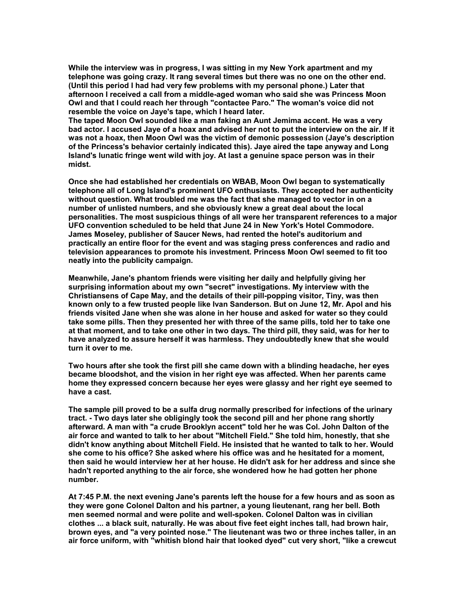**While the interview was in progress, I was sitting in my New York apartment and my telephone was going crazy. It rang several times but there was no one on the other end. (Until this period I had had very few problems with my personal phone.) Later that afternoon I received a call from a middle-aged woman who said she was Princess Moon Owl and that I could reach her through "contactee Paro." The woman's voice did not resemble the voice on Jaye's tape, which I heard later.** 

**The taped Moon Owl sounded like a man faking an Aunt Jemima accent. He was a very bad actor. I accused Jaye of a hoax and advised her not to put the interview on the air. If it was not a hoax, then Moon Owl was the victim of demonic possession (Jaye's description of the Princess's behavior certainly indicated this). Jaye aired the tape anyway and Long Island's lunatic fringe went wild with joy. At last a genuine space person was in their midst.** 

**Once she had established her credentials on WBAB, Moon Owl began to systematically telephone all of Long Island's prominent UFO enthusiasts. They accepted her authenticity without question. What troubled me was the fact that she managed to vector in on a number of unlisted numbers, and she obviously knew a great deal about the local personalities. The most suspicious things of all were her transparent references to a major UFO convention scheduled to be held that June 24 in New York's Hotel Commodore. James Moseley, publisher of Saucer News, had rented the hotel's auditorium and practically an entire floor for the event and was staging press conferences and radio and television appearances to promote his investment. Princess Moon Owl seemed to fit too neatly into the publicity campaign.** 

**Meanwhile, Jane's phantom friends were visiting her daily and helpfully giving her surprising information about my own "secret" investigations. My interview with the Christiansens of Cape May, and the details of their pill-popping visitor, Tiny, was then known only to a few trusted people like Ivan Sanderson. But on June 12, Mr. Apol and his friends visited Jane when she was alone in her house and asked for water so they could take some pills. Then they presented her with three of the same pills, told her to take one at that moment, and to take one other in two days. The third pill, they said, was for her to have analyzed to assure herself it was harmless. They undoubtedly knew that she would turn it over to me.** 

**Two hours after she took the first pill she came down with a blinding headache, her eyes became bloodshot, and the vision in her right eye was affected. When her parents came home they expressed concern because her eyes were glassy and her right eye seemed to have a cast.** 

**The sample pill proved to be a sulfa drug normally prescribed for infections of the urinary tract. - Two days later she obligingly took the second pill and her phone rang shortly afterward. A man with "a crude Brooklyn accent" told her he was Col. John Dalton of the air force and wanted to talk to her about "Mitchell Field." She told him, honestly, that she didn't know anything about Mitchell Field. He insisted that he wanted to talk to her. Would she come to his office? She asked where his office was and he hesitated for a moment, then said he would interview her at her house. He didn't ask for her address and since she hadn't reported anything to the air force, she wondered how he had gotten her phone number.** 

**At 7:45 P.M. the next evening Jane's parents left the house for a few hours and as soon as they were gone Colonel Dalton and his partner, a young lieutenant, rang her bell. Both men seemed normal and were polite and well-spoken. Colonel Dalton was in civilian clothes ... a black suit, naturally. He was about five feet eight inches tall, had brown hair, brown eyes, and "a very pointed nose." The lieutenant was two or three inches taller, in an air force uniform, with "whitish blond hair that looked dyed" cut very short, "like a crewcut**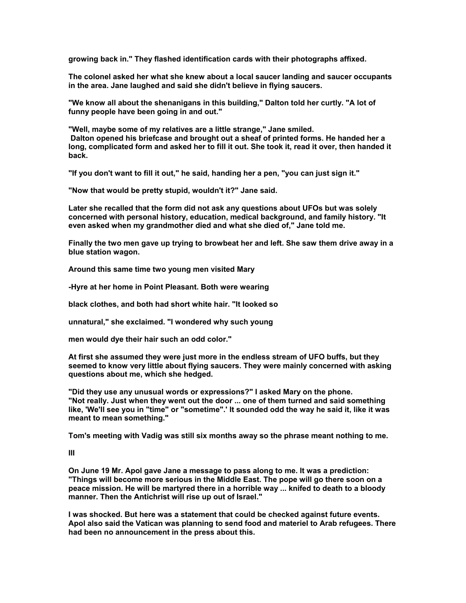**growing back in." They flashed identification cards with their photographs affixed.** 

**The colonel asked her what she knew about a local saucer landing and saucer occupants in the area. Jane laughed and said she didn't believe in flying saucers.** 

**"We know all about the shenanigans in this building," Dalton told her curtly. "A lot of funny people have been going in and out."** 

**"Well, maybe some of my relatives are a little strange," Jane smiled. Dalton opened his briefcase and brought out a sheaf of printed forms. He handed her a long, complicated form and asked her to fill it out. She took it, read it over, then handed it back.** 

**"If you don't want to fill it out," he said, handing her a pen, "you can just sign it."** 

**"Now that would be pretty stupid, wouldn't it?" Jane said.** 

**Later she recalled that the form did not ask any questions about UFOs but was solely concerned with personal history, education, medical background, and family history. "It even asked when my grandmother died and what she died of," Jane told me.** 

**Finally the two men gave up trying to browbeat her and left. She saw them drive away in a blue station wagon.** 

**Around this same time two young men visited Mary** 

**-Hyre at her home in Point Pleasant. Both were wearing** 

**black clothes, and both had short white hair. "It looked so** 

**unnatural," she exclaimed. "I wondered why such young** 

**men would dye their hair such an odd color."** 

**At first she assumed they were just more in the endless stream of UFO buffs, but they seemed to know very little about flying saucers. They were mainly concerned with asking questions about me, which she hedged.** 

**"Did they use any unusual words or expressions?" I asked Mary on the phone. "Not really. Just when they went out the door ... one of them turned and said something like, 'We'll see you in "time" or "sometime".' It sounded odd the way he said it, like it was meant to mean something."** 

**Tom's meeting with Vadig was still six months away so the phrase meant nothing to me.** 

**III** 

**On June 19 Mr. Apol gave Jane a message to pass along to me. It was a prediction: "Things will become more serious in the Middle East. The pope will go there soon on a peace mission. He will be martyred there in a horrible way ... knifed to death to a bloody manner. Then the Antichrist will rise up out of Israel."** 

**I was shocked. But here was a statement that could be checked against future events. Apol also said the Vatican was planning to send food and materiel to Arab refugees. There had been no announcement in the press about this.**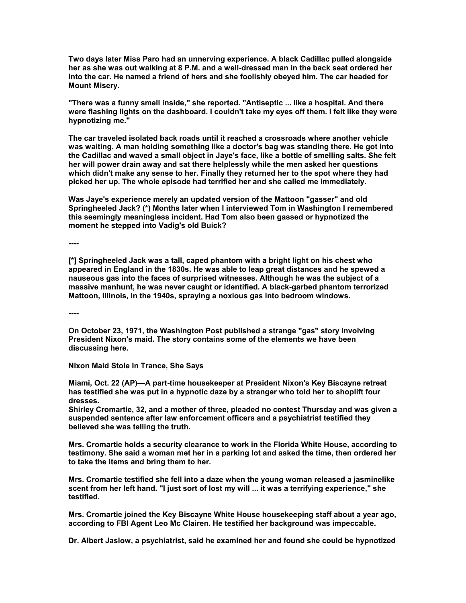**Two days later Miss Paro had an unnerving experience. A black Cadillac pulled alongside her as she was out walking at 8 P.M. and a well-dressed man in the back seat ordered her into the car. He named a friend of hers and she foolishly obeyed him. The car headed for Mount Misery.** 

**"There was a funny smell inside," she reported. "Antiseptic ... like a hospital. And there were flashing lights on the dashboard. I couldn't take my eyes off them. I felt like they were hypnotizing me."** 

**The car traveled isolated back roads until it reached a crossroads where another vehicle was waiting. A man holding something like a doctor's bag was standing there. He got into the Cadillac and waved a small object in Jaye's face, like a bottle of smelling salts. She felt her will power drain away and sat there helplessly while the men asked her questions which didn't make any sense to her. Finally they returned her to the spot where they had picked her up. The whole episode had terrified her and she called me immediately.** 

**Was Jaye's experience merely an updated version of the Mattoon "gasser" and old Springheeled Jack? (\*) Months later when I interviewed Tom in Washington I remembered this seemingly meaningless incident. Had Tom also been gassed or hypnotized the moment he stepped into Vadig's old Buick?** 

**----** 

**[\*] Springheeled Jack was a tall, caped phantom with a bright light on his chest who appeared in England in the 1830s. He was able to leap great distances and he spewed a nauseous gas into the faces of surprised witnesses. Although he was the subject of a massive manhunt, he was never caught or identified. A black-garbed phantom terrorized Mattoon, Illinois, in the 1940s, spraying a noxious gas into bedroom windows.** 

**----** 

**On October 23, 1971, the Washington Post published a strange "gas" story involving President Nixon's maid. The story contains some of the elements we have been discussing here.** 

**Nixon Maid Stole In Trance, She Says** 

**Miami, Oct. 22 (AP)—A part-time housekeeper at President Nixon's Key Biscayne retreat has testified she was put in a hypnotic daze by a stranger who told her to shoplift four dresses.** 

**Shirley Cromartie, 32, and a mother of three, pleaded no contest Thursday and was given a suspended sentence after law enforcement officers and a psychiatrist testified they believed she was telling the truth.** 

**Mrs. Cromartie holds a security clearance to work in the Florida White House, according to testimony. She said a woman met her in a parking lot and asked the time, then ordered her to take the items and bring them to her.** 

**Mrs. Cromartie testified she fell into a daze when the young woman released a jasminelike scent from her left hand. "I just sort of lost my will ... it was a terrifying experience," she testified.** 

**Mrs. Cromartie joined the Key Biscayne White House housekeeping staff about a year ago, according to FBI Agent Leo Mc Clairen. He testified her background was impeccable.** 

**Dr. Albert Jaslow, a psychiatrist, said he examined her and found she could be hypnotized**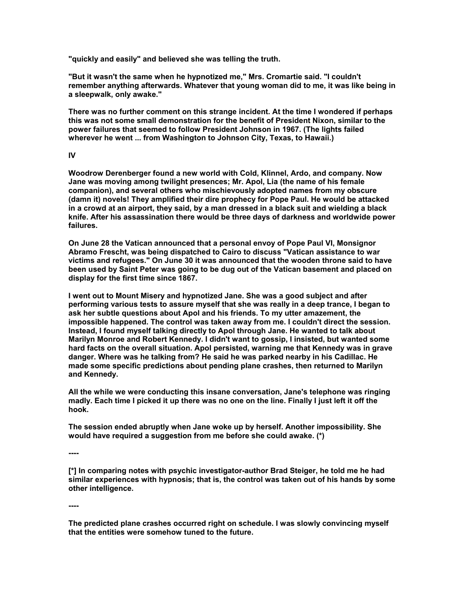**"quickly and easily" and believed she was telling the truth.** 

**"But it wasn't the same when he hypnotized me," Mrs. Cromartie said. "I couldn't remember anything afterwards. Whatever that young woman did to me, it was like being in a sleepwalk, only awake."** 

**There was no further comment on this strange incident. At the time I wondered if perhaps this was not some small demonstration for the benefit of President Nixon, similar to the power failures that seemed to follow President Johnson in 1967. (The lights failed wherever he went ... from Washington to Johnson City, Texas, to Hawaii.)** 

# **IV**

**Woodrow Derenberger found a new world with Cold, Klinnel, Ardo, and company. Now Jane was moving among twilight presences; Mr. Apol, Lia (the name of his female companion), and several others who mischievously adopted names from my obscure (damn it) novels! They amplified their dire prophecy for Pope Paul. He would be attacked in a crowd at an airport, they said, by a man dressed in a black suit and wielding a black knife. After his assassination there would be three days of darkness and worldwide power failures.** 

**On June 28 the Vatican announced that a personal envoy of Pope Paul VI, Monsignor Abramo Frescht, was being dispatched to Cairo to discuss "Vatican assistance to war victims and refugees." On June 30 it was announced that the wooden throne said to have been used by Saint Peter was going to be dug out of the Vatican basement and placed on display for the first time since 1867.** 

**I went out to Mount Misery and hypnotized Jane. She was a good subject and after performing various tests to assure myself that she was really in a deep trance, I began to ask her subtle questions about Apol and his friends. To my utter amazement, the impossible happened. The control was taken away from me. I couldn't direct the session. Instead, I found myself talking directly to Apol through Jane. He wanted to talk about Marilyn Monroe and Robert Kennedy. I didn't want to gossip, I insisted, but wanted some hard facts on the overall situation. Apol persisted, warning me that Kennedy was in grave danger. Where was he talking from? He said he was parked nearby in his Cadillac. He made some specific predictions about pending plane crashes, then returned to Marilyn and Kennedy.** 

**All the while we were conducting this insane conversation, Jane's telephone was ringing madly. Each time I picked it up there was no one on the line. Finally I just left it off the hook.** 

**The session ended abruptly when Jane woke up by herself. Another impossibility. She would have required a suggestion from me before she could awake. (\*)** 

**----** 

**[\*] In comparing notes with psychic investigator-author Brad Steiger, he told me he had similar experiences with hypnosis; that is, the control was taken out of his hands by some other intelligence.** 

**----** 

**The predicted plane crashes occurred right on schedule. I was slowly convincing myself that the entities were somehow tuned to the future.**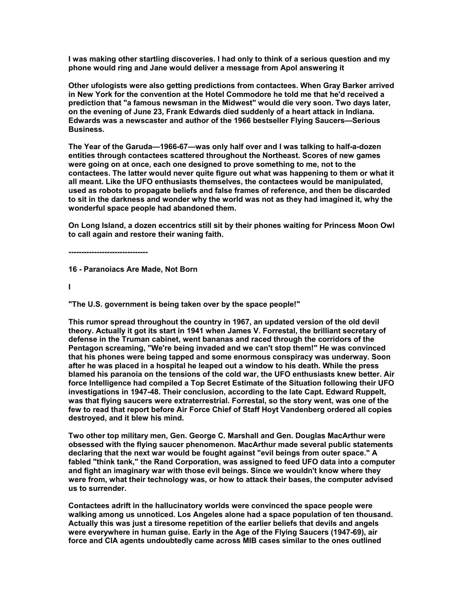**I was making other startling discoveries. I had only to think of a serious question and my phone would ring and Jane would deliver a message from Apol answering it** 

**Other ufologists were also getting predictions from contactees. When Gray Barker arrived in New York for the convention at the Hotel Commodore he told me that he'd received a prediction that "a famous newsman in the Midwest" would die very soon. Two days later, on the evening of June 23, Frank Edwards died suddenly of a heart attack in Indiana. Edwards was a newscaster and author of the 1966 bestseller Flying Saucers—Serious Business.** 

**The Year of the Garuda—1966-67—was only half over and I was talking to half-a-dozen entities through contactees scattered throughout the Northeast. Scores of new games were going on at once, each one designed to prove something to me, not to the contactees. The latter would never quite figure out what was happening to them or what it all meant. Like the UFO enthusiasts themselves, the contactees would be manipulated, used as robots to propagate beliefs and false frames of reference, and then be discarded to sit in the darkness and wonder why the world was not as they had imagined it, why the wonderful space people had abandoned them.** 

**On Long Island, a dozen eccentrics still sit by their phones waiting for Princess Moon Owl to call again and restore their waning faith.** 

**-------------------------------** 

**16 - Paranoiacs Are Made, Not Born** 

**I** 

**"The U.S. government is being taken over by the space people!"** 

**This rumor spread throughout the country in 1967, an updated version of the old devil theory. Actually it got its start in 1941 when James V. Forrestal, the brilliant secretary of defense in the Truman cabinet, went bananas and raced through the corridors of the Pentagon screaming, "We're being invaded and we can't stop them!" He was convinced that his phones were being tapped and some enormous conspiracy was underway. Soon after he was placed in a hospital he leaped out a window to his death. While the press blamed his paranoia on the tensions of the cold war, the UFO enthusiasts knew better. Air force Intelligence had compiled a Top Secret Estimate of the Situation following their UFO investigations in 1947-48. Their conclusion, according to the late Capt. Edward Ruppelt, was that flying saucers were extraterrestrial. Forrestal, so the story went, was one of the few to read that report before Air Force Chief of Staff Hoyt Vandenberg ordered all copies destroyed, and it blew his mind.** 

**Two other top military men, Gen. George C. Marshall and Gen. Douglas MacArthur were obsessed with the flying saucer phenomenon. MacArthur made several public statements declaring that the next war would be fought against "evil beings from outer space." A fabled "think tank," the Rand Corporation, was assigned to feed UFO data into a computer and fight an imaginary war with those evil beings. Since we wouldn't know where they were from, what their technology was, or how to attack their bases, the computer advised us to surrender.** 

**Contactees adrift in the hallucinatory worlds were convinced the space people were walking among us unnoticed. Los Angeles alone had a space population of ten thousand. Actually this was just a tiresome repetition of the earlier beliefs that devils and angels were everywhere in human guise. Early in the Age of the Flying Saucers (1947-69), air force and CIA agents undoubtedly came across MIB cases similar to the ones outlined**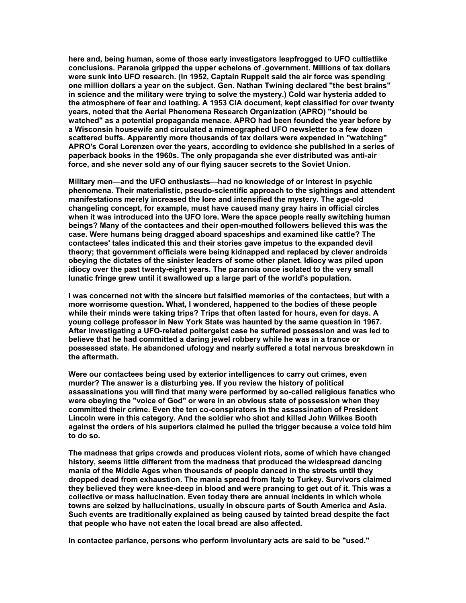**here and, being human, some of those early investigators leapfrogged to UFO cultistlike conclusions. Paranoia gripped the upper echelons of .government. Millions of tax dollars were sunk into UFO research. (In 1952, Captain Ruppelt said the air force was spending one million dollars a year on the subject. Gen. Nathan Twining declared "the best brains" in science and the military were trying to solve the mystery.) Cold war hysteria added to the atmosphere of fear and loathing. A 1953 CIA document, kept classified for over twenty years, noted that the Aerial Phenomena Research Organization (APRO) "should be watched" as a potential propaganda menace. APRO had been founded the year before by a Wisconsin housewife and circulated a mimeographed UFO newsletter to a few dozen scattered buffs. Apparently more thousands of tax dollars were expended in "watching" APRO's Coral Lorenzen over the years, according to evidence she published in a series of paperback books in the 1960s. The only propaganda she ever distributed was anti-air force, and she never sold any of our flying saucer secrets to the Soviet Union.** 

**Military men—and the UFO enthusiasts—had no knowledge of or interest in psychic phenomena. Their materialistic, pseudo-scientific approach to the sightings and attendent manifestations merely increased the lore and intensified the mystery. The age-old changeling concept, for example, must have caused many gray hairs in official circles when it was introduced into the UFO lore. Were the space people really switching human beings? Many of the contactees and their open-mouthed followers believed this was the case. Were humans being dragged aboard spaceships and examined like cattle? The contactees' tales indicated this and their stories gave impetus to the expanded devil theory; that government officials were being kidnapped and replaced by clever androids obeying the dictates of the sinister leaders of some other planet. Idiocy was piled upon idiocy over the past twenty-eight years. The paranoia once isolated to the very small lunatic fringe grew until it swallowed up a large part of the world's population.** 

**I was concerned not with the sincere but falsified memories of the contactees, but with a more worrisome question. What, I wondered, happened to the bodies of these people while their minds were taking trips? Trips that often lasted for hours, even for days. A young college professor in New York State was haunted by the same question in 1967. After investigating a UFO-related poltergeist case he suffered possession and was led to believe that he had committed a daring jewel robbery while he was in a trance or possessed state. He abandoned ufology and nearly suffered a total nervous breakdown in the aftermath.** 

**Were our contactees being used by exterior intelligences to carry out crimes, even murder? The answer is a disturbing yes. If you review the history of political assassinations you will find that many were performed by so-called religious fanatics who were obeying the "voice of God" or were in an obvious state of possession when they committed their crime. Even the ten co-conspirators in the assassination of President Lincoln were in this category. And the soldier who shot and killed John Wilkes Booth against the orders of his superiors claimed he pulled the trigger because a voice told him to do so.** 

**The madness that grips crowds and produces violent riots, some of which have changed history, seems little different from the madness that produced the widespread dancing mania of the Middle Ages when thousands of people danced in the streets until they dropped dead from exhaustion. The mania spread from Italy to Turkey. Survivors claimed they believed they were knee-deep in blood and were prancing to get out of it. This was a collective or mass hallucination. Even today there are annual incidents in which whole towns are seized by hallucinations, usually in obscure parts of South America and Asia. Such events are traditionally explained as being caused by tainted bread despite the fact that people who have not eaten the local bread are also affected.** 

**In contactee parlance, persons who perform involuntary acts are said to be "used."**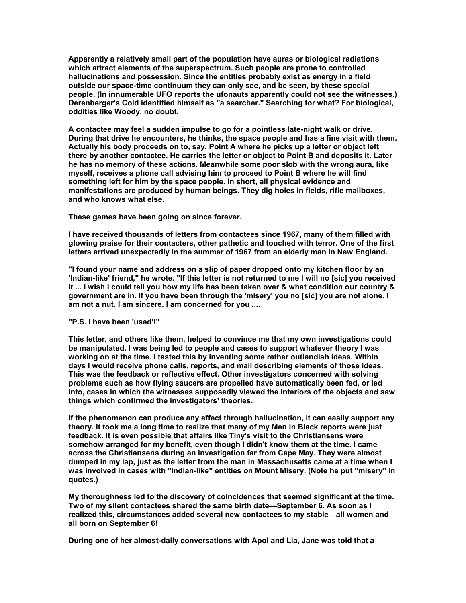**Apparently a relatively small part of the population have auras or biological radiations which attract elements of the superspectrum. Such people are prone to controlled hallucinations and possession. Since the entities probably exist as energy in a field outside our space-time continuum they can only see, and be seen, by these special people. (In innumerable UFO reports the ufonauts apparently could not see the witnesses.) Derenberger's Cold identified himself as "a searcher." Searching for what? For biological, oddities like Woody, no doubt.** 

**A contactee may feel a sudden impulse to go for a pointless late-night walk or drive. During that drive he encounters, he thinks, the space people and has a fine visit with them. Actually his body proceeds on to, say, Point A where he picks up a letter or object left there by another contactee. He carries the letter or object to Point B and deposits it. Later he has no memory of these actions. Meanwhile some poor slob with the wrong aura, like myself, receives a phone call advising him to proceed to Point B where he will find something left for him by the space people. In short, all physical evidence and manifestations are produced by human beings. They dig holes in fields, rifle mailboxes, and who knows what else.** 

**These games have been going on since forever.** 

**I have received thousands of letters from contactees since 1967, many of them filled with glowing praise for their contacters, other pathetic and touched with terror. One of the first letters arrived unexpectedly in the summer of 1967 from an elderly man in New England.** 

**"I found your name and address on a slip of paper dropped onto my kitchen floor by an 'Indian-like' friend," he wrote. "If this letter is not returned to me I will no [sic] you received it ... I wish I could tell you how my life has been taken over & what condition our country & government are in. If you have been through the 'misery' you no [sic] you are not alone. I am not a nut. I am sincere. I am concerned for you ....** 

## **"P.S. I have been 'used'!"**

**This letter, and others like them, helped to convince me that my own investigations could be manipulated. I was being led to people and cases to support whatever theory I was working on at the time. I tested this by inventing some rather outlandish ideas. Within days I would receive phone calls, reports, and mail describing elements of those ideas. This was the feedback or reflective effect. Other investigators concerned with solving problems such as how flying saucers are propelled have automatically been fed, or led into, cases in which the witnesses supposedly viewed the interiors of the objects and saw things which confirmed the investigators' theories.** 

**If the phenomenon can produce any effect through hallucination, it can easily support any theory. It took me a long time to realize that many of my Men in Black reports were just feedback. It is even possible that affairs like Tiny's visit to the Christiansens were somehow arranged for my benefit, even though I didn't know them at the time. I came across the Christiansens during an investigation far from Cape May. They were almost dumped in my lap, just as the letter from the man in Massachusetts came at a time when I was involved in cases with "Indian-like" entities on Mount Misery. (Note he put "misery" in quotes.)** 

**My thoroughness led to the discovery of coincidences that seemed significant at the time. Two of my silent contactees shared the same birth date—September 6. As soon as I realized this, circumstances added several new contactees to my stable—all women and all born on September 6!** 

**During one of her almost-daily conversations with Apol and Lia, Jane was told that a**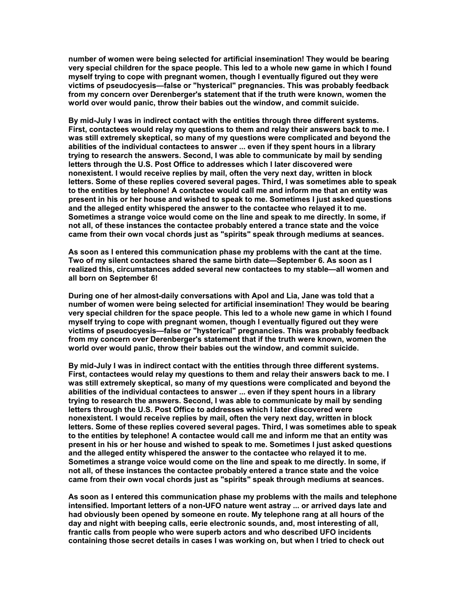**number of women were being selected for artificial insemination! They would be bearing very special children for the space people. This led to a whole new game in which I found myself trying to cope with pregnant women, though I eventually figured out they were victims of pseudocyesis—false or "hysterical" pregnancies. This was probably feedback from my concern over Derenberger's statement that if the truth were known, women the world over would panic, throw their babies out the window, and commit suicide.** 

**By mid-July I was in indirect contact with the entities through three different systems. First, contactees would relay my questions to them and relay their answers back to me. I was still extremely skeptical, so many of my questions were complicated and beyond the abilities of the individual contactees to answer ... even if they spent hours in a library trying to research the answers. Second, I was able to communicate by mail by sending letters through the U.S. Post Office to addresses which I later discovered were nonexistent. I would receive replies by mail, often the very next day, written in block letters. Some of these replies covered several pages. Third, I was sometimes able to speak to the entities by telephone! A contactee would call me and inform me that an entity was present in his or her house and wished to speak to me. Sometimes I just asked questions and the alleged entity whispered the answer to the contactee who relayed it to me. Sometimes a strange voice would come on the line and speak to me directly. In some, if not all, of these instances the contactee probably entered a trance state and the voice came from their own vocal chords just as "spirits" speak through mediums at seances.** 

**As soon as I entered this communication phase my problems with the cant at the time. Two of my silent contactees shared the same birth date—September 6. As soon as I realized this, circumstances added several new contactees to my stable—all women and all born on September 6!** 

**During one of her almost-daily conversations with Apol and Lia, Jane was told that a number of women were being selected for artificial insemination! They would be bearing very special children for the space people. This led to a whole new game in which I found myself trying to cope with pregnant women, though I eventually figured out they were victims of pseudocyesis—false or "hysterical" pregnancies. This was probably feedback from my concern over Derenberger's statement that if the truth were known, women the world over would panic, throw their babies out the window, and commit suicide.** 

**By mid-July I was in indirect contact with the entities through three different systems. First, contactees would relay my questions to them and relay their answers back to me. I was still extremely skeptical, so many of my questions were complicated and beyond the abilities of the individual contactees to answer ... even if they spent hours in a library trying to research the answers. Second, I was able to communicate by mail by sending letters through the U.S. Post Office to addresses which I later discovered were nonexistent. I would receive replies by mail, often the very next day, written in block letters. Some of these replies covered several pages. Third, I was sometimes able to speak to the entities by telephone! A contactee would call me and inform me that an entity was present in his or her house and wished to speak to me. Sometimes I just asked questions and the alleged entity whispered the answer to the contactee who relayed it to me. Sometimes a strange voice would come on the line and speak to me directly. In some, if not all, of these instances the contactee probably entered a trance state and the voice came from their own vocal chords just as "spirits" speak through mediums at seances.** 

**As soon as I entered this communication phase my problems with the mails and telephone intensified. Important letters of a non-UFO nature went astray ... or arrived days late and had obviously been opened by someone en route. My telephone rang at all hours of the day and night with beeping calls, eerie electronic sounds, and, most interesting of all, frantic calls from people who were superb actors and who described UFO incidents containing those secret details in cases I was working on, but when I tried to check out**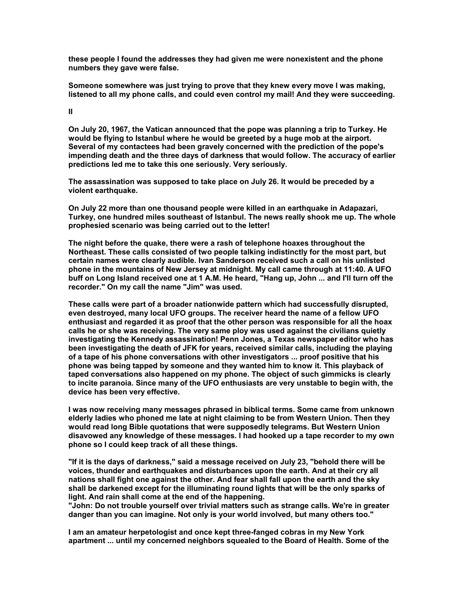**these people I found the addresses they had given me were nonexistent and the phone numbers they gave were false.** 

**Someone somewhere was just trying to prove that they knew every move I was making, listened to all my phone calls, and could even control my mail! And they were succeeding.** 

**II** 

**On July 20, 1967, the Vatican announced that the pope was planning a trip to Turkey. He would be flying to Istanbul where he would be greeted by a huge mob at the airport. Several of my contactees had been gravely concerned with the prediction of the pope's impending death and the three days of darkness that would follow. The accuracy of earlier predictions led me to take this one seriously. Very seriously.** 

**The assassination was supposed to take place on July 26. It would be preceded by a violent earthquake.** 

**On July 22 more than one thousand people were killed in an earthquake in Adapazari, Turkey, one hundred miles southeast of Istanbul. The news really shook me up. The whole prophesied scenario was being carried out to the letter!** 

**The night before the quake, there were a rash of telephone hoaxes throughout the Northeast. These calls consisted of two people talking indistinctly for the most part, but certain names were clearly audible. Ivan Sanderson received such a call on his unlisted phone in the mountains of New Jersey at midnight. My call came through at 11:40. A UFO buff on Long Island received one at 1 A.M. He heard, "Hang up, John ... and I'll turn off the recorder." On my call the name "Jim" was used.** 

**These calls were part of a broader nationwide pattern which had successfully disrupted, even destroyed, many local UFO groups. The receiver heard the name of a fellow UFO enthusiast and regarded it as proof that the other person was responsible for all the hoax calls he or she was receiving. The very same ploy was used against the civilians quietly investigating the Kennedy assassination! Penn Jones, a Texas newspaper editor who has been investigating the death of JFK for years, received similar calls, including the playing of a tape of his phone conversations with other investigators ... proof positive that his phone was being tapped by someone and they wanted him to know it. This playback of taped conversations also happened on my phone. The object of such gimmicks is clearly to incite paranoia. Since many of the UFO enthusiasts are very unstable to begin with, the device has been very effective.** 

**I was now receiving many messages phrased in biblical terms. Some came from unknown elderly ladies who phoned me late at night claiming to be from Western Union. Then they would read long Bible quotations that were supposedly telegrams. But Western Union disavowed any knowledge of these messages. I had hooked up a tape recorder to my own phone so I could keep track of all these things.** 

**"If it is the days of darkness," said a message received on July 23, "behold there will be voices, thunder and earthquakes and disturbances upon the earth. And at their cry all nations shall fight one against the other. And fear shall fall upon the earth and the sky shall be darkened except for the illuminating round lights that will be the only sparks of light. And rain shall come at the end of the happening.** 

**"John: Do not trouble yourself over trivial matters such as strange calls. We're in greater danger than you can imagine. Not only is your world involved, but many others too."** 

**I am an amateur herpetologist and once kept three-fanged cobras in my New York apartment ... until my concerned neighbors squealed to the Board of Health. Some of the**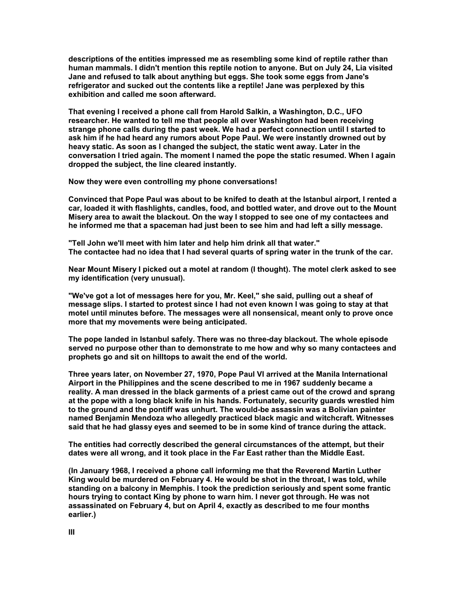**descriptions of the entities impressed me as resembling some kind of reptile rather than human mammals. I didn't mention this reptile notion to anyone. But on July 24, Lia visited Jane and refused to talk about anything but eggs. She took some eggs from Jane's refrigerator and sucked out the contents like a reptile! Jane was perplexed by this exhibition and called me soon afterward.** 

**That evening I received a phone call from Harold Salkin, a Washington, D.C., UFO researcher. He wanted to tell me that people all over Washington had been receiving strange phone calls during the past week. We had a perfect connection until I started to ask him if he had heard any rumors about Pope Paul. We were instantly drowned out by heavy static. As soon as I changed the subject, the static went away. Later in the conversation I tried again. The moment I named the pope the static resumed. When I again dropped the subject, the line cleared instantly.** 

**Now they were even controlling my phone conversations!** 

**Convinced that Pope Paul was about to be knifed to death at the Istanbul airport, I rented a car, loaded it with flashlights, candles, food, and bottled water, and drove out to the Mount Misery area to await the blackout. On the way I stopped to see one of my contactees and he informed me that a spaceman had just been to see him and had left a silly message.** 

**"Tell John we'll meet with him later and help him drink all that water." The contactee had no idea that I had several quarts of spring water in the trunk of the car.** 

**Near Mount Misery I picked out a motel at random (I thought). The motel clerk asked to see my identification (very unusual).** 

**"We've got a lot of messages here for you, Mr. Keel," she said, pulling out a sheaf of message slips. I started to protest since I had not even known I was going to stay at that motel until minutes before. The messages were all nonsensical, meant only to prove once more that my movements were being anticipated.** 

**The pope landed in Istanbul safely. There was no three-day blackout. The whole episode served no purpose other than to demonstrate to me how and why so many contactees and prophets go and sit on hilltops to await the end of the world.** 

**Three years later, on November 27, 1970, Pope Paul VI arrived at the Manila International Airport in the Philippines and the scene described to me in 1967 suddenly became a reality. A man dressed in the black garments of a priest came out of the crowd and sprang at the pope with a long black knife in his hands. Fortunately, security guards wrestled him to the ground and the pontiff was unhurt. The would-be assassin was a Bolivian painter named Benjamin Mendoza who allegedly practiced black magic and witchcraft. Witnesses said that he had glassy eyes and seemed to be in some kind of trance during the attack.** 

**The entities had correctly described the general circumstances of the attempt, but their dates were all wrong, and it took place in the Far East rather than the Middle East.** 

**(In January 1968, I received a phone call informing me that the Reverend Martin Luther King would be murdered on February 4. He would be shot in the throat, I was told, while standing on a balcony in Memphis. I took the prediction seriously and spent some frantic hours trying to contact King by phone to warn him. I never got through. He was not assassinated on February 4, but on April 4, exactly as described to me four months earlier.)**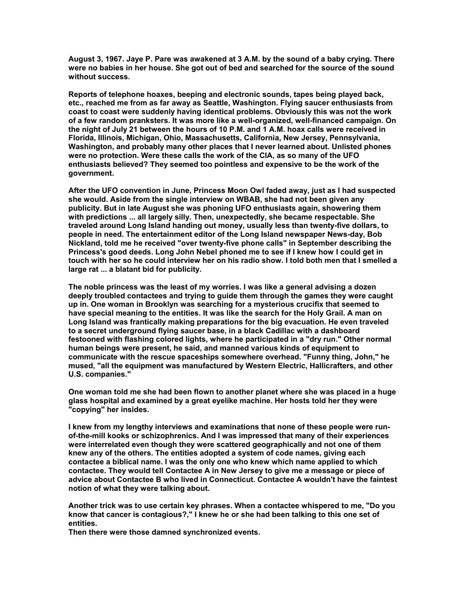**August 3, 1967. Jaye P. Pare was awakened at 3 A.M. by the sound of a baby crying. There were no babies in her house. She got out of bed and searched for the source of the sound without success.** 

**Reports of telephone hoaxes, beeping and electronic sounds, tapes being played back, etc., reached me from as far away as Seattle, Washington. Flying saucer enthusiasts from coast to coast were suddenly having identical problems. Obviously this was not the work of a few random pranksters. It was more like a well-organized, well-financed campaign. On the night of July 21 between the hours of 10 P.M. and 1 A.M. hoax calls were received in Florida, Illinois, Michigan, Ohio, Massachusetts, California, New Jersey, Pennsylvania, Washington, and probably many other places that I never learned about. Unlisted phones were no protection. Were these calls the work of the CIA, as so many of the UFO enthusiasts believed? They seemed too pointless and expensive to be the work of the government.** 

**After the UFO convention in June, Princess Moon Owl faded away, just as I had suspected she would. Aside from the single interview on WBAB, she had not been given any publicity. But in late August she was phoning UFO enthusiasts again, showering them with predictions ... all largely silly. Then, unexpectedly, she became respectable. She traveled around Long Island handing out money, usually less than twenty-five dollars, to people in need. The entertainment editor of the Long Island newspaper News-day, Bob Nickland, told me he received "over twenty-five phone calls" in September describing the Princess's good deeds. Long John Nebel phoned me to see if I knew how I could get in touch with her so he could interview her on his radio show. I told both men that I smelled a large rat ... a blatant bid for publicity.** 

**The noble princess was the least of my worries. I was like a general advising a dozen deeply troubled contactees and trying to guide them through the games they were caught up in. One woman in Brooklyn was searching for a mysterious crucifix that seemed to have special meaning to the entities. It was like the search for the Holy Grail. A man on Long Island was frantically making preparations for the big evacuation. He even traveled to a secret underground flying saucer base, in a black Cadillac with a dashboard festooned with flashing colored lights, where he participated in a "dry run." Other normal human beings were present, he said, and manned various kinds of equipment to communicate with the rescue spaceships somewhere overhead. "Funny thing, John," he mused, "all the equipment was manufactured by Western Electric, Hallicrafters, and other U.S. companies."** 

**One woman told me she had been flown to another planet where she was placed in a huge glass hospital and examined by a great eyelike machine. Her hosts told her they were "copying" her insides.** 

**I knew from my lengthy interviews and examinations that none of these people were runof-the-mill kooks or schizophrenics. And I was impressed that many of their experiences were interrelated even though they were scattered geographically and not one of them knew any of the others. The entities adopted a system of code names, giving each contactee a biblical name. I was the only one who knew which name applied to which contactee. They would tell Contactee A in New Jersey to give me a message or piece of advice about Contactee B who lived in Connecticut. Contactee A wouldn't have the faintest notion of what they were talking about.** 

**Another trick was to use certain key phrases. When a contactee whispered to me, "Do you know that cancer is contagious?," I knew he or she had been talking to this one set of entities.** 

**Then there were those damned synchronized events.**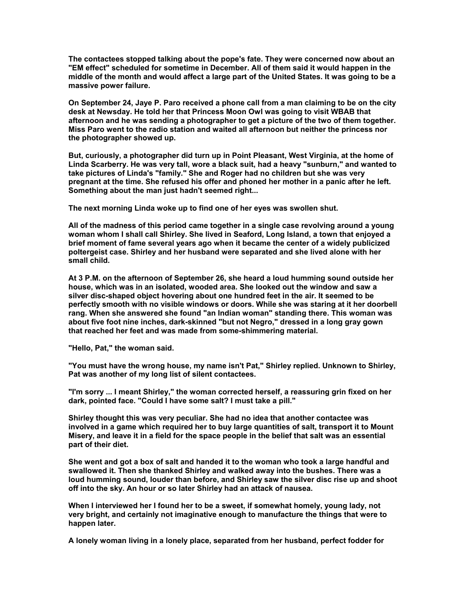**The contactees stopped talking about the pope's fate. They were concerned now about an "EM effect" scheduled for sometime in December. All of them said it would happen in the middle of the month and would affect a large part of the United States. It was going to be a massive power failure.** 

**On September 24, Jaye P. Paro received a phone call from a man claiming to be on the city desk at Newsday. He told her that Princess Moon Owl was going to visit WBAB that afternoon and he was sending a photographer to get a picture of the two of them together. Miss Paro went to the radio station and waited all afternoon but neither the princess nor the photographer showed up.** 

**But, curiously, a photographer did turn up in Point Pleasant, West Virginia, at the home of Linda Scarberry. He was very tall, wore a black suit, had a heavy "sunburn," and wanted to take pictures of Linda's "family." She and Roger had no children but she was very pregnant at the time. She refused his offer and phoned her mother in a panic after he left. Something about the man just hadn't seemed right...** 

**The next morning Linda woke up to find one of her eyes was swollen shut.** 

**All of the madness of this period came together in a single case revolving around a young woman whom I shall call Shirley. She lived in Seaford, Long Island, a town that enjoyed a brief moment of fame several years ago when it became the center of a widely publicized poltergeist case. Shirley and her husband were separated and she lived alone with her small child.** 

**At 3 P.M. on the afternoon of September 26, she heard a loud humming sound outside her house, which was in an isolated, wooded area. She looked out the window and saw a silver disc-shaped object hovering about one hundred feet in the air. It seemed to be perfectly smooth with no visible windows or doors. While she was staring at it her doorbell rang. When she answered she found "an Indian woman" standing there. This woman was about five foot nine inches, dark-skinned "but not Negro," dressed in a long gray gown that reached her feet and was made from some-shimmering material.** 

**"Hello, Pat," the woman said.** 

**"You must have the wrong house, my name isn't Pat," Shirley replied. Unknown to Shirley, Pat was another of my long list of silent contactees.** 

**"I'm sorry ... I meant Shirley," the woman corrected herself, a reassuring grin fixed on her dark, pointed face. "Could I have some salt? I must take a pill."** 

**Shirley thought this was very peculiar. She had no idea that another contactee was involved in a game which required her to buy large quantities of salt, transport it to Mount Misery, and leave it in a field for the space people in the belief that salt was an essential part of their diet.** 

**She went and got a box of salt and handed it to the woman who took a large handful and swallowed it. Then she thanked Shirley and walked away into the bushes. There was a loud humming sound, louder than before, and Shirley saw the silver disc rise up and shoot off into the sky. An hour or so later Shirley had an attack of nausea.** 

**When I interviewed her I found her to be a sweet, if somewhat homely, young lady, not very bright, and certainly not imaginative enough to manufacture the things that were to happen later.** 

**A lonely woman living in a lonely place, separated from her husband, perfect fodder for**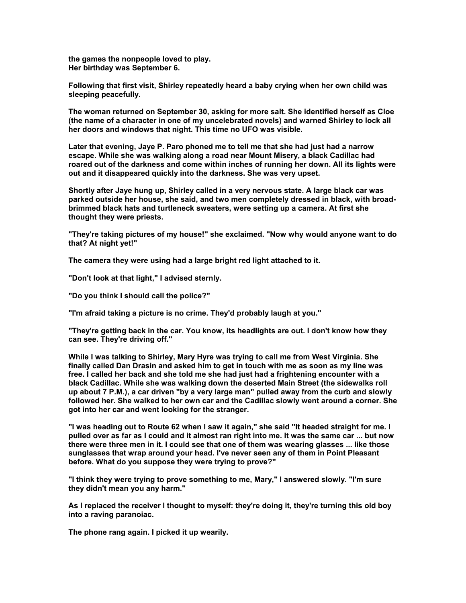**the games the nonpeople loved to play. Her birthday was September 6.** 

**Following that first visit, Shirley repeatedly heard a baby crying when her own child was sleeping peacefully.** 

**The woman returned on September 30, asking for more salt. She identified herself as Cloe (the name of a character in one of my uncelebrated novels) and warned Shirley to lock all her doors and windows that night. This time no UFO was visible.** 

**Later that evening, Jaye P. Paro phoned me to tell me that she had just had a narrow escape. While she was walking along a road near Mount Misery, a black Cadillac had roared out of the darkness and come within inches of running her down. All its lights were out and it disappeared quickly into the darkness. She was very upset.** 

**Shortly after Jaye hung up, Shirley called in a very nervous state. A large black car was parked outside her house, she said, and two men completely dressed in black, with broadbrimmed black hats and turtleneck sweaters, were setting up a camera. At first she thought they were priests.** 

**"They're taking pictures of my house!" she exclaimed. "Now why would anyone want to do that? At night yet!"** 

**The camera they were using had a large bright red light attached to it.** 

**"Don't look at that light," I advised sternly.** 

**"Do you think I should call the police?"** 

**"I'm afraid taking a picture is no crime. They'd probably laugh at you."** 

**"They're getting back in the car. You know, its headlights are out. I don't know how they can see. They're driving off."** 

**While I was talking to Shirley, Mary Hyre was trying to call me from West Virginia. She finally called Dan Drasin and asked him to get in touch with me as soon as my line was free. I called her back and she told me she had just had a frightening encounter with a black Cadillac. While she was walking down the deserted Main Street (the sidewalks roll up about 7 P.M.), a car driven "by a very large man" pulled away from the curb and slowly followed her. She walked to her own car and the Cadillac slowly went around a corner. She got into her car and went looking for the stranger.** 

**"I was heading out to Route 62 when I saw it again," she said "It headed straight for me. I pulled over as far as I could and it almost ran right into me. It was the same car ... but now there were three men in it. I could see that one of them was wearing glasses ... like those sunglasses that wrap around your head. I've never seen any of them in Point Pleasant before. What do you suppose they were trying to prove?"** 

**"I think they were trying to prove something to me, Mary," I answered slowly. "I'm sure they didn't mean you any harm."** 

**As I replaced the receiver I thought to myself: they're doing it, they're turning this old boy into a raving paranoiac.** 

**The phone rang again. I picked it up wearily.**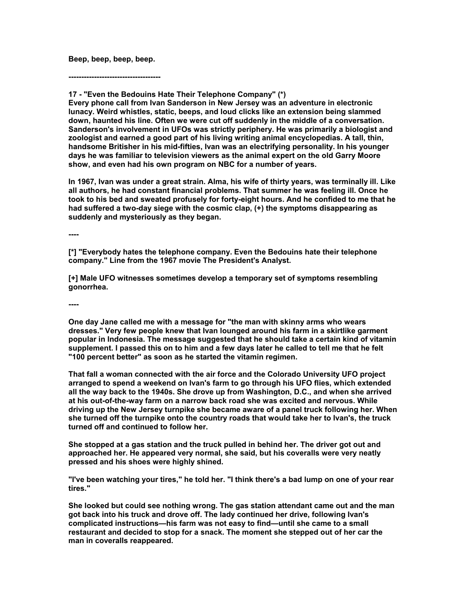**Beep, beep, beep, beep.** 

**------------------------------------** 

**17 - "Even the Bedouins Hate Their Telephone Company" (\*)** 

**Every phone call from Ivan Sanderson in New Jersey was an adventure in electronic lunacy. Weird whistles, static, beeps, and loud clicks like an extension being slammed down, haunted his line. Often we were cut off suddenly in the middle of a conversation. Sanderson's involvement in UFOs was strictly periphery. He was primarily a biologist and zoologist and earned a good part of his living writing animal encyclopedias. A tall, thin, handsome Britisher in his mid-fifties, Ivan was an electrifying personality. In his younger days he was familiar to television viewers as the animal expert on the old Garry Moore show, and even had his own program on NBC for a number of years.** 

**In 1967, Ivan was under a great strain. Alma, his wife of thirty years, was terminally ill. Like all authors, he had constant financial problems. That summer he was feeling ill. Once he took to his bed and sweated profusely for forty-eight hours. And he confided to me that he had suffered a two-day siege with the cosmic clap, (+) the symptoms disappearing as suddenly and mysteriously as they began.** 

**----** 

**[\*] "Everybody hates the telephone company. Even the Bedouins hate their telephone company." Line from the 1967 movie The President's Analyst.** 

**[+] Male UFO witnesses sometimes develop a temporary set of symptoms resembling gonorrhea.** 

**----** 

**One day Jane called me with a message for "the man with skinny arms who wears dresses." Very few people knew that Ivan lounged around his farm in a skirtlike garment popular in Indonesia. The message suggested that he should take a certain kind of vitamin supplement. I passed this on to him and a few days later he called to tell me that he felt "100 percent better" as soon as he started the vitamin regimen.** 

**That fall a woman connected with the air force and the Colorado University UFO project arranged to spend a weekend on Ivan's farm to go through his UFO flies, which extended all the way back to the 1940s. She drove up from Washington, D.C., and when she arrived at his out-of-the-way farm on a narrow back road she was excited and nervous. While driving up the New Jersey turnpike she became aware of a panel truck following her. When she turned off the turnpike onto the country roads that would take her to Ivan's, the truck turned off and continued to follow her.** 

**She stopped at a gas station and the truck pulled in behind her. The driver got out and approached her. He appeared very normal, she said, but his coveralls were very neatly pressed and his shoes were highly shined.** 

**"I've been watching your tires," he told her. "I think there's a bad lump on one of your rear tires."** 

**She looked but could see nothing wrong. The gas station attendant came out and the man got back into his truck and drove off. The lady continued her drive, following Ivan's complicated instructions—his farm was not easy to find—until she came to a small restaurant and decided to stop for a snack. The moment she stepped out of her car the man in coveralls reappeared.**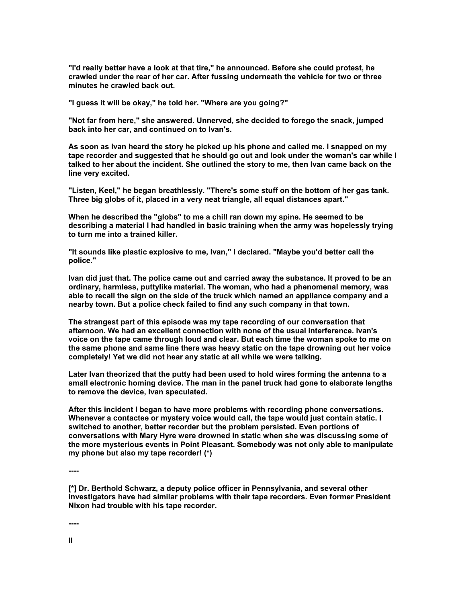**"I'd really better have a look at that tire," he announced. Before she could protest, he crawled under the rear of her car. After fussing underneath the vehicle for two or three minutes he crawled back out.** 

**"I guess it will be okay," he told her. "Where are you going?"** 

**"Not far from here," she answered. Unnerved, she decided to forego the snack, jumped back into her car, and continued on to Ivan's.** 

**As soon as Ivan heard the story he picked up his phone and called me. I snapped on my tape recorder and suggested that he should go out and look under the woman's car while I talked to her about the incident. She outlined the story to me, then Ivan came back on the line very excited.** 

**"Listen, Keel," he began breathlessly. "There's some stuff on the bottom of her gas tank. Three big globs of it, placed in a very neat triangle, all equal distances apart."** 

**When he described the "globs" to me a chill ran down my spine. He seemed to be describing a material I had handled in basic training when the army was hopelessly trying to turn me into a trained killer.** 

**"It sounds like plastic explosive to me, Ivan," I declared. "Maybe you'd better call the police."** 

**Ivan did just that. The police came out and carried away the substance. It proved to be an ordinary, harmless, puttylike material. The woman, who had a phenomenal memory, was able to recall the sign on the side of the truck which named an appliance company and a nearby town. But a police check failed to find any such company in that town.** 

**The strangest part of this episode was my tape recording of our conversation that afternoon. We had an excellent connection with none of the usual interference. Ivan's voice on the tape came through loud and clear. But each time the woman spoke to me on the same phone and same line there was heavy static on the tape drowning out her voice completely! Yet we did not hear any static at all while we were talking.** 

**Later Ivan theorized that the putty had been used to hold wires forming the antenna to a small electronic homing device. The man in the panel truck had gone to elaborate lengths to remove the device, Ivan speculated.** 

**After this incident I began to have more problems with recording phone conversations. Whenever a contactee or mystery voice would call, the tape would just contain static. I switched to another, better recorder but the problem persisted. Even portions of conversations with Mary Hyre were drowned in static when she was discussing some of the more mysterious events in Point Pleasant. Somebody was not only able to manipulate my phone but also my tape recorder! (\*)** 

**----** 

**[\*] Dr. Berthold Schwarz, a deputy police officer in Pennsylvania, and several other investigators have had similar problems with their tape recorders. Even former President Nixon had trouble with his tape recorder.** 

**II** 

**----**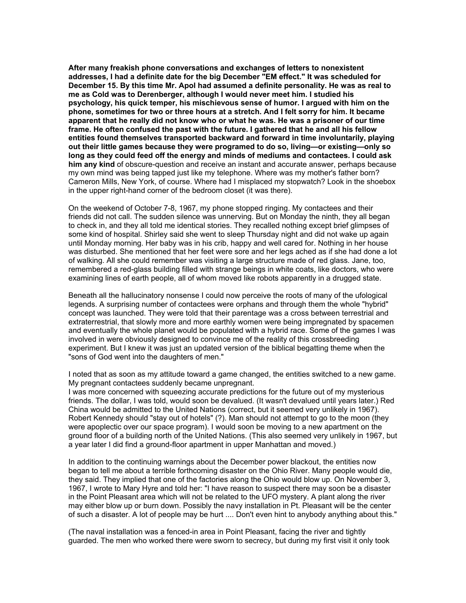**After many freakish phone conversations and exchanges of letters to nonexistent addresses, I had a definite date for the big December "EM effect." It was scheduled for December 15. By this time Mr. Apol had assumed a definite personality. He was as real to me as Cold was to Derenberger, although I would never meet him. I studied his psychology, his quick temper, his mischievous sense of humor. I argued with him on the phone, sometimes for two or three hours at a stretch. And I felt sorry for him. It became apparent that he really did not know who or what he was. He was a prisoner of our time frame. He often confused the past with the future. I gathered that he and all his fellow entities found themselves transported backward and forward in time involuntarily, playing out their little games because they were programed to do so, living—or existing—only so long as they could feed off the energy and minds of mediums and contactees. I could ask him any kind** of obscure-question and receive an instant and accurate answer, perhaps because my own mind was being tapped just like my telephone. Where was my mother's father born? Cameron Mills, New York, of course. Where had I misplaced my stopwatch? Look in the shoebox in the upper right-hand corner of the bedroom closet (it was there).

On the weekend of October 7-8, 1967, my phone stopped ringing. My contactees and their friends did not call. The sudden silence was unnerving. But on Monday the ninth, they all began to check in, and they all told me identical stories. They recalled nothing except brief glimpses of some kind of hospital. Shirley said she went to sleep Thursday night and did not wake up again until Monday morning. Her baby was in his crib, happy and well cared for. Nothing in her house was disturbed. She mentioned that her feet were sore and her legs ached as if she had done a lot of walking. All she could remember was visiting a large structure made of red glass. Jane, too, remembered a red-glass building filled with strange beings in white coats, like doctors, who were examining lines of earth people, all of whom moved like robots apparently in a drugged state.

Beneath all the hallucinatory nonsense I could now perceive the roots of many of the ufological legends. A surprising number of contactees were orphans and through them the whole "hybrid" concept was launched. They were told that their parentage was a cross between terrestrial and extraterrestrial, that slowly more and more earthly women were being impregnated by spacemen and eventually the whole planet would be populated with a hybrid race. Some of the games I was involved in were obviously designed to convince me of the reality of this crossbreeding experiment. But I knew it was just an updated version of the biblical begatting theme when the "sons of God went into the daughters of men."

I noted that as soon as my attitude toward a game changed, the entities switched to a new game. My pregnant contactees suddenly became unpregnant.

I was more concerned with squeezing accurate predictions for the future out of my mysterious friends. The dollar, I was told, would soon be devalued. (It wasn't devalued until years later.) Red China would be admitted to the United Nations (correct, but it seemed very unlikely in 1967). Robert Kennedy should "stay out of hotels" (?). Man should not attempt to go to the moon (they were apoplectic over our space program). I would soon be moving to a new apartment on the ground floor of a building north of the United Nations. (This also seemed very unlikely in 1967, but a year later I did find a ground-floor apartment in upper Manhattan and moved.)

In addition to the continuing warnings about the December power blackout, the entities now began to tell me about a terrible forthcoming disaster on the Ohio River. Many people would die, they said. They implied that one of the factories along the Ohio would blow up. On November 3, 1967, I wrote to Mary Hyre and told her: "I have reason to suspect there may soon be a disaster in the Point Pleasant area which will not be related to the UFO mystery. A plant along the river may either blow up or burn down. Possibly the navy installation in Pt. Pleasant will be the center of such a disaster. A lot of people may be hurt .... Don't even hint to anybody anything about this."

(The naval installation was a fenced-in area in Point Pleasant, facing the river and tightly guarded. The men who worked there were sworn to secrecy, but during my first visit it only took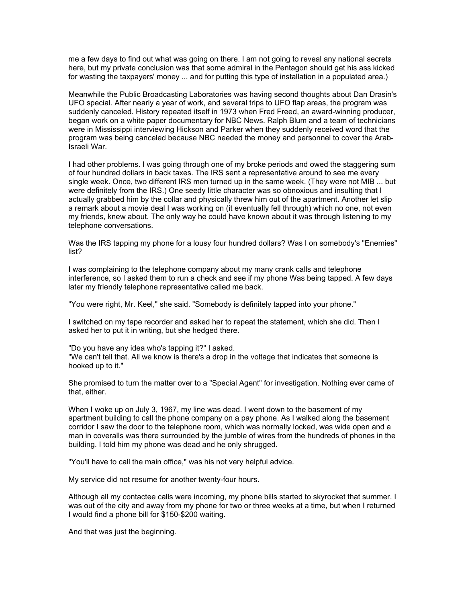me a few days to find out what was going on there. I am not going to reveal any national secrets here, but my private conclusion was that some admiral in the Pentagon should get his ass kicked for wasting the taxpayers' money ... and for putting this type of installation in a populated area.)

Meanwhile the Public Broadcasting Laboratories was having second thoughts about Dan Drasin's UFO special. After nearly a year of work, and several trips to UFO flap areas, the program was suddenly canceled. History repeated itself in 1973 when Fred Freed, an award-winning producer, began work on a white paper documentary for NBC News. Ralph Blum and a team of technicians were in Mississippi interviewing Hickson and Parker when they suddenly received word that the program was being canceled because NBC needed the money and personnel to cover the Arab-Israeli War.

I had other problems. I was going through one of my broke periods and owed the staggering sum of four hundred dollars in back taxes. The IRS sent a representative around to see me every single week. Once, two different IRS men turned up in the same week. (They were not MIB ... but were definitely from the IRS.) One seedy little character was so obnoxious and insulting that I actually grabbed him by the collar and physically threw him out of the apartment. Another let slip a remark about a movie deal I was working on (it eventually fell through) which no one, not even my friends, knew about. The only way he could have known about it was through listening to my telephone conversations.

Was the IRS tapping my phone for a lousy four hundred dollars? Was I on somebody's "Enemies" list?

I was complaining to the telephone company about my many crank calls and telephone interference, so I asked them to run a check and see if my phone Was being tapped. A few days later my friendly telephone representative called me back.

"You were right, Mr. Keel," she said. "Somebody is definitely tapped into your phone."

I switched on my tape recorder and asked her to repeat the statement, which she did. Then I asked her to put it in writing, but she hedged there.

"Do you have any idea who's tapping it?" I asked.

"We can't tell that. All we know is there's a drop in the voltage that indicates that someone is hooked up to it."

She promised to turn the matter over to a "Special Agent" for investigation. Nothing ever came of that, either.

When I woke up on July 3, 1967, my line was dead. I went down to the basement of my apartment building to call the phone company on a pay phone. As I walked along the basement corridor I saw the door to the telephone room, which was normally locked, was wide open and a man in coveralls was there surrounded by the jumble of wires from the hundreds of phones in the building. I told him my phone was dead and he only shrugged.

"You'll have to call the main office," was his not very helpful advice.

My service did not resume for another twenty-four hours.

Although all my contactee calls were incoming, my phone bills started to skyrocket that summer. I was out of the city and away from my phone for two or three weeks at a time, but when I returned I would find a phone bill for \$150-\$200 waiting.

And that was just the beginning.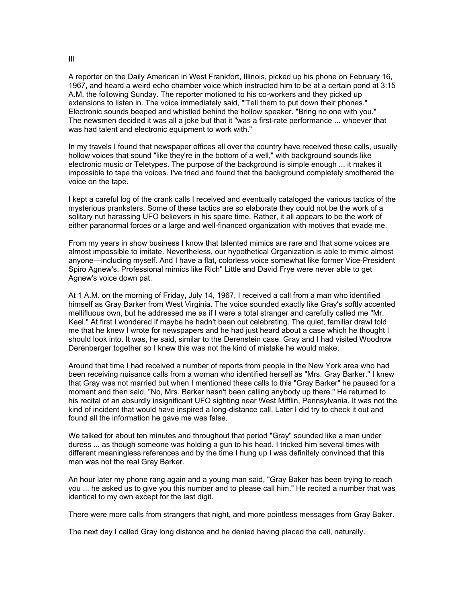A reporter on the Daily American in West Frankfort, Illinois, picked up his phone on February 16, 1967, and heard a weird echo chamber voice which instructed him to be at a certain pond at 3:15 A.M. the following Sunday. The reporter motioned to his co-workers and they picked up extensions to listen in. The voice immediately said, "'Tell them to put down their phones." Electronic sounds beeped and whistled behind the hollow speaker. "Bring no one with you." The newsmen decided it was all a joke but that it "was a first-rate performance ... whoever that was had talent and electronic equipment to work with."

In my travels I found that newspaper offices all over the country have received these calls, usually hollow voices that sound "like they're in the bottom of a well," with background sounds like electronic music or Teletypes. The purpose of the background is simple enough ... it makes it impossible to tape the voices. I've tried and found that the background completely smothered the voice on the tape.

I kept a careful log of the crank calls I received and eventually cataloged the various tactics of the mysterious pranksters. Some of these tactics are so elaborate they could not be the work of a solitary nut harassing UFO believers in his spare time. Rather, it all appears to be the work of either paranormal forces or a large and well-financed organization with motives that evade me.

From my years in show business I know that talented mimics are rare and that some voices are almost impossible to imitate. Nevertheless, our hypothetical Organization is able to mimic almost anyone—including myself. And I have a flat, colorless voice somewhat like former Vice-President Spiro Agnew's. Professional mimics like Rich" Little and David Frye were never able to get Agnew's voice down pat.

At 1 A.M. on the morning of Friday, July 14, 1967, I received a call from a man who identified himself as Gray Barker from West Virginia. The voice sounded exactly like Gray's softly accented mellifluous own, but he addressed me as if I were a total stranger and carefully called me "Mr. Keel." At first I wondered if maybe he hadn't been out celebrating. The quiet, familiar drawl told me that he knew I wrote for newspapers and he had just heard about a case which he thought I should look into. It was, he said, similar to the Derenstein case. Gray and I had visited Woodrow Derenberger together so I knew this was not the kind of mistake he would make.

Around that time I had received a number of reports from people in the New York area who had been receiving nuisance calls from a woman who identified herself as "Mrs. Gray Barker." I knew that Gray was not married but when I mentioned these calls to this "Gray Barker" he paused for a moment and then said, "No, Mrs. Barker hasn't been calling anybody up there." He returned to his recital of an absurdly insignificant UFO sighting near West Mifflin, Pennsylvania. It was not the kind of incident that would have inspired a long-distance call. Later I did try to check it out and found all the information he gave me was false.

We talked for about ten minutes and throughout that period "Gray" sounded like a man under duress ... as though someone was holding a gun to his head. I tricked him several times with different meaningless references and by the time I hung up I was definitely convinced that this man was not the real Gray Barker.

An hour later my phone rang again and a young man said, "Gray Baker has been trying to reach you ... he asked us to give you this number and to please call him." He recited a number that was identical to my own except for the last digit.

There were more calls from strangers that night, and more pointless messages from Gray Baker.

The next day I called Gray long distance and he denied having placed the call, naturally.

III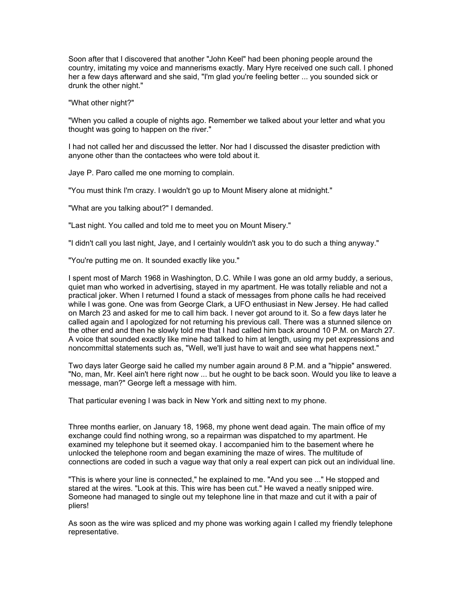Soon after that I discovered that another "John Keel" had been phoning people around the country, imitating my voice and mannerisms exactly. Mary Hyre received one such call. I phoned her a few days afterward and she said, "I'm glad you're feeling better ... you sounded sick or drunk the other night."

"What other night?"

"When you called a couple of nights ago. Remember we talked about your letter and what you thought was going to happen on the river."

I had not called her and discussed the letter. Nor had I discussed the disaster prediction with anyone other than the contactees who were told about it.

Jaye P. Paro called me one morning to complain.

"You must think I'm crazy. I wouldn't go up to Mount Misery alone at midnight."

"What are you talking about?" I demanded.

"Last night. You called and told me to meet you on Mount Misery."

"I didn't call you last night, Jaye, and I certainly wouldn't ask you to do such a thing anyway."

"You're putting me on. It sounded exactly like you."

I spent most of March 1968 in Washington, D.C. While I was gone an old army buddy, a serious, quiet man who worked in advertising, stayed in my apartment. He was totally reliable and not a practical joker. When I returned I found a stack of messages from phone calls he had received while I was gone. One was from George Clark, a UFO enthusiast in New Jersey. He had called on March 23 and asked for me to call him back. I never got around to it. So a few days later he called again and I apologized for not returning his previous call. There was a stunned silence on the other end and then he slowly told me that I had called him back around 10 P.M. on March 27. A voice that sounded exactly like mine had talked to him at length, using my pet expressions and noncommittal statements such as, "Well, we'll just have to wait and see what happens next."

Two days later George said he called my number again around 8 P.M. and a "hippie" answered. "No, man, Mr. Keel ain't here right now ... but he ought to be back soon. Would you like to leave a message, man?" George left a message with him.

That particular evening I was back in New York and sitting next to my phone.

Three months earlier, on January 18, 1968, my phone went dead again. The main office of my exchange could find nothing wrong, so a repairman was dispatched to my apartment. He examined my telephone but it seemed okay. I accompanied him to the basement where he unlocked the telephone room and began examining the maze of wires. The multitude of connections are coded in such a vague way that only a real expert can pick out an individual line.

"This is where your line is connected," he explained to me. "And you see ..." He stopped and stared at the wires. "Look at this. This wire has been cut." He waved a neatly snipped wire. Someone had managed to single out my telephone line in that maze and cut it with a pair of pliers!

As soon as the wire was spliced and my phone was working again I called my friendly telephone representative.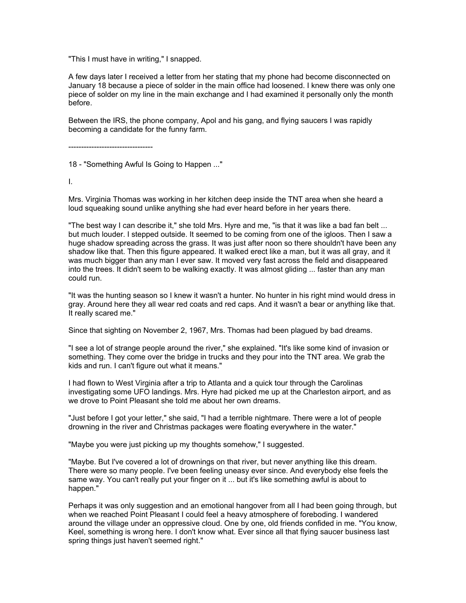"This I must have in writing," I snapped.

A few days later I received a letter from her stating that my phone had become disconnected on January 18 because a piece of solder in the main office had loosened. I knew there was only one piece of solder on my line in the main exchange and I had examined it personally only the month before.

Between the IRS, the phone company, Apol and his gang, and flying saucers I was rapidly becoming a candidate for the funny farm.

---------------------------------

18 - "Something Awful Is Going to Happen ..."

I.

Mrs. Virginia Thomas was working in her kitchen deep inside the TNT area when she heard a loud squeaking sound unlike anything she had ever heard before in her years there.

"The best way I can describe it," she told Mrs. Hyre and me, "is that it was like a bad fan belt ... but much louder. I stepped outside. It seemed to be coming from one of the igloos. Then I saw a huge shadow spreading across the grass. It was just after noon so there shouldn't have been any shadow like that. Then this figure appeared. It walked erect like a man, but it was all gray, and it was much bigger than any man I ever saw. It moved very fast across the field and disappeared into the trees. It didn't seem to be walking exactly. It was almost gliding ... faster than any man could run.

"It was the hunting season so I knew it wasn't a hunter. No hunter in his right mind would dress in gray. Around here they all wear red coats and red caps. And it wasn't a bear or anything like that. It really scared me."

Since that sighting on November 2, 1967, Mrs. Thomas had been plagued by bad dreams.

"I see a lot of strange people around the river," she explained. "It's like some kind of invasion or something. They come over the bridge in trucks and they pour into the TNT area. We grab the kids and run. I can't figure out what it means."

I had flown to West Virginia after a trip to Atlanta and a quick tour through the Carolinas investigating some UFO landings. Mrs. Hyre had picked me up at the Charleston airport, and as we drove to Point Pleasant she told me about her own dreams.

"Just before I got your letter," she said, "I had a terrible nightmare. There were a lot of people drowning in the river and Christmas packages were floating everywhere in the water."

"Maybe you were just picking up my thoughts somehow," I suggested.

"Maybe. But I've covered a lot of drownings on that river, but never anything like this dream. There were so many people. I've been feeling uneasy ever since. And everybody else feels the same way. You can't really put your finger on it ... but it's like something awful is about to happen."

Perhaps it was only suggestion and an emotional hangover from all I had been going through, but when we reached Point Pleasant I could feel a heavy atmosphere of foreboding. I wandered around the village under an oppressive cloud. One by one, old friends confided in me. "You know, Keel, something is wrong here. I don't know what. Ever since all that flying saucer business last spring things just haven't seemed right."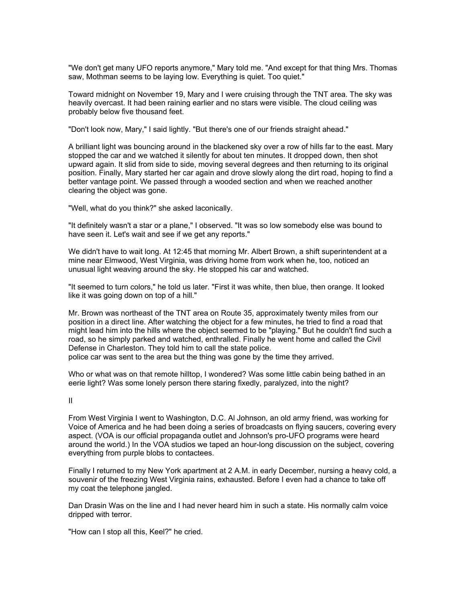"We don't get many UFO reports anymore," Mary told me. "And except for that thing Mrs. Thomas saw, Mothman seems to be laying low. Everything is quiet. Too quiet."

Toward midnight on November 19, Mary and I were cruising through the TNT area. The sky was heavily overcast. It had been raining earlier and no stars were visible. The cloud ceiling was probably below five thousand feet.

"Don't look now, Mary," I said lightly. "But there's one of our friends straight ahead."

A brilliant light was bouncing around in the blackened sky over a row of hills far to the east. Mary stopped the car and we watched it silently for about ten minutes. It dropped down, then shot upward again. It slid from side to side, moving several degrees and then returning to its original position. Finally, Mary started her car again and drove slowly along the dirt road, hoping to find a better vantage point. We passed through a wooded section and when we reached another clearing the object was gone.

"Well, what do you think?" she asked laconically.

"It definitely wasn't a star or a plane," I observed. "It was so low somebody else was bound to have seen it. Let's wait and see if we get any reports."

We didn't have to wait long. At 12:45 that morning Mr. Albert Brown, a shift superintendent at a mine near Elmwood, West Virginia, was driving home from work when he, too, noticed an unusual light weaving around the sky. He stopped his car and watched.

"It seemed to turn colors," he told us later. "First it was white, then blue, then orange. It looked like it was going down on top of a hill."

Mr. Brown was northeast of the TNT area on Route 35, approximately twenty miles from our position in a direct line. After watching the object for a few minutes, he tried to find a road that might lead him into the hills where the object seemed to be "playing." But he couldn't find such a road, so he simply parked and watched, enthralled. Finally he went home and called the Civil Defense in Charleston. They told him to call the state police. police car was sent to the area but the thing was gone by the time they arrived.

Who or what was on that remote hilltop, I wondered? Was some little cabin being bathed in an eerie light? Was some lonely person there staring fixedly, paralyzed, into the night?

II

From West Virginia I went to Washington, D.C. Al Johnson, an old army friend, was working for Voice of America and he had been doing a series of broadcasts on flying saucers, covering every aspect. (VOA is our official propaganda outlet and Johnson's pro-UFO programs were heard around the world.) In the VOA studios we taped an hour-long discussion on the subject, covering everything from purple blobs to contactees.

Finally I returned to my New York apartment at 2 A.M. in early December, nursing a heavy cold, a souvenir of the freezing West Virginia rains, exhausted. Before I even had a chance to take off my coat the telephone jangled.

Dan Drasin Was on the line and I had never heard him in such a state. His normally calm voice dripped with terror.

"How can I stop all this, Keel?" he cried.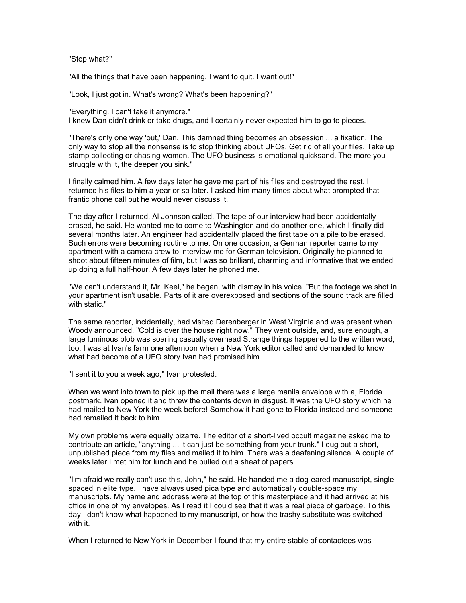"Stop what?"

"All the things that have been happening. I want to quit. I want out!"

"Look, I just got in. What's wrong? What's been happening?"

"Everything. I can't take it anymore."

I knew Dan didn't drink or take drugs, and I certainly never expected him to go to pieces.

"There's only one way 'out,' Dan. This damned thing becomes an obsession ... a fixation. The only way to stop all the nonsense is to stop thinking about UFOs. Get rid of all your files. Take up stamp collecting or chasing women. The UFO business is emotional quicksand. The more you struggle with it, the deeper you sink."

I finally calmed him. A few days later he gave me part of his files and destroyed the rest. I returned his files to him a year or so later. I asked him many times about what prompted that frantic phone call but he would never discuss it.

The day after I returned, Al Johnson called. The tape of our interview had been accidentally erased, he said. He wanted me to come to Washington and do another one, which I finally did several months later. An engineer had accidentally placed the first tape on a pile to be erased. Such errors were becoming routine to me. On one occasion, a German reporter came to my apartment with a camera crew to interview me for German television. Originally he planned to shoot about fifteen minutes of film, but I was so brilliant, charming and informative that we ended up doing a full half-hour. A few days later he phoned me.

"We can't understand it, Mr. Keel," he began, with dismay in his voice. "But the footage we shot in your apartment isn't usable. Parts of it are overexposed and sections of the sound track are filled with static."

The same reporter, incidentally, had visited Derenberger in West Virginia and was present when Woody announced, "Cold is over the house right now." They went outside, and, sure enough, a large luminous blob was soaring casually overhead Strange things happened to the written word, too. I was at Ivan's farm one afternoon when a New York editor called and demanded to know what had become of a UFO story Ivan had promised him.

"I sent it to you a week ago," Ivan protested.

When we went into town to pick up the mail there was a large manila envelope with a, Florida postmark. Ivan opened it and threw the contents down in disgust. It was the UFO story which he had mailed to New York the week before! Somehow it had gone to Florida instead and someone had remailed it back to him.

My own problems were equally bizarre. The editor of a short-lived occult magazine asked me to contribute an article, "anything ... it can just be something from your trunk." I dug out a short, unpublished piece from my files and mailed it to him. There was a deafening silence. A couple of weeks later I met him for lunch and he pulled out a sheaf of papers.

"I'm afraid we really can't use this, John," he said. He handed me a dog-eared manuscript, singlespaced in elite type. I have always used pica type and automatically double-space my manuscripts. My name and address were at the top of this masterpiece and it had arrived at his office in one of my envelopes. As I read it I could see that it was a real piece of garbage. To this day I don't know what happened to my manuscript, or how the trashy substitute was switched with it.

When I returned to New York in December I found that my entire stable of contactees was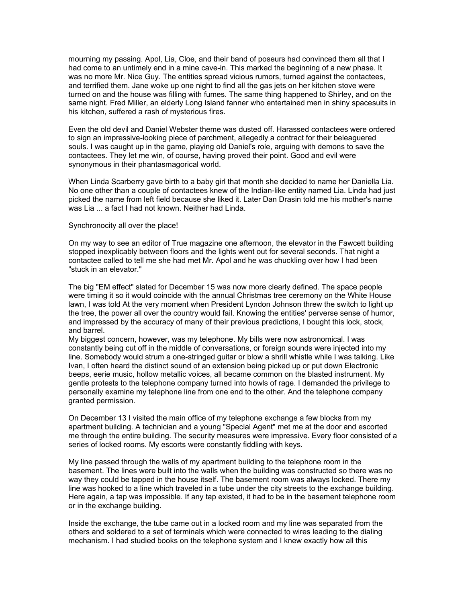mourning my passing. Apol, Lia, Cloe, and their band of poseurs had convinced them all that I had come to an untimely end in a mine cave-in. This marked the beginning of a new phase. It was no more Mr. Nice Guy. The entities spread vicious rumors, turned against the contactees, and terrified them. Jane woke up one night to find all the gas jets on her kitchen stove were turned on and the house was filling with fumes. The same thing happened to Shirley, and on the same night. Fred Miller, an elderly Long Island fanner who entertained men in shiny spacesuits in his kitchen, suffered a rash of mysterious fires.

Even the old devil and Daniel Webster theme was dusted off. Harassed contactees were ordered to sign an impressive-looking piece of parchment, allegedly a contract for their beleaguered souls. I was caught up in the game, playing old Daniel's role, arguing with demons to save the contactees. They let me win, of course, having proved their point. Good and evil were synonymous in their phantasmagorical world.

When Linda Scarberry gave birth to a baby girl that month she decided to name her Daniella Lia. No one other than a couple of contactees knew of the Indian-like entity named Lia. Linda had just picked the name from left field because she liked it. Later Dan Drasin told me his mother's name was Lia ... a fact I had not known. Neither had Linda.

## Synchronocity all over the place!

On my way to see an editor of True magazine one afternoon, the elevator in the Fawcett building stopped inexplicably between floors and the lights went out for several seconds. That night a contactee called to tell me she had met Mr. Apol and he was chuckling over how I had been "stuck in an elevator."

The big "EM effect" slated for December 15 was now more clearly defined. The space people were timing it so it would coincide with the annual Christmas tree ceremony on the White House lawn, I was told At the very moment when President Lyndon Johnson threw the switch to light up the tree, the power all over the country would fail. Knowing the entities' perverse sense of humor, and impressed by the accuracy of many of their previous predictions, I bought this lock, stock, and barrel.

My biggest concern, however, was my telephone. My bills were now astronomical. I was constantly being cut off in the middle of conversations, or foreign sounds were injected into my line. Somebody would strum a one-stringed guitar or blow a shrill whistle while I was talking. Like Ivan, I often heard the distinct sound of an extension being picked up or put down Electronic beeps, eerie music, hollow metallic voices, all became common on the blasted instrument. My gentle protests to the telephone company turned into howls of rage. I demanded the privilege to personally examine my telephone line from one end to the other. And the telephone company granted permission.

On December 13 I visited the main office of my telephone exchange a few blocks from my apartment building. A technician and a young "Special Agent" met me at the door and escorted me through the entire building. The security measures were impressive. Every floor consisted of a series of locked rooms. My escorts were constantly fiddling with keys.

My line passed through the walls of my apartment building to the telephone room in the basement. The lines were built into the walls when the building was constructed so there was no way they could be tapped in the house itself. The basement room was always locked. There my line was hooked to a line which traveled in a tube under the city streets to the exchange building. Here again, a tap was impossible. If any tap existed, it had to be in the basement telephone room or in the exchange building.

Inside the exchange, the tube came out in a locked room and my line was separated from the others and soldered to a set of terminals which were connected to wires leading to the dialing mechanism. I had studied books on the telephone system and I knew exactly how all this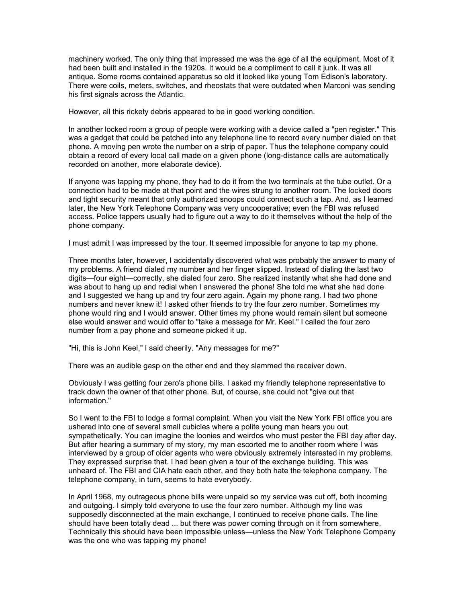machinery worked. The only thing that impressed me was the age of all the equipment. Most of it had been built and installed in the 1920s. It would be a compliment to call it junk. It was all antique. Some rooms contained apparatus so old it looked like young Tom Edison's laboratory. There were coils, meters, switches, and rheostats that were outdated when Marconi was sending his first signals across the Atlantic.

However, all this rickety debris appeared to be in good working condition.

In another locked room a group of people were working with a device called a "pen register." This was a gadget that could be patched into any telephone line to record every number dialed on that phone. A moving pen wrote the number on a strip of paper. Thus the telephone company could obtain a record of every local call made on a given phone (long-distance calls are automatically recorded on another, more elaborate device).

If anyone was tapping my phone, they had to do it from the two terminals at the tube outlet. Or a connection had to be made at that point and the wires strung to another room. The locked doors and tight security meant that only authorized snoops could connect such a tap. And, as I learned later, the New York Telephone Company was very uncooperative; even the FBI was refused access. Police tappers usually had to figure out a way to do it themselves without the help of the phone company.

I must admit I was impressed by the tour. It seemed impossible for anyone to tap my phone.

Three months later, however, I accidentally discovered what was probably the answer to many of my problems. A friend dialed my number and her finger slipped. Instead of dialing the last two digits—four eight—correctly, she dialed four zero. She realized instantly what she had done and was about to hang up and redial when I answered the phone! She told me what she had done and I suggested we hang up and try four zero again. Again my phone rang. I had two phone numbers and never knew it! I asked other friends to try the four zero number. Sometimes my phone would ring and I would answer. Other times my phone would remain silent but someone else would answer and would offer to "take a message for Mr. Keel." I called the four zero number from a pay phone and someone picked it up.

"Hi, this is John Keel," I said cheerily. "Any messages for me?"

There was an audible gasp on the other end and they slammed the receiver down.

Obviously I was getting four zero's phone bills. I asked my friendly telephone representative to track down the owner of that other phone. But, of course, she could not "give out that information."

So I went to the FBI to lodge a formal complaint. When you visit the New York FBI office you are ushered into one of several small cubicles where a polite young man hears you out sympathetically. You can imagine the loonies and weirdos who must pester the FBI day after day. But after hearing a summary of my story, my man escorted me to another room where I was interviewed by a group of older agents who were obviously extremely interested in my problems. They expressed surprise that. I had been given a tour of the exchange building. This was unheard of. The FBI and CIA hate each other, and they both hate the telephone company. The telephone company, in turn, seems to hate everybody.

In April 1968, my outrageous phone bills were unpaid so my service was cut off, both incoming and outgoing. I simply told everyone to use the four zero number. Although my line was supposedly disconnected at the main exchange, I continued to receive phone calls. The line should have been totally dead ... but there was power coming through on it from somewhere. Technically this should have been impossible unless—unless the New York Telephone Company was the one who was tapping my phone!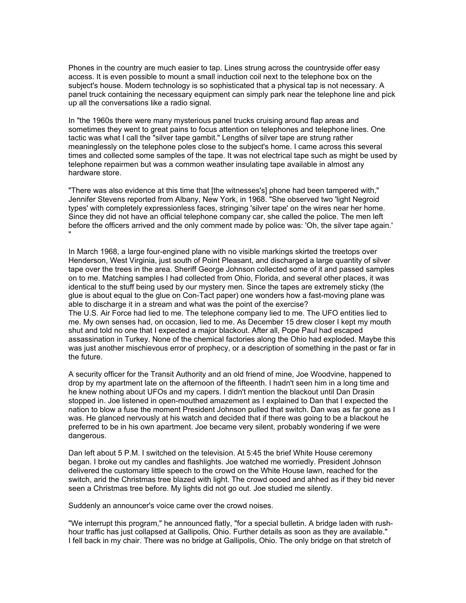Phones in the country are much easier to tap. Lines strung across the countryside offer easy access. It is even possible to mount a small induction coil next to the telephone box on the subject's house. Modern technology is so sophisticated that a physical tap is not necessary. A panel truck containing the necessary equipment can simply park near the telephone line and pick up all the conversations like a radio signal.

In "the 1960s there were many mysterious panel trucks cruising around flap areas and sometimes they went to great pains to focus attention on telephones and telephone lines. One tactic was what I call the "silver tape gambit." Lengths of silver tape are strung rather meaninglessly on the telephone poles close to the subject's home. I came across this several times and collected some samples of the tape. It was not electrical tape such as might be used by telephone repairmen but was a common weather insulating tape available in almost any hardware store.

"There was also evidence at this time that [the witnesses's] phone had been tampered with," Jennifer Stevens reported from Albany, New York, in 1968. "She observed two 'light Negroid types' with completely expressionless faces, stringing 'silver tape' on the wires near her home. Since they did not have an official telephone company car, she called the police. The men left before the officers arrived and the only comment made by police was: 'Oh, the silver tape again.' "

In March 1968, a large four-engined plane with no visible markings skirted the treetops over Henderson, West Virginia, just south of Point Pleasant, and discharged a large quantity of silver tape over the trees in the area. Sheriff George Johnson collected some of it and passed samples on to me. Matching samples I had collected from Ohio, Florida, and several other places, it was identical to the stuff being used by our mystery men. Since the tapes are extremely sticky (the glue is about equal to the glue on Con-Tact paper) one wonders how a fast-moving plane was able to discharge it in a stream and what was the point of the exercise? The U.S. Air Force had lied to me. The telephone company lied to me. The UFO entities lied to me. My own senses had, on occasion, lied to me. As December 15 drew closer I kept my mouth shut and told no one that I expected a major blackout. After all, Pope Paul had escaped assassination in Turkey. None of the chemical factories along the Ohio had exploded. Maybe this was just another mischievous error of prophecy, or a description of something in the past or far in the future.

A security officer for the Transit Authority and an old friend of mine, Joe Woodvine, happened to drop by my apartment late on the afternoon of the fifteenth. I hadn't seen him in a long time and he knew nothing about UFOs and my capers. I didn't mention the blackout until Dan Drasin stopped in. Joe listened in open-mouthed amazement as I explained to Dan that I expected the nation to blow a fuse the moment President Johnson pulled that switch. Dan was as far gone as I was. He glanced nervously at his watch and decided that if there was going to be a blackout he preferred to be in his own apartment. Joe became very silent, probably wondering if we were dangerous.

Dan left about 5 P.M. I switched on the television. At 5:45 the brief White House ceremony began. I broke out my candles and flashlights. Joe watched me worriedly. President Johnson delivered the customary little speech to the crowd on the White House lawn, reached for the switch, arid the Christmas tree blazed with light. The crowd oooed and ahhed as if they bid never seen a Christmas tree before. My lights did not go out. Joe studied me silently.

Suddenly an announcer's voice came over the crowd noises.

"We interrupt this program," he announced flatly, "for a special bulletin. A bridge laden with rushhour traffic has just collapsed at Gallipolis, Ohio. Further details as soon as they are available." I fell back in my chair. There was no bridge at Gallipolis, Ohio. The only bridge on that stretch of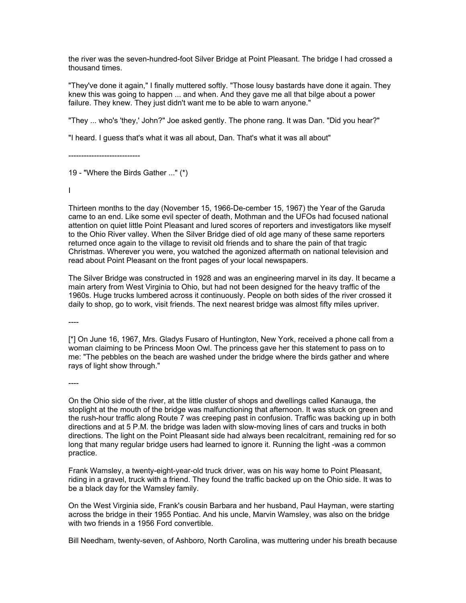the river was the seven-hundred-foot Silver Bridge at Point Pleasant. The bridge I had crossed a thousand times.

"They've done it again," I finally muttered softly. "Those lousy bastards have done it again. They knew this was going to happen ... and when. And they gave me all that bilge about a power failure. They knew. They just didn't want me to be able to warn anyone."

"They ... who's 'they,' John?" Joe asked gently. The phone rang. It was Dan. "Did you hear?"

"I heard. I guess that's what it was all about, Dan. That's what it was all about"

----------------------------

19 - "Where the Birds Gather ..." (\*)

I

Thirteen months to the day (November 15, 1966-De-cember 15, 1967) the Year of the Garuda came to an end. Like some evil specter of death, Mothman and the UFOs had focused national attention on quiet little Point Pleasant and lured scores of reporters and investigators like myself to the Ohio River valley. When the Silver Bridge died of old age many of these same reporters returned once again to the village to revisit old friends and to share the pain of that tragic Christmas. Wherever you were, you watched the agonized aftermath on national television and read about Point Pleasant on the front pages of your local newspapers.

The Silver Bridge was constructed in 1928 and was an engineering marvel in its day. It became a main artery from West Virginia to Ohio, but had not been designed for the heavy traffic of the 1960s. Huge trucks lumbered across it continuously. People on both sides of the river crossed it daily to shop, go to work, visit friends. The next nearest bridge was almost fifty miles upriver.

----

[\*] On June 16, 1967, Mrs. Gladys Fusaro of Huntington, New York, received a phone call from a woman claiming to be Princess Moon Owl. The princess gave her this statement to pass on to me: "The pebbles on the beach are washed under the bridge where the birds gather and where rays of light show through."

----

On the Ohio side of the river, at the little cluster of shops and dwellings called Kanauga, the stoplight at the mouth of the bridge was malfunctioning that afternoon. It was stuck on green and the rush-hour traffic along Route 7 was creeping past in confusion. Traffic was backing up in both directions and at 5 P.M. the bridge was laden with slow-moving lines of cars and trucks in both directions. The light on the Point Pleasant side had always been recalcitrant, remaining red for so long that many regular bridge users had learned to ignore it. Running the light -was a common practice.

Frank Wamsley, a twenty-eight-year-old truck driver, was on his way home to Point Pleasant, riding in a gravel, truck with a friend. They found the traffic backed up on the Ohio side. It was to be a black day for the Wamsley family.

On the West Virginia side, Frank's cousin Barbara and her husband, Paul Hayman, were starting across the bridge in their 1955 Pontiac. And his uncle, Marvin Wamsley, was also on the bridge with two friends in a 1956 Ford convertible.

Bill Needham, twenty-seven, of Ashboro, North Carolina, was muttering under his breath because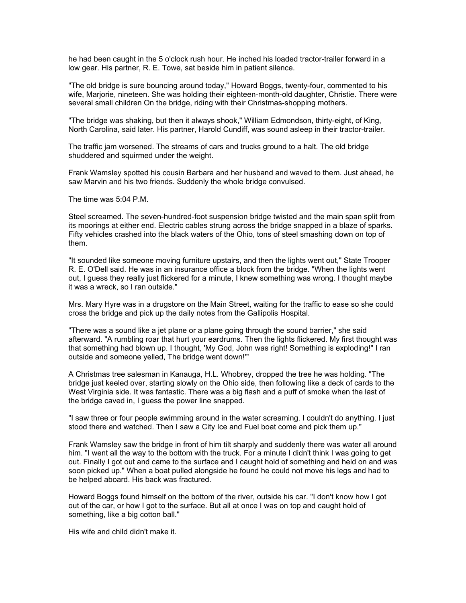he had been caught in the 5 o'clock rush hour. He inched his loaded tractor-trailer forward in a low gear. His partner, R. E. Towe, sat beside him in patient silence.

"The old bridge is sure bouncing around today," Howard Boggs, twenty-four, commented to his wife, Marjorie, nineteen. She was holding their eighteen-month-old daughter, Christie. There were several small children On the bridge, riding with their Christmas-shopping mothers.

"The bridge was shaking, but then it always shook," William Edmondson, thirty-eight, of King, North Carolina, said later. His partner, Harold Cundiff, was sound asleep in their tractor-trailer.

The traffic jam worsened. The streams of cars and trucks ground to a halt. The old bridge shuddered and squirmed under the weight.

Frank Wamsley spotted his cousin Barbara and her husband and waved to them. Just ahead, he saw Marvin and his two friends. Suddenly the whole bridge convulsed.

The time was 5:04 P.M.

Steel screamed. The seven-hundred-foot suspension bridge twisted and the main span split from its moorings at either end. Electric cables strung across the bridge snapped in a blaze of sparks. Fifty vehicles crashed into the black waters of the Ohio, tons of steel smashing down on top of them.

"It sounded like someone moving furniture upstairs, and then the lights went out," State Trooper R. E. O'Dell said. He was in an insurance office a block from the bridge. "When the lights went out, I guess they really just flickered for a minute, I knew something was wrong. I thought maybe it was a wreck, so I ran outside."

Mrs. Mary Hyre was in a drugstore on the Main Street, waiting for the traffic to ease so she could cross the bridge and pick up the daily notes from the Gallipolis Hospital.

"There was a sound like a jet plane or a plane going through the sound barrier," she said afterward. "A rumbling roar that hurt your eardrums. Then the lights flickered. My first thought was that something had blown up. I thought, 'My God, John was right! Something is exploding!" I ran outside and someone yelled, The bridge went down!'"

A Christmas tree salesman in Kanauga, H.L. Whobrey, dropped the tree he was holding. "The bridge just keeled over, starting slowly on the Ohio side, then following like a deck of cards to the West Virginia side. It was fantastic. There was a big flash and a puff of smoke when the last of the bridge caved in, I guess the power line snapped.

"I saw three or four people swimming around in the water screaming. I couldn't do anything. I just stood there and watched. Then I saw a City Ice and Fuel boat come and pick them up."

Frank Wamsley saw the bridge in front of him tilt sharply and suddenly there was water all around him. "I went all the way to the bottom with the truck. For a minute I didn't think I was going to get out. Finally I got out and came to the surface and I caught hold of something and held on and was soon picked up." When a boat pulled alongside he found he could not move his legs and had to be helped aboard. His back was fractured.

Howard Boggs found himself on the bottom of the river, outside his car. "I don't know how I got out of the car, or how I got to the surface. But all at once I was on top and caught hold of something, like a big cotton ball."

His wife and child didn't make it.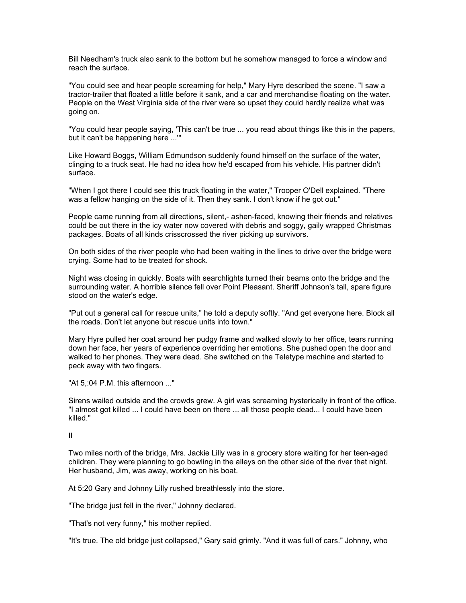Bill Needham's truck also sank to the bottom but he somehow managed to force a window and reach the surface.

"You could see and hear people screaming for help," Mary Hyre described the scene. "I saw a tractor-trailer that floated a little before it sank, and a car and merchandise floating on the water. People on the West Virginia side of the river were so upset they could hardly realize what was going on.

"You could hear people saying, 'This can't be true ... you read about things like this in the papers, but it can't be happening here ...'"

Like Howard Boggs, William Edmundson suddenly found himself on the surface of the water, clinging to a truck seat. He had no idea how he'd escaped from his vehicle. His partner didn't surface.

"When I got there I could see this truck floating in the water," Trooper O'Dell explained. "There was a fellow hanging on the side of it. Then they sank. I don't know if he got out."

People came running from all directions, silent,- ashen-faced, knowing their friends and relatives could be out there in the icy water now covered with debris and soggy, gaily wrapped Christmas packages. Boats of all kinds crisscrossed the river picking up survivors.

On both sides of the river people who had been waiting in the lines to drive over the bridge were crying. Some had to be treated for shock.

Night was closing in quickly. Boats with searchlights turned their beams onto the bridge and the surrounding water. A horrible silence fell over Point Pleasant. Sheriff Johnson's tall, spare figure stood on the water's edge.

"Put out a general call for rescue units," he told a deputy softly. "And get everyone here. Block all the roads. Don't let anyone but rescue units into town."

Mary Hyre pulled her coat around her pudgy frame and walked slowly to her office, tears running down her face, her years of experience overriding her emotions. She pushed open the door and walked to her phones. They were dead. She switched on the Teletype machine and started to peck away with two fingers.

"At 5,:04 P.M. this afternoon ..."

Sirens wailed outside and the crowds grew. A girl was screaming hysterically in front of the office. "I almost got killed ... I could have been on there ... all those people dead... I could have been killed."

II

Two miles north of the bridge, Mrs. Jackie Lilly was in a grocery store waiting for her teen-aged children. They were planning to go bowling in the alleys on the other side of the river that night. Her husband, Jim, was away, working on his boat.

At 5:20 Gary and Johnny Lilly rushed breathlessly into the store.

"The bridge just fell in the river," Johnny declared.

"That's not very funny," his mother replied.

"It's true. The old bridge just collapsed," Gary said grimly. "And it was full of cars." Johnny, who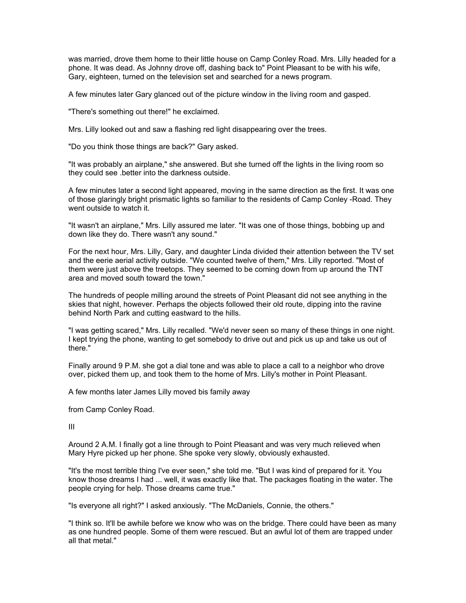was married, drove them home to their little house on Camp Conley Road. Mrs. Lilly headed for a phone. It was dead. As Johnny drove off, dashing back to" Point Pleasant to be with his wife, Gary, eighteen, turned on the television set and searched for a news program.

A few minutes later Gary glanced out of the picture window in the living room and gasped.

"There's something out there!" he exclaimed.

Mrs. Lilly looked out and saw a flashing red light disappearing over the trees.

"Do you think those things are back?" Gary asked.

"It was probably an airplane," she answered. But she turned off the lights in the living room so they could see .better into the darkness outside.

A few minutes later a second light appeared, moving in the same direction as the first. It was one of those glaringly bright prismatic lights so familiar to the residents of Camp Conley -Road. They went outside to watch it.

"It wasn't an airplane," Mrs. Lilly assured me later. "It was one of those things, bobbing up and down like they do. There wasn't any sound."

For the next hour, Mrs. Lilly, Gary, and daughter Linda divided their attention between the TV set and the eerie aerial activity outside. "We counted twelve of them," Mrs. Lilly reported. "Most of them were just above the treetops. They seemed to be coming down from up around the TNT area and moved south toward the town."

The hundreds of people milling around the streets of Point Pleasant did not see anything in the skies that night, however. Perhaps the objects followed their old route, dipping into the ravine behind North Park and cutting eastward to the hills.

"I was getting scared," Mrs. Lilly recalled. "We'd never seen so many of these things in one night. I kept trying the phone, wanting to get somebody to drive out and pick us up and take us out of there."

Finally around 9 P.M. she got a dial tone and was able to place a call to a neighbor who drove over, picked them up, and took them to the home of Mrs. Lilly's mother in Point Pleasant.

A few months later James Lilly moved bis family away

from Camp Conley Road.

III

Around 2 A.M. I finally got a line through to Point Pleasant and was very much relieved when Mary Hyre picked up her phone. She spoke very slowly, obviously exhausted.

"It's the most terrible thing I've ever seen," she told me. "But I was kind of prepared for it. You know those dreams I had ... well, it was exactly like that. The packages floating in the water. The people crying for help. Those dreams came true."

"Is everyone all right?" I asked anxiously. "The McDaniels, Connie, the others."

"I think so. It'll be awhile before we know who was on the bridge. There could have been as many as one hundred people. Some of them were rescued. But an awful lot of them are trapped under all that metal."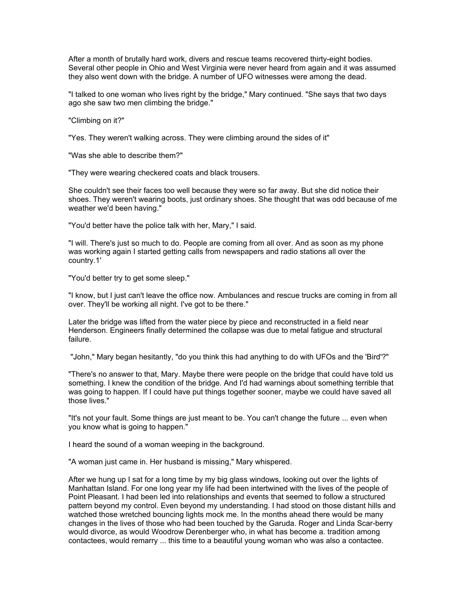After a month of brutally hard work, divers and rescue teams recovered thirty-eight bodies. Several other people in Ohio and West Virginia were never heard from again and it was assumed they also went down with the bridge. A number of UFO witnesses were among the dead.

"I talked to one woman who lives right by the bridge," Mary continued. "She says that two days ago she saw two men climbing the bridge."

"Climbing on it?"

"Yes. They weren't walking across. They were climbing around the sides of it"

"Was she able to describe them?"

"They were wearing checkered coats and black trousers.

She couldn't see their faces too well because they were so far away. But she did notice their shoes. They weren't wearing boots, just ordinary shoes. She thought that was odd because of me weather we'd been having."

"You'd better have the police talk with her, Mary," I said.

"I will. There's just so much to do. People are coming from all over. And as soon as my phone was working again I started getting calls from newspapers and radio stations all over the country.1'

"You'd better try to get some sleep."

"I know, but I just can't leave the office now. Ambulances and rescue trucks are coming in from all over. They'll be working all night. I've got to be there."

Later the bridge was lifted from the water piece by piece and reconstructed in a field near Henderson. Engineers finally determined the collapse was due to metal fatigue and structural failure.

"John," Mary began hesitantly, "do you think this had anything to do with UFOs and the 'Bird'?"

"There's no answer to that, Mary. Maybe there were people on the bridge that could have told us something. I knew the condition of the bridge. And I'd had warnings about something terrible that was going to happen. If I could have put things together sooner, maybe we could have saved all those lives."

"It's not your fault. Some things are just meant to be. You can't change the future ... even when you know what is going to happen."

I heard the sound of a woman weeping in the background.

"A woman just came in. Her husband is missing," Mary whispered.

After we hung up I sat for a long time by my big glass windows, looking out over the lights of Manhattan Island. For one long year my life had been intertwined with the lives of the people of Point Pleasant. I had been led into relationships and events that seemed to follow a structured pattern beyond my control. Even beyond my understanding. I had stood on those distant hills and watched those wretched bouncing lights mock me. In the months ahead there would be many changes in the lives of those who had been touched by the Garuda. Roger and Linda Scar-berry would divorce, as would Woodrow Derenberger who, in what has become a. tradition among contactees, would remarry ... this time to a beautiful young woman who was also a contactee.